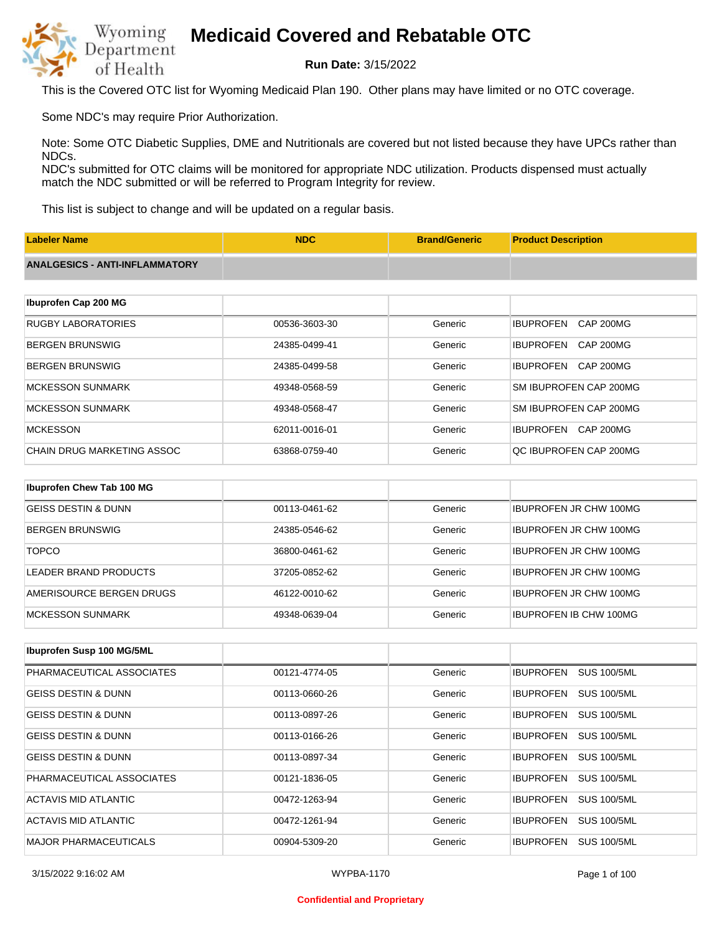

**Run Date:** 3/15/2022

This is the Covered OTC list for Wyoming Medicaid Plan 190. Other plans may have limited or no OTC coverage.

Some NDC's may require Prior Authorization.

Note: Some OTC Diabetic Supplies, DME and Nutritionals are covered but not listed because they have UPCs rather than NDCs.

NDC's submitted for OTC claims will be monitored for appropriate NDC utilization. Products dispensed must actually match the NDC submitted or will be referred to Program Integrity for review.

This list is subject to change and will be updated on a regular basis.

| <b>Labeler Name</b>                   | <b>NDC</b>    | <b>Brand/Generic</b> | <b>Product Description</b>           |
|---------------------------------------|---------------|----------------------|--------------------------------------|
| <b>ANALGESICS - ANTI-INFLAMMATORY</b> |               |                      |                                      |
|                                       |               |                      |                                      |
| Ibuprofen Cap 200 MG                  |               |                      |                                      |
| <b>RUGBY LABORATORIES</b>             | 00536-3603-30 | Generic              | <b>IBUPROFEN</b><br><b>CAP 200MG</b> |
| <b>BERGEN BRUNSWIG</b>                | 24385-0499-41 | Generic              | <b>IBUPROFEN</b><br><b>CAP 200MG</b> |
| <b>BERGEN BRUNSWIG</b>                | 24385-0499-58 | Generic              | <b>IBUPROFEN</b><br><b>CAP 200MG</b> |
| <b>MCKESSON SUNMARK</b>               | 49348-0568-59 | Generic              | SM IBUPROFEN CAP 200MG               |
| <b>MCKESSON SUNMARK</b>               | 49348-0568-47 | Generic              | SM IBUPROFEN CAP 200MG               |
| <b>MCKESSON</b>                       | 62011-0016-01 | Generic              | <b>IBUPROFEN</b><br>CAP 200MG        |
| <b>CHAIN DRUG MARKETING ASSOC</b>     | 63868-0759-40 | Generic              | QC IBUPROFEN CAP 200MG               |
|                                       |               |                      |                                      |
| Ibuprofen Chew Tab 100 MG             |               |                      |                                      |
| <b>GEISS DESTIN &amp; DUNN</b>        | 00113-0461-62 | Generic              | <b>IBUPROFEN JR CHW 100MG</b>        |
|                                       |               |                      |                                      |

| BERGEN BRUNSWIG          | 24385-0546-62 | Generic | <b>IBUPROFEN JR CHW 100MG</b> |
|--------------------------|---------------|---------|-------------------------------|
| <b>TOPCO</b>             | 36800-0461-62 | Generic | <b>IBUPROFEN JR CHW 100MG</b> |
| LEADER BRAND PRODUCTS    | 37205-0852-62 | Generic | <b>IBUPROFEN JR CHW 100MG</b> |
| AMERISOURCE BERGEN DRUGS | 46122-0010-62 | Generic | <b>IBUPROFEN JR CHW 100MG</b> |
| IMCKESSON SUNMARK        | 49348-0639-04 | Generic | <b>IBUPROFEN IB CHW 100MG</b> |

| Ibuprofen Susp 100 MG/5ML      |               |         |                                        |
|--------------------------------|---------------|---------|----------------------------------------|
| PHARMACEUTICAL ASSOCIATES      | 00121-4774-05 | Generic | <b>IBUPROFEN</b><br><b>SUS 100/5ML</b> |
| <b>GEISS DESTIN &amp; DUNN</b> | 00113-0660-26 | Generic | <b>SUS 100/5ML</b><br><b>IBUPROFEN</b> |
| <b>GEISS DESTIN &amp; DUNN</b> | 00113-0897-26 | Generic | <b>IBUPROFEN</b><br><b>SUS 100/5ML</b> |
| <b>GEISS DESTIN &amp; DUNN</b> | 00113-0166-26 | Generic | <b>SUS 100/5ML</b><br><b>IBUPROFEN</b> |
| <b>GEISS DESTIN &amp; DUNN</b> | 00113-0897-34 | Generic | <b>SUS 100/5ML</b><br><b>IBUPROFEN</b> |
| PHARMACEUTICAL ASSOCIATES      | 00121-1836-05 | Generic | <b>IBUPROFEN</b><br><b>SUS 100/5ML</b> |
| ACTAVIS MID ATLANTIC           | 00472-1263-94 | Generic | <b>IBUPROFEN</b><br><b>SUS 100/5ML</b> |
| ACTAVIS MID ATLANTIC           | 00472-1261-94 | Generic | <b>IBUPROFEN</b><br><b>SUS 100/5ML</b> |
| <b>MAJOR PHARMACEUTICALS</b>   | 00904-5309-20 | Generic | <b>IBUPROFEN</b><br><b>SUS 100/5ML</b> |

3/15/2022 9:16:02 AM WYPBA-1170 Page 1 of 100

#### **Confidential and Proprietary**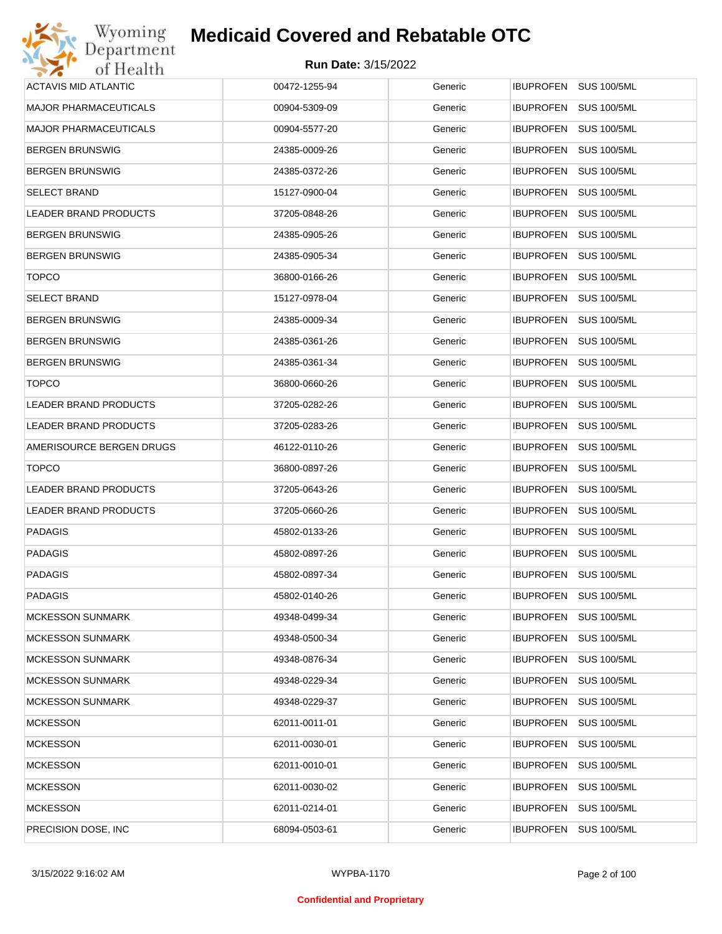| Wyoming                      | <b>Medicaid Covered and Rebatable OTC</b> |         |                                        |
|------------------------------|-------------------------------------------|---------|----------------------------------------|
| Department<br>of Health      | <b>Run Date: 3/15/2022</b>                |         |                                        |
| <b>ACTAVIS MID ATLANTIC</b>  | 00472-1255-94                             | Generic | <b>IBUPROFEN</b><br><b>SUS 100/5ML</b> |
| <b>MAJOR PHARMACEUTICALS</b> | 00904-5309-09                             | Generic | <b>IBUPROFEN</b><br><b>SUS 100/5ML</b> |
| <b>MAJOR PHARMACEUTICALS</b> | 00904-5577-20                             | Generic | <b>IBUPROFEN</b><br><b>SUS 100/5ML</b> |
| <b>BERGEN BRUNSWIG</b>       | 24385-0009-26                             | Generic | <b>IBUPROFEN</b><br><b>SUS 100/5ML</b> |
| <b>BERGEN BRUNSWIG</b>       | 24385-0372-26                             | Generic | <b>IBUPROFEN</b><br><b>SUS 100/5ML</b> |
| <b>SELECT BRAND</b>          | 15127-0900-04                             | Generic | <b>IBUPROFEN</b><br><b>SUS 100/5ML</b> |
| LEADER BRAND PRODUCTS        | 37205-0848-26                             | Generic | <b>IBUPROFEN</b><br><b>SUS 100/5ML</b> |
| <b>BERGEN BRUNSWIG</b>       | 24385-0905-26                             | Generic | <b>IBUPROFEN</b><br><b>SUS 100/5ML</b> |
| <b>BERGEN BRUNSWIG</b>       | 24385-0905-34                             | Generic | <b>IBUPROFEN</b><br><b>SUS 100/5ML</b> |
| <b>TOPCO</b>                 | 36800-0166-26                             | Generic | <b>IBUPROFEN</b><br><b>SUS 100/5ML</b> |
| <b>SELECT BRAND</b>          | 15127-0978-04                             | Generic | <b>IBUPROFEN</b><br><b>SUS 100/5ML</b> |
| <b>BERGEN BRUNSWIG</b>       | 24385-0009-34                             | Generic | <b>IBUPROFEN</b><br><b>SUS 100/5ML</b> |
| <b>BERGEN BRUNSWIG</b>       | 24385-0361-26                             | Generic | <b>IBUPROFEN</b><br><b>SUS 100/5ML</b> |
| <b>BERGEN BRUNSWIG</b>       | 24385-0361-34                             | Generic | <b>IBUPROFEN</b><br><b>SUS 100/5ML</b> |
| <b>TOPCO</b>                 | 36800-0660-26                             | Generic | <b>IBUPROFEN</b><br><b>SUS 100/5ML</b> |
| <b>LEADER BRAND PRODUCTS</b> | 37205-0282-26                             | Generic | <b>IBUPROFEN</b><br><b>SUS 100/5ML</b> |
| LEADER BRAND PRODUCTS        | 37205-0283-26                             | Generic | <b>IBUPROFEN</b><br><b>SUS 100/5ML</b> |
| AMERISOURCE BERGEN DRUGS     | 46122-0110-26                             | Generic | <b>IBUPROFEN</b><br><b>SUS 100/5ML</b> |
| <b>TOPCO</b>                 | 36800-0897-26                             | Generic | <b>IBUPROFEN</b><br><b>SUS 100/5ML</b> |
| LEADER BRAND PRODUCTS        | 37205-0643-26                             | Generic | IBUPROFEN<br><b>SUS 100/5ML</b>        |
| <b>LEADER BRAND PRODUCTS</b> | 37205-0660-26                             | Generic | <b>IBUPROFEN</b><br><b>SUS 100/5ML</b> |
| <b>PADAGIS</b>               | 45802-0133-26                             | Generic | IBUPROFEN SUS 100/5ML                  |
| <b>PADAGIS</b>               | 45802-0897-26                             | Generic | IBUPROFEN SUS 100/5ML                  |
| <b>PADAGIS</b>               | 45802-0897-34                             | Generic | <b>SUS 100/5ML</b><br>IBUPROFEN        |
| <b>PADAGIS</b>               | 45802-0140-26                             | Generic | <b>IBUPROFEN</b><br><b>SUS 100/5ML</b> |
| <b>MCKESSON SUNMARK</b>      | 49348-0499-34                             | Generic | <b>SUS 100/5ML</b><br><b>IBUPROFEN</b> |
| <b>MCKESSON SUNMARK</b>      | 49348-0500-34                             | Generic | <b>SUS 100/5ML</b><br><b>IBUPROFEN</b> |
| <b>MCKESSON SUNMARK</b>      | 49348-0876-34                             | Generic | <b>SUS 100/5ML</b><br><b>IBUPROFEN</b> |
| <b>MCKESSON SUNMARK</b>      | 49348-0229-34                             | Generic | <b>SUS 100/5ML</b><br><b>IBUPROFEN</b> |
| <b>MCKESSON SUNMARK</b>      | 49348-0229-37                             | Generic | <b>SUS 100/5ML</b><br><b>IBUPROFEN</b> |
| <b>MCKESSON</b>              | 62011-0011-01                             | Generic | <b>SUS 100/5ML</b><br><b>IBUPROFEN</b> |
| <b>MCKESSON</b>              | 62011-0030-01                             | Generic | <b>IBUPROFEN</b><br><b>SUS 100/5ML</b> |
| <b>MCKESSON</b>              | 62011-0010-01                             | Generic | <b>SUS 100/5ML</b><br><b>IBUPROFEN</b> |
| <b>MCKESSON</b>              | 62011-0030-02                             | Generic | <b>IBUPROFEN</b><br><b>SUS 100/5ML</b> |
| <b>MCKESSON</b>              | 62011-0214-01                             | Generic | <b>SUS 100/5ML</b><br><b>IBUPROFEN</b> |
| PRECISION DOSE, INC.         | 68094-0503-61                             | Generic | <b>SUS 100/5ML</b><br>IBUPROFEN        |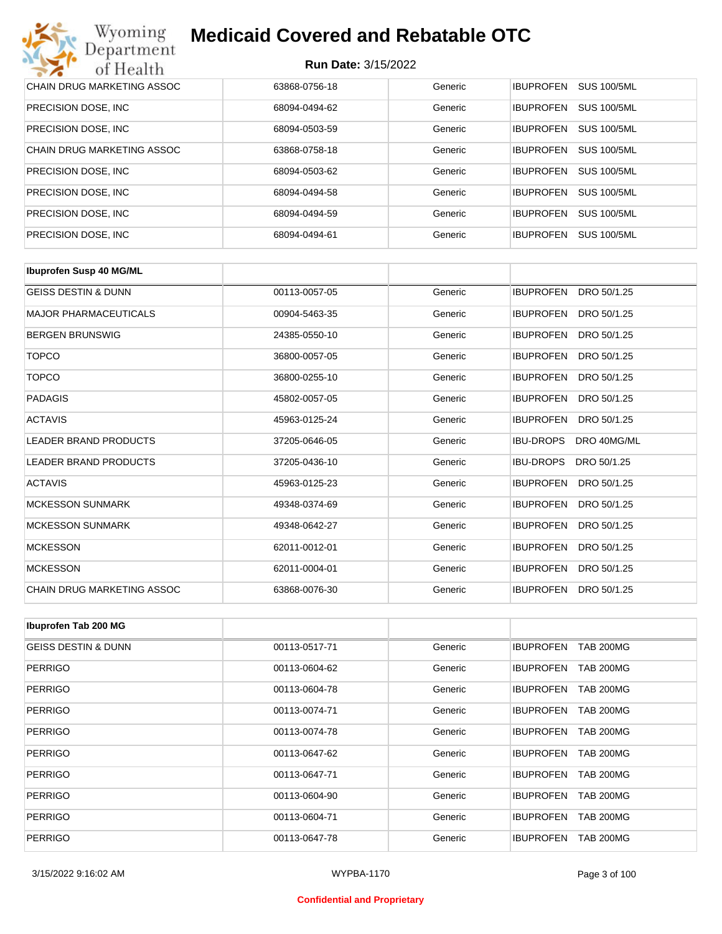| Wyoming<br><b>Medicaid Covered and Rebatable OTC</b><br>Department |                            |         |                                        |  |  |
|--------------------------------------------------------------------|----------------------------|---------|----------------------------------------|--|--|
| of Health                                                          | <b>Run Date: 3/15/2022</b> |         |                                        |  |  |
| CHAIN DRUG MARKETING ASSOC                                         | 63868-0756-18              | Generic | <b>IBUPROFEN</b><br><b>SUS 100/5ML</b> |  |  |
| PRECISION DOSE, INC.                                               | 68094-0494-62              | Generic | <b>SUS 100/5ML</b><br><b>IBUPROFEN</b> |  |  |
| PRECISION DOSE, INC.                                               | 68094-0503-59              | Generic | <b>SUS 100/5ML</b><br><b>IBUPROFEN</b> |  |  |
| CHAIN DRUG MARKETING ASSOC                                         | 63868-0758-18              | Generic | <b>IBUPROFEN</b><br><b>SUS 100/5ML</b> |  |  |
| PRECISION DOSE, INC.                                               | 68094-0503-62              | Generic | <b>SUS 100/5ML</b><br><b>IBUPROFEN</b> |  |  |
| PRECISION DOSE, INC.                                               | 68094-0494-58              | Generic | <b>SUS 100/5ML</b><br><b>IBUPROFEN</b> |  |  |
| PRECISION DOSE, INC.                                               | 68094-0494-59              | Generic | <b>IBUPROFEN</b><br><b>SUS 100/5ML</b> |  |  |
| PRECISION DOSE, INC.                                               | 68094-0494-61              | Generic | <b>SUS 100/5ML</b><br><b>IBUPROFEN</b> |  |  |

| <b>Ibuprofen Susp 40 MG/ML</b> |               |         |                                 |
|--------------------------------|---------------|---------|---------------------------------|
| <b>GEISS DESTIN &amp; DUNN</b> | 00113-0057-05 | Generic | <b>IBUPROFEN</b><br>DRO 50/1.25 |
| <b>MAJOR PHARMACEUTICALS</b>   | 00904-5463-35 | Generic | <b>IBUPROFEN</b><br>DRO 50/1.25 |
| <b>BERGEN BRUNSWIG</b>         | 24385-0550-10 | Generic | <b>IBUPROFEN</b><br>DRO 50/1.25 |
| <b>TOPCO</b>                   | 36800-0057-05 | Generic | <b>IBUPROFEN</b><br>DRO 50/1.25 |
| <b>TOPCO</b>                   | 36800-0255-10 | Generic | <b>IBUPROFEN</b><br>DRO 50/1.25 |
| <b>PADAGIS</b>                 | 45802-0057-05 | Generic | <b>IBUPROFEN</b><br>DRO 50/1.25 |
| <b>ACTAVIS</b>                 | 45963-0125-24 | Generic | <b>IBUPROFEN</b><br>DRO 50/1.25 |
| <b>LEADER BRAND PRODUCTS</b>   | 37205-0646-05 | Generic | <b>IBU-DROPS</b><br>DRO 40MG/ML |
| <b>LEADER BRAND PRODUCTS</b>   | 37205-0436-10 | Generic | <b>IBU-DROPS</b><br>DRO 50/1.25 |
| <b>ACTAVIS</b>                 | 45963-0125-23 | Generic | <b>IBUPROFEN</b><br>DRO 50/1.25 |
| <b>MCKESSON SUNMARK</b>        | 49348-0374-69 | Generic | <b>IBUPROFEN</b><br>DRO 50/1.25 |
| <b>MCKESSON SUNMARK</b>        | 49348-0642-27 | Generic | <b>IBUPROFEN</b><br>DRO 50/1.25 |
| <b>MCKESSON</b>                | 62011-0012-01 | Generic | <b>IBUPROFEN</b><br>DRO 50/1.25 |
| <b>MCKESSON</b>                | 62011-0004-01 | Generic | <b>IBUPROFEN</b><br>DRO 50/1.25 |
| CHAIN DRUG MARKETING ASSOC     | 63868-0076-30 | Generic | <b>IBUPROFEN</b><br>DRO 50/1.25 |

| Ibuprofen Tab 200 MG           |               |         |                                      |
|--------------------------------|---------------|---------|--------------------------------------|
| <b>GEISS DESTIN &amp; DUNN</b> | 00113-0517-71 | Generic | <b>IBUPROFEN</b><br><b>TAB 200MG</b> |
| <b>PERRIGO</b>                 | 00113-0604-62 | Generic | <b>IBUPROFEN</b><br><b>TAB 200MG</b> |
| <b>PERRIGO</b>                 | 00113-0604-78 | Generic | <b>IBUPROFEN</b><br><b>TAB 200MG</b> |
| <b>PERRIGO</b>                 | 00113-0074-71 | Generic | <b>IBUPROFEN</b><br><b>TAB 200MG</b> |
| <b>PERRIGO</b>                 | 00113-0074-78 | Generic | <b>IBUPROFEN</b><br><b>TAB 200MG</b> |
| <b>PERRIGO</b>                 | 00113-0647-62 | Generic | <b>IBUPROFEN</b><br><b>TAB 200MG</b> |
| <b>PERRIGO</b>                 | 00113-0647-71 | Generic | <b>IBUPROFEN</b><br><b>TAB 200MG</b> |
| <b>PERRIGO</b>                 | 00113-0604-90 | Generic | <b>IBUPROFEN</b><br><b>TAB 200MG</b> |
| <b>PERRIGO</b>                 | 00113-0604-71 | Generic | <b>IBUPROFEN</b><br><b>TAB 200MG</b> |
| <b>PERRIGO</b>                 | 00113-0647-78 | Generic | <b>IBUPROFEN</b><br><b>TAB 200MG</b> |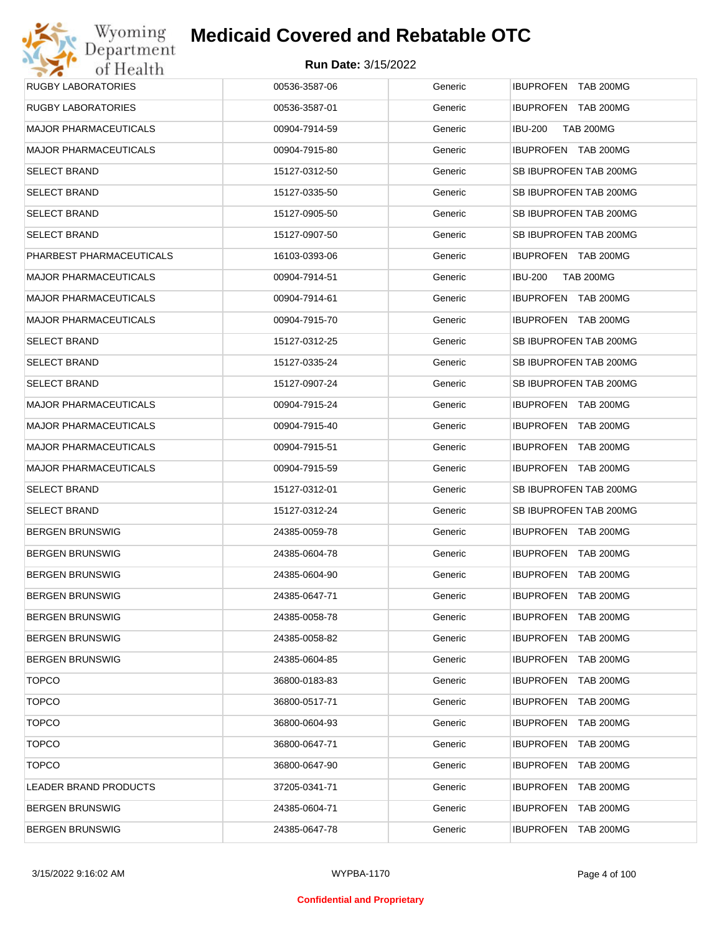| Wyoming                      | <b>Medicaid Covered and Rebatable OTC</b> |         |                                      |
|------------------------------|-------------------------------------------|---------|--------------------------------------|
| Department<br>of Health      | <b>Run Date: 3/15/2022</b>                |         |                                      |
| <b>RUGBY LABORATORIES</b>    | 00536-3587-06                             | Generic | IBUPROFEN TAB 200MG                  |
| <b>RUGBY LABORATORIES</b>    | 00536-3587-01                             | Generic | IBUPROFEN TAB 200MG                  |
| <b>MAJOR PHARMACEUTICALS</b> | 00904-7914-59                             | Generic | <b>TAB 200MG</b><br><b>IBU-200</b>   |
| <b>MAJOR PHARMACEUTICALS</b> | 00904-7915-80                             | Generic | IBUPROFEN TAB 200MG                  |
| <b>SELECT BRAND</b>          | 15127-0312-50                             | Generic | SB IBUPROFEN TAB 200MG               |
| <b>SELECT BRAND</b>          | 15127-0335-50                             | Generic | SB IBUPROFEN TAB 200MG               |
| <b>SELECT BRAND</b>          | 15127-0905-50                             | Generic | SB IBUPROFEN TAB 200MG               |
| <b>SELECT BRAND</b>          | 15127-0907-50                             | Generic | SB IBUPROFEN TAB 200MG               |
| PHARBEST PHARMACEUTICALS     | 16103-0393-06                             | Generic | IBUPROFEN TAB 200MG                  |
| <b>MAJOR PHARMACEUTICALS</b> | 00904-7914-51                             | Generic | <b>TAB 200MG</b><br><b>IBU-200</b>   |
| <b>MAJOR PHARMACEUTICALS</b> | 00904-7914-61                             | Generic | IBUPROFEN TAB 200MG                  |
| <b>MAJOR PHARMACEUTICALS</b> | 00904-7915-70                             | Generic | IBUPROFEN TAB 200MG                  |
| <b>SELECT BRAND</b>          | 15127-0312-25                             | Generic | SB IBUPROFEN TAB 200MG               |
| <b>SELECT BRAND</b>          | 15127-0335-24                             | Generic | SB IBUPROFEN TAB 200MG               |
| <b>SELECT BRAND</b>          | 15127-0907-24                             | Generic | SB IBUPROFEN TAB 200MG               |
| <b>MAJOR PHARMACEUTICALS</b> | 00904-7915-24                             | Generic | IBUPROFEN TAB 200MG                  |
| <b>MAJOR PHARMACEUTICALS</b> | 00904-7915-40                             | Generic | IBUPROFEN TAB 200MG                  |
| <b>MAJOR PHARMACEUTICALS</b> | 00904-7915-51                             | Generic | IBUPROFEN TAB 200MG                  |
| <b>MAJOR PHARMACEUTICALS</b> | 00904-7915-59                             | Generic | IBUPROFEN TAB 200MG                  |
| <b>SELECT BRAND</b>          | 15127-0312-01                             | Generic | SB IBUPROFEN TAB 200MG               |
| <b>SELECT BRAND</b>          | 15127-0312-24                             | Generic | SB IBUPROFEN TAB 200MG               |
| <b>BERGEN BRUNSWIG</b>       | 24385-0059-78                             | Generic | <b>IBUPROFEN TAB 200MG</b>           |
| <b>BERGEN BRUNSWIG</b>       | 24385-0604-78                             | Generic | <b>IBUPROFEN TAB 200MG</b>           |
| <b>BERGEN BRUNSWIG</b>       | 24385-0604-90                             | Generic | IBUPROFEN TAB 200MG                  |
| <b>BERGEN BRUNSWIG</b>       | 24385-0647-71                             | Generic | <b>IBUPROFEN</b><br><b>TAB 200MG</b> |
| <b>BERGEN BRUNSWIG</b>       | 24385-0058-78                             | Generic | <b>IBUPROFEN</b><br>TAB 200MG        |
| <b>BERGEN BRUNSWIG</b>       | 24385-0058-82                             | Generic | <b>IBUPROFEN</b><br><b>TAB 200MG</b> |
| <b>BERGEN BRUNSWIG</b>       | 24385-0604-85                             | Generic | <b>IBUPROFEN</b><br>TAB 200MG        |
| <b>TOPCO</b>                 | 36800-0183-83                             | Generic | <b>IBUPROFEN</b><br><b>TAB 200MG</b> |
| <b>TOPCO</b>                 | 36800-0517-71                             | Generic | <b>IBUPROFEN</b><br>TAB 200MG        |
| <b>TOPCO</b>                 | 36800-0604-93                             | Generic | <b>IBUPROFEN</b><br><b>TAB 200MG</b> |
| <b>TOPCO</b>                 | 36800-0647-71                             | Generic | <b>IBUPROFEN</b><br>TAB 200MG        |
| <b>TOPCO</b>                 | 36800-0647-90                             | Generic | <b>IBUPROFEN</b><br><b>TAB 200MG</b> |
| LEADER BRAND PRODUCTS        | 37205-0341-71                             | Generic | <b>IBUPROFEN</b><br>TAB 200MG        |
| <b>BERGEN BRUNSWIG</b>       | 24385-0604-71                             | Generic | <b>IBUPROFEN</b><br>TAB 200MG        |
| <b>BERGEN BRUNSWIG</b>       | 24385-0647-78                             | Generic | <b>IBUPROFEN</b><br><b>TAB 200MG</b> |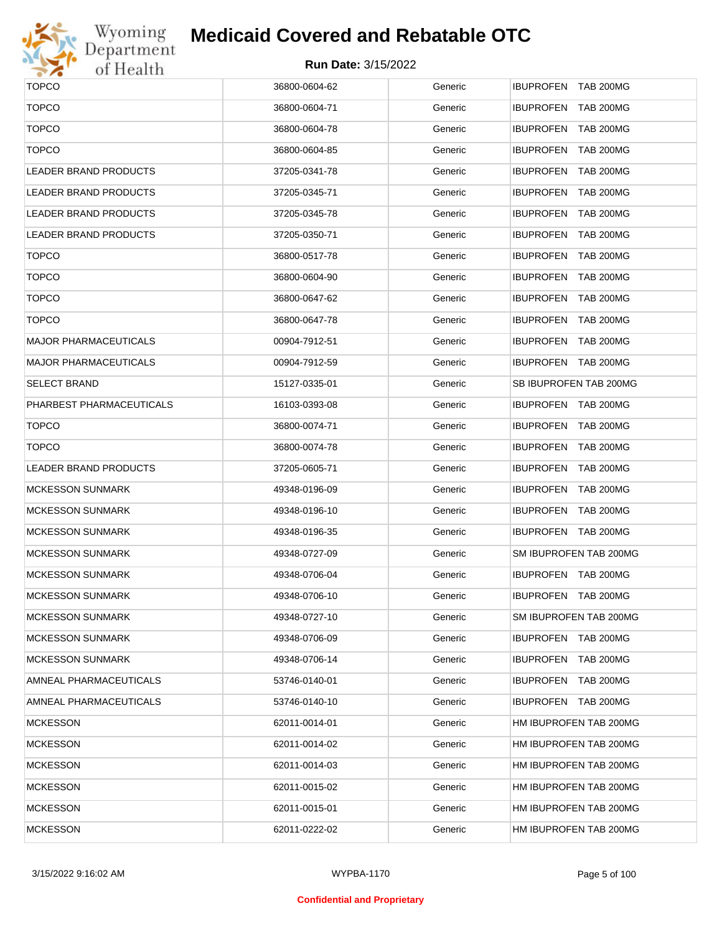

# Wyoming<br>Department<br>of Health

## **Medicaid Covered and Rebatable OTC**

| <b>TOPCO</b>                 | 36800-0604-62 | Generic | IBUPROFEN TAB 200MG        |
|------------------------------|---------------|---------|----------------------------|
| <b>TOPCO</b>                 | 36800-0604-71 | Generic | IBUPROFEN TAB 200MG        |
| <b>TOPCO</b>                 | 36800-0604-78 | Generic | IBUPROFEN TAB 200MG        |
| <b>TOPCO</b>                 | 36800-0604-85 | Generic | IBUPROFEN TAB 200MG        |
| <b>LEADER BRAND PRODUCTS</b> | 37205-0341-78 | Generic | IBUPROFEN TAB 200MG        |
| <b>LEADER BRAND PRODUCTS</b> | 37205-0345-71 | Generic | IBUPROFEN TAB 200MG        |
| <b>LEADER BRAND PRODUCTS</b> | 37205-0345-78 | Generic | IBUPROFEN TAB 200MG        |
| LEADER BRAND PRODUCTS        | 37205-0350-71 | Generic | IBUPROFEN TAB 200MG        |
| <b>TOPCO</b>                 | 36800-0517-78 | Generic | <b>IBUPROFEN TAB 200MG</b> |
| <b>TOPCO</b>                 | 36800-0604-90 | Generic | IBUPROFEN TAB 200MG        |
| <b>TOPCO</b>                 | 36800-0647-62 | Generic | <b>IBUPROFEN TAB 200MG</b> |
| <b>TOPCO</b>                 | 36800-0647-78 | Generic | IBUPROFEN TAB 200MG        |
| <b>MAJOR PHARMACEUTICALS</b> | 00904-7912-51 | Generic | IBUPROFEN TAB 200MG        |
| <b>MAJOR PHARMACEUTICALS</b> | 00904-7912-59 | Generic | IBUPROFEN TAB 200MG        |
| <b>SELECT BRAND</b>          | 15127-0335-01 | Generic | SB IBUPROFEN TAB 200MG     |
| PHARBEST PHARMACEUTICALS     | 16103-0393-08 | Generic | IBUPROFEN TAB 200MG        |
| <b>TOPCO</b>                 | 36800-0074-71 | Generic | IBUPROFEN TAB 200MG        |
| <b>TOPCO</b>                 | 36800-0074-78 | Generic | IBUPROFEN TAB 200MG        |
| <b>LEADER BRAND PRODUCTS</b> | 37205-0605-71 | Generic | IBUPROFEN TAB 200MG        |
| <b>MCKESSON SUNMARK</b>      | 49348-0196-09 | Generic | IBUPROFEN TAB 200MG        |
| <b>MCKESSON SUNMARK</b>      | 49348-0196-10 | Generic | IBUPROFEN TAB 200MG        |
| <b>MCKESSON SUNMARK</b>      | 49348-0196-35 | Generic | IBUPROFEN TAB 200MG        |
| <b>MCKESSON SUNMARK</b>      | 49348-0727-09 | Generic | SM IBUPROFEN TAB 200MG     |
| <b>MCKESSON SUNMARK</b>      | 49348-0706-04 | Generic | IBUPROFEN TAB 200MG        |
| <b>MCKESSON SUNMARK</b>      | 49348-0706-10 | Generic | IBUPROFEN TAB 200MG        |
| <b>MCKESSON SUNMARK</b>      | 49348-0727-10 | Generic | SM IBUPROFEN TAB 200MG     |
| <b>MCKESSON SUNMARK</b>      | 49348-0706-09 | Generic | IBUPROFEN TAB 200MG        |
| <b>MCKESSON SUNMARK</b>      | 49348-0706-14 | Generic | IBUPROFEN TAB 200MG        |
| AMNEAL PHARMACEUTICALS       | 53746-0140-01 | Generic | IBUPROFEN TAB 200MG        |
| AMNEAL PHARMACEUTICALS       | 53746-0140-10 | Generic | IBUPROFEN TAB 200MG        |
| <b>MCKESSON</b>              | 62011-0014-01 | Generic | HM IBUPROFEN TAB 200MG     |
| <b>MCKESSON</b>              | 62011-0014-02 | Generic | HM IBUPROFEN TAB 200MG     |
| <b>MCKESSON</b>              | 62011-0014-03 | Generic | HM IBUPROFEN TAB 200MG     |
| <b>MCKESSON</b>              | 62011-0015-02 | Generic | HM IBUPROFEN TAB 200MG     |
| <b>MCKESSON</b>              | 62011-0015-01 | Generic | HM IBUPROFEN TAB 200MG     |
| <b>MCKESSON</b>              | 62011-0222-02 | Generic | HM IBUPROFEN TAB 200MG     |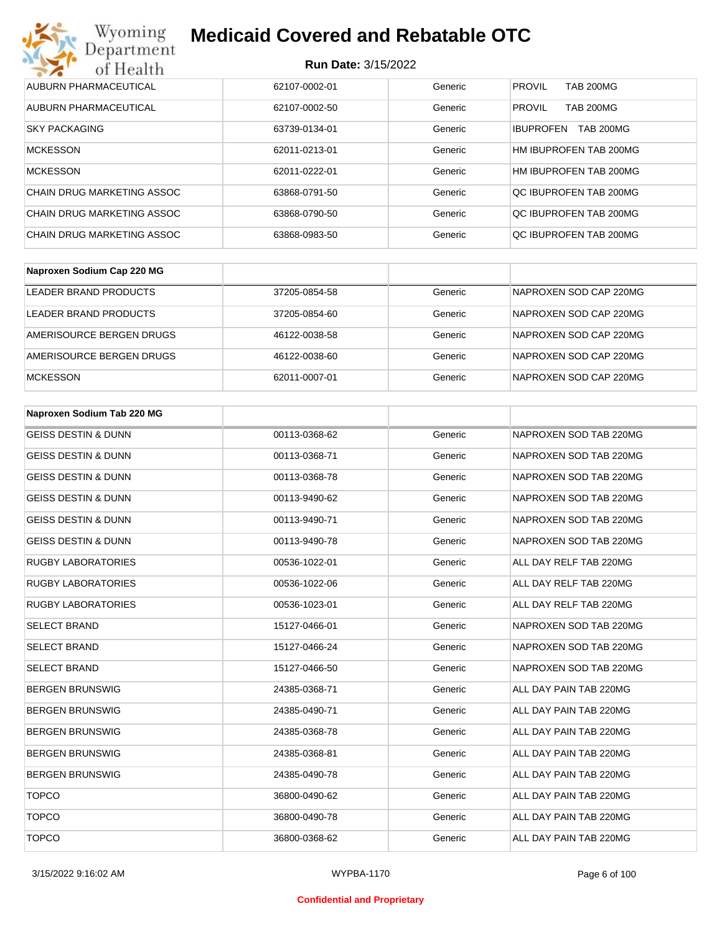| Wyoming<br><b>Medicaid Covered and Rebatable OTC</b><br>Department |                            |         |                                      |  |
|--------------------------------------------------------------------|----------------------------|---------|--------------------------------------|--|
| of Health                                                          | <b>Run Date: 3/15/2022</b> |         |                                      |  |
| AUBURN PHARMACEUTICAL                                              | 62107-0002-01              | Generic | <b>PROVIL</b><br><b>TAB 200MG</b>    |  |
| AUBURN PHARMACEUTICAL                                              | 62107-0002-50              | Generic | <b>PROVIL</b><br><b>TAB 200MG</b>    |  |
| <b>SKY PACKAGING</b>                                               | 63739-0134-01              | Generic | <b>IBUPROFEN</b><br><b>TAB 200MG</b> |  |
| <b>MCKESSON</b>                                                    | 62011-0213-01              | Generic | HM IBUPROFEN TAB 200MG               |  |
| <b>MCKESSON</b>                                                    | 62011-0222-01              | Generic | HM IBUPROFEN TAB 200MG               |  |
| CHAIN DRUG MARKETING ASSOC                                         | 63868-0791-50              | Generic | OC IBUPROFEN TAB 200MG               |  |
| CHAIN DRUG MARKETING ASSOC                                         | 63868-0790-50              | Generic | OC IBUPROFEN TAB 200MG               |  |
| CHAIN DRUG MARKETING ASSOC                                         | 63868-0983-50              | Generic | OC IBUPROFEN TAB 200MG               |  |

| Naproxen Sodium Cap 220 MG |               |         |                        |
|----------------------------|---------------|---------|------------------------|
| LEADER BRAND PRODUCTS      | 37205-0854-58 | Generic | NAPROXEN SOD CAP 220MG |
| LEADER BRAND PRODUCTS      | 37205-0854-60 | Generic | NAPROXEN SOD CAP 220MG |
| AMERISOURCE BERGEN DRUGS   | 46122-0038-58 | Generic | NAPROXEN SOD CAP 220MG |
| AMERISOURCE BERGEN DRUGS   | 46122-0038-60 | Generic | NAPROXEN SOD CAP 220MG |
| <b>MCKESSON</b>            | 62011-0007-01 | Generic | NAPROXEN SOD CAP 220MG |

| Naproxen Sodium Tab 220 MG     |               |         |                        |
|--------------------------------|---------------|---------|------------------------|
| <b>GEISS DESTIN &amp; DUNN</b> | 00113-0368-62 | Generic | NAPROXEN SOD TAB 220MG |
| <b>GEISS DESTIN &amp; DUNN</b> | 00113-0368-71 | Generic | NAPROXEN SOD TAB 220MG |
| <b>GEISS DESTIN &amp; DUNN</b> | 00113-0368-78 | Generic | NAPROXEN SOD TAB 220MG |
| <b>GEISS DESTIN &amp; DUNN</b> | 00113-9490-62 | Generic | NAPROXEN SOD TAB 220MG |
| <b>GEISS DESTIN &amp; DUNN</b> | 00113-9490-71 | Generic | NAPROXEN SOD TAB 220MG |
| <b>GEISS DESTIN &amp; DUNN</b> | 00113-9490-78 | Generic | NAPROXEN SOD TAB 220MG |
| <b>RUGBY LABORATORIES</b>      | 00536-1022-01 | Generic | ALL DAY RELF TAB 220MG |
| <b>RUGBY LABORATORIES</b>      | 00536-1022-06 | Generic | ALL DAY RELF TAB 220MG |
| <b>RUGBY LABORATORIES</b>      | 00536-1023-01 | Generic | ALL DAY RELF TAB 220MG |
| <b>SELECT BRAND</b>            | 15127-0466-01 | Generic | NAPROXEN SOD TAB 220MG |
| <b>SELECT BRAND</b>            | 15127-0466-24 | Generic | NAPROXEN SOD TAB 220MG |
| <b>SELECT BRAND</b>            | 15127-0466-50 | Generic | NAPROXEN SOD TAB 220MG |
| <b>BERGEN BRUNSWIG</b>         | 24385-0368-71 | Generic | ALL DAY PAIN TAB 220MG |
| <b>BERGEN BRUNSWIG</b>         | 24385-0490-71 | Generic | ALL DAY PAIN TAB 220MG |
| <b>BERGEN BRUNSWIG</b>         | 24385-0368-78 | Generic | ALL DAY PAIN TAB 220MG |
| <b>BERGEN BRUNSWIG</b>         | 24385-0368-81 | Generic | ALL DAY PAIN TAB 220MG |
| <b>BERGEN BRUNSWIG</b>         | 24385-0490-78 | Generic | ALL DAY PAIN TAB 220MG |
| <b>TOPCO</b>                   | 36800-0490-62 | Generic | ALL DAY PAIN TAB 220MG |
| <b>TOPCO</b>                   | 36800-0490-78 | Generic | ALL DAY PAIN TAB 220MG |
| <b>TOPCO</b>                   | 36800-0368-62 | Generic | ALL DAY PAIN TAB 220MG |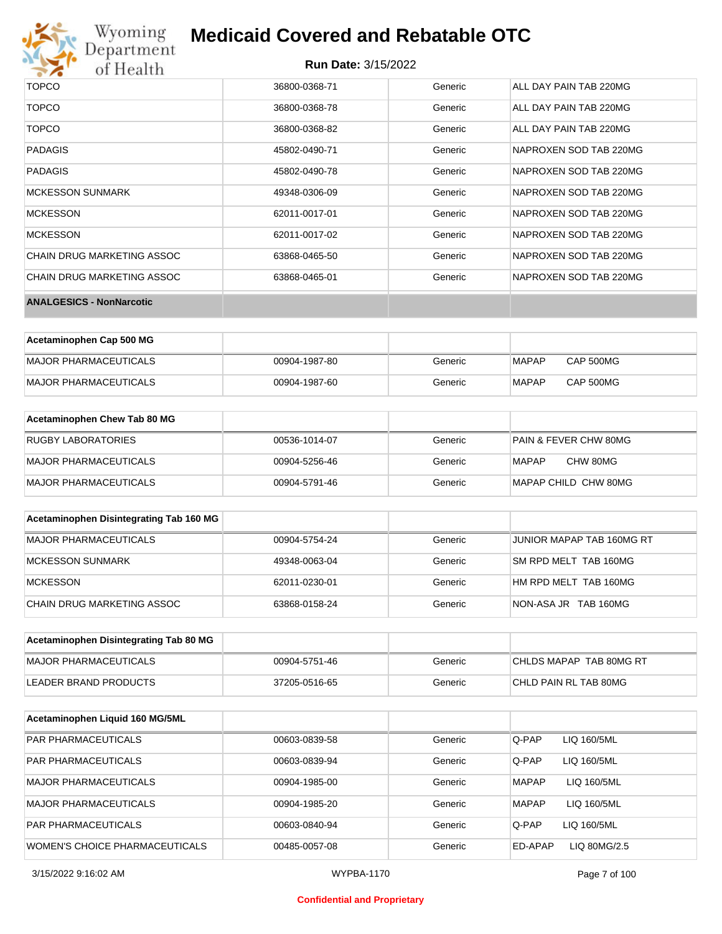

# Wyoming<br>Department<br>of Health

## **Medicaid Covered and Rebatable OTC**

| <b>ANALGESICS - NonNarcotic</b> |               |         |                        |
|---------------------------------|---------------|---------|------------------------|
| CHAIN DRUG MARKETING ASSOC      | 63868-0465-01 | Generic | NAPROXEN SOD TAB 220MG |
| CHAIN DRUG MARKETING ASSOC      | 63868-0465-50 | Generic | NAPROXEN SOD TAB 220MG |
| <b>MCKESSON</b>                 | 62011-0017-02 | Generic | NAPROXEN SOD TAB 220MG |
| <b>MCKESSON</b>                 | 62011-0017-01 | Generic | NAPROXEN SOD TAB 220MG |
| <b>MCKESSON SUNMARK</b>         | 49348-0306-09 | Generic | NAPROXEN SOD TAB 220MG |
| PADAGIS                         | 45802-0490-78 | Generic | NAPROXEN SOD TAB 220MG |
| <b>PADAGIS</b>                  | 45802-0490-71 | Generic | NAPROXEN SOD TAB 220MG |
| <b>TOPCO</b>                    | 36800-0368-82 | Generic | ALL DAY PAIN TAB 220MG |
| <b>TOPCO</b>                    | 36800-0368-78 | Generic | ALL DAY PAIN TAB 220MG |
| <b>TOPCO</b>                    | 36800-0368-71 | Generic | ALL DAY PAIN TAB 220MG |

| Acetaminophen Cap 500 MG |               |         |       |                  |
|--------------------------|---------------|---------|-------|------------------|
| MAJOR PHARMACEUTICALS    | 00904-1987-80 | Generic | MAPAP | CAP 500MG        |
| MAJOR PHARMACEUTICALS    | 00904-1987-60 | Generic | MAPAP | <b>CAP 500MG</b> |

| Acetaminophen Chew Tab 80 MG |               |         |                                  |
|------------------------------|---------------|---------|----------------------------------|
| <b>RUGBY LABORATORIES</b>    | 00536-1014-07 | Generic | <b>PAIN &amp; FEVER CHW 80MG</b> |
| MAJOR PHARMACEUTICALS        | 00904-5256-46 | Generic | CHW 80MG<br>MAPAP                |
| MAJOR PHARMACEUTICALS        | 00904-5791-46 | Generic | MAPAP CHILD CHW 80MG             |

| Acetaminophen Disintegrating Tab 160 MG |               |         |                           |
|-----------------------------------------|---------------|---------|---------------------------|
| MAJOR PHARMACEUTICALS                   | 00904-5754-24 | Generic | JUNIOR MAPAP TAB 160MG RT |
| MCKESSON SUNMARK                        | 49348-0063-04 | Generic | SM RPD MELT TAB 160MG     |
| MCKESSON                                | 62011-0230-01 | Generic | HM RPD MELT TAB 160MG     |
| CHAIN DRUG MARKETING ASSOC              | 63868-0158-24 | Generic | NON-ASA JR TAB 160MG      |

| Acetaminophen Disintegrating Tab 80 MG |               |         |                         |
|----------------------------------------|---------------|---------|-------------------------|
| MAJOR PHARMACEUTICALS                  | 00904-5751-46 | Generic | CHLDS MAPAP TAB 80MG RT |
| LEADER BRAND PRODUCTS                  | 37205-0516-65 | Generic | CHLD PAIN RL TAB 80MG   |

| Acetaminophen Liquid 160 MG/5ML       |               |         |                             |
|---------------------------------------|---------------|---------|-----------------------------|
| <b>PAR PHARMACEUTICALS</b>            | 00603-0839-58 | Generic | Q-PAP<br>LIQ 160/5ML        |
| <b>PAR PHARMACEUTICALS</b>            | 00603-0839-94 | Generic | Q-PAP<br>LIQ 160/5ML        |
| MAJOR PHARMACEUTICALS                 | 00904-1985-00 | Generic | <b>MAPAP</b><br>LIQ 160/5ML |
| MAJOR PHARMACEUTICALS                 | 00904-1985-20 | Generic | <b>MAPAP</b><br>LIQ 160/5ML |
| <b>PAR PHARMACEUTICALS</b>            | 00603-0840-94 | Generic | Q-PAP<br>LIQ 160/5ML        |
| <b>WOMEN'S CHOICE PHARMACEUTICALS</b> | 00485-0057-08 | Generic | LIQ 80MG/2.5<br>ED-APAP     |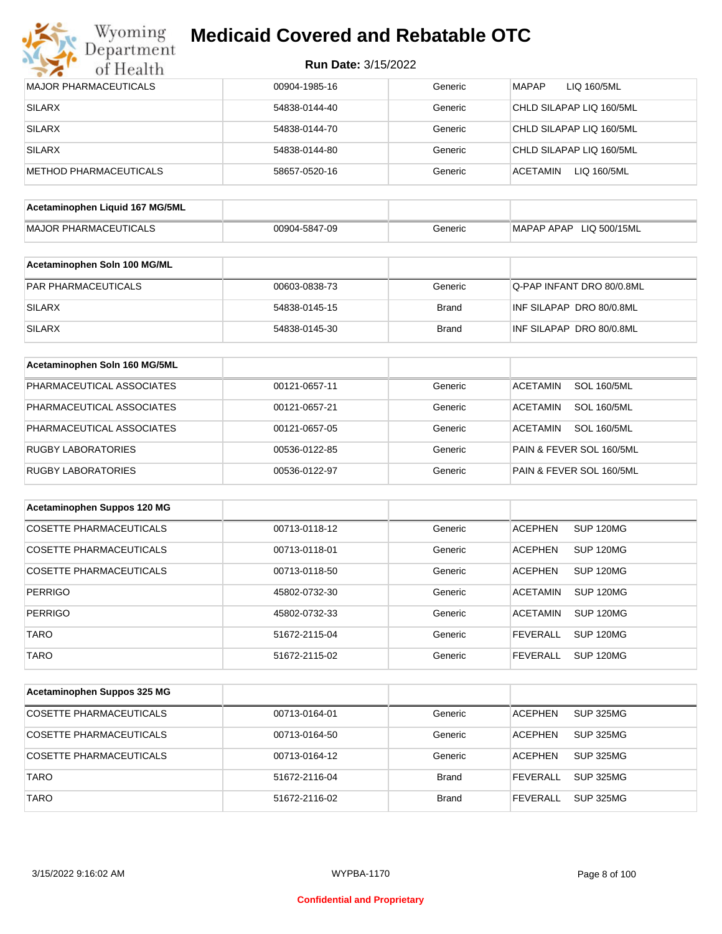

| <b>Run Date: 3/15/2022</b> |  |
|----------------------------|--|
|----------------------------|--|

| <b>MAJOR PHARMACEUTICALS</b>    | 00904-1985-16 | Generic      | <b>MAPAP</b><br>LIQ 160/5ML           |
|---------------------------------|---------------|--------------|---------------------------------------|
| <b>SILARX</b>                   | 54838-0144-40 | Generic      | CHLD SILAPAP LIQ 160/5ML              |
| <b>SILARX</b>                   | 54838-0144-70 | Generic      | CHLD SILAPAP LIQ 160/5ML              |
| <b>SILARX</b>                   | 54838-0144-80 | Generic      | CHLD SILAPAP LIQ 160/5ML              |
| METHOD PHARMACEUTICALS          | 58657-0520-16 | Generic      | <b>ACETAMIN</b><br>LIQ 160/5ML        |
|                                 |               |              |                                       |
| Acetaminophen Liquid 167 MG/5ML |               |              |                                       |
| <b>MAJOR PHARMACEUTICALS</b>    | 00904-5847-09 | Generic      | MAPAP APAP LIQ 500/15ML               |
| Acetaminophen Soln 100 MG/ML    |               |              |                                       |
| PAR PHARMACEUTICALS             | 00603-0838-73 | Generic      | Q-PAP INFANT DRO 80/0.8ML             |
| <b>SILARX</b>                   | 54838-0145-15 | <b>Brand</b> | INF SILAPAP DRO 80/0.8ML              |
| <b>SILARX</b>                   | 54838-0145-30 | <b>Brand</b> | INF SILAPAP DRO 80/0.8ML              |
| Acetaminophen Soln 160 MG/5ML   |               |              |                                       |
| PHARMACEUTICAL ASSOCIATES       | 00121-0657-11 | Generic      | <b>SOL 160/5ML</b><br><b>ACETAMIN</b> |
| PHARMACEUTICAL ASSOCIATES       | 00121-0657-21 | Generic      | <b>ACETAMIN</b><br><b>SOL 160/5ML</b> |
| PHARMACEUTICAL ASSOCIATES       | 00121-0657-05 | Generic      | <b>ACETAMIN</b><br><b>SOL 160/5ML</b> |
| <b>RUGBY LABORATORIES</b>       | 00536-0122-85 | Generic      | PAIN & FEVER SOL 160/5ML              |
| <b>RUGBY LABORATORIES</b>       | 00536-0122-97 | Generic      | PAIN & FEVER SOL 160/5ML              |
|                                 |               |              |                                       |
| Acetaminophen Suppos 120 MG     |               |              |                                       |
| <b>COSETTE PHARMACEUTICALS</b>  | 00713-0118-12 | Generic      | <b>ACEPHEN</b><br><b>SUP 120MG</b>    |
| <b>COSETTE PHARMACEUTICALS</b>  | 00713-0118-01 | Generic      | <b>ACEPHEN</b><br><b>SUP 120MG</b>    |
| <b>COSETTE PHARMACEUTICALS</b>  | 00713-0118-50 | Generic      | <b>ACEPHEN</b><br><b>SUP 120MG</b>    |
| <b>PERRIGO</b>                  | 45802-0732-30 | Generic      | <b>SUP 120MG</b><br><b>ACETAMIN</b>   |
| PERRIGO                         | 45802-0732-33 | Generic      | <b>ACETAMIN</b><br>SUP 120MG          |
| <b>TARO</b>                     | 51672-2115-04 | Generic      | <b>SUP 120MG</b><br><b>FEVERALL</b>   |
| <b>TARO</b>                     | 51672-2115-02 | Generic      | <b>FEVERALL</b><br><b>SUP 120MG</b>   |
| Acetaminophen Suppos 325 MG     |               |              |                                       |
|                                 |               |              |                                       |
| COSETTE PHARMACEUTICALS         | 00713-0164-01 | Generic      | <b>SUP 325MG</b><br><b>ACEPHEN</b>    |
| <b>COSETTE PHARMACEUTICALS</b>  | 00713-0164-50 | Generic      | <b>ACEPHEN</b><br><b>SUP 325MG</b>    |
| COSETTE PHARMACEUTICALS         | 00713-0164-12 | Generic      | <b>ACEPHEN</b><br><b>SUP 325MG</b>    |
| <b>TARO</b>                     | 51672-2116-04 | <b>Brand</b> | <b>FEVERALL</b><br><b>SUP 325MG</b>   |
| <b>TARO</b>                     | 51672-2116-02 | <b>Brand</b> | <b>SUP 325MG</b><br><b>FEVERALL</b>   |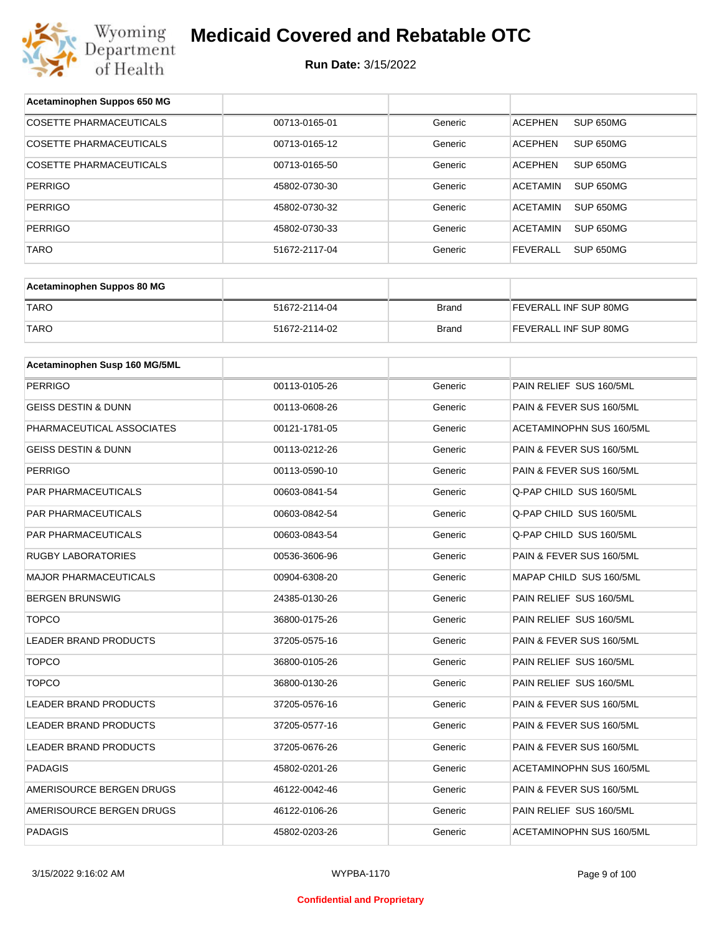

| Acetaminophen Suppos 650 MG    |               |              |                              |
|--------------------------------|---------------|--------------|------------------------------|
| <b>COSETTE PHARMACEUTICALS</b> | 00713-0165-01 | Generic      | SUP 650MG<br><b>ACEPHEN</b>  |
| COSETTE PHARMACEUTICALS        | 00713-0165-12 | Generic      | <b>ACEPHEN</b><br>SUP 650MG  |
| COSETTE PHARMACEUTICALS        | 00713-0165-50 | Generic      | <b>ACEPHEN</b><br>SUP 650MG  |
| <b>PERRIGO</b>                 | 45802-0730-30 | Generic      | <b>ACETAMIN</b><br>SUP 650MG |
| <b>PERRIGO</b>                 | 45802-0730-32 | Generic      | <b>ACETAMIN</b><br>SUP 650MG |
| <b>PERRIGO</b>                 | 45802-0730-33 | Generic      | <b>ACETAMIN</b><br>SUP 650MG |
| <b>TARO</b>                    | 51672-2117-04 | Generic      | <b>FEVERALL</b><br>SUP 650MG |
|                                |               |              |                              |
| Acetaminophen Suppos 80 MG     |               |              |                              |
| <b>TARO</b>                    | 51672-2114-04 | <b>Brand</b> | FEVERALL INF SUP 80MG        |
| <b>TARO</b>                    | 51672-2114-02 | <b>Brand</b> | FEVERALL INF SUP 80MG        |
|                                |               |              |                              |
| Acetaminophen Susp 160 MG/5ML  |               |              |                              |
| <b>PERRIGO</b>                 | 00113-0105-26 | Generic      | PAIN RELIEF SUS 160/5ML      |
| <b>GEISS DESTIN &amp; DUNN</b> | 00113-0608-26 | Generic      | PAIN & FEVER SUS 160/5ML     |
| PHARMACEUTICAL ASSOCIATES      | 00121-1781-05 | Generic      | ACETAMINOPHN SUS 160/5ML     |
| GEISS DESTIN & DUNN            | 00113-0212-26 | Generic      | PAIN & FEVER SUS 160/5ML     |
| <b>PERRIGO</b>                 | 00113-0590-10 | Generic      | PAIN & FEVER SUS 160/5ML     |
| PAR PHARMACEUTICALS            | 00603-0841-54 | Generic      | Q-PAP CHILD SUS 160/5ML      |
| PAR PHARMACEUTICALS            | 00603-0842-54 | Generic      | Q-PAP CHILD SUS 160/5ML      |
| PAR PHARMACEUTICALS            | 00603-0843-54 | Generic      | Q-PAP CHILD SUS 160/5ML      |
| <b>RUGBY LABORATORIES</b>      | 00536-3606-96 | Generic      | PAIN & FEVER SUS 160/5ML     |
| <b>MAJOR PHARMACEUTICALS</b>   | 00904-6308-20 | Generic      | MAPAP CHILD SUS 160/5ML      |
| <b>BERGEN BRUNSWIG</b>         | 24385-0130-26 | Generic      | PAIN RELIEF SUS 160/5ML      |
| <b>TOPCO</b>                   | 36800-0175-26 | Generic      | PAIN RELIEF SUS 160/5ML      |
| LEADER BRAND PRODUCTS          | 37205-0575-16 | Generic      | PAIN & FEVER SUS 160/5ML     |
| <b>TOPCO</b>                   | 36800-0105-26 | Generic      | PAIN RELIEF SUS 160/5ML      |
| <b>TOPCO</b>                   | 36800-0130-26 | Generic      | PAIN RELIEF SUS 160/5ML      |
| LEADER BRAND PRODUCTS          | 37205-0576-16 | Generic      | PAIN & FEVER SUS 160/5ML     |
| LEADER BRAND PRODUCTS          | 37205-0577-16 | Generic      | PAIN & FEVER SUS 160/5ML     |
| LEADER BRAND PRODUCTS          | 37205-0676-26 | Generic      | PAIN & FEVER SUS 160/5ML     |
| PADAGIS                        | 45802-0201-26 | Generic      | ACETAMINOPHN SUS 160/5ML     |
| AMERISOURCE BERGEN DRUGS       | 46122-0042-46 | Generic      | PAIN & FEVER SUS 160/5ML     |
| AMERISOURCE BERGEN DRUGS       | 46122-0106-26 | Generic      | PAIN RELIEF SUS 160/5ML      |
| PADAGIS                        | 45802-0203-26 | Generic      | ACETAMINOPHN SUS 160/5ML     |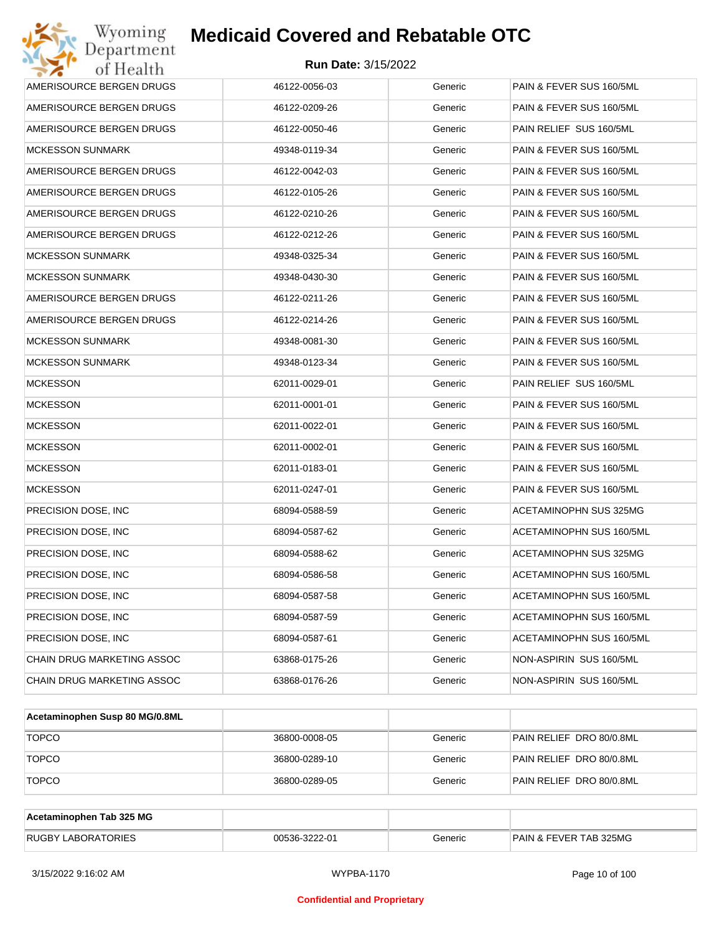| Wyoming<br>Department      | <b>Medicaid Covered and Rebatable OTC</b> |         |                                 |
|----------------------------|-------------------------------------------|---------|---------------------------------|
| of Health                  | <b>Run Date: 3/15/2022</b>                |         |                                 |
| AMERISOURCE BERGEN DRUGS   | 46122-0056-03                             | Generic | PAIN & FEVER SUS 160/5ML        |
| AMERISOURCE BERGEN DRUGS   | 46122-0209-26                             | Generic | PAIN & FEVER SUS 160/5ML        |
| AMERISOURCE BERGEN DRUGS   | 46122-0050-46                             | Generic | PAIN RELIEF SUS 160/5ML         |
| <b>MCKESSON SUNMARK</b>    | 49348-0119-34                             | Generic | PAIN & FEVER SUS 160/5ML        |
| AMERISOURCE BERGEN DRUGS   | 46122-0042-03                             | Generic | PAIN & FEVER SUS 160/5ML        |
| AMERISOURCE BERGEN DRUGS   | 46122-0105-26                             | Generic | PAIN & FEVER SUS 160/5ML        |
| AMERISOURCE BERGEN DRUGS   | 46122-0210-26                             | Generic | PAIN & FEVER SUS 160/5ML        |
| AMERISOURCE BERGEN DRUGS   | 46122-0212-26                             | Generic | PAIN & FEVER SUS 160/5ML        |
| <b>MCKESSON SUNMARK</b>    | 49348-0325-34                             | Generic | PAIN & FEVER SUS 160/5ML        |
| <b>MCKESSON SUNMARK</b>    | 49348-0430-30                             | Generic | PAIN & FEVER SUS 160/5ML        |
| AMERISOURCE BERGEN DRUGS   | 46122-0211-26                             | Generic | PAIN & FEVER SUS 160/5ML        |
| AMERISOURCE BERGEN DRUGS   | 46122-0214-26                             | Generic | PAIN & FEVER SUS 160/5ML        |
| <b>MCKESSON SUNMARK</b>    | 49348-0081-30                             | Generic | PAIN & FEVER SUS 160/5ML        |
| <b>MCKESSON SUNMARK</b>    | 49348-0123-34                             | Generic | PAIN & FEVER SUS 160/5ML        |
| <b>MCKESSON</b>            | 62011-0029-01                             | Generic | PAIN RELIEF SUS 160/5ML         |
| <b>MCKESSON</b>            | 62011-0001-01                             | Generic | PAIN & FEVER SUS 160/5ML        |
| <b>MCKESSON</b>            | 62011-0022-01                             | Generic | PAIN & FEVER SUS 160/5ML        |
| <b>MCKESSON</b>            | 62011-0002-01                             | Generic | PAIN & FEVER SUS 160/5ML        |
| <b>MCKESSON</b>            | 62011-0183-01                             | Generic | PAIN & FEVER SUS 160/5ML        |
| <b>MCKESSON</b>            | 62011-0247-01                             | Generic | PAIN & FEVER SUS 160/5ML        |
| PRECISION DOSE, INC        | 68094-0588-59                             | Generic | ACETAMINOPHN SUS 325MG          |
| PRECISION DOSE, INC        | 68094-0587-62                             | Generic | <b>ACETAMINOPHN SUS 160/5ML</b> |
| PRECISION DOSE, INC        | 68094-0588-62                             | Generic | ACETAMINOPHN SUS 325MG          |
| PRECISION DOSE, INC        | 68094-0586-58                             | Generic | ACETAMINOPHN SUS 160/5ML        |
| PRECISION DOSE, INC        | 68094-0587-58                             | Generic | ACETAMINOPHN SUS 160/5ML        |
| PRECISION DOSE, INC        | 68094-0587-59                             | Generic | ACETAMINOPHN SUS 160/5ML        |
| PRECISION DOSE, INC        | 68094-0587-61                             | Generic | ACETAMINOPHN SUS 160/5ML        |
| CHAIN DRUG MARKETING ASSOC | 63868-0175-26                             | Generic | NON-ASPIRIN SUS 160/5ML         |
| CHAIN DRUG MARKETING ASSOC | 63868-0176-26                             | Generic | NON-ASPIRIN SUS 160/5ML         |

| Acetaminophen Susp 80 MG/0.8ML |               |         |                          |
|--------------------------------|---------------|---------|--------------------------|
| <b>TOPCO</b>                   | 36800-0008-05 | Generic | PAIN RELIEF DRO 80/0.8ML |
| <b>TOPCO</b>                   | 36800-0289-10 | Generic | PAIN RELIEF DRO 80/0.8ML |
| <b>TOPCO</b>                   | 36800-0289-05 | Generic | PAIN RELIEF DRO 80/0.8ML |

| Acetaminophen Tab 325 MG  |               |         |                                   |
|---------------------------|---------------|---------|-----------------------------------|
| <b>RUGBY LABORATORIES</b> | 00536-3222-01 | Generic | <b>PAIN &amp; FEVER TAB 325MG</b> |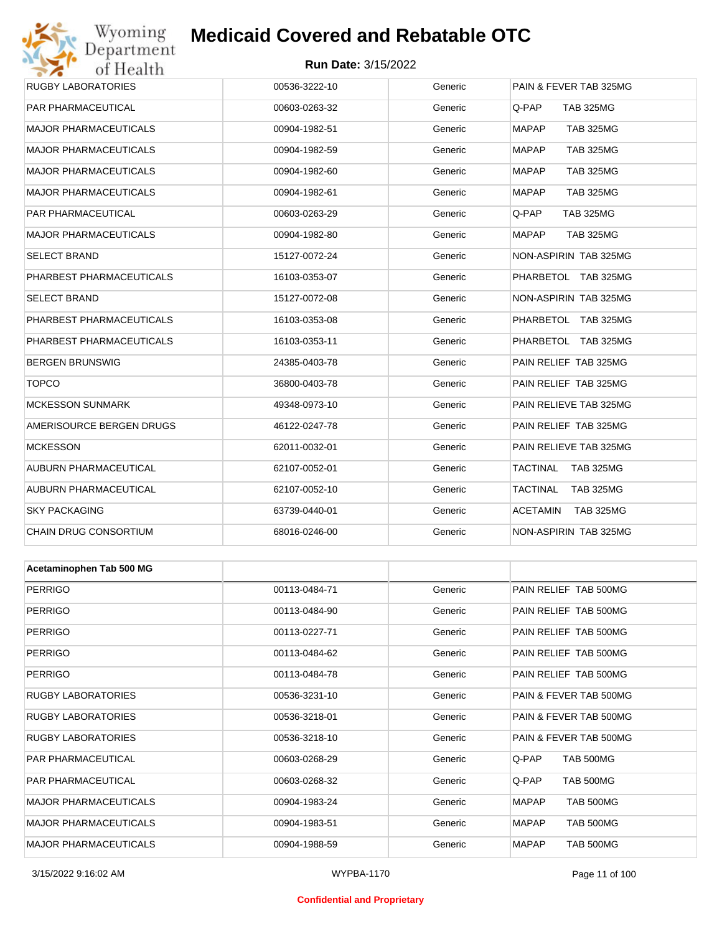## Wyoming<br>Department<br>of Health

## **Medicaid Covered and Rebatable OTC**

#### **Run Date:** 3/15/2022

| RUGBY LABORATORIES           | 00536-3222-10 | Generic | <b>PAIN &amp; FEVER TAB 325MG</b> |
|------------------------------|---------------|---------|-----------------------------------|
| PAR PHARMACEUTICAL           | 00603-0263-32 | Generic | Q-PAP<br><b>TAB 325MG</b>         |
| <b>MAJOR PHARMACEUTICALS</b> | 00904-1982-51 | Generic | MAPAP<br><b>TAB 325MG</b>         |
| <b>MAJOR PHARMACEUTICALS</b> | 00904-1982-59 | Generic | MAPAP<br><b>TAB 325MG</b>         |
| <b>MAJOR PHARMACEUTICALS</b> | 00904-1982-60 | Generic | MAPAP<br>TAB 325MG                |
| <b>MAJOR PHARMACEUTICALS</b> | 00904-1982-61 | Generic | MAPAP<br>TAB 325MG                |
| PAR PHARMACEUTICAL           | 00603-0263-29 | Generic | Q-PAP<br><b>TAB 325MG</b>         |
| <b>MAJOR PHARMACEUTICALS</b> | 00904-1982-80 | Generic | MAPAP<br>TAB 325MG                |
| SELECT BRAND                 | 15127-0072-24 | Generic | NON-ASPIRIN TAB 325MG             |
| PHARBEST PHARMACEUTICALS     | 16103-0353-07 | Generic | PHARBETOL TAB 325MG               |
| SELECT BRAND                 | 15127-0072-08 | Generic | NON-ASPIRIN TAB 325MG             |
| PHARBEST PHARMACEUTICALS     | 16103-0353-08 | Generic | PHARBETOL TAB 325MG               |
| PHARBEST PHARMACEUTICALS     | 16103-0353-11 | Generic | PHARBETOL TAB 325MG               |
| <b>BERGEN BRUNSWIG</b>       | 24385-0403-78 | Generic | PAIN RELIEF TAB 325MG             |
| <b>TOPCO</b>                 | 36800-0403-78 | Generic | PAIN RELIEF TAB 325MG             |
| <b>MCKESSON SUNMARK</b>      | 49348-0973-10 | Generic | PAIN RELIEVE TAB 325MG            |
| AMERISOURCE BERGEN DRUGS     | 46122-0247-78 | Generic | PAIN RELIEF TAB 325MG             |
| <b>MCKESSON</b>              | 62011-0032-01 | Generic | PAIN RELIEVE TAB 325MG            |
| AUBURN PHARMACEUTICAL        | 62107-0052-01 | Generic | TACTINAL<br><b>TAB 325MG</b>      |
| AUBURN PHARMACEUTICAL        | 62107-0052-10 | Generic | TACTINAL<br><b>TAB 325MG</b>      |
| <b>SKY PACKAGING</b>         | 63739-0440-01 | Generic | ACETAMIN<br><b>TAB 325MG</b>      |
| CHAIN DRUG CONSORTIUM        | 68016-0246-00 | Generic | NON-ASPIRIN TAB 325MG             |
|                              |               |         |                                   |
| Acetaminophen Tab 500 MG     |               |         |                                   |
| <b>PERRIGO</b>               | 00113-0484-71 | Generic | PAIN RELIEF TAB 500MG             |
| <b>PERRIGO</b>               | 00113-0484-90 | Generic | PAIN RELIEF TAB 500MG             |
| <b>PERRIGO</b>               | 00113-0227-71 | Generic | PAIN RELIEF TAB 500MG             |
| <b>PERRIGO</b>               | 00113-0484-62 | Generic | PAIN RELIEF TAB 500MG             |
| <b>PERRIGO</b>               | 00113-0484-78 | Generic | PAIN RELIEF TAB 500MG             |
| <b>RUGBY LABORATORIES</b>    | 00536-3231-10 | Generic | PAIN & FEVER TAB 500MG            |
| <b>RUGBY LABORATORIES</b>    | 00536-3218-01 | Generic | PAIN & FEVER TAB 500MG            |
| <b>RUGBY LABORATORIES</b>    | 00536-3218-10 | Generic | PAIN & FEVER TAB 500MG            |
| PAR PHARMACEUTICAL           | 00603-0268-29 | Generic | <b>TAB 500MG</b><br>Q-PAP         |
| PAR PHARMACEUTICAL           | 00603-0268-32 | Generic | TAB 500MG<br>Q-PAP                |
| <b>MAJOR PHARMACEUTICALS</b> | 00904-1983-24 | Generic | MAPAP<br>TAB 500MG                |
| MAJOR PHARMACEUTICALS        | 00904-1983-51 | Generic | MAPAP<br><b>TAB 500MG</b>         |

MAJOR PHARMACEUTICALS 00904-1988-59 Generic MAPAP TAB 500MG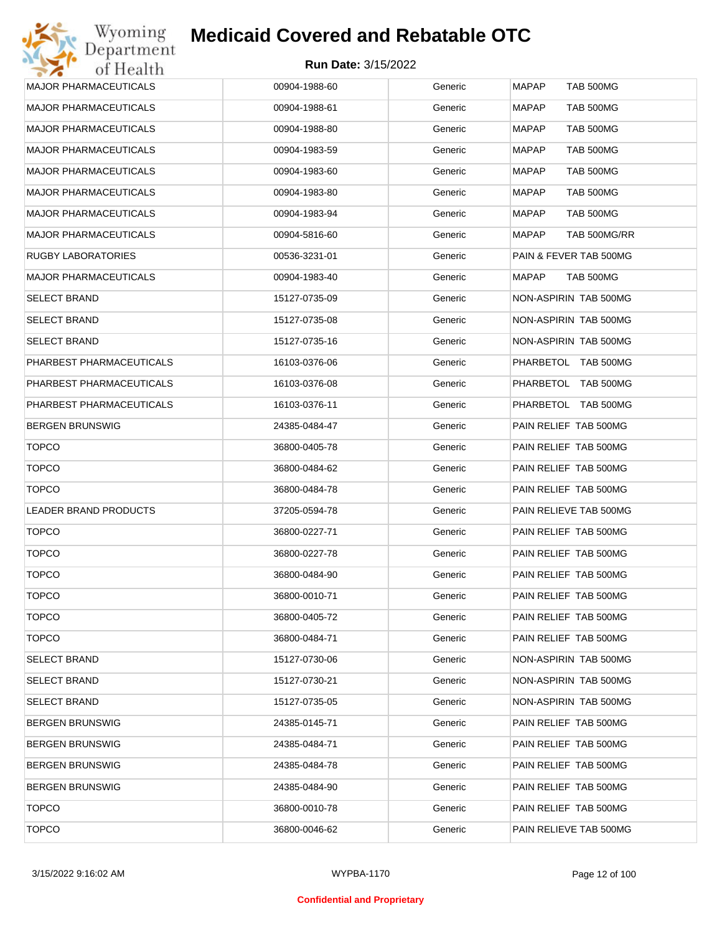| <b>MAPAP</b><br><b>TAB 500MG</b><br><b>MAJOR PHARMACEUTICALS</b><br>00904-1988-60<br>Generic<br>Generic<br><b>MAJOR PHARMACEUTICALS</b><br>00904-1988-61<br>MAPAP<br>TAB 500MG<br><b>MAJOR PHARMACEUTICALS</b><br>00904-1988-80<br>Generic<br>MAPAP<br>TAB 500MG<br><b>MAJOR PHARMACEUTICALS</b><br>Generic<br>00904-1983-59<br>MAPAP<br>TAB 500MG<br><b>MAJOR PHARMACEUTICALS</b><br>00904-1983-60<br>Generic<br>MAPAP<br>TAB 500MG<br><b>MAJOR PHARMACEUTICALS</b><br>00904-1983-80<br>Generic<br>MAPAP<br>TAB 500MG<br><b>MAJOR PHARMACEUTICALS</b><br>00904-1983-94<br>Generic<br>MAPAP<br>TAB 500MG<br><b>MAJOR PHARMACEUTICALS</b><br>00904-5816-60<br>Generic<br>MAPAP<br>TAB 500MG/RR<br>PAIN & FEVER TAB 500MG<br>RUGBY LABORATORIES<br>00536-3231-01<br>Generic<br><b>MAJOR PHARMACEUTICALS</b><br>00904-1983-40<br>Generic<br>MAPAP<br>TAB 500MG<br>NON-ASPIRIN TAB 500MG<br><b>SELECT BRAND</b><br>15127-0735-09<br>Generic<br>Generic<br>NON-ASPIRIN TAB 500MG<br><b>SELECT BRAND</b><br>15127-0735-08<br>NON-ASPIRIN TAB 500MG<br><b>SELECT BRAND</b><br>15127-0735-16<br>Generic<br>PHARBEST PHARMACEUTICALS<br>16103-0376-06<br>Generic<br>PHARBETOL TAB 500MG<br>PHARBEST PHARMACEUTICALS<br>16103-0376-08<br>Generic<br>PHARBETOL TAB 500MG<br>PHARBEST PHARMACEUTICALS<br>16103-0376-11<br>Generic<br>PHARBETOL TAB 500MG<br>PAIN RELIEF TAB 500MG<br><b>BERGEN BRUNSWIG</b><br>24385-0484-47<br>Generic<br><b>TOPCO</b><br>Generic<br>PAIN RELIEF TAB 500MG<br>36800-0405-78<br><b>TOPCO</b><br>36800-0484-62<br>Generic<br>PAIN RELIEF TAB 500MG<br><b>TOPCO</b><br>PAIN RELIEF TAB 500MG<br>36800-0484-78<br>Generic<br>LEADER BRAND PRODUCTS<br>37205-0594-78<br>Generic<br>PAIN RELIEVE TAB 500MG<br><b>TOPCO</b><br>PAIN RELIEF TAB 500MG<br>36800-0227-71<br>Generic<br><b>TOPCO</b><br>PAIN RELIEF TAB 500MG<br>36800-0227-78<br>Generic<br><b>TOPCO</b><br>PAIN RELIEF TAB 500MG<br>36800-0484-90<br>Generic<br><b>TOPCO</b><br>PAIN RELIEF TAB 500MG<br>36800-0010-71<br>Generic<br><b>TOPCO</b><br>36800-0405-72<br>Generic<br>PAIN RELIEF TAB 500MG<br><b>TOPCO</b><br>PAIN RELIEF TAB 500MG<br>36800-0484-71<br>Generic<br><b>SELECT BRAND</b><br>NON-ASPIRIN TAB 500MG<br>15127-0730-06<br>Generic<br>NON-ASPIRIN TAB 500MG<br><b>SELECT BRAND</b><br>15127-0730-21<br>Generic<br>NON-ASPIRIN TAB 500MG<br><b>SELECT BRAND</b><br>15127-0735-05<br>Generic<br><b>BERGEN BRUNSWIG</b><br>PAIN RELIEF TAB 500MG<br>24385-0145-71<br>Generic<br>PAIN RELIEF TAB 500MG<br><b>BERGEN BRUNSWIG</b><br>24385-0484-71<br>Generic<br>PAIN RELIEF TAB 500MG<br><b>BERGEN BRUNSWIG</b><br>24385-0484-78<br>Generic<br><b>BERGEN BRUNSWIG</b><br>24385-0484-90<br>Generic<br>PAIN RELIEF TAB 500MG<br><b>TOPCO</b><br>PAIN RELIEF TAB 500MG<br>36800-0010-78<br>Generic<br><b>TOPCO</b><br>Generic<br>36800-0046-62<br>PAIN RELIEVE TAB 500MG |  |  |
|--------------------------------------------------------------------------------------------------------------------------------------------------------------------------------------------------------------------------------------------------------------------------------------------------------------------------------------------------------------------------------------------------------------------------------------------------------------------------------------------------------------------------------------------------------------------------------------------------------------------------------------------------------------------------------------------------------------------------------------------------------------------------------------------------------------------------------------------------------------------------------------------------------------------------------------------------------------------------------------------------------------------------------------------------------------------------------------------------------------------------------------------------------------------------------------------------------------------------------------------------------------------------------------------------------------------------------------------------------------------------------------------------------------------------------------------------------------------------------------------------------------------------------------------------------------------------------------------------------------------------------------------------------------------------------------------------------------------------------------------------------------------------------------------------------------------------------------------------------------------------------------------------------------------------------------------------------------------------------------------------------------------------------------------------------------------------------------------------------------------------------------------------------------------------------------------------------------------------------------------------------------------------------------------------------------------------------------------------------------------------------------------------------------------------------------------------------------------------------------------------------------------------------------------------------------------------------------------------------------------------------------------------------------------------------------------------------------------------------------------------------------------------------------------------------------------------------------------------------------------|--|--|
|                                                                                                                                                                                                                                                                                                                                                                                                                                                                                                                                                                                                                                                                                                                                                                                                                                                                                                                                                                                                                                                                                                                                                                                                                                                                                                                                                                                                                                                                                                                                                                                                                                                                                                                                                                                                                                                                                                                                                                                                                                                                                                                                                                                                                                                                                                                                                                                                                                                                                                                                                                                                                                                                                                                                                                                                                                                                    |  |  |
|                                                                                                                                                                                                                                                                                                                                                                                                                                                                                                                                                                                                                                                                                                                                                                                                                                                                                                                                                                                                                                                                                                                                                                                                                                                                                                                                                                                                                                                                                                                                                                                                                                                                                                                                                                                                                                                                                                                                                                                                                                                                                                                                                                                                                                                                                                                                                                                                                                                                                                                                                                                                                                                                                                                                                                                                                                                                    |  |  |
|                                                                                                                                                                                                                                                                                                                                                                                                                                                                                                                                                                                                                                                                                                                                                                                                                                                                                                                                                                                                                                                                                                                                                                                                                                                                                                                                                                                                                                                                                                                                                                                                                                                                                                                                                                                                                                                                                                                                                                                                                                                                                                                                                                                                                                                                                                                                                                                                                                                                                                                                                                                                                                                                                                                                                                                                                                                                    |  |  |
|                                                                                                                                                                                                                                                                                                                                                                                                                                                                                                                                                                                                                                                                                                                                                                                                                                                                                                                                                                                                                                                                                                                                                                                                                                                                                                                                                                                                                                                                                                                                                                                                                                                                                                                                                                                                                                                                                                                                                                                                                                                                                                                                                                                                                                                                                                                                                                                                                                                                                                                                                                                                                                                                                                                                                                                                                                                                    |  |  |
|                                                                                                                                                                                                                                                                                                                                                                                                                                                                                                                                                                                                                                                                                                                                                                                                                                                                                                                                                                                                                                                                                                                                                                                                                                                                                                                                                                                                                                                                                                                                                                                                                                                                                                                                                                                                                                                                                                                                                                                                                                                                                                                                                                                                                                                                                                                                                                                                                                                                                                                                                                                                                                                                                                                                                                                                                                                                    |  |  |
|                                                                                                                                                                                                                                                                                                                                                                                                                                                                                                                                                                                                                                                                                                                                                                                                                                                                                                                                                                                                                                                                                                                                                                                                                                                                                                                                                                                                                                                                                                                                                                                                                                                                                                                                                                                                                                                                                                                                                                                                                                                                                                                                                                                                                                                                                                                                                                                                                                                                                                                                                                                                                                                                                                                                                                                                                                                                    |  |  |
|                                                                                                                                                                                                                                                                                                                                                                                                                                                                                                                                                                                                                                                                                                                                                                                                                                                                                                                                                                                                                                                                                                                                                                                                                                                                                                                                                                                                                                                                                                                                                                                                                                                                                                                                                                                                                                                                                                                                                                                                                                                                                                                                                                                                                                                                                                                                                                                                                                                                                                                                                                                                                                                                                                                                                                                                                                                                    |  |  |
|                                                                                                                                                                                                                                                                                                                                                                                                                                                                                                                                                                                                                                                                                                                                                                                                                                                                                                                                                                                                                                                                                                                                                                                                                                                                                                                                                                                                                                                                                                                                                                                                                                                                                                                                                                                                                                                                                                                                                                                                                                                                                                                                                                                                                                                                                                                                                                                                                                                                                                                                                                                                                                                                                                                                                                                                                                                                    |  |  |
|                                                                                                                                                                                                                                                                                                                                                                                                                                                                                                                                                                                                                                                                                                                                                                                                                                                                                                                                                                                                                                                                                                                                                                                                                                                                                                                                                                                                                                                                                                                                                                                                                                                                                                                                                                                                                                                                                                                                                                                                                                                                                                                                                                                                                                                                                                                                                                                                                                                                                                                                                                                                                                                                                                                                                                                                                                                                    |  |  |
|                                                                                                                                                                                                                                                                                                                                                                                                                                                                                                                                                                                                                                                                                                                                                                                                                                                                                                                                                                                                                                                                                                                                                                                                                                                                                                                                                                                                                                                                                                                                                                                                                                                                                                                                                                                                                                                                                                                                                                                                                                                                                                                                                                                                                                                                                                                                                                                                                                                                                                                                                                                                                                                                                                                                                                                                                                                                    |  |  |
|                                                                                                                                                                                                                                                                                                                                                                                                                                                                                                                                                                                                                                                                                                                                                                                                                                                                                                                                                                                                                                                                                                                                                                                                                                                                                                                                                                                                                                                                                                                                                                                                                                                                                                                                                                                                                                                                                                                                                                                                                                                                                                                                                                                                                                                                                                                                                                                                                                                                                                                                                                                                                                                                                                                                                                                                                                                                    |  |  |
|                                                                                                                                                                                                                                                                                                                                                                                                                                                                                                                                                                                                                                                                                                                                                                                                                                                                                                                                                                                                                                                                                                                                                                                                                                                                                                                                                                                                                                                                                                                                                                                                                                                                                                                                                                                                                                                                                                                                                                                                                                                                                                                                                                                                                                                                                                                                                                                                                                                                                                                                                                                                                                                                                                                                                                                                                                                                    |  |  |
|                                                                                                                                                                                                                                                                                                                                                                                                                                                                                                                                                                                                                                                                                                                                                                                                                                                                                                                                                                                                                                                                                                                                                                                                                                                                                                                                                                                                                                                                                                                                                                                                                                                                                                                                                                                                                                                                                                                                                                                                                                                                                                                                                                                                                                                                                                                                                                                                                                                                                                                                                                                                                                                                                                                                                                                                                                                                    |  |  |
|                                                                                                                                                                                                                                                                                                                                                                                                                                                                                                                                                                                                                                                                                                                                                                                                                                                                                                                                                                                                                                                                                                                                                                                                                                                                                                                                                                                                                                                                                                                                                                                                                                                                                                                                                                                                                                                                                                                                                                                                                                                                                                                                                                                                                                                                                                                                                                                                                                                                                                                                                                                                                                                                                                                                                                                                                                                                    |  |  |
|                                                                                                                                                                                                                                                                                                                                                                                                                                                                                                                                                                                                                                                                                                                                                                                                                                                                                                                                                                                                                                                                                                                                                                                                                                                                                                                                                                                                                                                                                                                                                                                                                                                                                                                                                                                                                                                                                                                                                                                                                                                                                                                                                                                                                                                                                                                                                                                                                                                                                                                                                                                                                                                                                                                                                                                                                                                                    |  |  |
|                                                                                                                                                                                                                                                                                                                                                                                                                                                                                                                                                                                                                                                                                                                                                                                                                                                                                                                                                                                                                                                                                                                                                                                                                                                                                                                                                                                                                                                                                                                                                                                                                                                                                                                                                                                                                                                                                                                                                                                                                                                                                                                                                                                                                                                                                                                                                                                                                                                                                                                                                                                                                                                                                                                                                                                                                                                                    |  |  |
|                                                                                                                                                                                                                                                                                                                                                                                                                                                                                                                                                                                                                                                                                                                                                                                                                                                                                                                                                                                                                                                                                                                                                                                                                                                                                                                                                                                                                                                                                                                                                                                                                                                                                                                                                                                                                                                                                                                                                                                                                                                                                                                                                                                                                                                                                                                                                                                                                                                                                                                                                                                                                                                                                                                                                                                                                                                                    |  |  |
|                                                                                                                                                                                                                                                                                                                                                                                                                                                                                                                                                                                                                                                                                                                                                                                                                                                                                                                                                                                                                                                                                                                                                                                                                                                                                                                                                                                                                                                                                                                                                                                                                                                                                                                                                                                                                                                                                                                                                                                                                                                                                                                                                                                                                                                                                                                                                                                                                                                                                                                                                                                                                                                                                                                                                                                                                                                                    |  |  |
|                                                                                                                                                                                                                                                                                                                                                                                                                                                                                                                                                                                                                                                                                                                                                                                                                                                                                                                                                                                                                                                                                                                                                                                                                                                                                                                                                                                                                                                                                                                                                                                                                                                                                                                                                                                                                                                                                                                                                                                                                                                                                                                                                                                                                                                                                                                                                                                                                                                                                                                                                                                                                                                                                                                                                                                                                                                                    |  |  |
|                                                                                                                                                                                                                                                                                                                                                                                                                                                                                                                                                                                                                                                                                                                                                                                                                                                                                                                                                                                                                                                                                                                                                                                                                                                                                                                                                                                                                                                                                                                                                                                                                                                                                                                                                                                                                                                                                                                                                                                                                                                                                                                                                                                                                                                                                                                                                                                                                                                                                                                                                                                                                                                                                                                                                                                                                                                                    |  |  |
|                                                                                                                                                                                                                                                                                                                                                                                                                                                                                                                                                                                                                                                                                                                                                                                                                                                                                                                                                                                                                                                                                                                                                                                                                                                                                                                                                                                                                                                                                                                                                                                                                                                                                                                                                                                                                                                                                                                                                                                                                                                                                                                                                                                                                                                                                                                                                                                                                                                                                                                                                                                                                                                                                                                                                                                                                                                                    |  |  |
|                                                                                                                                                                                                                                                                                                                                                                                                                                                                                                                                                                                                                                                                                                                                                                                                                                                                                                                                                                                                                                                                                                                                                                                                                                                                                                                                                                                                                                                                                                                                                                                                                                                                                                                                                                                                                                                                                                                                                                                                                                                                                                                                                                                                                                                                                                                                                                                                                                                                                                                                                                                                                                                                                                                                                                                                                                                                    |  |  |
|                                                                                                                                                                                                                                                                                                                                                                                                                                                                                                                                                                                                                                                                                                                                                                                                                                                                                                                                                                                                                                                                                                                                                                                                                                                                                                                                                                                                                                                                                                                                                                                                                                                                                                                                                                                                                                                                                                                                                                                                                                                                                                                                                                                                                                                                                                                                                                                                                                                                                                                                                                                                                                                                                                                                                                                                                                                                    |  |  |
|                                                                                                                                                                                                                                                                                                                                                                                                                                                                                                                                                                                                                                                                                                                                                                                                                                                                                                                                                                                                                                                                                                                                                                                                                                                                                                                                                                                                                                                                                                                                                                                                                                                                                                                                                                                                                                                                                                                                                                                                                                                                                                                                                                                                                                                                                                                                                                                                                                                                                                                                                                                                                                                                                                                                                                                                                                                                    |  |  |
|                                                                                                                                                                                                                                                                                                                                                                                                                                                                                                                                                                                                                                                                                                                                                                                                                                                                                                                                                                                                                                                                                                                                                                                                                                                                                                                                                                                                                                                                                                                                                                                                                                                                                                                                                                                                                                                                                                                                                                                                                                                                                                                                                                                                                                                                                                                                                                                                                                                                                                                                                                                                                                                                                                                                                                                                                                                                    |  |  |
|                                                                                                                                                                                                                                                                                                                                                                                                                                                                                                                                                                                                                                                                                                                                                                                                                                                                                                                                                                                                                                                                                                                                                                                                                                                                                                                                                                                                                                                                                                                                                                                                                                                                                                                                                                                                                                                                                                                                                                                                                                                                                                                                                                                                                                                                                                                                                                                                                                                                                                                                                                                                                                                                                                                                                                                                                                                                    |  |  |
|                                                                                                                                                                                                                                                                                                                                                                                                                                                                                                                                                                                                                                                                                                                                                                                                                                                                                                                                                                                                                                                                                                                                                                                                                                                                                                                                                                                                                                                                                                                                                                                                                                                                                                                                                                                                                                                                                                                                                                                                                                                                                                                                                                                                                                                                                                                                                                                                                                                                                                                                                                                                                                                                                                                                                                                                                                                                    |  |  |
|                                                                                                                                                                                                                                                                                                                                                                                                                                                                                                                                                                                                                                                                                                                                                                                                                                                                                                                                                                                                                                                                                                                                                                                                                                                                                                                                                                                                                                                                                                                                                                                                                                                                                                                                                                                                                                                                                                                                                                                                                                                                                                                                                                                                                                                                                                                                                                                                                                                                                                                                                                                                                                                                                                                                                                                                                                                                    |  |  |
|                                                                                                                                                                                                                                                                                                                                                                                                                                                                                                                                                                                                                                                                                                                                                                                                                                                                                                                                                                                                                                                                                                                                                                                                                                                                                                                                                                                                                                                                                                                                                                                                                                                                                                                                                                                                                                                                                                                                                                                                                                                                                                                                                                                                                                                                                                                                                                                                                                                                                                                                                                                                                                                                                                                                                                                                                                                                    |  |  |
|                                                                                                                                                                                                                                                                                                                                                                                                                                                                                                                                                                                                                                                                                                                                                                                                                                                                                                                                                                                                                                                                                                                                                                                                                                                                                                                                                                                                                                                                                                                                                                                                                                                                                                                                                                                                                                                                                                                                                                                                                                                                                                                                                                                                                                                                                                                                                                                                                                                                                                                                                                                                                                                                                                                                                                                                                                                                    |  |  |
|                                                                                                                                                                                                                                                                                                                                                                                                                                                                                                                                                                                                                                                                                                                                                                                                                                                                                                                                                                                                                                                                                                                                                                                                                                                                                                                                                                                                                                                                                                                                                                                                                                                                                                                                                                                                                                                                                                                                                                                                                                                                                                                                                                                                                                                                                                                                                                                                                                                                                                                                                                                                                                                                                                                                                                                                                                                                    |  |  |
|                                                                                                                                                                                                                                                                                                                                                                                                                                                                                                                                                                                                                                                                                                                                                                                                                                                                                                                                                                                                                                                                                                                                                                                                                                                                                                                                                                                                                                                                                                                                                                                                                                                                                                                                                                                                                                                                                                                                                                                                                                                                                                                                                                                                                                                                                                                                                                                                                                                                                                                                                                                                                                                                                                                                                                                                                                                                    |  |  |
|                                                                                                                                                                                                                                                                                                                                                                                                                                                                                                                                                                                                                                                                                                                                                                                                                                                                                                                                                                                                                                                                                                                                                                                                                                                                                                                                                                                                                                                                                                                                                                                                                                                                                                                                                                                                                                                                                                                                                                                                                                                                                                                                                                                                                                                                                                                                                                                                                                                                                                                                                                                                                                                                                                                                                                                                                                                                    |  |  |
|                                                                                                                                                                                                                                                                                                                                                                                                                                                                                                                                                                                                                                                                                                                                                                                                                                                                                                                                                                                                                                                                                                                                                                                                                                                                                                                                                                                                                                                                                                                                                                                                                                                                                                                                                                                                                                                                                                                                                                                                                                                                                                                                                                                                                                                                                                                                                                                                                                                                                                                                                                                                                                                                                                                                                                                                                                                                    |  |  |
|                                                                                                                                                                                                                                                                                                                                                                                                                                                                                                                                                                                                                                                                                                                                                                                                                                                                                                                                                                                                                                                                                                                                                                                                                                                                                                                                                                                                                                                                                                                                                                                                                                                                                                                                                                                                                                                                                                                                                                                                                                                                                                                                                                                                                                                                                                                                                                                                                                                                                                                                                                                                                                                                                                                                                                                                                                                                    |  |  |
|                                                                                                                                                                                                                                                                                                                                                                                                                                                                                                                                                                                                                                                                                                                                                                                                                                                                                                                                                                                                                                                                                                                                                                                                                                                                                                                                                                                                                                                                                                                                                                                                                                                                                                                                                                                                                                                                                                                                                                                                                                                                                                                                                                                                                                                                                                                                                                                                                                                                                                                                                                                                                                                                                                                                                                                                                                                                    |  |  |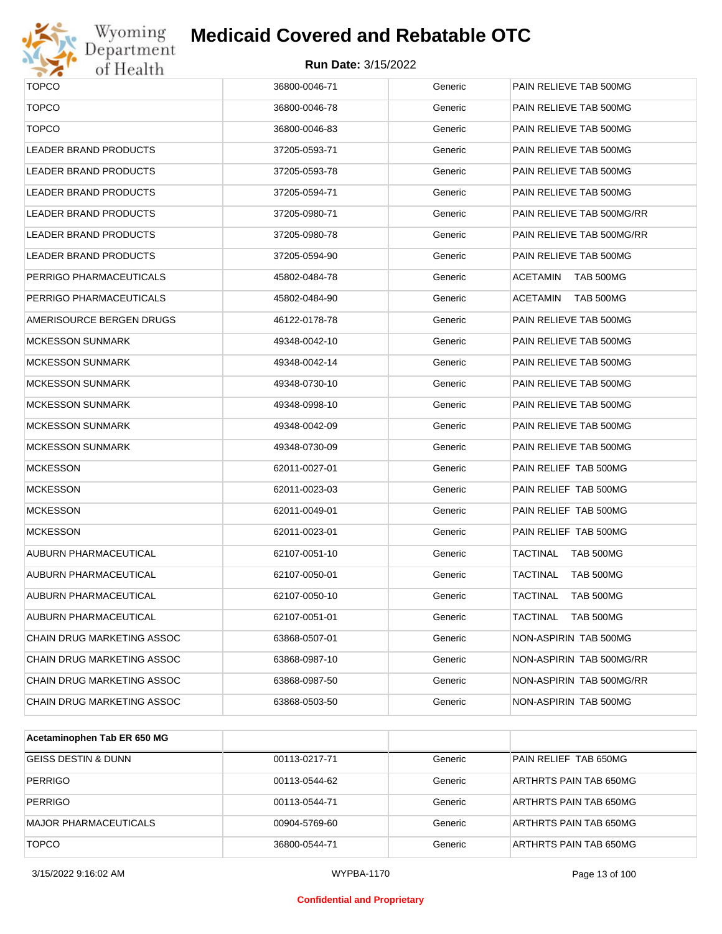

# Wyoming<br>Department<br>of Health

#### **Medicaid Covered and Rebatable OTC**

| <b>TOPCO</b>               | 36800-0046-71 | Generic | PAIN RELIEVE TAB 500MG       |
|----------------------------|---------------|---------|------------------------------|
| <b>TOPCO</b>               | 36800-0046-78 | Generic | PAIN RELIEVE TAB 500MG       |
| <b>TOPCO</b>               | 36800-0046-83 | Generic | PAIN RELIEVE TAB 500MG       |
| LEADER BRAND PRODUCTS      | 37205-0593-71 | Generic | PAIN RELIEVE TAB 500MG       |
| LEADER BRAND PRODUCTS      | 37205-0593-78 | Generic | PAIN RELIEVE TAB 500MG       |
| LEADER BRAND PRODUCTS      | 37205-0594-71 | Generic | PAIN RELIEVE TAB 500MG       |
| LEADER BRAND PRODUCTS      | 37205-0980-71 | Generic | PAIN RELIEVE TAB 500MG/RR    |
| LEADER BRAND PRODUCTS      | 37205-0980-78 | Generic | PAIN RELIEVE TAB 500MG/RR    |
| LEADER BRAND PRODUCTS      | 37205-0594-90 | Generic | PAIN RELIEVE TAB 500MG       |
| PERRIGO PHARMACEUTICALS    | 45802-0484-78 | Generic | <b>ACETAMIN</b><br>TAB 500MG |
| PERRIGO PHARMACEUTICALS    | 45802-0484-90 | Generic | <b>ACETAMIN</b><br>TAB 500MG |
| AMERISOURCE BERGEN DRUGS   | 46122-0178-78 | Generic | PAIN RELIEVE TAB 500MG       |
| <b>MCKESSON SUNMARK</b>    | 49348-0042-10 | Generic | PAIN RELIEVE TAB 500MG       |
| <b>MCKESSON SUNMARK</b>    | 49348-0042-14 | Generic | PAIN RELIEVE TAB 500MG       |
| <b>MCKESSON SUNMARK</b>    | 49348-0730-10 | Generic | PAIN RELIEVE TAB 500MG       |
| <b>MCKESSON SUNMARK</b>    | 49348-0998-10 | Generic | PAIN RELIEVE TAB 500MG       |
| <b>MCKESSON SUNMARK</b>    | 49348-0042-09 | Generic | PAIN RELIEVE TAB 500MG       |
| <b>MCKESSON SUNMARK</b>    | 49348-0730-09 | Generic | PAIN RELIEVE TAB 500MG       |
| <b>MCKESSON</b>            | 62011-0027-01 | Generic | PAIN RELIEF TAB 500MG        |
| <b>MCKESSON</b>            | 62011-0023-03 | Generic | PAIN RELIEF TAB 500MG        |
| <b>MCKESSON</b>            | 62011-0049-01 | Generic | PAIN RELIEF TAB 500MG        |
| <b>MCKESSON</b>            | 62011-0023-01 | Generic | PAIN RELIEF TAB 500MG        |
| AUBURN PHARMACEUTICAL      | 62107-0051-10 | Generic | TACTINAL<br>TAB 500MG        |
| AUBURN PHARMACEUTICAL      | 62107-0050-01 | Generic | <b>TACTINAL</b><br>TAB 500MG |
| AUBURN PHARMACEUTICAL      | 62107-0050-10 | Generic | <b>TACTINAL</b><br>TAB 500MG |
| AUBURN PHARMACEUTICAL      | 62107-0051-01 | Generic | <b>TACTINAL</b><br>TAB 500MG |
| CHAIN DRUG MARKETING ASSOC | 63868-0507-01 | Generic | NON-ASPIRIN TAB 500MG        |
| CHAIN DRUG MARKETING ASSOC | 63868-0987-10 | Generic | NON-ASPIRIN TAB 500MG/RR     |
| CHAIN DRUG MARKETING ASSOC | 63868-0987-50 | Generic | NON-ASPIRIN TAB 500MG/RR     |
| CHAIN DRUG MARKETING ASSOC | 63868-0503-50 | Generic | NON-ASPIRIN TAB 500MG        |

| Acetaminophen Tab ER 650 MG    |               |         |                        |
|--------------------------------|---------------|---------|------------------------|
| <b>GEISS DESTIN &amp; DUNN</b> | 00113-0217-71 | Generic | PAIN RELIEF TAB 650MG  |
| <b>PERRIGO</b>                 | 00113-0544-62 | Generic | ARTHRTS PAIN TAB 650MG |
| <b>PERRIGO</b>                 | 00113-0544-71 | Generic | ARTHRTS PAIN TAB 650MG |
| <b>MAJOR PHARMACEUTICALS</b>   | 00904-5769-60 | Generic | ARTHRTS PAIN TAB 650MG |
| <b>TOPCO</b>                   | 36800-0544-71 | Generic | ARTHRTS PAIN TAB 650MG |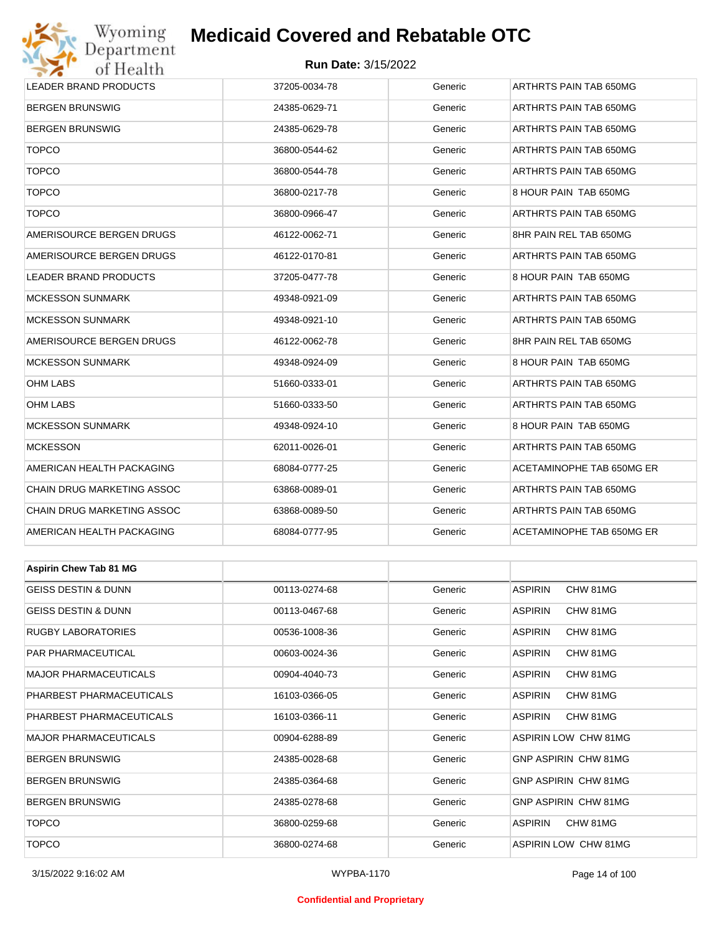

#### **Run Date:** 3/15/2022

| <b>LEADER BRAND PRODUCTS</b>   | 37205-0034-78 | Generic | ARTHRTS PAIN TAB 650MG      |  |  |
|--------------------------------|---------------|---------|-----------------------------|--|--|
| <b>BERGEN BRUNSWIG</b>         | 24385-0629-71 | Generic | ARTHRTS PAIN TAB 650MG      |  |  |
| <b>BERGEN BRUNSWIG</b>         | 24385-0629-78 | Generic | ARTHRTS PAIN TAB 650MG      |  |  |
| <b>TOPCO</b>                   | 36800-0544-62 | Generic | ARTHRTS PAIN TAB 650MG      |  |  |
| <b>TOPCO</b>                   | 36800-0544-78 | Generic | ARTHRTS PAIN TAB 650MG      |  |  |
| <b>TOPCO</b>                   | 36800-0217-78 | Generic | 8 HOUR PAIN TAB 650MG       |  |  |
| <b>TOPCO</b>                   | 36800-0966-47 | Generic | ARTHRTS PAIN TAB 650MG      |  |  |
| AMERISOURCE BERGEN DRUGS       | 46122-0062-71 | Generic | 8HR PAIN REL TAB 650MG      |  |  |
| AMERISOURCE BERGEN DRUGS       | 46122-0170-81 | Generic | ARTHRTS PAIN TAB 650MG      |  |  |
| LEADER BRAND PRODUCTS          | 37205-0477-78 | Generic | 8 HOUR PAIN TAB 650MG       |  |  |
| <b>MCKESSON SUNMARK</b>        | 49348-0921-09 | Generic | ARTHRTS PAIN TAB 650MG      |  |  |
| <b>MCKESSON SUNMARK</b>        | 49348-0921-10 | Generic | ARTHRTS PAIN TAB 650MG      |  |  |
| AMERISOURCE BERGEN DRUGS       | 46122-0062-78 | Generic | 8HR PAIN REL TAB 650MG      |  |  |
| <b>MCKESSON SUNMARK</b>        | 49348-0924-09 | Generic | 8 HOUR PAIN TAB 650MG       |  |  |
| OHM LABS                       | 51660-0333-01 | Generic | ARTHRTS PAIN TAB 650MG      |  |  |
| <b>OHM LABS</b>                | 51660-0333-50 | Generic | ARTHRTS PAIN TAB 650MG      |  |  |
| <b>MCKESSON SUNMARK</b>        | 49348-0924-10 | Generic | 8 HOUR PAIN TAB 650MG       |  |  |
| <b>MCKESSON</b>                | 62011-0026-01 | Generic | ARTHRTS PAIN TAB 650MG      |  |  |
| AMERICAN HEALTH PACKAGING      | 68084-0777-25 | Generic | ACETAMINOPHE TAB 650MG ER   |  |  |
| CHAIN DRUG MARKETING ASSOC     | 63868-0089-01 | Generic | ARTHRTS PAIN TAB 650MG      |  |  |
| CHAIN DRUG MARKETING ASSOC     | 63868-0089-50 | Generic | ARTHRTS PAIN TAB 650MG      |  |  |
| AMERICAN HEALTH PACKAGING      | 68084-0777-95 | Generic | ACETAMINOPHE TAB 650MG ER   |  |  |
|                                |               |         |                             |  |  |
| <b>Aspirin Chew Tab 81 MG</b>  |               |         |                             |  |  |
| <b>GEISS DESTIN &amp; DUNN</b> | 00113-0274-68 | Generic | <b>ASPIRIN</b><br>CHW 81MG  |  |  |
| GEISS DESTIN & DUNN            | 00113-0467-68 | Generic | <b>ASPIRIN</b><br>CHW 81MG  |  |  |
| RUGBY LABORATORIES             | 00536-1008-36 | Generic | <b>ASPIRIN</b><br>CHW 81MG  |  |  |
| PAR PHARMACEUTICAL             | 00603-0024-36 | Generic | <b>ASPIRIN</b><br>CHW 81MG  |  |  |
| <b>MAJOR PHARMACEUTICALS</b>   | 00904-4040-73 | Generic | <b>ASPIRIN</b><br>CHW 81MG  |  |  |
| PHARBEST PHARMACEUTICALS       | 16103-0366-05 | Generic | ASPIRIN<br>CHW 81MG         |  |  |
| PHARBEST PHARMACEUTICALS       | 16103-0366-11 | Generic | <b>ASPIRIN</b><br>CHW 81MG  |  |  |
| MAJOR PHARMACEUTICALS          | 00904-6288-89 | Generic | <b>ASPIRIN LOW CHW 81MG</b> |  |  |
| <b>BERGEN BRUNSWIG</b>         | 24385-0028-68 | Generic | GNP ASPIRIN CHW 81MG        |  |  |
| <b>BERGEN BRUNSWIG</b>         | 24385-0364-68 | Generic | GNP ASPIRIN CHW 81MG        |  |  |

BERGEN BRUNSWIG **EXAMPLE 24385-0278-68** Generic GNP ASPIRIN CHW 81MG TOPCO 36800-0259-68 Generic ASPIRIN CHW 81MG TOPCO 36800-0274-68 Generic ASPIRIN LOW CHW 81MG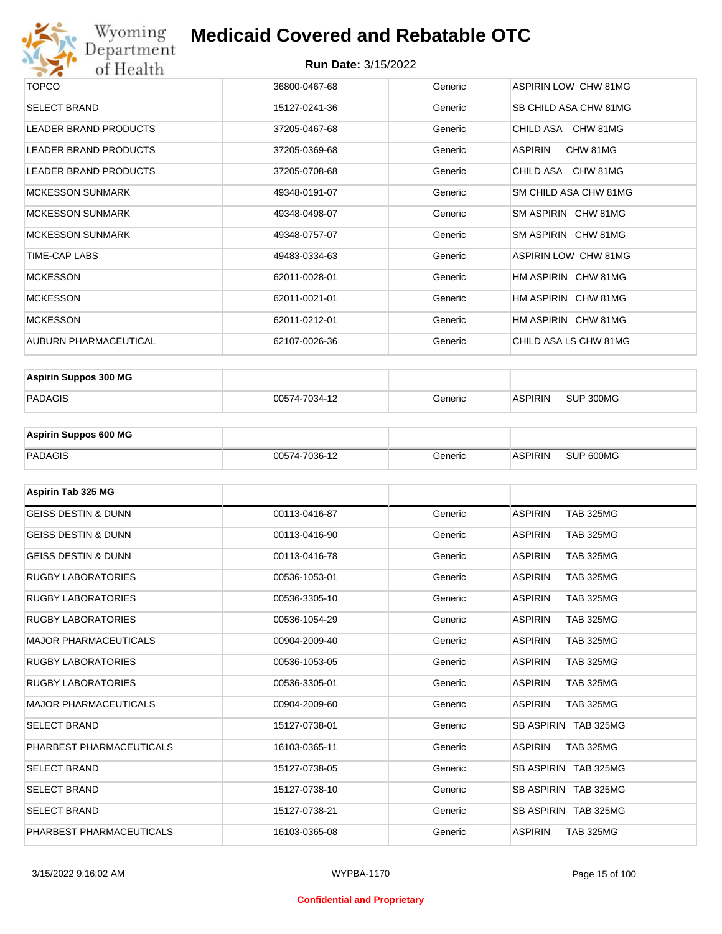

| <b>TOPCO</b>                 | 36800-0467-68 | Generic | ASPIRIN LOW CHW 81MG  |
|------------------------------|---------------|---------|-----------------------|
| <b>SELECT BRAND</b>          | 15127-0241-36 | Generic | SB CHILD ASA CHW 81MG |
| <b>LEADER BRAND PRODUCTS</b> | 37205-0467-68 | Generic | CHILD ASA CHW 81MG    |
| LEADER BRAND PRODUCTS        | 37205-0369-68 | Generic | CHW 81MG<br>ASPIRIN   |
| <b>LEADER BRAND PRODUCTS</b> | 37205-0708-68 | Generic | CHILD ASA CHW 81MG    |
| <b>MCKESSON SUNMARK</b>      | 49348-0191-07 | Generic | SM CHILD ASA CHW 81MG |
| <b>MCKESSON SUNMARK</b>      | 49348-0498-07 | Generic | SM ASPIRIN CHW 81MG   |
| <b>MCKESSON SUNMARK</b>      | 49348-0757-07 | Generic | SM ASPIRIN CHW 81MG   |
| TIME-CAP LABS                | 49483-0334-63 | Generic | ASPIRIN LOW CHW 81MG  |
| <b>MCKESSON</b>              | 62011-0028-01 | Generic | HM ASPIRIN CHW 81MG   |
| <b>MCKESSON</b>              | 62011-0021-01 | Generic | HM ASPIRIN CHW 81MG   |
| <b>MCKESSON</b>              | 62011-0212-01 | Generic | HM ASPIRIN CHW 81MG   |
| AUBURN PHARMACEUTICAL        | 62107-0026-36 | Generic | CHILD ASA LS CHW 81MG |

| <b>Aspirin Suppos 300 MG</b> |               |         |                |           |
|------------------------------|---------------|---------|----------------|-----------|
| PADAGIS                      | 00574-7034-12 | Generic | <b>ASPIRIN</b> | SUP 300MG |

| <b>Aspirin Suppos 600 MG</b> |               |         |                |           |
|------------------------------|---------------|---------|----------------|-----------|
| PADAGIS                      | 00574-7036-12 | Generic | <b>ASPIRIN</b> | SUP 600MG |

| Aspirin Tab 325 MG             |               |         |                                    |
|--------------------------------|---------------|---------|------------------------------------|
| <b>GEISS DESTIN &amp; DUNN</b> | 00113-0416-87 | Generic | <b>ASPIRIN</b><br><b>TAB 325MG</b> |
| <b>GEISS DESTIN &amp; DUNN</b> | 00113-0416-90 | Generic | <b>ASPIRIN</b><br><b>TAB 325MG</b> |
| <b>GEISS DESTIN &amp; DUNN</b> | 00113-0416-78 | Generic | <b>ASPIRIN</b><br><b>TAB 325MG</b> |
| <b>RUGBY LABORATORIES</b>      | 00536-1053-01 | Generic | <b>ASPIRIN</b><br><b>TAB 325MG</b> |
| <b>RUGBY LABORATORIES</b>      | 00536-3305-10 | Generic | <b>ASPIRIN</b><br><b>TAB 325MG</b> |
| <b>RUGBY LABORATORIES</b>      | 00536-1054-29 | Generic | <b>ASPIRIN</b><br><b>TAB 325MG</b> |
| <b>MAJOR PHARMACEUTICALS</b>   | 00904-2009-40 | Generic | <b>ASPIRIN</b><br><b>TAB 325MG</b> |
| <b>RUGBY LABORATORIES</b>      | 00536-1053-05 | Generic | <b>TAB 325MG</b><br><b>ASPIRIN</b> |
| <b>RUGBY LABORATORIES</b>      | 00536-3305-01 | Generic | <b>TAB 325MG</b><br><b>ASPIRIN</b> |
| <b>MAJOR PHARMACEUTICALS</b>   | 00904-2009-60 | Generic | <b>ASPIRIN</b><br><b>TAB 325MG</b> |
| <b>SELECT BRAND</b>            | 15127-0738-01 | Generic | SB ASPIRIN TAB 325MG               |
| PHARBEST PHARMACEUTICALS       | 16103-0365-11 | Generic | <b>ASPIRIN</b><br><b>TAB 325MG</b> |
| <b>SELECT BRAND</b>            | 15127-0738-05 | Generic | SB ASPIRIN TAB 325MG               |
| <b>SELECT BRAND</b>            | 15127-0738-10 | Generic | SB ASPIRIN TAB 325MG               |
| <b>SELECT BRAND</b>            | 15127-0738-21 | Generic | SB ASPIRIN TAB 325MG               |
| PHARBEST PHARMACEUTICALS       | 16103-0365-08 | Generic | <b>ASPIRIN</b><br><b>TAB 325MG</b> |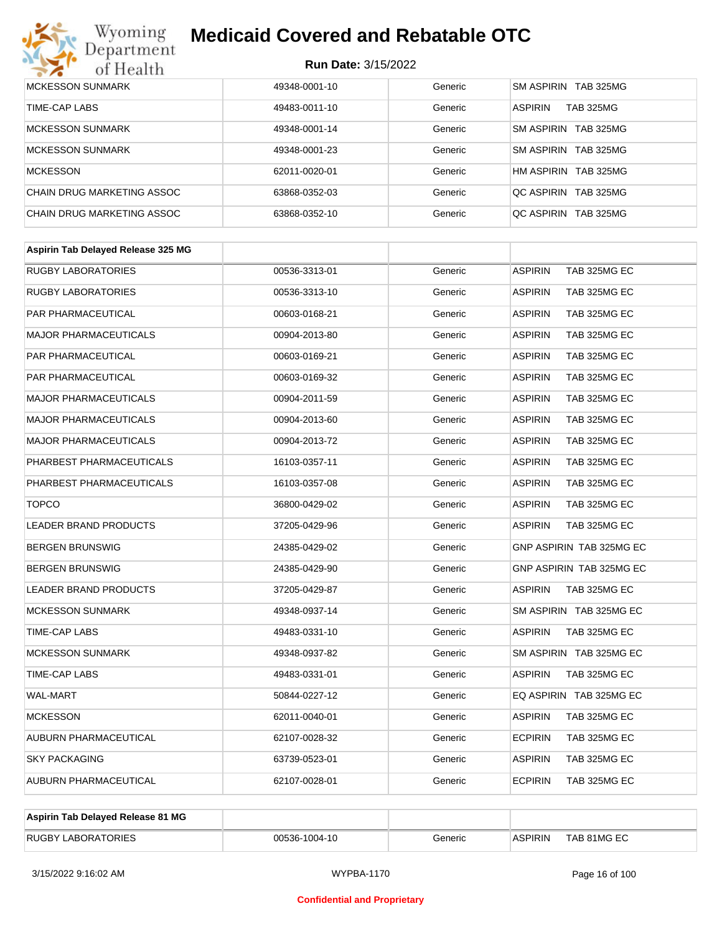# Wyoming<br>Department<br>of Health

## **Medicaid Covered and Rebatable OTC**

| <b>MCKESSON SUNMARK</b>    | 49348-0001-10 | Generic | SM ASPIRIN TAB 325MG               |
|----------------------------|---------------|---------|------------------------------------|
| TIME-CAP LABS              | 49483-0011-10 | Generic | <b>ASPIRIN</b><br><b>TAB 325MG</b> |
| <b>MCKESSON SUNMARK</b>    | 49348-0001-14 | Generic | SM ASPIRIN TAB 325MG               |
| <b>MCKESSON SUNMARK</b>    | 49348-0001-23 | Generic | TAB 325MG<br>SM ASPIRIN            |
| <b>MCKESSON</b>            | 62011-0020-01 | Generic | HM ASPIRIN<br>TAB 325MG            |
| CHAIN DRUG MARKETING ASSOC | 63868-0352-03 | Generic | TAB 325MG<br><b>QC ASPIRIN</b>     |
| CHAIN DRUG MARKETING ASSOC | 63868-0352-10 | Generic | TAB 325MG<br><b>QC ASPIRIN</b>     |

| Aspirin Tab Delayed Release 325 MG |               |         |                                 |
|------------------------------------|---------------|---------|---------------------------------|
| <b>RUGBY LABORATORIES</b>          | 00536-3313-01 | Generic | <b>ASPIRIN</b><br>TAB 325MG EC  |
| <b>RUGBY LABORATORIES</b>          | 00536-3313-10 | Generic | <b>ASPIRIN</b><br>TAB 325MG EC  |
| PAR PHARMACEUTICAL                 | 00603-0168-21 | Generic | TAB 325MG EC<br><b>ASPIRIN</b>  |
| <b>MAJOR PHARMACEUTICALS</b>       | 00904-2013-80 | Generic | <b>ASPIRIN</b><br>TAB 325MG EC  |
| PAR PHARMACEUTICAL                 | 00603-0169-21 | Generic | <b>ASPIRIN</b><br>TAB 325MG EC  |
| PAR PHARMACEUTICAL                 | 00603-0169-32 | Generic | TAB 325MG EC<br><b>ASPIRIN</b>  |
| <b>MAJOR PHARMACEUTICALS</b>       | 00904-2011-59 | Generic | <b>ASPIRIN</b><br>TAB 325MG EC  |
| <b>MAJOR PHARMACEUTICALS</b>       | 00904-2013-60 | Generic | <b>ASPIRIN</b><br>TAB 325MG EC  |
| <b>MAJOR PHARMACEUTICALS</b>       | 00904-2013-72 | Generic | <b>ASPIRIN</b><br>TAB 325MG EC  |
| PHARBEST PHARMACEUTICALS           | 16103-0357-11 | Generic | <b>ASPIRIN</b><br>TAB 325MG EC  |
| PHARBEST PHARMACEUTICALS           | 16103-0357-08 | Generic | <b>ASPIRIN</b><br>TAB 325MG EC  |
| <b>TOPCO</b>                       | 36800-0429-02 | Generic | <b>ASPIRIN</b><br>TAB 325MG EC  |
| LEADER BRAND PRODUCTS              | 37205-0429-96 | Generic | <b>ASPIRIN</b><br>TAB 325MG EC  |
| <b>BERGEN BRUNSWIG</b>             | 24385-0429-02 | Generic | GNP ASPIRIN TAB 325MG EC        |
| <b>BERGEN BRUNSWIG</b>             | 24385-0429-90 | Generic | <b>GNP ASPIRIN TAB 325MG EC</b> |
| LEADER BRAND PRODUCTS              | 37205-0429-87 | Generic | <b>ASPIRIN</b><br>TAB 325MG EC  |
| <b>MCKESSON SUNMARK</b>            | 49348-0937-14 | Generic | SM ASPIRIN TAB 325MG EC         |
| TIME-CAP LABS                      | 49483-0331-10 | Generic | <b>ASPIRIN</b><br>TAB 325MG EC  |
| <b>MCKESSON SUNMARK</b>            | 49348-0937-82 | Generic | SM ASPIRIN TAB 325MG EC         |
| TIME-CAP LABS                      | 49483-0331-01 | Generic | <b>ASPIRIN</b><br>TAB 325MG EC  |
| <b>WAL-MART</b>                    | 50844-0227-12 | Generic | EQ ASPIRIN TAB 325MG EC         |
| <b>MCKESSON</b>                    | 62011-0040-01 | Generic | <b>ASPIRIN</b><br>TAB 325MG EC  |
| AUBURN PHARMACEUTICAL              | 62107-0028-32 | Generic | <b>ECPIRIN</b><br>TAB 325MG EC  |
| <b>SKY PACKAGING</b>               | 63739-0523-01 | Generic | <b>ASPIRIN</b><br>TAB 325MG EC  |
| AUBURN PHARMACEUTICAL              | 62107-0028-01 | Generic | <b>ECPIRIN</b><br>TAB 325MG EC  |

| Aspirin Tab Delayed Release 81 MG |               |         |                |             |
|-----------------------------------|---------------|---------|----------------|-------------|
| <b>RUGBY LABORATORIES</b>         | 00536-1004-10 | Generic | <b>ASPIRIN</b> | TAB 81MG EC |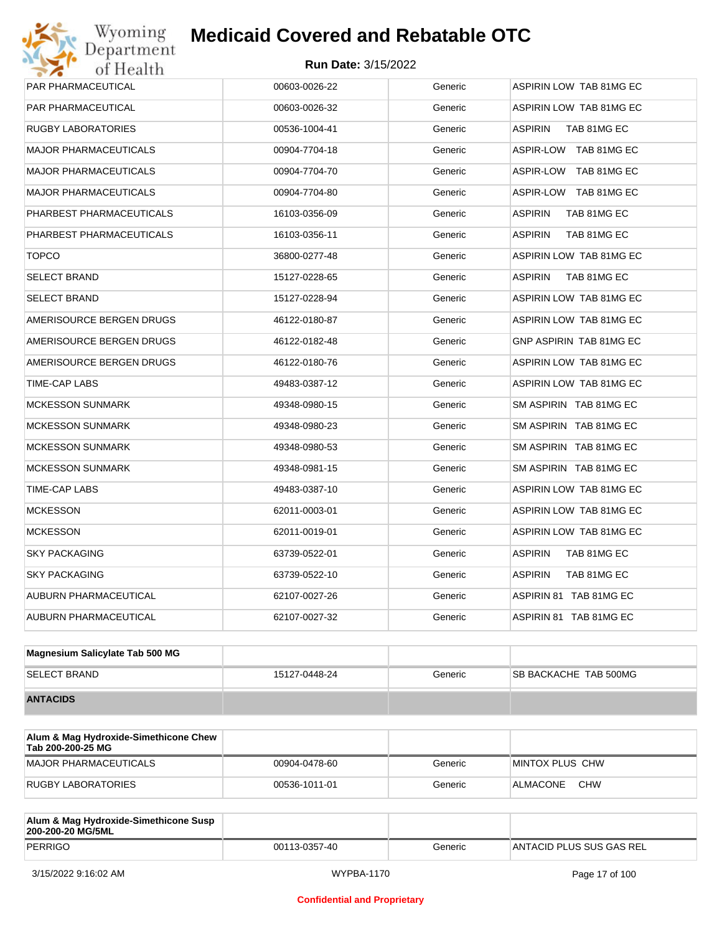| PAR PHARMACEUTICAL           | 00603-0026-22 | Generic | ASPIRIN LOW TAB 81MG EC       |
|------------------------------|---------------|---------|-------------------------------|
| PAR PHARMACEUTICAL           | 00603-0026-32 | Generic | ASPIRIN LOW TAB 81MG EC       |
| <b>RUGBY LABORATORIES</b>    | 00536-1004-41 | Generic | <b>ASPIRIN</b><br>TAB 81MG EC |
| <b>MAJOR PHARMACEUTICALS</b> | 00904-7704-18 | Generic | ASPIR-LOW TAB 81MG EC         |
| <b>MAJOR PHARMACEUTICALS</b> | 00904-7704-70 | Generic | ASPIR-LOW TAB 81MG EC         |
| <b>MAJOR PHARMACEUTICALS</b> | 00904-7704-80 | Generic | ASPIR-LOW TAB 81MG EC         |
| PHARBEST PHARMACEUTICALS     | 16103-0356-09 | Generic | <b>ASPIRIN</b><br>TAB 81MG EC |
| PHARBEST PHARMACEUTICALS     | 16103-0356-11 | Generic | <b>ASPIRIN</b><br>TAB 81MG EC |
| <b>TOPCO</b>                 | 36800-0277-48 | Generic | ASPIRIN LOW TAB 81MG EC       |
| <b>SELECT BRAND</b>          | 15127-0228-65 | Generic | <b>ASPIRIN</b><br>TAB 81MG EC |
| <b>SELECT BRAND</b>          | 15127-0228-94 | Generic | ASPIRIN LOW TAB 81MG EC       |
| AMERISOURCE BERGEN DRUGS     | 46122-0180-87 | Generic | ASPIRIN LOW TAB 81MG EC       |
| AMERISOURCE BERGEN DRUGS     | 46122-0182-48 | Generic | GNP ASPIRIN TAB 81MG EC       |
| AMERISOURCE BERGEN DRUGS     | 46122-0180-76 | Generic | ASPIRIN LOW TAB 81MG EC       |
| TIME-CAP LABS                | 49483-0387-12 | Generic | ASPIRIN LOW TAB 81MG EC       |
| <b>MCKESSON SUNMARK</b>      | 49348-0980-15 | Generic | SM ASPIRIN TAB 81MG EC        |
| <b>MCKESSON SUNMARK</b>      | 49348-0980-23 | Generic | SM ASPIRIN TAB 81MG EC        |
| <b>MCKESSON SUNMARK</b>      | 49348-0980-53 | Generic | SM ASPIRIN TAB 81MG EC        |
| <b>MCKESSON SUNMARK</b>      | 49348-0981-15 | Generic | SM ASPIRIN TAB 81MG EC        |
| TIME-CAP LABS                | 49483-0387-10 | Generic | ASPIRIN LOW TAB 81MG EC       |
| <b>MCKESSON</b>              | 62011-0003-01 | Generic | ASPIRIN LOW TAB 81MG EC       |
| <b>MCKESSON</b>              | 62011-0019-01 | Generic | ASPIRIN LOW TAB 81MG EC       |
| <b>SKY PACKAGING</b>         | 63739-0522-01 | Generic | TAB 81MG EC<br>ASPIRIN        |
| <b>SKY PACKAGING</b>         | 63739-0522-10 | Generic | <b>ASPIRIN</b><br>TAB 81MG EC |
| AUBURN PHARMACEUTICAL        | 62107-0027-26 | Generic | ASPIRIN 81 TAB 81MG EC        |
| AUBURN PHARMACEUTICAL        | 62107-0027-32 | Generic | ASPIRIN 81 TAB 81MG EC        |
|                              |               |         |                               |

| Magnesium Salicylate Tab 500 MG |               |         |                               |
|---------------------------------|---------------|---------|-------------------------------|
| <b>SELECT BRAND</b>             | 15127-0448-24 | Generic | <b>ISB BACKACHE TAB 500MG</b> |
| <b>ANTACIDS</b>                 |               |         |                               |

| Alum & Mag Hydroxide-Simethicone Chew<br>Tab 200-200-25 MG |               |         |                        |
|------------------------------------------------------------|---------------|---------|------------------------|
| MAJOR PHARMACEUTICALS                                      | 00904-0478-60 | Generic | MINTOX PLUS CHW        |
| RUGBY LABORATORIES                                         | 00536-1011-01 | Generic | <b>CHW</b><br>ALMACONE |

| Alum & Mag Hydroxide-Simethicone Susp<br>200-200-20 MG/5ML |               |         |                          |
|------------------------------------------------------------|---------------|---------|--------------------------|
| PERRIGO                                                    | 00113-0357-40 | Generic | ANTACID PLUS SUS GAS REL |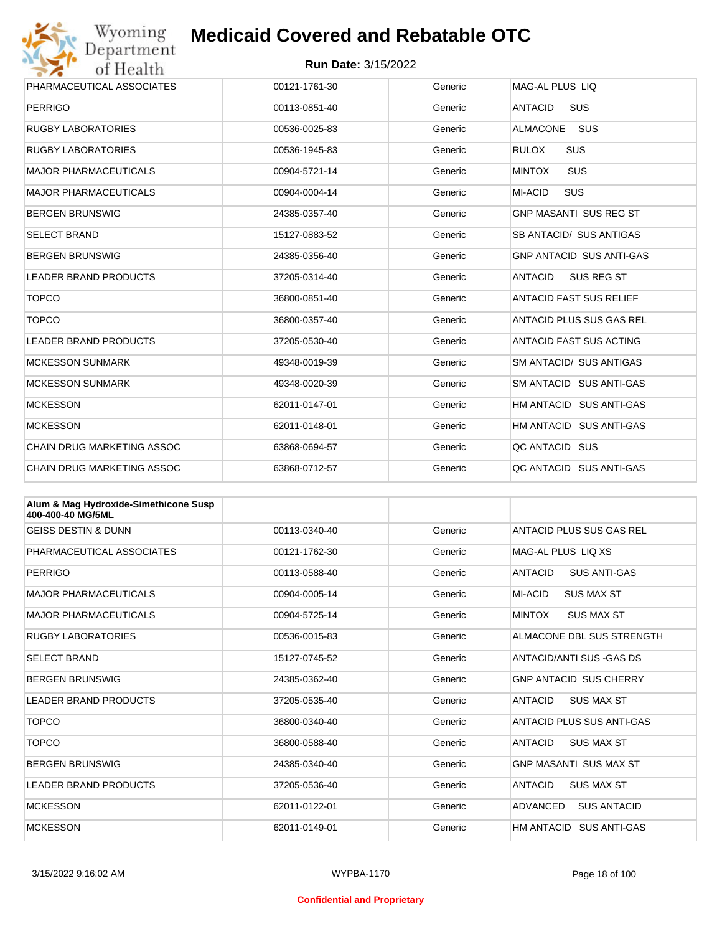

| PHARMACEUTICAL ASSOCIATES    | 00121-1761-30 | Generic | <b>MAG-AL PLUS LIQ</b>          |
|------------------------------|---------------|---------|---------------------------------|
| <b>PERRIGO</b>               | 00113-0851-40 | Generic | <b>SUS</b><br><b>ANTACID</b>    |
| <b>RUGBY LABORATORIES</b>    | 00536-0025-83 | Generic | SUS<br><b>ALMACONE</b>          |
| <b>RUGBY LABORATORIES</b>    | 00536-1945-83 | Generic | <b>SUS</b><br><b>RULOX</b>      |
| <b>MAJOR PHARMACEUTICALS</b> | 00904-5721-14 | Generic | <b>SUS</b><br><b>MINTOX</b>     |
| <b>MAJOR PHARMACEUTICALS</b> | 00904-0004-14 | Generic | <b>SUS</b><br>MI-ACID           |
| <b>BERGEN BRUNSWIG</b>       | 24385-0357-40 | Generic | <b>GNP MASANTI SUS REG ST</b>   |
| <b>SELECT BRAND</b>          | 15127-0883-52 | Generic | SB ANTACID/ SUS ANTIGAS         |
| <b>BERGEN BRUNSWIG</b>       | 24385-0356-40 | Generic | <b>GNP ANTACID SUS ANTI-GAS</b> |
| <b>LEADER BRAND PRODUCTS</b> | 37205-0314-40 | Generic | <b>ANTACID</b><br>SUS REG ST    |
| <b>TOPCO</b>                 | 36800-0851-40 | Generic | <b>ANTACID FAST SUS RELIEF</b>  |
| <b>TOPCO</b>                 | 36800-0357-40 | Generic | ANTACID PLUS SUS GAS REL        |
| <b>LEADER BRAND PRODUCTS</b> | 37205-0530-40 | Generic | ANTACID FAST SUS ACTING         |
| <b>MCKESSON SUNMARK</b>      | 49348-0019-39 | Generic | SM ANTACID/ SUS ANTIGAS         |
| <b>MCKESSON SUNMARK</b>      | 49348-0020-39 | Generic | SM ANTACID SUS ANTI-GAS         |
| <b>MCKESSON</b>              | 62011-0147-01 | Generic | HM ANTACID SUS ANTI-GAS         |
| <b>MCKESSON</b>              | 62011-0148-01 | Generic | HM ANTACID SUS ANTI-GAS         |
| CHAIN DRUG MARKETING ASSOC   | 63868-0694-57 | Generic | QC ANTACID SUS                  |
| CHAIN DRUG MARKETING ASSOC   | 63868-0712-57 | Generic | OC ANTACID SUS ANTI-GAS         |

| Alum & Mag Hydroxide-Simethicone Susp<br>400-400-40 MG/5ML |               |         |                                       |
|------------------------------------------------------------|---------------|---------|---------------------------------------|
| <b>GEISS DESTIN &amp; DUNN</b>                             | 00113-0340-40 | Generic | ANTACID PLUS SUS GAS REL              |
| PHARMACEUTICAL ASSOCIATES                                  | 00121-1762-30 | Generic | MAG-AL PLUS LIO XS                    |
| <b>PERRIGO</b>                                             | 00113-0588-40 | Generic | ANTACID<br><b>SUS ANTI-GAS</b>        |
| <b>MAJOR PHARMACEUTICALS</b>                               | 00904-0005-14 | Generic | MI-ACID<br><b>SUS MAX ST</b>          |
| <b>MAJOR PHARMACEUTICALS</b>                               | 00904-5725-14 | Generic | <b>MINTOX</b><br><b>SUS MAX ST</b>    |
| <b>RUGBY LABORATORIES</b>                                  | 00536-0015-83 | Generic | ALMACONE DBL SUS STRENGTH             |
| <b>SELECT BRAND</b>                                        | 15127-0745-52 | Generic | ANTACID/ANTI SUS - GAS DS             |
| <b>BERGEN BRUNSWIG</b>                                     | 24385-0362-40 | Generic | <b>GNP ANTACID SUS CHERRY</b>         |
| LEADER BRAND PRODUCTS                                      | 37205-0535-40 | Generic | <b>SUS MAX ST</b><br><b>ANTACID</b>   |
| <b>TOPCO</b>                                               | 36800-0340-40 | Generic | ANTACID PLUS SUS ANTI-GAS             |
| <b>TOPCO</b>                                               | 36800-0588-40 | Generic | <b>ANTACID</b><br><b>SUS MAX ST</b>   |
| <b>BERGEN BRUNSWIG</b>                                     | 24385-0340-40 | Generic | <b>GNP MASANTI SUS MAX ST</b>         |
| <b>LEADER BRAND PRODUCTS</b>                               | 37205-0536-40 | Generic | <b>ANTACID</b><br><b>SUS MAX ST</b>   |
| <b>MCKESSON</b>                                            | 62011-0122-01 | Generic | <b>ADVANCED</b><br><b>SUS ANTACID</b> |
| <b>MCKESSON</b>                                            | 62011-0149-01 | Generic | HM ANTACID SUS ANTI-GAS               |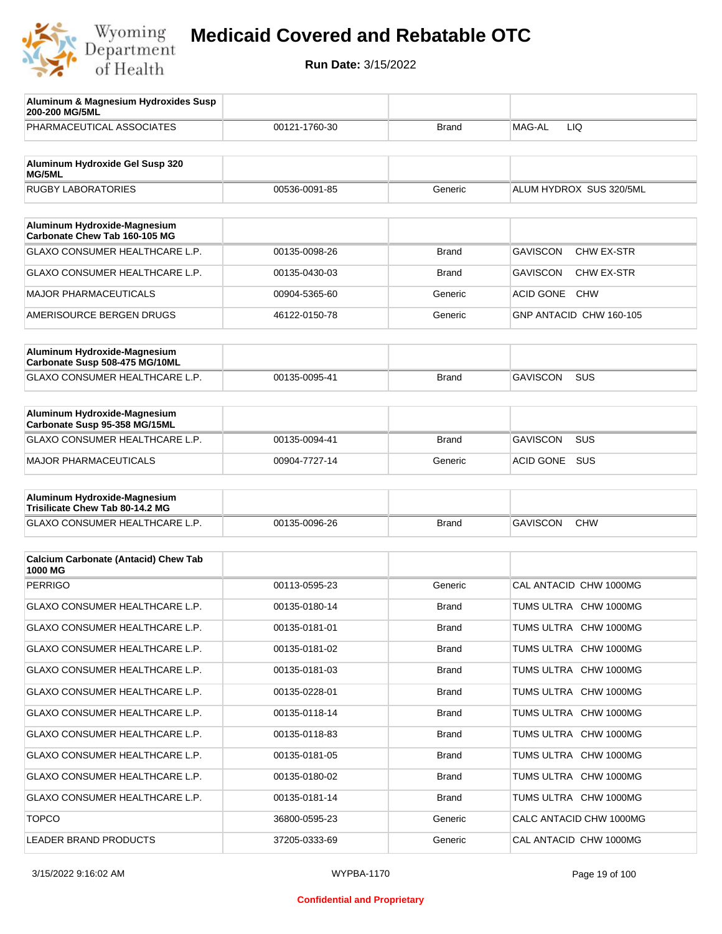

| Aluminum & Magnesium Hydroxides Susp<br>200-200 MG/5ML         |               |              |                                |
|----------------------------------------------------------------|---------------|--------------|--------------------------------|
| PHARMACEUTICAL ASSOCIATES                                      | 00121-1760-30 | Brand        | MAG-AL<br>LIQ                  |
| Aluminum Hydroxide Gel Susp 320<br><b>MG/5ML</b>               |               |              |                                |
| <b>RUGBY LABORATORIES</b>                                      | 00536-0091-85 | Generic      | ALUM HYDROX SUS 320/5ML        |
|                                                                |               |              |                                |
| Aluminum Hydroxide-Magnesium<br>Carbonate Chew Tab 160-105 MG  |               |              |                                |
| GLAXO CONSUMER HEALTHCARE L.P.                                 | 00135-0098-26 | Brand        | <b>GAVISCON</b><br>CHW EX-STR  |
| GLAXO CONSUMER HEALTHCARE L.P.                                 | 00135-0430-03 | Brand        | <b>GAVISCON</b><br>CHW EX-STR  |
| <b>MAJOR PHARMACEUTICALS</b>                                   | 00904-5365-60 | Generic      | <b>ACID GONE</b><br><b>CHW</b> |
| AMERISOURCE BERGEN DRUGS                                       | 46122-0150-78 | Generic      | GNP ANTACID CHW 160-105        |
|                                                                |               |              |                                |
| Aluminum Hydroxide-Magnesium<br>Carbonate Susp 508-475 MG/10ML |               |              |                                |
| <b>GLAXO CONSUMER HEALTHCARE L.P.</b>                          | 00135-0095-41 | Brand        | <b>GAVISCON</b><br><b>SUS</b>  |
|                                                                |               |              |                                |
| Aluminum Hydroxide-Magnesium<br>Carbonate Susp 95-358 MG/15ML  |               |              |                                |
| GLAXO CONSUMER HEALTHCARE L.P.                                 | 00135-0094-41 | Brand        | <b>GAVISCON</b><br><b>SUS</b>  |
| MAJOR PHARMACEUTICALS                                          | 00904-7727-14 | Generic      | <b>ACID GONE</b><br><b>SUS</b> |
| Aluminum Hydroxide-Magnesium                                   |               |              |                                |
| Trisilicate Chew Tab 80-14.2 MG                                |               |              |                                |
| GLAXO CONSUMER HEALTHCARE L.P.                                 | 00135-0096-26 | <b>Brand</b> | <b>GAVISCON</b><br><b>CHW</b>  |
| <b>Calcium Carbonate (Antacid) Chew Tab</b>                    |               |              |                                |
| 1000 MG                                                        |               |              |                                |
| <b>PERRIGO</b>                                                 | 00113-0595-23 | Generic      | CAL ANTACID CHW 1000MG         |
| <b>GLAXO CONSUMER HEALTHCARE L.P.</b>                          | 00135-0180-14 | Brand        | TUMS ULTRA CHW 1000MG          |
| <b>GLAXO CONSUMER HEALTHCARE L.P.</b>                          | 00135-0181-01 | Brand        | TUMS ULTRA CHW 1000MG          |
| GLAXO CONSUMER HEALTHCARE L.P.                                 | 00135-0181-02 | <b>Brand</b> | TUMS ULTRA CHW 1000MG          |
| <b>GLAXO CONSUMER HEALTHCARE L.P.</b>                          | 00135-0181-03 | <b>Brand</b> | TUMS ULTRA CHW 1000MG          |
| GLAXO CONSUMER HEALTHCARE L.P.                                 | 00135-0228-01 | <b>Brand</b> | TUMS ULTRA CHW 1000MG          |
| GLAXO CONSUMER HEALTHCARE L.P.                                 | 00135-0118-14 | <b>Brand</b> | TUMS ULTRA CHW 1000MG          |
| GLAXO CONSUMER HEALTHCARE L.P.                                 | 00135-0118-83 | <b>Brand</b> | TUMS ULTRA CHW 1000MG          |
| GLAXO CONSUMER HEALTHCARE L.P.                                 | 00135-0181-05 | <b>Brand</b> | TUMS ULTRA CHW 1000MG          |
| GLAXO CONSUMER HEALTHCARE L.P.                                 | 00135-0180-02 | <b>Brand</b> | TUMS ULTRA CHW 1000MG          |
| GLAXO CONSUMER HEALTHCARE L.P.                                 | 00135-0181-14 | <b>Brand</b> | TUMS ULTRA CHW 1000MG          |
| <b>TOPCO</b>                                                   | 36800-0595-23 | Generic      | CALC ANTACID CHW 1000MG        |
| LEADER BRAND PRODUCTS                                          | 37205-0333-69 | Generic      | CAL ANTACID CHW 1000MG         |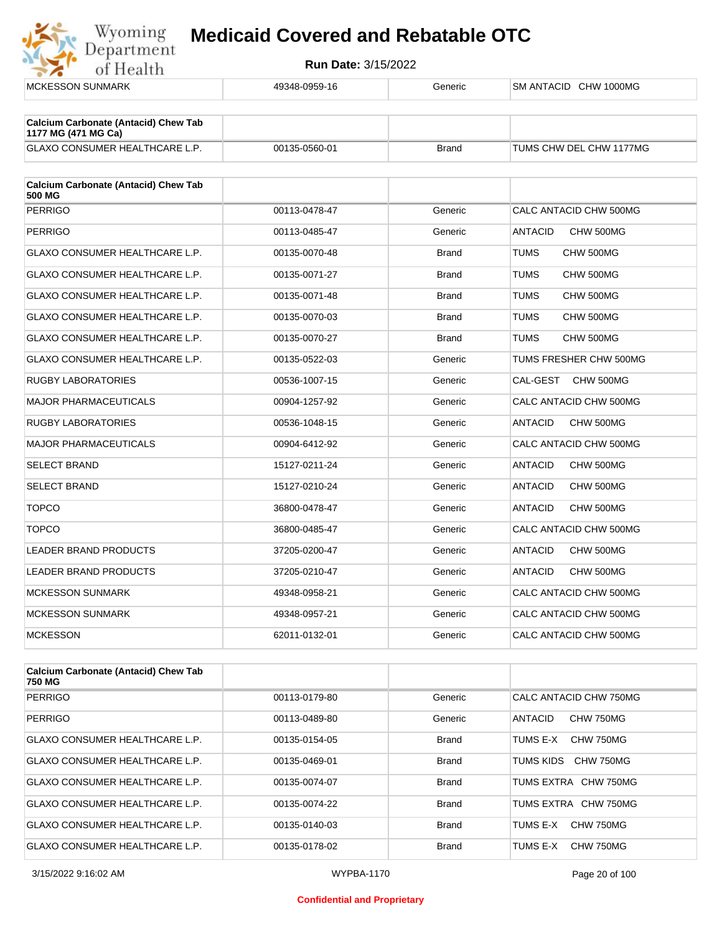

| <b>MCKESSON SUNMARK</b>                                            | 49348-0959-16 | Generic      | SM ANTACID CHW 1000MG       |
|--------------------------------------------------------------------|---------------|--------------|-----------------------------|
|                                                                    |               |              |                             |
| <b>Calcium Carbonate (Antacid) Chew Tab</b><br>1177 MG (471 MG Ca) |               |              |                             |
| GLAXO CONSUMER HEALTHCARE L.P.                                     | 00135-0560-01 | <b>Brand</b> | TUMS CHW DEL CHW 1177MG     |
| <b>Calcium Carbonate (Antacid) Chew Tab</b><br>500 MG              |               |              |                             |
| <b>PERRIGO</b>                                                     | 00113-0478-47 | Generic      | CALC ANTACID CHW 500MG      |
| <b>PERRIGO</b>                                                     | 00113-0485-47 | Generic      | <b>ANTACID</b><br>CHW 500MG |
| <b>GLAXO CONSUMER HEALTHCARE L.P.</b>                              | 00135-0070-48 | <b>Brand</b> | TUMS<br>CHW 500MG           |
| GLAXO CONSUMER HEALTHCARE L.P.                                     | 00135-0071-27 | <b>Brand</b> | TUMS<br>CHW 500MG           |
| GLAXO CONSUMER HEALTHCARE L.P.                                     | 00135-0071-48 | <b>Brand</b> | TUMS<br>CHW 500MG           |
| GLAXO CONSUMER HEALTHCARE L.P.                                     | 00135-0070-03 | <b>Brand</b> | <b>TUMS</b><br>CHW 500MG    |
| GLAXO CONSUMER HEALTHCARE L.P.                                     | 00135-0070-27 | <b>Brand</b> | TUMS<br>CHW 500MG           |
| <b>GLAXO CONSUMER HEALTHCARE L.P.</b>                              | 00135-0522-03 | Generic      | TUMS FRESHER CHW 500MG      |
| <b>RUGBY LABORATORIES</b>                                          | 00536-1007-15 | Generic      | CAL-GEST<br>CHW 500MG       |
| <b>MAJOR PHARMACEUTICALS</b>                                       | 00904-1257-92 | Generic      | CALC ANTACID CHW 500MG      |
| <b>RUGBY LABORATORIES</b>                                          | 00536-1048-15 | Generic      | <b>ANTACID</b><br>CHW 500MG |
| <b>MAJOR PHARMACEUTICALS</b>                                       | 00904-6412-92 | Generic      | CALC ANTACID CHW 500MG      |
| <b>SELECT BRAND</b>                                                | 15127-0211-24 | Generic      | CHW 500MG<br><b>ANTACID</b> |
| <b>SELECT BRAND</b>                                                | 15127-0210-24 | Generic      | <b>ANTACID</b><br>CHW 500MG |
| <b>TOPCO</b>                                                       | 36800-0478-47 | Generic      | <b>ANTACID</b><br>CHW 500MG |
| <b>TOPCO</b>                                                       | 36800-0485-47 | Generic      | CALC ANTACID CHW 500MG      |
| <b>LEADER BRAND PRODUCTS</b>                                       | 37205-0200-47 | Generic      | <b>ANTACID</b><br>CHW 500MG |
| <b>LEADER BRAND PRODUCTS</b>                                       | 37205-0210-47 | Generic      | ANTACID<br>CHW 500MG        |
| <b>MCKESSON SUNMARK</b>                                            | 49348-0958-21 | Generic      | CALC ANTACID CHW 500MG      |
| <b>MCKESSON SUNMARK</b>                                            | 49348-0957-21 | Generic      | CALC ANTACID CHW 500MG      |
| <b>MCKESSON</b>                                                    | 62011-0132-01 | Generic      | CALC ANTACID CHW 500MG      |
|                                                                    |               |              |                             |

| <b>Calcium Carbonate (Antacid) Chew Tab</b><br>750 MG |               |              |                             |
|-------------------------------------------------------|---------------|--------------|-----------------------------|
| PERRIGO                                               | 00113-0179-80 | Generic      | CALC ANTACID CHW 750MG      |
| PERRIGO                                               | 00113-0489-80 | Generic      | <b>ANTACID</b><br>CHW 750MG |
| GLAXO CONSUMER HEALTHCARE L.P.                        | 00135-0154-05 | <b>Brand</b> | TUMS E-X<br>CHW 750MG       |
| <b>GLAXO CONSUMER HEALTHCARE L.P.</b>                 | 00135-0469-01 | <b>Brand</b> | TUMS KIDS<br>CHW 750MG      |
| <b>GLAXO CONSUMER HEALTHCARE L.P.</b>                 | 00135-0074-07 | <b>Brand</b> | TUMS EXTRA CHW 750MG        |
| <b>GLAXO CONSUMER HEALTHCARE L.P.</b>                 | 00135-0074-22 | <b>Brand</b> | TUMS EXTRA CHW 750MG        |
| <b>GLAXO CONSUMER HEALTHCARE L.P.</b>                 | 00135-0140-03 | <b>Brand</b> | CHW 750MG<br>TUMS E-X       |
| <b>GLAXO CONSUMER HEALTHCARE L.P.</b>                 | 00135-0178-02 | <b>Brand</b> | TUMS E-X<br>CHW 750MG       |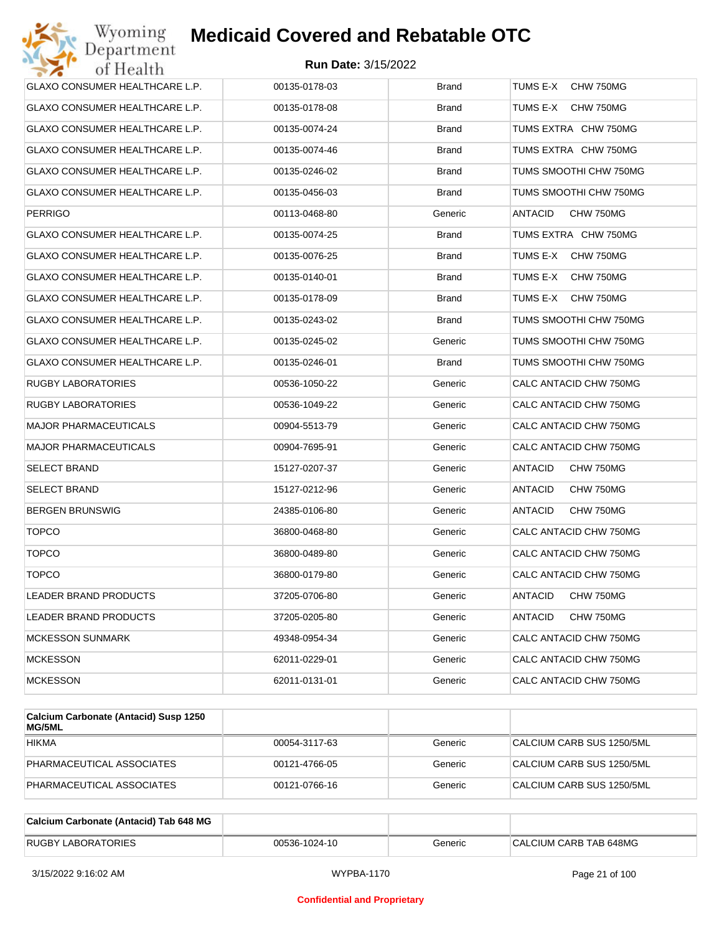| Wyoming<br>Department                 | <b>Medicaid Covered and Rebatable OTC</b> |              |                             |
|---------------------------------------|-------------------------------------------|--------------|-----------------------------|
| of Health                             | <b>Run Date: 3/15/2022</b>                |              |                             |
| <b>GLAXO CONSUMER HEALTHCARE L.P.</b> | 00135-0178-03                             | <b>Brand</b> | TUMS E-X<br>CHW 750MG       |
| GLAXO CONSUMER HEALTHCARE L.P.        | 00135-0178-08                             | Brand        | TUMS E-X<br>CHW 750MG       |
| GLAXO CONSUMER HEALTHCARE L.P.        | 00135-0074-24                             | <b>Brand</b> | TUMS EXTRA CHW 750MG        |
| GLAXO CONSUMER HEALTHCARE L.P.        | 00135-0074-46                             | Brand        | TUMS EXTRA CHW 750MG        |
| GLAXO CONSUMER HEALTHCARE L.P.        | 00135-0246-02                             | <b>Brand</b> | TUMS SMOOTHI CHW 750MG      |
| GLAXO CONSUMER HEALTHCARE L.P.        | 00135-0456-03                             | <b>Brand</b> | TUMS SMOOTHI CHW 750MG      |
| PERRIGO                               | 00113-0468-80                             | Generic      | ANTACID<br>CHW 750MG        |
| GLAXO CONSUMER HEALTHCARE L.P.        | 00135-0074-25                             | <b>Brand</b> | TUMS EXTRA CHW 750MG        |
| <b>GLAXO CONSUMER HEALTHCARE L.P.</b> | 00135-0076-25                             | <b>Brand</b> | TUMS E-X<br>CHW 750MG       |
| <b>GLAXO CONSUMER HEALTHCARE L.P.</b> | 00135-0140-01                             | Brand        | TUMS E-X<br>CHW 750MG       |
| GLAXO CONSUMER HEALTHCARE L.P.        | 00135-0178-09                             | <b>Brand</b> | TUMS E-X<br>CHW 750MG       |
| <b>GLAXO CONSUMER HEALTHCARE L.P.</b> | 00135-0243-02                             | <b>Brand</b> | TUMS SMOOTHI CHW 750MG      |
| GLAXO CONSUMER HEALTHCARE L.P.        | 00135-0245-02                             | Generic      | TUMS SMOOTHI CHW 750MG      |
| GLAXO CONSUMER HEALTHCARE L.P.        | 00135-0246-01                             | <b>Brand</b> | TUMS SMOOTHI CHW 750MG      |
| RUGBY LABORATORIES                    | 00536-1050-22                             | Generic      | CALC ANTACID CHW 750MG      |
| RUGBY LABORATORIES                    | 00536-1049-22                             | Generic      | CALC ANTACID CHW 750MG      |
| <b>MAJOR PHARMACEUTICALS</b>          | 00904-5513-79                             | Generic      | CALC ANTACID CHW 750MG      |
| MAJOR PHARMACEUTICALS                 | 00904-7695-91                             | Generic      | CALC ANTACID CHW 750MG      |
| SELECT BRAND                          | 15127-0207-37                             | Generic      | ANTACID<br>CHW 750MG        |
| SELECT BRAND                          | 15127-0212-96                             | Generic      | ANTACID<br>CHW 750MG        |
| BERGEN BRUNSWIG                       | 24385-0106-80                             | Generic      | <b>ANTACID</b><br>CHW 750MG |
| <b>TOPCO</b>                          | 36800-0468-80                             | Generic      | CALC ANTACID CHW 750MG      |
| <b>TOPCO</b>                          | 36800-0489-80                             | Generic      | CALC ANTACID CHW 750MG      |
| <b>TOPCO</b>                          | 36800-0179-80                             | Generic      | CALC ANTACID CHW 750MG      |
| LEADER BRAND PRODUCTS                 | 37205-0706-80                             | Generic      | <b>ANTACID</b><br>CHW 750MG |
| LEADER BRAND PRODUCTS                 | 37205-0205-80                             | Generic      | <b>ANTACID</b><br>CHW 750MG |
| <b>MCKESSON SUNMARK</b>               | 49348-0954-34                             | Generic      | CALC ANTACID CHW 750MG      |
| <b>MCKESSON</b>                       | 62011-0229-01                             | Generic      | CALC ANTACID CHW 750MG      |
| <b>MCKESSON</b>                       | 62011-0131-01                             | Generic      | CALC ANTACID CHW 750MG      |
|                                       |                                           |              |                             |

| Calcium Carbonate (Antacid) Susp 1250<br><b>MG/5ML</b> |               |         |                           |
|--------------------------------------------------------|---------------|---------|---------------------------|
| <b>HIKMA</b>                                           | 00054-3117-63 | Generic | CALCIUM CARB SUS 1250/5ML |
| PHARMACEUTICAL ASSOCIATES                              | 00121-4766-05 | Generic | CALCIUM CARB SUS 1250/5ML |
| PHARMACEUTICAL ASSOCIATES                              | 00121-0766-16 | Generic | CALCIUM CARB SUS 1250/5ML |

| Calcium Carbonate (Antacid) Tab 648 MG |               |         |                        |
|----------------------------------------|---------------|---------|------------------------|
| <b>RUGBY LABORATORIES</b>              | 00536-1024-10 | Generic | CALCIUM CARB TAB 648MG |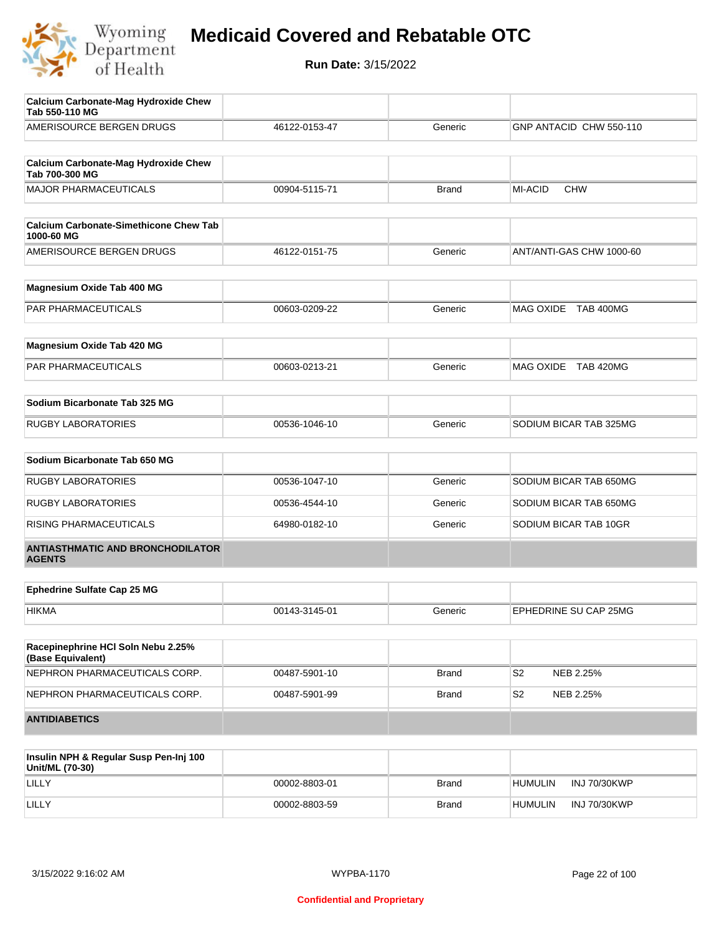

| Calcium Carbonate-Mag Hydroxide Chew<br>Tab 550-110 MG        |               |              |                              |
|---------------------------------------------------------------|---------------|--------------|------------------------------|
| AMERISOURCE BERGEN DRUGS                                      | 46122-0153-47 | Generic      | GNP ANTACID CHW 550-110      |
|                                                               |               |              |                              |
| <b>Calcium Carbonate-Mag Hydroxide Chew</b><br>Tab 700-300 MG |               |              |                              |
| <b>MAJOR PHARMACEUTICALS</b>                                  | 00904-5115-71 | <b>Brand</b> | <b>MI-ACID</b><br><b>CHW</b> |
|                                                               |               |              |                              |
| <b>Calcium Carbonate-Simethicone Chew Tab</b><br>1000-60 MG   |               |              |                              |
| AMERISOURCE BERGEN DRUGS                                      | 46122-0151-75 | Generic      | ANT/ANTI-GAS CHW 1000-60     |
| Magnesium Oxide Tab 400 MG                                    |               |              |                              |
| PAR PHARMACEUTICALS                                           | 00603-0209-22 | Generic      | MAG OXIDE TAB 400MG          |
|                                                               |               |              |                              |
| Magnesium Oxide Tab 420 MG                                    |               |              |                              |
| PAR PHARMACEUTICALS                                           | 00603-0213-21 | Generic      | MAG OXIDE TAB 420MG          |
| Sodium Bicarbonate Tab 325 MG                                 |               |              |                              |
|                                                               |               |              |                              |
| <b>RUGBY LABORATORIES</b>                                     | 00536-1046-10 | Generic      | SODIUM BICAR TAB 325MG       |
| Sodium Bicarbonate Tab 650 MG                                 |               |              |                              |
| <b>RUGBY LABORATORIES</b>                                     | 00536-1047-10 | Generic      | SODIUM BICAR TAB 650MG       |
| <b>RUGBY LABORATORIES</b>                                     | 00536-4544-10 | Generic      | SODIUM BICAR TAB 650MG       |
| RISING PHARMACEUTICALS                                        | 64980-0182-10 | Generic      | SODIUM BICAR TAB 10GR        |
| <b>ANTIASTHMATIC AND BRONCHODILATOR</b><br><b>AGENTS</b>      |               |              |                              |
|                                                               |               |              |                              |
| <b>Ephedrine Sulfate Cap 25 MG</b>                            |               |              |                              |
| <b>HIKMA</b>                                                  | 00143-3145-01 | Generic      | EPHEDRINE SU CAP 25MG        |
| Racepinephrine HCI Soln Nebu 2.25%                            |               |              |                              |
| (Base Equivalent)                                             |               |              |                              |
| NEPHRON PHARMACEUTICALS CORP.                                 | 00487-5901-10 | <b>Brand</b> | S <sub>2</sub><br>NEB 2.25%  |
| NEPHRON PHARMACEUTICALS CORP.                                 | 00487-5901-99 | <b>Brand</b> | S <sub>2</sub><br>NEB 2.25%  |
| <b>ANTIDIABETICS</b>                                          |               |              |                              |
|                                                               |               |              |                              |

| Insulin NPH & Regular Susp Pen-Inj 100<br>Unit/ML (70-30) |               |              |                                       |
|-----------------------------------------------------------|---------------|--------------|---------------------------------------|
| LILLY                                                     | 00002-8803-01 | <b>Brand</b> | <b>INJ 70/30KWP</b><br><b>HUMULIN</b> |
| LILLY                                                     | 00002-8803-59 | <b>Brand</b> | INJ 70/30KWP<br><b>HUMULIN</b>        |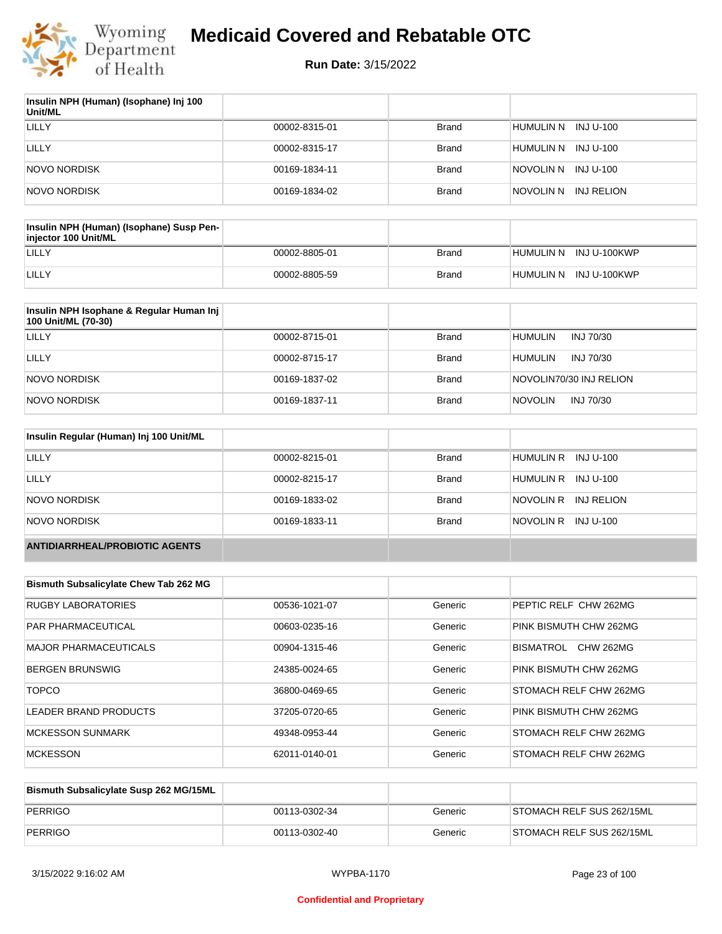

| Insulin NPH (Human) (Isophane) Inj 100<br>Unit/ML |               |              |                         |
|---------------------------------------------------|---------------|--------------|-------------------------|
| LILLY                                             | 00002-8315-01 | Brand        | HUMULIN N INJ U-100     |
| LILLY                                             | 00002-8315-17 | Brand        | HUMULIN N<br>INJ U-100  |
| NOVO NORDISK                                      | 00169-1834-11 | Brand        | INJ U-100<br>NOVOLIN N  |
| NOVO NORDISK                                      | 00169-1834-02 | <b>Brand</b> | INJ RELION<br>NOVOLIN N |

| Insulin NPH (Human) (Isophane) Susp Pen-<br>injector 100 Unit/ML |               |              |                        |
|------------------------------------------------------------------|---------------|--------------|------------------------|
| LILLY                                                            | 00002-8805-01 | Brand        | HUMULIN N INJ U-100KWP |
| LILLY                                                            | 00002-8805-59 | <b>Brand</b> | HUMULIN N INJ U-100KWP |

| Insulin NPH Isophane & Regular Human Inj<br>100 Unit/ML (70-30) |               |              |                             |
|-----------------------------------------------------------------|---------------|--------------|-----------------------------|
| LILLY                                                           | 00002-8715-01 | <b>Brand</b> | <b>HUMULIN</b><br>INJ 70/30 |
| LILLY                                                           | 00002-8715-17 | <b>Brand</b> | <b>HUMULIN</b><br>INJ 70/30 |
| NOVO NORDISK                                                    | 00169-1837-02 | <b>Brand</b> | NOVOLIN70/30 INJ RELION     |
| NOVO NORDISK                                                    | 00169-1837-11 | <b>Brand</b> | <b>NOVOLIN</b><br>INJ 70/30 |

| Insulin Regular (Human) Inj 100 Unit/ML |               |              |                         |
|-----------------------------------------|---------------|--------------|-------------------------|
| <b>LILLY</b>                            | 00002-8215-01 | <b>Brand</b> | HUMULIN R INJ U-100     |
| LILLY                                   | 00002-8215-17 | <b>Brand</b> | HUMULIN R INJ U-100     |
| NOVO NORDISK                            | 00169-1833-02 | <b>Brand</b> | NOVOLIN R<br>INJ RELION |
| NOVO NORDISK                            | 00169-1833-11 | <b>Brand</b> | NOVOLIN R INJ U-100     |
| <b>ANTIDIARRHEAL/PROBIOTIC AGENTS</b>   |               |              |                         |

| <b>Bismuth Subsalicylate Chew Tab 262 MG</b> |               |         |                               |
|----------------------------------------------|---------------|---------|-------------------------------|
| <b>RUGBY LABORATORIES</b>                    | 00536-1021-07 | Generic | PEPTIC RELF CHW 262MG         |
| <b>PAR PHARMACEUTICAL</b>                    | 00603-0235-16 | Generic | PINK BISMUTH CHW 262MG        |
| <b>MAJOR PHARMACEUTICALS</b>                 | 00904-1315-46 | Generic | <b>CHW 262MG</b><br>BISMATROL |
| <b>BERGEN BRUNSWIG</b>                       | 24385-0024-65 | Generic | PINK BISMUTH CHW 262MG        |
| <b>TOPCO</b>                                 | 36800-0469-65 | Generic | <b>STOMACH RELF CHW 262MG</b> |
| LEADER BRAND PRODUCTS                        | 37205-0720-65 | Generic | PINK BISMUTH CHW 262MG        |
| <b>MCKESSON SUNMARK</b>                      | 49348-0953-44 | Generic | <b>STOMACH RELF CHW 262MG</b> |
| <b>MCKESSON</b>                              | 62011-0140-01 | Generic | <b>STOMACH RELF CHW 262MG</b> |

| Bismuth Subsalicylate Susp 262 MG/15ML |               |         |                           |
|----------------------------------------|---------------|---------|---------------------------|
| PERRIGO                                | 00113-0302-34 | Generic | STOMACH RELF SUS 262/15ML |
| PERRIGO                                | 00113-0302-40 | Generic | STOMACH RELF SUS 262/15ML |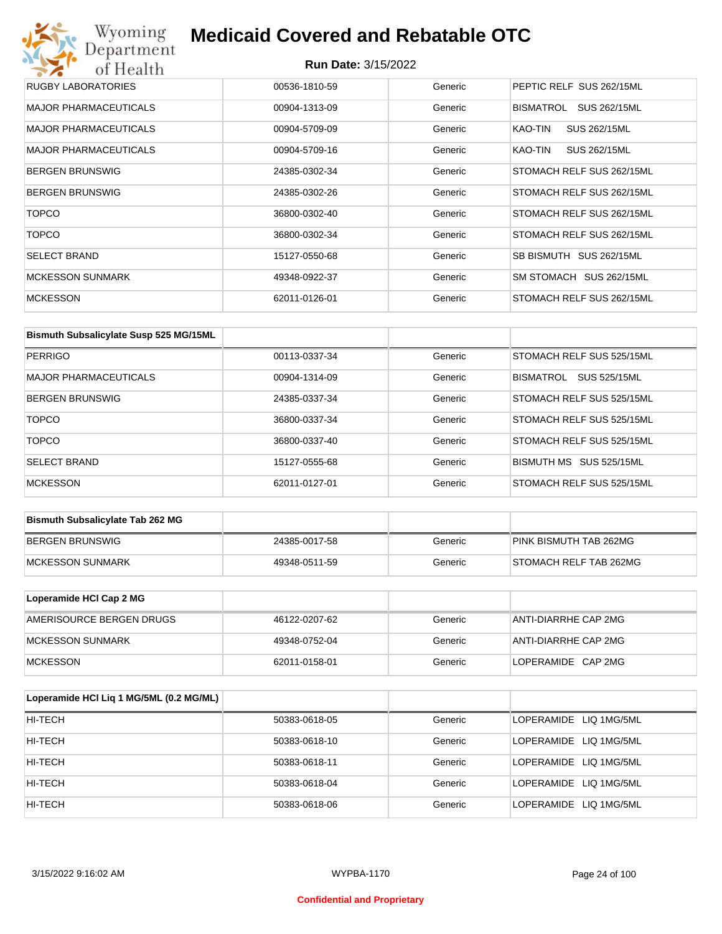## Wyoming<br>Department<br>of Health **Medicaid Covered and Rebatable OTC**

| RUGBY LABORATORIES           | 00536-1810-59 | Generic | PEPTIC RELF SUS 262/15ML  |
|------------------------------|---------------|---------|---------------------------|
| <b>MAJOR PHARMACEUTICALS</b> | 00904-1313-09 | Generic | BISMATROL<br>SUS 262/15ML |
| <b>MAJOR PHARMACEUTICALS</b> | 00904-5709-09 | Generic | SUS 262/15ML<br>KAO-TIN   |
| <b>MAJOR PHARMACEUTICALS</b> | 00904-5709-16 | Generic | SUS 262/15ML<br>KAO-TIN   |
| <b>BERGEN BRUNSWIG</b>       | 24385-0302-34 | Generic | STOMACH RELF SUS 262/15ML |
| <b>BERGEN BRUNSWIG</b>       | 24385-0302-26 | Generic | STOMACH RELF SUS 262/15ML |
| <b>TOPCO</b>                 | 36800-0302-40 | Generic | STOMACH RELF SUS 262/15ML |
| <b>TOPCO</b>                 | 36800-0302-34 | Generic | STOMACH RELF SUS 262/15ML |
| <b>SELECT BRAND</b>          | 15127-0550-68 | Generic | SB BISMUTH SUS 262/15ML   |
| <b>MCKESSON SUNMARK</b>      | 49348-0922-37 | Generic | SM STOMACH SUS 262/15ML   |
| <b>MCKESSON</b>              | 62011-0126-01 | Generic | STOMACH RELF SUS 262/15ML |

| Bismuth Subsalicylate Susp 525 MG/15ML |               |         |                                  |
|----------------------------------------|---------------|---------|----------------------------------|
| PERRIGO                                | 00113-0337-34 | Generic | STOMACH RELF SUS 525/15ML        |
| <b>MAJOR PHARMACEUTICALS</b>           | 00904-1314-09 | Generic | <b>SUS 525/15ML</b><br>BISMATROL |
| <b>BERGEN BRUNSWIG</b>                 | 24385-0337-34 | Generic | STOMACH RELF SUS 525/15ML        |
| <b>TOPCO</b>                           | 36800-0337-34 | Generic | STOMACH RELF SUS 525/15ML        |
| <b>TOPCO</b>                           | 36800-0337-40 | Generic | STOMACH RELF SUS 525/15ML        |
| <b>SELECT BRAND</b>                    | 15127-0555-68 | Generic | BISMUTH MS SUS 525/15ML          |
| <b>MCKESSON</b>                        | 62011-0127-01 | Generic | STOMACH RELF SUS 525/15ML        |

| <b>Bismuth Subsalicylate Tab 262 MG</b> |               |         |                        |
|-----------------------------------------|---------------|---------|------------------------|
| BERGEN BRUNSWIG                         | 24385-0017-58 | Generic | PINK BISMUTH TAB 262MG |
| <b>IMCKESSON SUNMARK</b>                | 49348-0511-59 | Generic | STOMACH RELF TAB 262MG |

| Loperamide HCI Cap 2 MG  |               |         |                      |
|--------------------------|---------------|---------|----------------------|
| AMERISOURCE BERGEN DRUGS | 46122-0207-62 | Generic | ANTI-DIARRHE CAP 2MG |
| IMCKESSON SUNMARK        | 49348-0752-04 | Generic | ANTI-DIARRHE CAP 2MG |
| IMCKESSON                | 62011-0158-01 | Generic | LOPERAMIDE CAP 2MG   |

| Loperamide HCI Liq 1 MG/5ML (0.2 MG/ML) |               |         |                        |
|-----------------------------------------|---------------|---------|------------------------|
| HI-TECH                                 | 50383-0618-05 | Generic | LOPERAMIDE LIQ 1MG/5ML |
| HI-TECH                                 | 50383-0618-10 | Generic | LOPERAMIDE LIQ 1MG/5ML |
| HI-TECH                                 | 50383-0618-11 | Generic | LOPERAMIDE LIQ 1MG/5ML |
| HI-TECH                                 | 50383-0618-04 | Generic | LOPERAMIDE LIQ 1MG/5ML |
| HI-TECH                                 | 50383-0618-06 | Generic | LOPERAMIDE LIQ 1MG/5ML |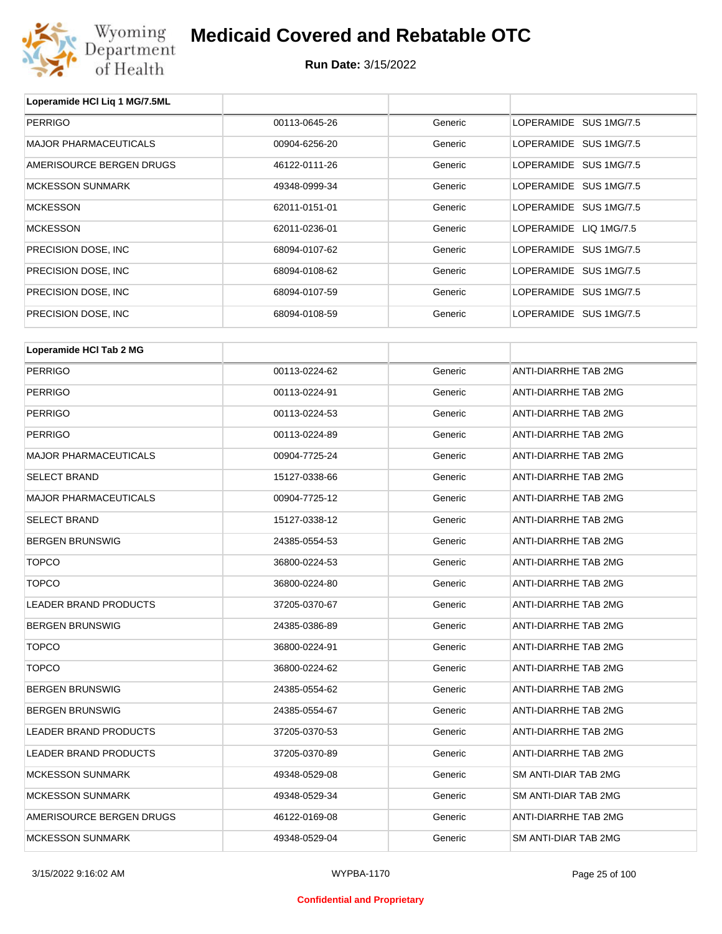

**Run Date:** 3/15/2022

| Loperamide HCI Liq 1 MG/7.5ML |               |         |                             |
|-------------------------------|---------------|---------|-----------------------------|
| <b>PERRIGO</b>                | 00113-0645-26 | Generic | LOPERAMIDE SUS 1MG/7.5      |
| <b>MAJOR PHARMACEUTICALS</b>  | 00904-6256-20 | Generic | LOPERAMIDE SUS 1MG/7.5      |
| AMERISOURCE BERGEN DRUGS      | 46122-0111-26 | Generic | LOPERAMIDE SUS 1MG/7.5      |
| <b>MCKESSON SUNMARK</b>       | 49348-0999-34 | Generic | LOPERAMIDE SUS 1MG/7.5      |
| <b>MCKESSON</b>               | 62011-0151-01 | Generic | LOPERAMIDE SUS 1MG/7.5      |
| <b>MCKESSON</b>               | 62011-0236-01 | Generic | LOPERAMIDE LIQ 1MG/7.5      |
| PRECISION DOSE, INC           | 68094-0107-62 | Generic | LOPERAMIDE SUS 1MG/7.5      |
| PRECISION DOSE, INC           | 68094-0108-62 | Generic | LOPERAMIDE SUS 1MG/7.5      |
| PRECISION DOSE, INC           | 68094-0107-59 | Generic | LOPERAMIDE SUS 1MG/7.5      |
| PRECISION DOSE, INC           | 68094-0108-59 | Generic | LOPERAMIDE SUS 1MG/7.5      |
|                               |               |         |                             |
| Loperamide HCI Tab 2 MG       |               |         |                             |
| <b>PERRIGO</b>                | 00113-0224-62 | Generic | ANTI-DIARRHE TAB 2MG        |
| <b>PERRIGO</b>                | 00113-0224-91 | Generic | ANTI-DIARRHE TAB 2MG        |
| <b>PERRIGO</b>                | 00113-0224-53 | Generic | <b>ANTI-DIARRHE TAB 2MG</b> |
| <b>PERRIGO</b>                | 00113-0224-89 | Generic | ANTI-DIARRHE TAB 2MG        |
| <b>MAJOR PHARMACEUTICALS</b>  | 00904-7725-24 | Generic | <b>ANTI-DIARRHE TAB 2MG</b> |
| <b>SELECT BRAND</b>           | 15127-0338-66 | Generic | ANTI-DIARRHE TAB 2MG        |
| <b>MAJOR PHARMACEUTICALS</b>  | 00904-7725-12 | Generic | ANTI-DIARRHE TAB 2MG        |
| <b>SELECT BRAND</b>           | 15127-0338-12 | Generic | ANTI-DIARRHE TAB 2MG        |
| <b>BERGEN BRUNSWIG</b>        | 24385-0554-53 | Generic | ANTI-DIARRHE TAB 2MG        |
| <b>TOPCO</b>                  | 36800-0224-53 | Generic | ANTI-DIARRHE TAB 2MG        |
| <b>TOPCO</b>                  | 36800-0224-80 | Generic | <b>ANTI-DIARRHE TAB 2MG</b> |
| <b>LEADER BRAND PRODUCTS</b>  | 37205-0370-67 | Generic | ANTI-DIARRHE TAB 2MG        |

| TOPCO                    | 36800-0224-91 | Generic | ANTI-DIARRHE TAB 2MG |
|--------------------------|---------------|---------|----------------------|
| TOPCO                    | 36800-0224-62 | Generic | ANTI-DIARRHE TAB 2MG |
| BERGEN BRUNSWIG          | 24385-0554-62 | Generic | ANTI-DIARRHE TAB 2MG |
| BERGEN BRUNSWIG          | 24385-0554-67 | Generic | ANTI-DIARRHE TAB 2MG |
| LEADER BRAND PRODUCTS    | 37205-0370-53 | Generic | ANTI-DIARRHE TAB 2MG |
| LEADER BRAND PRODUCTS    | 37205-0370-89 | Generic | ANTI-DIARRHE TAB 2MG |
| MCKESSON SUNMARK         | 49348-0529-08 | Generic | SM ANTI-DIAR TAB 2MG |
| MCKESSON SUNMARK         | 49348-0529-34 | Generic | SM ANTI-DIAR TAB 2MG |
| AMERISOURCE BERGEN DRUGS | 46122-0169-08 | Generic | ANTI-DIARRHE TAB 2MG |
| MCKESSON SUNMARK         | 49348-0529-04 | Generic | SM ANTI-DIAR TAB 2MG |

BERGEN BRUNSWIG **EXAMPLE 24385-0386-89** 24385-0386-89 Generic ANTI-DIARRHE TAB 2MG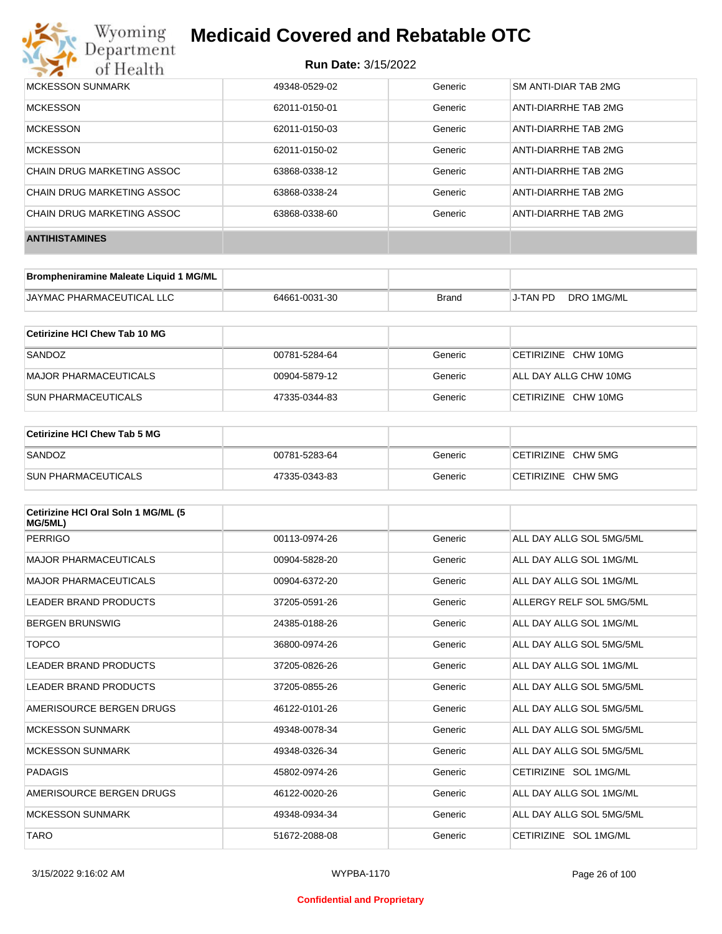

| <b>MCKESSON SUNMARK</b>    | 49348-0529-02 | Generic | <b>SM ANTI-DIAR TAB 2MG</b> |
|----------------------------|---------------|---------|-----------------------------|
| <b>MCKESSON</b>            | 62011-0150-01 | Generic | ANTI-DIARRHE TAB 2MG        |
| <b>MCKESSON</b>            | 62011-0150-03 | Generic | ANTI-DIARRHE TAB 2MG        |
| <b>MCKESSON</b>            | 62011-0150-02 | Generic | ANTI-DIARRHE TAB 2MG        |
| CHAIN DRUG MARKETING ASSOC | 63868-0338-12 | Generic | ANTI-DIARRHE TAB 2MG        |
| CHAIN DRUG MARKETING ASSOC | 63868-0338-24 | Generic | ANTI-DIARRHE TAB 2MG        |
| CHAIN DRUG MARKETING ASSOC | 63868-0338-60 | Generic | ANTI-DIARRHE TAB 2MG        |
| <b>ANTIHISTAMINES</b>      |               |         |                             |

| Brompheniramine Maleate Liquid 1 MG/ML |               |       |          |            |
|----------------------------------------|---------------|-------|----------|------------|
| JAYMAC PHARMACEUTICAL LLC              | 64661-0031-30 | Brand | J-TAN PD | DRO 1MG/ML |

| Cetirizine HCI Chew Tab 10 MG |               |         |                       |
|-------------------------------|---------------|---------|-----------------------|
| SANDOZ                        | 00781-5284-64 | Generic | CETIRIZINE CHW 10MG   |
| MAJOR PHARMACEUTICALS         | 00904-5879-12 | Generic | ALL DAY ALLG CHW 10MG |
| ISUN PHARMACEUTICALS          | 47335-0344-83 | Generic | CETIRIZINE CHW 10MG   |

| Cetirizine HCI Chew Tab 5 MG |               |         |                    |
|------------------------------|---------------|---------|--------------------|
| SANDOZ                       | 00781-5283-64 | Generic | CETIRIZINE CHW 5MG |
| <b>SUN PHARMACEUTICALS</b>   | 47335-0343-83 | Generic | CETIRIZINE CHW 5MG |

| Cetirizine HCI Oral Soln 1 MG/ML (5<br>MG/5ML) |               |         |                          |
|------------------------------------------------|---------------|---------|--------------------------|
| PERRIGO                                        | 00113-0974-26 | Generic | ALL DAY ALLG SOL 5MG/5ML |
| <b>MAJOR PHARMACEUTICALS</b>                   | 00904-5828-20 | Generic | ALL DAY ALLG SOL 1MG/ML  |
| <b>MAJOR PHARMACEUTICALS</b>                   | 00904-6372-20 | Generic | ALL DAY ALLG SOL 1MG/ML  |
| <b>LEADER BRAND PRODUCTS</b>                   | 37205-0591-26 | Generic | ALLERGY RELF SOL 5MG/5ML |
| <b>BERGEN BRUNSWIG</b>                         | 24385-0188-26 | Generic | ALL DAY ALLG SOL 1MG/ML  |
| <b>TOPCO</b>                                   | 36800-0974-26 | Generic | ALL DAY ALLG SOL 5MG/5ML |
| <b>LEADER BRAND PRODUCTS</b>                   | 37205-0826-26 | Generic | ALL DAY ALLG SOL 1MG/ML  |
| LEADER BRAND PRODUCTS                          | 37205-0855-26 | Generic | ALL DAY ALLG SOL 5MG/5ML |
| AMERISOURCE BERGEN DRUGS                       | 46122-0101-26 | Generic | ALL DAY ALLG SOL 5MG/5ML |
| <b>MCKESSON SUNMARK</b>                        | 49348-0078-34 | Generic | ALL DAY ALLG SOL 5MG/5ML |
| <b>MCKESSON SUNMARK</b>                        | 49348-0326-34 | Generic | ALL DAY ALLG SOL 5MG/5ML |
| PADAGIS                                        | 45802-0974-26 | Generic | CETIRIZINE SOL 1MG/ML    |
| AMERISOURCE BERGEN DRUGS                       | 46122-0020-26 | Generic | ALL DAY ALLG SOL 1MG/ML  |
| <b>MCKESSON SUNMARK</b>                        | 49348-0934-34 | Generic | ALL DAY ALLG SOL 5MG/5ML |
| <b>TARO</b>                                    | 51672-2088-08 | Generic | CETIRIZINE SOL 1MG/ML    |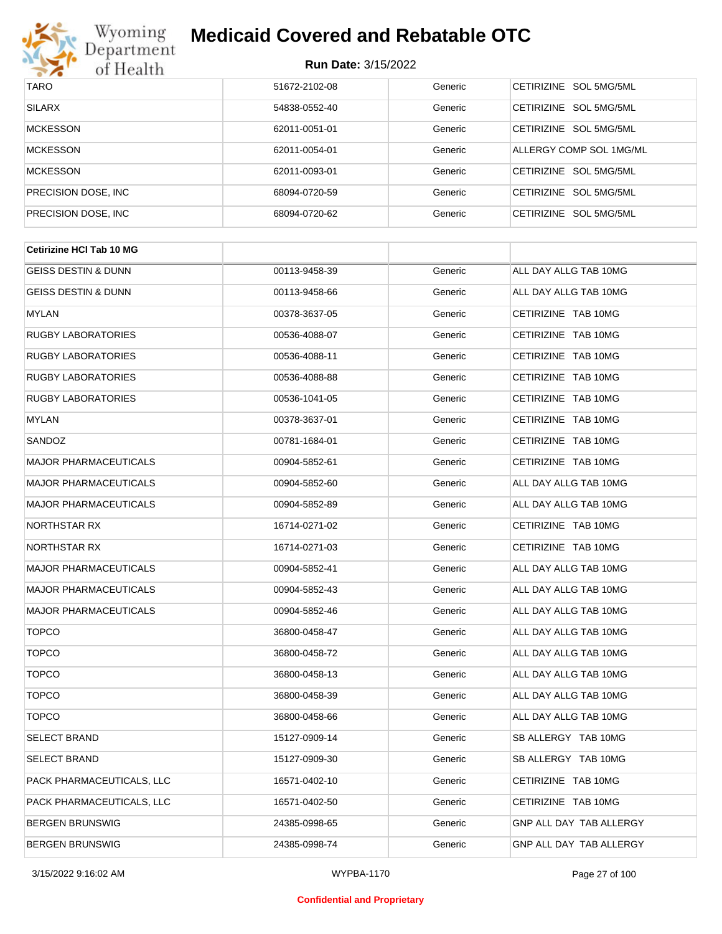

| <b>TARO</b>          | 51672-2102-08 | Generic | CETIRIZINE SOL 5MG/5ML  |
|----------------------|---------------|---------|-------------------------|
| <b>SILARX</b>        | 54838-0552-40 | Generic | CETIRIZINE SOL 5MG/5ML  |
| <b>MCKESSON</b>      | 62011-0051-01 | Generic | CETIRIZINE SOL 5MG/5ML  |
| <b>MCKESSON</b>      | 62011-0054-01 | Generic | ALLERGY COMP SOL 1MG/ML |
| <b>MCKESSON</b>      | 62011-0093-01 | Generic | CETIRIZINE SOL 5MG/5ML  |
| PRECISION DOSE, INC. | 68094-0720-59 | Generic | CETIRIZINE SOL 5MG/5ML  |
| PRECISION DOSE, INC. | 68094-0720-62 | Generic | CETIRIZINE SOL 5MG/5ML  |

| 00113-9458-39 | Generic | ALL DAY ALLG TAB 10MG          |
|---------------|---------|--------------------------------|
| 00113-9458-66 | Generic | ALL DAY ALLG TAB 10MG          |
| 00378-3637-05 | Generic | CETIRIZINE TAB 10MG            |
| 00536-4088-07 | Generic | CETIRIZINE TAB 10MG            |
| 00536-4088-11 | Generic | CETIRIZINE TAB 10MG            |
| 00536-4088-88 | Generic | CETIRIZINE TAB 10MG            |
| 00536-1041-05 | Generic | CETIRIZINE TAB 10MG            |
| 00378-3637-01 | Generic | CETIRIZINE TAB 10MG            |
| 00781-1684-01 | Generic | CETIRIZINE TAB 10MG            |
| 00904-5852-61 | Generic | CETIRIZINE TAB 10MG            |
| 00904-5852-60 | Generic | ALL DAY ALLG TAB 10MG          |
| 00904-5852-89 | Generic | ALL DAY ALLG TAB 10MG          |
| 16714-0271-02 | Generic | CETIRIZINE TAB 10MG            |
| 16714-0271-03 | Generic | CETIRIZINE TAB 10MG            |
| 00904-5852-41 | Generic | ALL DAY ALLG TAB 10MG          |
| 00904-5852-43 | Generic | ALL DAY ALLG TAB 10MG          |
| 00904-5852-46 | Generic | ALL DAY ALLG TAB 10MG          |
| 36800-0458-47 | Generic | ALL DAY ALLG TAB 10MG          |
| 36800-0458-72 | Generic | ALL DAY ALLG TAB 10MG          |
| 36800-0458-13 | Generic | ALL DAY ALLG TAB 10MG          |
| 36800-0458-39 | Generic | ALL DAY ALLG TAB 10MG          |
| 36800-0458-66 | Generic | ALL DAY ALLG TAB 10MG          |
| 15127-0909-14 | Generic | SB ALLERGY TAB 10MG            |
| 15127-0909-30 | Generic | SB ALLERGY TAB 10MG            |
| 16571-0402-10 | Generic | CETIRIZINE TAB 10MG            |
| 16571-0402-50 | Generic | CETIRIZINE TAB 10MG            |
| 24385-0998-65 | Generic | <b>GNP ALL DAY TAB ALLERGY</b> |
| 24385-0998-74 | Generic | GNP ALL DAY TAB ALLERGY        |
|               |         |                                |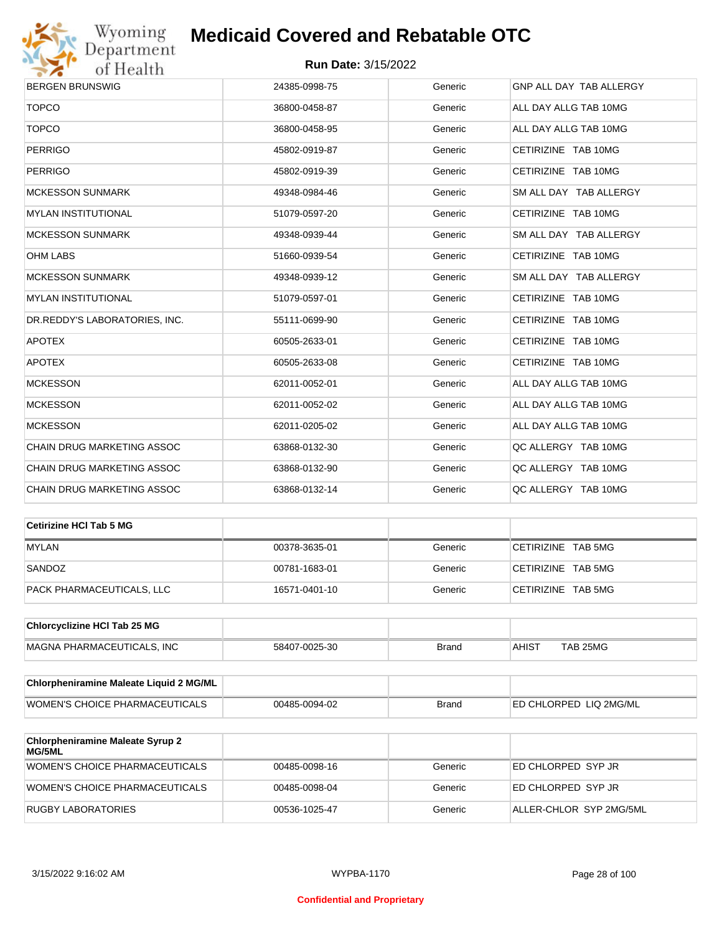

| <b>BERGEN BRUNSWIG</b>            | 24385-0998-75 | Generic | GNP ALL DAY TAB ALLERGY |
|-----------------------------------|---------------|---------|-------------------------|
| <b>TOPCO</b>                      | 36800-0458-87 | Generic | ALL DAY ALLG TAB 10MG   |
| <b>TOPCO</b>                      | 36800-0458-95 | Generic | ALL DAY ALLG TAB 10MG   |
| <b>PERRIGO</b>                    | 45802-0919-87 | Generic | CETIRIZINE TAB 10MG     |
| <b>PERRIGO</b>                    | 45802-0919-39 | Generic | CETIRIZINE TAB 10MG     |
| <b>MCKESSON SUNMARK</b>           | 49348-0984-46 | Generic | SM ALL DAY TAB ALLERGY  |
| <b>MYLAN INSTITUTIONAL</b>        | 51079-0597-20 | Generic | CETIRIZINE TAB 10MG     |
| <b>MCKESSON SUNMARK</b>           | 49348-0939-44 | Generic | SM ALL DAY TAB ALLERGY  |
| <b>OHM LABS</b>                   | 51660-0939-54 | Generic | CETIRIZINE TAB 10MG     |
| <b>MCKESSON SUNMARK</b>           | 49348-0939-12 | Generic | SM ALL DAY TAB ALLERGY  |
| <b>MYLAN INSTITUTIONAL</b>        | 51079-0597-01 | Generic | CETIRIZINE TAB 10MG     |
| DR.REDDY'S LABORATORIES, INC.     | 55111-0699-90 | Generic | CETIRIZINE TAB 10MG     |
| <b>APOTEX</b>                     | 60505-2633-01 | Generic | CETIRIZINE TAB 10MG     |
| <b>APOTEX</b>                     | 60505-2633-08 | Generic | CETIRIZINE TAB 10MG     |
| <b>MCKESSON</b>                   | 62011-0052-01 | Generic | ALL DAY ALLG TAB 10MG   |
| <b>MCKESSON</b>                   | 62011-0052-02 | Generic | ALL DAY ALLG TAB 10MG   |
| <b>MCKESSON</b>                   | 62011-0205-02 | Generic | ALL DAY ALLG TAB 10MG   |
| CHAIN DRUG MARKETING ASSOC        | 63868-0132-30 | Generic | QC ALLERGY TAB 10MG     |
| CHAIN DRUG MARKETING ASSOC        | 63868-0132-90 | Generic | QC ALLERGY TAB 10MG     |
| <b>CHAIN DRUG MARKETING ASSOC</b> | 63868-0132-14 | Generic | QC ALLERGY TAB 10MG     |

| Cetirizine HCI Tab 5 MG   |               |         |                    |
|---------------------------|---------------|---------|--------------------|
| <b>MYLAN</b>              | 00378-3635-01 | Generic | CETIRIZINE TAB 5MG |
| SANDOZ                    | 00781-1683-01 | Generic | CETIRIZINE TAB 5MG |
| PACK PHARMACEUTICALS, LLC | 16571-0401-10 | Generic | CETIRIZINE TAB 5MG |

| <b>Chlorcyclizine HCI Tab 25 MG</b> |               |       |              |          |
|-------------------------------------|---------------|-------|--------------|----------|
| MAGNA PHARMACEUTICALS. INC          | 58407-0025-30 | Brand | <b>AHIST</b> | TAB 25MG |

| <b>Chlorpheniramine Maleate Liquid 2 MG/ML</b> |               |              |                                |
|------------------------------------------------|---------------|--------------|--------------------------------|
| WOMEN'S CHOICE PHARMACEUTICALS                 | 00485-0094-02 | <b>Brand</b> | <b>IED CHLORPED LIQ 2MG/ML</b> |

| <b>Chlorpheniramine Maleate Syrup 2</b><br>MG/5ML |               |         |                         |
|---------------------------------------------------|---------------|---------|-------------------------|
| WOMEN'S CHOICE PHARMACEUTICALS                    | 00485-0098-16 | Generic | ED CHLORPED SYP JR      |
| WOMEN'S CHOICE PHARMACEUTICALS                    | 00485-0098-04 | Generic | ED CHLORPED SYP JR      |
| RUGBY LABORATORIES                                | 00536-1025-47 | Generic | ALLER-CHLOR SYP 2MG/5ML |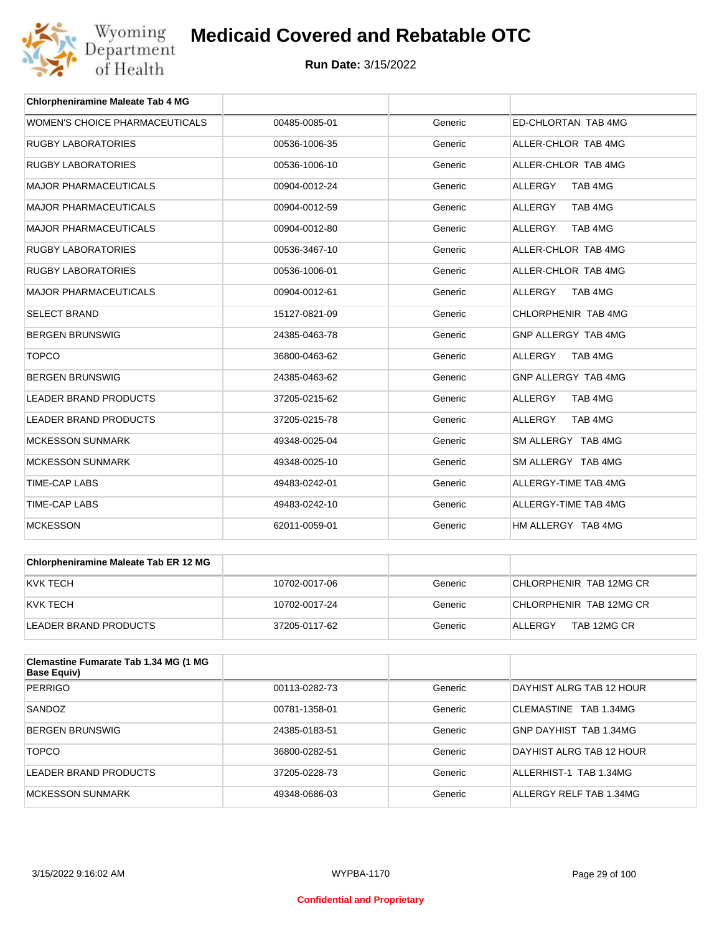

| <b>Chlorpheniramine Maleate Tab 4 MG</b> |               |         |                           |
|------------------------------------------|---------------|---------|---------------------------|
| WOMEN'S CHOICE PHARMACEUTICALS           | 00485-0085-01 | Generic | ED-CHLORTAN TAB 4MG       |
| <b>RUGBY LABORATORIES</b>                | 00536-1006-35 | Generic | ALLER-CHLOR TAB 4MG       |
| <b>RUGBY LABORATORIES</b>                | 00536-1006-10 | Generic | ALLER-CHLOR TAB 4MG       |
| <b>MAJOR PHARMACEUTICALS</b>             | 00904-0012-24 | Generic | <b>ALLERGY</b><br>TAB 4MG |
| <b>MAJOR PHARMACEUTICALS</b>             | 00904-0012-59 | Generic | TAB 4MG<br><b>ALLERGY</b> |
| <b>MAJOR PHARMACEUTICALS</b>             | 00904-0012-80 | Generic | <b>ALLERGY</b><br>TAB 4MG |
| <b>RUGBY LABORATORIES</b>                | 00536-3467-10 | Generic | ALLER-CHLOR TAB 4MG       |
| <b>RUGBY LABORATORIES</b>                | 00536-1006-01 | Generic | ALLER-CHLOR TAB 4MG       |
| <b>MAJOR PHARMACEUTICALS</b>             | 00904-0012-61 | Generic | ALLERGY<br>TAB 4MG        |
| <b>SELECT BRAND</b>                      | 15127-0821-09 | Generic | CHLORPHENIR TAB 4MG       |
| <b>BERGEN BRUNSWIG</b>                   | 24385-0463-78 | Generic | GNP ALLERGY TAB 4MG       |
| <b>TOPCO</b>                             | 36800-0463-62 | Generic | TAB 4MG<br><b>ALLERGY</b> |
| <b>BERGEN BRUNSWIG</b>                   | 24385-0463-62 | Generic | GNP ALLERGY TAB 4MG       |
| <b>LEADER BRAND PRODUCTS</b>             | 37205-0215-62 | Generic | <b>ALLERGY</b><br>TAB 4MG |
| <b>LEADER BRAND PRODUCTS</b>             | 37205-0215-78 | Generic | <b>ALLERGY</b><br>TAB 4MG |
| <b>MCKESSON SUNMARK</b>                  | 49348-0025-04 | Generic | SM ALLERGY TAB 4MG        |
| <b>MCKESSON SUNMARK</b>                  | 49348-0025-10 | Generic | SM ALLERGY TAB 4MG        |
| <b>TIME-CAP LABS</b>                     | 49483-0242-01 | Generic | ALLERGY-TIME TAB 4MG      |
| <b>TIME-CAP LABS</b>                     | 49483-0242-10 | Generic | ALLERGY-TIME TAB 4MG      |
| <b>MCKESSON</b>                          | 62011-0059-01 | Generic | HM ALLERGY TAB 4MG        |

| <b>Chlorpheniramine Maleate Tab ER 12 MG</b> |               |         |                         |
|----------------------------------------------|---------------|---------|-------------------------|
| KVK TECH                                     | 10702-0017-06 | Generic | CHLORPHENIR TAB 12MG CR |
| KVK TECH                                     | 10702-0017-24 | Generic | CHLORPHENIR TAB 12MG CR |
| LEADER BRAND PRODUCTS                        | 37205-0117-62 | Generic | TAB 12MG CR<br>ALLERGY  |

| Clemastine Fumarate Tab 1.34 MG (1 MG<br><b>Base Equiv)</b> |               |         |                          |
|-------------------------------------------------------------|---------------|---------|--------------------------|
| <b>PERRIGO</b>                                              | 00113-0282-73 | Generic | DAYHIST ALRG TAB 12 HOUR |
| SANDOZ                                                      | 00781-1358-01 | Generic | CLEMASTINE TAB 1.34MG    |
| BERGEN BRUNSWIG                                             | 24385-0183-51 | Generic | GNP DAYHIST TAB 1.34MG   |
| <b>TOPCO</b>                                                | 36800-0282-51 | Generic | DAYHIST ALRG TAB 12 HOUR |
| LEADER BRAND PRODUCTS                                       | 37205-0228-73 | Generic | ALLERHIST-1 TAB 1.34MG   |
| <b>MCKESSON SUNMARK</b>                                     | 49348-0686-03 | Generic | ALLERGY RELF TAB 1.34MG  |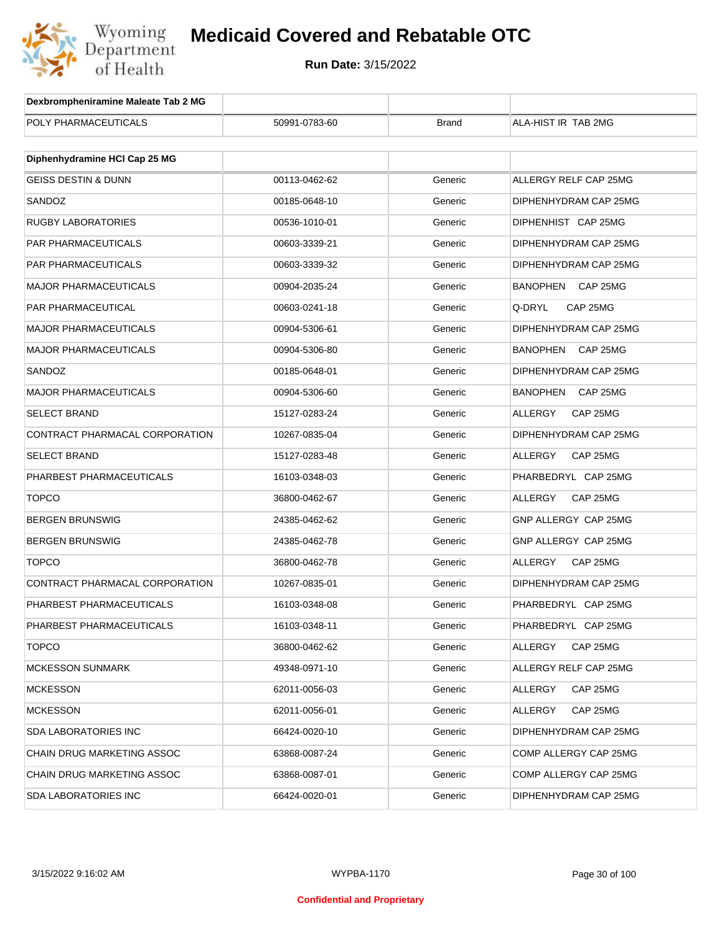

| Dexbrompheniramine Maleate Tab 2 MG |               |              |                             |
|-------------------------------------|---------------|--------------|-----------------------------|
| POLY PHARMACEUTICALS                | 50991-0783-60 | <b>Brand</b> | ALA-HIST IR TAB 2MG         |
|                                     |               |              |                             |
| Diphenhydramine HCI Cap 25 MG       |               |              |                             |
| <b>GEISS DESTIN &amp; DUNN</b>      | 00113-0462-62 | Generic      | ALLERGY RELF CAP 25MG       |
| SANDOZ                              | 00185-0648-10 | Generic      | DIPHENHYDRAM CAP 25MG       |
| <b>RUGBY LABORATORIES</b>           | 00536-1010-01 | Generic      | DIPHENHIST CAP 25MG         |
| PAR PHARMACEUTICALS                 | 00603-3339-21 | Generic      | DIPHENHYDRAM CAP 25MG       |
| PAR PHARMACEUTICALS                 | 00603-3339-32 | Generic      | DIPHENHYDRAM CAP 25MG       |
| <b>MAJOR PHARMACEUTICALS</b>        | 00904-2035-24 | Generic      | BANOPHEN CAP 25MG           |
| PAR PHARMACEUTICAL                  | 00603-0241-18 | Generic      | Q-DRYL<br>CAP 25MG          |
| <b>MAJOR PHARMACEUTICALS</b>        | 00904-5306-61 | Generic      | DIPHENHYDRAM CAP 25MG       |
| <b>MAJOR PHARMACEUTICALS</b>        | 00904-5306-80 | Generic      | <b>BANOPHEN</b><br>CAP 25MG |
| SANDOZ                              | 00185-0648-01 | Generic      | DIPHENHYDRAM CAP 25MG       |
| <b>MAJOR PHARMACEUTICALS</b>        | 00904-5306-60 | Generic      | BANOPHEN<br>CAP 25MG        |
| <b>SELECT BRAND</b>                 | 15127-0283-24 | Generic      | ALLERGY<br>CAP 25MG         |
| CONTRACT PHARMACAL CORPORATION      | 10267-0835-04 | Generic      | DIPHENHYDRAM CAP 25MG       |
| <b>SELECT BRAND</b>                 | 15127-0283-48 | Generic      | ALLERGY<br>CAP 25MG         |
| PHARBEST PHARMACEUTICALS            | 16103-0348-03 | Generic      | PHARBEDRYL CAP 25MG         |
| <b>TOPCO</b>                        | 36800-0462-67 | Generic      | ALLERGY<br>CAP 25MG         |
| <b>BERGEN BRUNSWIG</b>              | 24385-0462-62 | Generic      | GNP ALLERGY CAP 25MG        |
| <b>BERGEN BRUNSWIG</b>              | 24385-0462-78 | Generic      | GNP ALLERGY CAP 25MG        |
| <b>TOPCO</b>                        | 36800-0462-78 | Generic      | <b>ALLERGY</b><br>CAP 25MG  |
| CONTRACT PHARMACAL CORPORATION      | 10267-0835-01 | Generic      | DIPHENHYDRAM CAP 25MG       |
| PHARBEST PHARMACEUTICALS            | 16103-0348-08 | Generic      | PHARBEDRYL CAP 25MG         |
| PHARBEST PHARMACEUTICALS            | 16103-0348-11 | Generic      | PHARBEDRYL CAP 25MG         |
| <b>TOPCO</b>                        | 36800-0462-62 | Generic      | ALLERGY<br>CAP 25MG         |
| <b>MCKESSON SUNMARK</b>             | 49348-0971-10 | Generic      | ALLERGY RELF CAP 25MG       |
| <b>MCKESSON</b>                     | 62011-0056-03 | Generic      | ALLERGY<br>CAP 25MG         |
| <b>MCKESSON</b>                     | 62011-0056-01 | Generic      | ALLERGY<br>CAP 25MG         |
| SDA LABORATORIES INC                | 66424-0020-10 | Generic      | DIPHENHYDRAM CAP 25MG       |
| CHAIN DRUG MARKETING ASSOC          | 63868-0087-24 | Generic      | COMP ALLERGY CAP 25MG       |
| CHAIN DRUG MARKETING ASSOC          | 63868-0087-01 | Generic      | COMP ALLERGY CAP 25MG       |
| <b>SDA LABORATORIES INC</b>         | 66424-0020-01 | Generic      | DIPHENHYDRAM CAP 25MG       |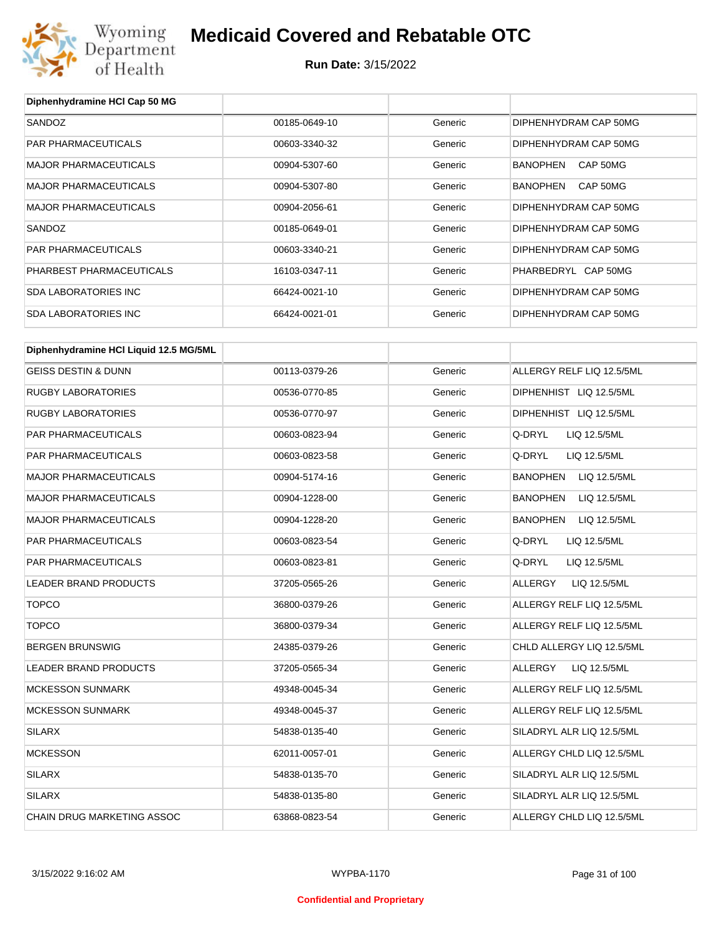

**Diphenhydramine HCl Cap 50 MG**

## **Medicaid Covered and Rebatable OTC**

| SANDOZ                                 | 00185-0649-10 | Generic | DIPHENHYDRAM CAP 50MG     |
|----------------------------------------|---------------|---------|---------------------------|
| PAR PHARMACEUTICALS                    | 00603-3340-32 | Generic | DIPHENHYDRAM CAP 50MG     |
| <b>MAJOR PHARMACEUTICALS</b>           | 00904-5307-60 | Generic | BANOPHEN CAP 50MG         |
| <b>MAJOR PHARMACEUTICALS</b>           | 00904-5307-80 | Generic | BANOPHEN CAP 50MG         |
| <b>MAJOR PHARMACEUTICALS</b>           | 00904-2056-61 | Generic | DIPHENHYDRAM CAP 50MG     |
| SANDOZ                                 | 00185-0649-01 | Generic | DIPHENHYDRAM CAP 50MG     |
| PAR PHARMACEUTICALS                    | 00603-3340-21 | Generic | DIPHENHYDRAM CAP 50MG     |
| PHARBEST PHARMACEUTICALS               | 16103-0347-11 | Generic | PHARBEDRYL CAP 50MG       |
| <b>SDA LABORATORIES INC</b>            | 66424-0021-10 | Generic | DIPHENHYDRAM CAP 50MG     |
| <b>SDA LABORATORIES INC</b>            | 66424-0021-01 | Generic | DIPHENHYDRAM CAP 50MG     |
|                                        |               |         |                           |
| Diphenhydramine HCI Liquid 12.5 MG/5ML |               |         |                           |
| <b>GEISS DESTIN &amp; DUNN</b>         | 00113-0379-26 | Generic | ALLERGY RELF LIQ 12.5/5ML |
| <b>RUGBY LABORATORIES</b>              | 00536-0770-85 | Generic | DIPHENHIST LIQ 12.5/5ML   |
| <b>RUGBY LABORATORIES</b>              | 00536-0770-97 | Generic | DIPHENHIST LIQ 12.5/5ML   |
| PAR PHARMACEUTICALS                    | 00603-0823-94 | Generic | Q-DRYL<br>LIQ 12.5/5ML    |
| PAR PHARMACEUTICALS                    | 00603-0823-58 | Generic | Q-DRYL<br>LIQ 12.5/5ML    |
| <b>MAJOR PHARMACEUTICALS</b>           | 00904-5174-16 | Generic | BANOPHEN<br>LIQ 12.5/5ML  |
| <b>MAJOR PHARMACEUTICALS</b>           | 00904-1228-00 | Generic | BANOPHEN<br>LIQ 12.5/5ML  |
| <b>MAJOR PHARMACEUTICALS</b>           | 00904-1228-20 | Generic | BANOPHEN<br>LIQ 12.5/5ML  |
| PAR PHARMACEUTICALS                    | 00603-0823-54 | Generic | Q-DRYL<br>LIQ 12.5/5ML    |
| PAR PHARMACEUTICALS                    | 00603-0823-81 | Generic | Q-DRYL<br>LIQ 12.5/5ML    |
| LEADER BRAND PRODUCTS                  | 37205-0565-26 | Generic | ALLERGY<br>LIQ 12.5/5ML   |
| <b>TOPCO</b>                           | 36800-0379-26 | Generic | ALLERGY RELF LIQ 12.5/5ML |
| <b>TOPCO</b>                           | 36800-0379-34 | Generic | ALLERGY RELF LIQ 12.5/5ML |
| <b>BERGEN BRUNSWIG</b>                 | 24385-0379-26 | Generic | CHLD ALLERGY LIQ 12.5/5ML |
| LEADER BRAND PRODUCTS                  | 37205-0565-34 | Generic | ALLERGY<br>LIQ 12.5/5ML   |
| <b>MCKESSON SUNMARK</b>                | 49348-0045-34 | Generic | ALLERGY RELF LIQ 12.5/5ML |
| <b>MCKESSON SUNMARK</b>                | 49348-0045-37 | Generic | ALLERGY RELF LIQ 12.5/5ML |
| SILARX                                 | 54838-0135-40 | Generic | SILADRYL ALR LIQ 12.5/5ML |
| <b>MCKESSON</b>                        | 62011-0057-01 | Generic | ALLERGY CHLD LIQ 12.5/5ML |
| <b>SILARX</b>                          | 54838-0135-70 | Generic | SILADRYL ALR LIQ 12.5/5ML |
| <b>SILARX</b>                          | 54838-0135-80 | Generic | SILADRYL ALR LIQ 12.5/5ML |
| CHAIN DRUG MARKETING ASSOC             | 63868-0823-54 | Generic | ALLERGY CHLD LIQ 12.5/5ML |
|                                        |               |         |                           |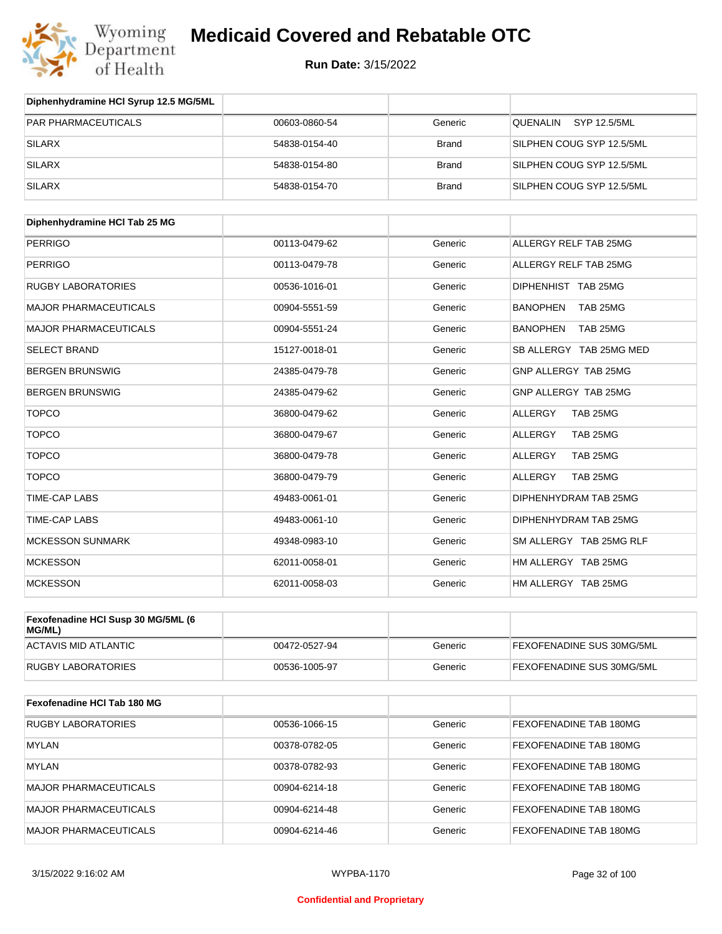

| Diphenhydramine HCI Syrup 12.5 MG/5ML |               |              |                           |
|---------------------------------------|---------------|--------------|---------------------------|
| <b>PAR PHARMACEUTICALS</b>            | 00603-0860-54 | Generic      | SYP 12.5/5ML<br>QUENALIN  |
| SILARX                                | 54838-0154-40 | <b>Brand</b> | SILPHEN COUG SYP 12.5/5ML |
| <b>SILARX</b>                         | 54838-0154-80 | <b>Brand</b> | SILPHEN COUG SYP 12.5/5ML |
| <b>SILARX</b>                         | 54838-0154-70 | <b>Brand</b> | SILPHEN COUG SYP 12.5/5ML |

| Diphenhydramine HCI Tab 25 MG |               |         |                             |
|-------------------------------|---------------|---------|-----------------------------|
| <b>PERRIGO</b>                | 00113-0479-62 | Generic | ALLERGY RELF TAB 25MG       |
| <b>PERRIGO</b>                | 00113-0479-78 | Generic | ALLERGY RELF TAB 25MG       |
| <b>RUGBY LABORATORIES</b>     | 00536-1016-01 | Generic | DIPHENHIST TAB 25MG         |
| <b>MAJOR PHARMACEUTICALS</b>  | 00904-5551-59 | Generic | <b>BANOPHEN</b><br>TAB 25MG |
| <b>MAJOR PHARMACEUTICALS</b>  | 00904-5551-24 | Generic | <b>BANOPHEN</b><br>TAB 25MG |
| <b>SELECT BRAND</b>           | 15127-0018-01 | Generic | SB ALLERGY TAB 25MG MED     |
| <b>BERGEN BRUNSWIG</b>        | 24385-0479-78 | Generic | GNP ALLERGY TAB 25MG        |
| <b>BERGEN BRUNSWIG</b>        | 24385-0479-62 | Generic | GNP ALLERGY TAB 25MG        |
| <b>TOPCO</b>                  | 36800-0479-62 | Generic | <b>ALLERGY</b><br>TAB 25MG  |
| <b>TOPCO</b>                  | 36800-0479-67 | Generic | ALLERGY<br>TAB 25MG         |
| <b>TOPCO</b>                  | 36800-0479-78 | Generic | <b>ALLERGY</b><br>TAB 25MG  |
| <b>TOPCO</b>                  | 36800-0479-79 | Generic | <b>ALLERGY</b><br>TAB 25MG  |
| <b>TIME-CAP LABS</b>          | 49483-0061-01 | Generic | DIPHENHYDRAM TAB 25MG       |
| <b>TIME-CAP LABS</b>          | 49483-0061-10 | Generic | DIPHENHYDRAM TAB 25MG       |
| <b>MCKESSON SUNMARK</b>       | 49348-0983-10 | Generic | SM ALLERGY TAB 25MG RLF     |
| <b>MCKESSON</b>               | 62011-0058-01 | Generic | HM ALLERGY TAB 25MG         |
| <b>MCKESSON</b>               | 62011-0058-03 | Generic | HM ALLERGY TAB 25MG         |

| Fexofenadine HCI Susp 30 MG/5ML (6<br>MG/ML) |               |         |                                  |
|----------------------------------------------|---------------|---------|----------------------------------|
| <b>ACTAVIS MID ATLANTIC</b>                  | 00472-0527-94 | Generic | <b>FEXOFENADINE SUS 30MG/5ML</b> |
| <b>RUGBY LABORATORIES</b>                    | 00536-1005-97 | Generic | <b>FEXOFENADINE SUS 30MG/5ML</b> |

| Fexofenadine HCI Tab 180 MG  |               |         |                               |
|------------------------------|---------------|---------|-------------------------------|
| <b>RUGBY LABORATORIES</b>    | 00536-1066-15 | Generic | <b>FEXOFENADINE TAB 180MG</b> |
| IMYLAN                       | 00378-0782-05 | Generic | <b>FEXOFENADINE TAB 180MG</b> |
| <b>MYLAN</b>                 | 00378-0782-93 | Generic | FEXOFENADINE TAB 180MG        |
| <b>MAJOR PHARMACEUTICALS</b> | 00904-6214-18 | Generic | <b>FEXOFENADINE TAB 180MG</b> |
| <b>MAJOR PHARMACEUTICALS</b> | 00904-6214-48 | Generic | FEXOFENADINE TAB 180MG        |
| <b>MAJOR PHARMACEUTICALS</b> | 00904-6214-46 | Generic | FEXOFENADINE TAB 180MG        |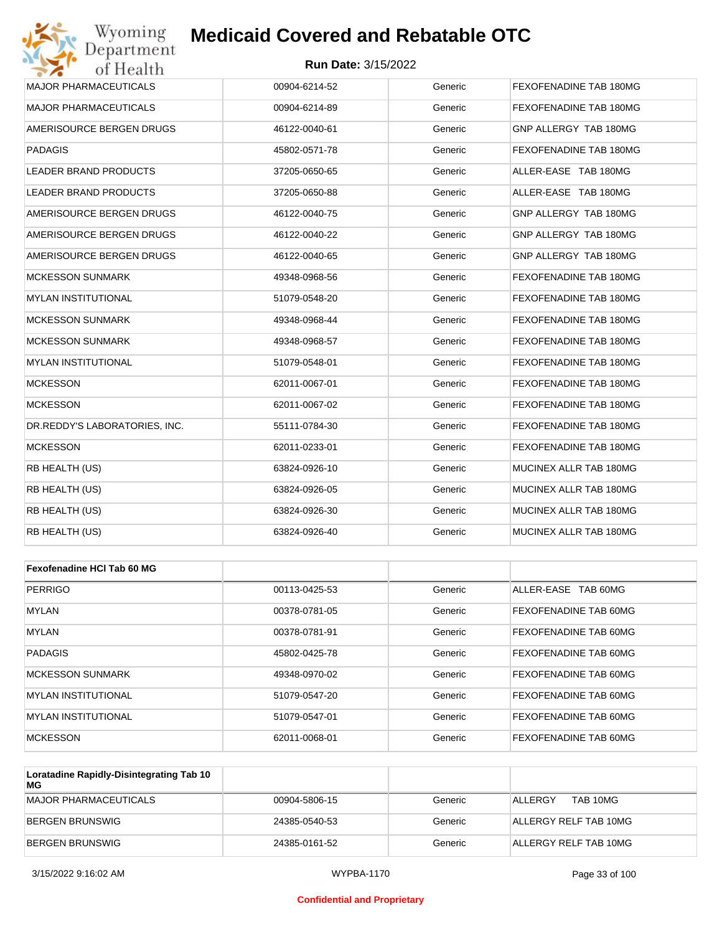#### **Run Date:** 3/15/2022

| Wyoming<br>Department         | <b>Medicaid Covered and Rebatable OTC</b> |         |                        |
|-------------------------------|-------------------------------------------|---------|------------------------|
| of Health                     | <b>Run Date: 3/15/2022</b>                |         |                        |
| MAJOR PHARMACEUTICALS         | 00904-6214-52                             | Generic | FEXOFENADINE TAB 180MG |
| <b>MAJOR PHARMACEUTICALS</b>  | 00904-6214-89                             | Generic | FEXOFENADINE TAB 180MG |
| AMERISOURCE BERGEN DRUGS      | 46122-0040-61                             | Generic | GNP ALLERGY TAB 180MG  |
| <b>PADAGIS</b>                | 45802-0571-78                             | Generic | FEXOFENADINE TAB 180MG |
| <b>LEADER BRAND PRODUCTS</b>  | 37205-0650-65                             | Generic | ALLER-EASE TAB 180MG   |
| LEADER BRAND PRODUCTS         | 37205-0650-88                             | Generic | ALLER-EASE TAB 180MG   |
| AMERISOURCE BERGEN DRUGS      | 46122-0040-75                             | Generic | GNP ALLERGY TAB 180MG  |
| AMERISOURCE BERGEN DRUGS      | 46122-0040-22                             | Generic | GNP ALLERGY TAB 180MG  |
| AMERISOURCE BERGEN DRUGS      | 46122-0040-65                             | Generic | GNP ALLERGY TAB 180MG  |
| <b>MCKESSON SUNMARK</b>       | 49348-0968-56                             | Generic | FEXOFENADINE TAB 180MG |
| <b>MYLAN INSTITUTIONAL</b>    | 51079-0548-20                             | Generic | FEXOFENADINE TAB 180MG |
| <b>MCKESSON SUNMARK</b>       | 49348-0968-44                             | Generic | FEXOFENADINE TAB 180MG |
| <b>MCKESSON SUNMARK</b>       | 49348-0968-57                             | Generic | FEXOFENADINE TAB 180MG |
| <b>MYLAN INSTITUTIONAL</b>    | 51079-0548-01                             | Generic | FEXOFENADINE TAB 180MG |
| <b>MCKESSON</b>               | 62011-0067-01                             | Generic | FEXOFENADINE TAB 180MG |
| <b>MCKESSON</b>               | 62011-0067-02                             | Generic | FEXOFENADINE TAB 180MG |
| DR.REDDY'S LABORATORIES, INC. | 55111-0784-30                             | Generic | FEXOFENADINE TAB 180MG |
| <b>MCKESSON</b>               | 62011-0233-01                             | Generic | FEXOFENADINE TAB 180MG |
| RB HEALTH (US)                | 63824-0926-10                             | Generic | MUCINEX ALLR TAB 180MG |
| RB HEALTH (US)                | 63824-0926-05                             | Generic | MUCINEX ALLR TAB 180MG |
| RB HEALTH (US)                | 63824-0926-30                             | Generic | MUCINEX ALLR TAB 180MG |
| RB HEALTH (US)                | 63824-0926-40                             | Generic | MUCINEX ALLR TAB 180MG |
| Fexofenadine HCI Tab 60 MG    |                                           |         |                        |
| <b>PERRIGO</b>                | 00113-0425-53                             | Generic | ALLER-EASE TAB 60MG    |
| MYLAN                         | 00378-0781-05                             | Generic | FEXOFENADINE TAB 60MG  |
| <b>MYLAN</b>                  | 00378-0781-91                             | Generic | FEXOFENADINE TAB 60MG  |
| <b>PADAGIS</b>                | 45802-0425-78                             | Generic | FEXOFENADINE TAB 60MG  |
| <b>MCKESSON SUNMARK</b>       | 49348-0970-02                             | Generic | FEXOFENADINE TAB 60MG  |
| <b>MYLAN INSTITUTIONAL</b>    | 51079-0547-20                             | Generic | FEXOFENADINE TAB 60MG  |

MCKESSON 62011-0068-01 Generic FEXOFENADINE TAB 60MG **Loratadine Rapidly-Disintegrating Tab 10 MG** MAJOR PHARMACEUTICALS 00904-5806-15 Generic |ALLERGY TAB 10MG

MYLAN INSTITUTIONAL 51079-0547-01 Generic FEXOFENADINE TAB 60MG

| MAJOR PHARMACEUTICALS | 00904-5806-15 | Generic | TAB 10MG<br><b>ALLERGY</b> |
|-----------------------|---------------|---------|----------------------------|
| BERGEN BRUNSWIG       | 24385-0540-53 | Generic | ALLERGY RELF TAB 10MG      |
| BERGEN BRUNSWIG       | 24385-0161-52 | Generic | ALLERGY RELF TAB 10MG      |

#### **Confidential and Proprietary**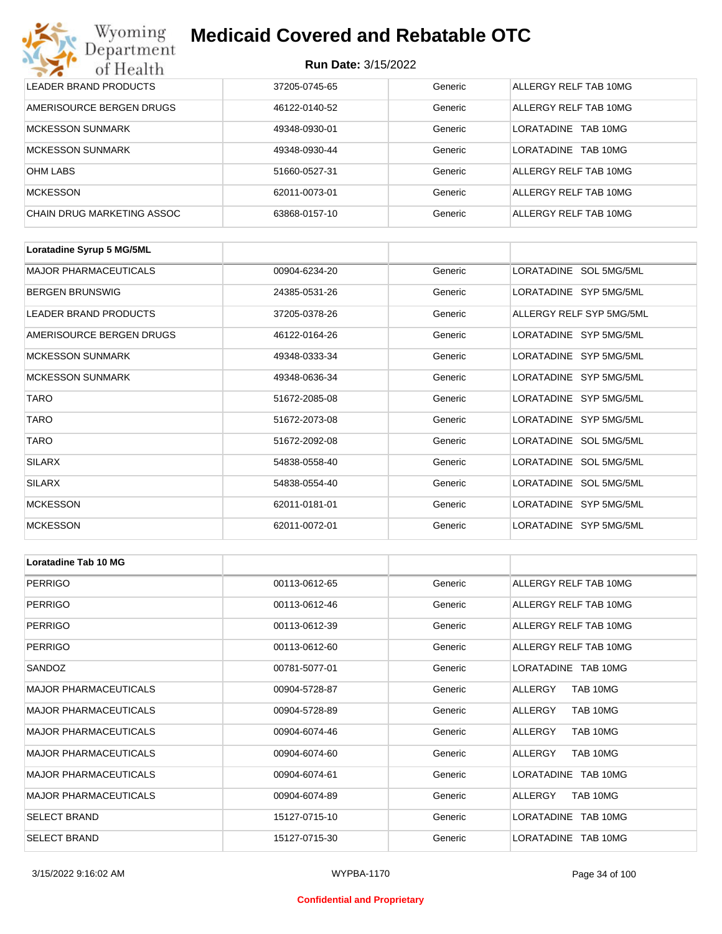#### **Run Date:** 3/15/2022

| Wyoming<br><b>Medicaid Covered and Rebatable OTC</b><br>Department |                            |         |                        |  |  |
|--------------------------------------------------------------------|----------------------------|---------|------------------------|--|--|
| of Health                                                          | <b>Run Date: 3/15/2022</b> |         |                        |  |  |
| LEADER BRAND PRODUCTS                                              | 37205-0745-65              | Generic | ALLERGY RELF TAB 10MG  |  |  |
| AMERISOURCE BERGEN DRUGS                                           | 46122-0140-52              | Generic | ALLERGY RELF TAB 10MG  |  |  |
| <b>MCKESSON SUNMARK</b>                                            | 49348-0930-01              | Generic | LORATADINE<br>TAB 10MG |  |  |
| <b>MCKESSON SUNMARK</b>                                            | 49348-0930-44              | Generic | LORATADINE<br>TAB 10MG |  |  |
| <b>OHM LABS</b>                                                    | 51660-0527-31              | Generic | ALLERGY RELF TAB 10MG  |  |  |
| <b>MCKESSON</b>                                                    | 62011-0073-01              | Generic | ALLERGY RELF TAB 10MG  |  |  |
| <b>CHAIN DRUG MARKETING ASSOC</b>                                  | 63868-0157-10              | Generic | ALLERGY RELF TAB 10MG  |  |  |

| Loratadine Syrup 5 MG/5ML    |               |         |                          |
|------------------------------|---------------|---------|--------------------------|
| <b>MAJOR PHARMACEUTICALS</b> | 00904-6234-20 | Generic | LORATADINE SOL 5MG/5ML   |
| <b>BERGEN BRUNSWIG</b>       | 24385-0531-26 | Generic | LORATADINE SYP 5MG/5ML   |
| LEADER BRAND PRODUCTS        | 37205-0378-26 | Generic | ALLERGY RELF SYP 5MG/5ML |
| AMERISOURCE BERGEN DRUGS     | 46122-0164-26 | Generic | LORATADINE SYP 5MG/5ML   |
| <b>MCKESSON SUNMARK</b>      | 49348-0333-34 | Generic | LORATADINE SYP 5MG/5ML   |
| <b>MCKESSON SUNMARK</b>      | 49348-0636-34 | Generic | LORATADINE SYP 5MG/5ML   |
| <b>TARO</b>                  | 51672-2085-08 | Generic | LORATADINE SYP 5MG/5ML   |
| <b>TARO</b>                  | 51672-2073-08 | Generic | LORATADINE SYP 5MG/5ML   |
| <b>TARO</b>                  | 51672-2092-08 | Generic | LORATADINE SOL 5MG/5ML   |
| <b>SILARX</b>                | 54838-0558-40 | Generic | LORATADINE SOL 5MG/5ML   |
| <b>SILARX</b>                | 54838-0554-40 | Generic | LORATADINE SOL 5MG/5ML   |
| <b>MCKESSON</b>              | 62011-0181-01 | Generic | LORATADINE SYP 5MG/5ML   |
| <b>MCKESSON</b>              | 62011-0072-01 | Generic | LORATADINE SYP 5MG/5ML   |

| Loratadine Tab 10 MG         |               |         |                       |
|------------------------------|---------------|---------|-----------------------|
| <b>PERRIGO</b>               | 00113-0612-65 | Generic | ALLERGY RELF TAB 10MG |
| <b>PERRIGO</b>               | 00113-0612-46 | Generic | ALLERGY RELF TAB 10MG |
| <b>PERRIGO</b>               | 00113-0612-39 | Generic | ALLERGY RELF TAB 10MG |
| <b>PERRIGO</b>               | 00113-0612-60 | Generic | ALLERGY RELF TAB 10MG |
| SANDOZ                       | 00781-5077-01 | Generic | LORATADINE TAB 10MG   |
| <b>MAJOR PHARMACEUTICALS</b> | 00904-5728-87 | Generic | ALLERGY<br>TAB 10MG   |
| <b>MAJOR PHARMACEUTICALS</b> | 00904-5728-89 | Generic | ALLERGY<br>TAB 10MG   |
| <b>MAJOR PHARMACEUTICALS</b> | 00904-6074-46 | Generic | TAB 10MG<br>ALLERGY   |
| <b>MAJOR PHARMACEUTICALS</b> | 00904-6074-60 | Generic | ALLERGY<br>TAB 10MG   |
| <b>MAJOR PHARMACEUTICALS</b> | 00904-6074-61 | Generic | LORATADINE TAB 10MG   |
| <b>MAJOR PHARMACEUTICALS</b> | 00904-6074-89 | Generic | ALLERGY<br>TAB 10MG   |
| <b>SELECT BRAND</b>          | 15127-0715-10 | Generic | LORATADINE TAB 10MG   |
| <b>SELECT BRAND</b>          | 15127-0715-30 | Generic | LORATADINE TAB 10MG   |

#### **Confidential and Proprietary**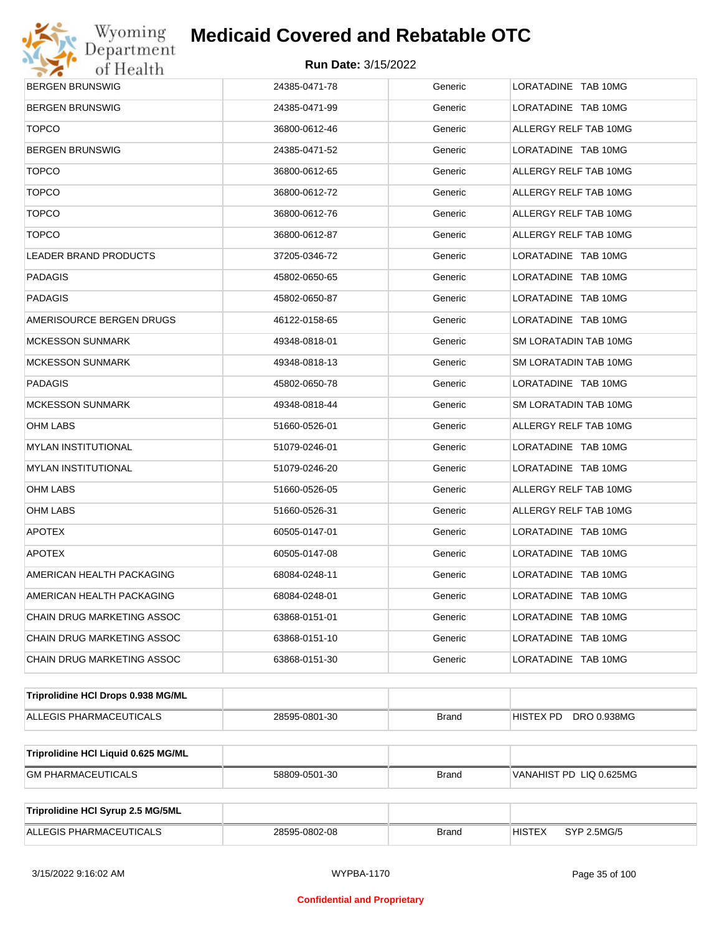

| <b>BERGEN BRUNSWIG</b>              | 24385-0471-78 | Generic      | LORATADINE TAB 10MG          |
|-------------------------------------|---------------|--------------|------------------------------|
| <b>BERGEN BRUNSWIG</b>              | 24385-0471-99 | Generic      | LORATADINE TAB 10MG          |
| <b>TOPCO</b>                        | 36800-0612-46 | Generic      | ALLERGY RELF TAB 10MG        |
| BERGEN BRUNSWIG                     | 24385-0471-52 | Generic      | LORATADINE TAB 10MG          |
| <b>TOPCO</b>                        | 36800-0612-65 | Generic      | ALLERGY RELF TAB 10MG        |
| <b>TOPCO</b>                        | 36800-0612-72 | Generic      | ALLERGY RELF TAB 10MG        |
| <b>TOPCO</b>                        | 36800-0612-76 | Generic      | ALLERGY RELF TAB 10MG        |
| <b>TOPCO</b>                        | 36800-0612-87 | Generic      | ALLERGY RELF TAB 10MG        |
| LEADER BRAND PRODUCTS               | 37205-0346-72 | Generic      | LORATADINE TAB 10MG          |
| PADAGIS                             | 45802-0650-65 | Generic      | LORATADINE TAB 10MG          |
| PADAGIS                             | 45802-0650-87 | Generic      | LORATADINE TAB 10MG          |
| AMERISOURCE BERGEN DRUGS            | 46122-0158-65 | Generic      | LORATADINE TAB 10MG          |
| MCKESSON SUNMARK                    | 49348-0818-01 | Generic      | SM LORATADIN TAB 10MG        |
| MCKESSON SUNMARK                    | 49348-0818-13 | Generic      | SM LORATADIN TAB 10MG        |
| PADAGIS                             | 45802-0650-78 | Generic      | LORATADINE TAB 10MG          |
| <b>MCKESSON SUNMARK</b>             | 49348-0818-44 | Generic      | SM LORATADIN TAB 10MG        |
| OHM LABS                            | 51660-0526-01 | Generic      | ALLERGY RELF TAB 10MG        |
| MYLAN INSTITUTIONAL                 | 51079-0246-01 | Generic      | LORATADINE TAB 10MG          |
| <b>MYLAN INSTITUTIONAL</b>          | 51079-0246-20 | Generic      | LORATADINE TAB 10MG          |
| OHM LABS                            | 51660-0526-05 | Generic      | ALLERGY RELF TAB 10MG        |
| OHM LABS                            | 51660-0526-31 | Generic      | ALLERGY RELF TAB 10MG        |
| <b>APOTEX</b>                       | 60505-0147-01 | Generic      | LORATADINE TAB 10MG          |
| <b>APOTEX</b>                       | 60505-0147-08 | Generic      | LORATADINE TAB 10MG          |
| AMERICAN HEALTH PACKAGING           | 68084-0248-11 | Generic      | LORATADINE TAB 10MG          |
| AMERICAN HEALTH PACKAGING           | 68084-0248-01 | Generic      | LORATADINE TAB 10MG          |
| CHAIN DRUG MARKETING ASSOC          | 63868-0151-01 | Generic      | LORATADINE TAB 10MG          |
| CHAIN DRUG MARKETING ASSOC          | 63868-0151-10 | Generic      | LORATADINE TAB 10MG          |
| CHAIN DRUG MARKETING ASSOC          | 63868-0151-30 | Generic      | LORATADINE TAB 10MG          |
| Triprolidine HCI Drops 0.938 MG/ML  |               |              |                              |
| ALLEGIS PHARMACEUTICALS             | 28595-0801-30 | <b>Brand</b> | DRO 0.938MG<br>HISTEX PD     |
|                                     |               |              |                              |
| Triprolidine HCI Liquid 0.625 MG/ML |               |              |                              |
| <b>GM PHARMACEUTICALS</b>           | 58809-0501-30 | <b>Brand</b> | VANAHIST PD LIQ 0.625MG      |
|                                     |               |              |                              |
| Triprolidine HCI Syrup 2.5 MG/5ML   |               |              |                              |
| ALLEGIS PHARMACEUTICALS             | 28595-0802-08 | <b>Brand</b> | <b>HISTEX</b><br>SYP 2.5MG/5 |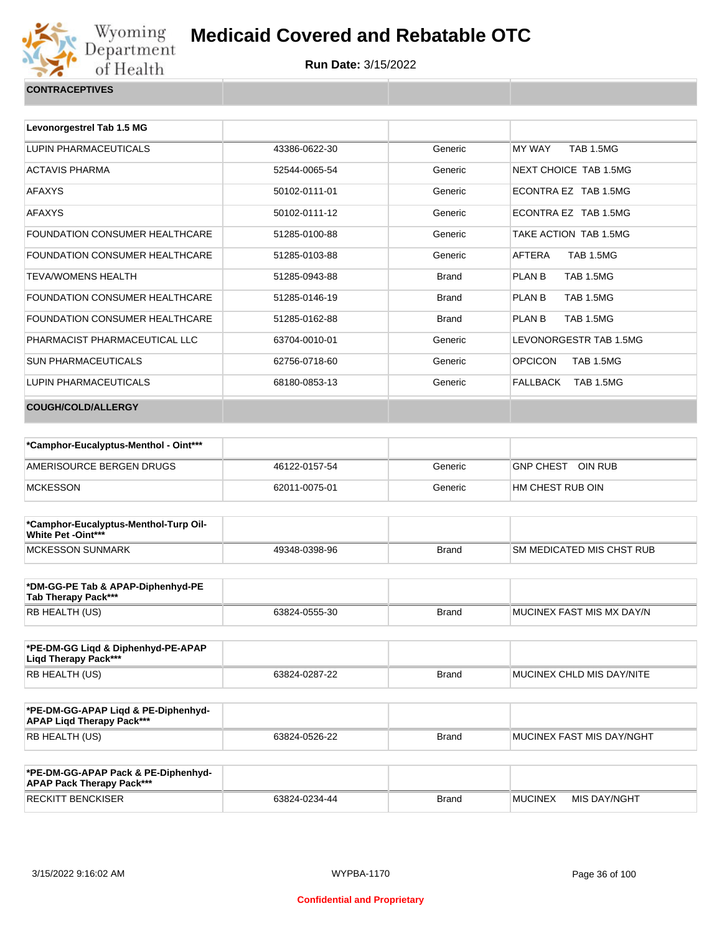

| Levonorgestrel Tab 1.5 MG      |               |              |                                    |
|--------------------------------|---------------|--------------|------------------------------------|
| LUPIN PHARMACEUTICALS          | 43386-0622-30 | Generic      | <b>MY WAY</b><br><b>TAB 1.5MG</b>  |
| <b>ACTAVIS PHARMA</b>          | 52544-0065-54 | Generic      | NEXT CHOICE TAB 1.5MG              |
| <b>AFAXYS</b>                  | 50102-0111-01 | Generic      | ECONTRA EZ TAB 1.5MG               |
| <b>AFAXYS</b>                  | 50102-0111-12 | Generic      | FCONTRA FZ TAB 1.5MG               |
| FOUNDATION CONSUMER HEALTHCARE | 51285-0100-88 | Generic      | TAKE ACTION TAB 1.5MG              |
| FOUNDATION CONSUMER HEALTHCARE | 51285-0103-88 | Generic      | <b>TAB 1.5MG</b><br>AFTERA         |
| <b>TEVA/WOMENS HEALTH</b>      | 51285-0943-88 | <b>Brand</b> | <b>PLAN B</b><br><b>TAB 1.5MG</b>  |
| FOUNDATION CONSUMER HEALTHCARE | 51285-0146-19 | <b>Brand</b> | <b>PLAN B</b><br><b>TAB 1.5MG</b>  |
| FOUNDATION CONSUMER HEALTHCARE | 51285-0162-88 | <b>Brand</b> | <b>TAB 1.5MG</b><br><b>PLAN B</b>  |
| PHARMACIST PHARMACEUTICAL LLC  | 63704-0010-01 | Generic      | LEVONORGESTR TAB 1.5MG             |
| <b>SUN PHARMACEUTICALS</b>     | 62756-0718-60 | Generic      | <b>OPCICON</b><br><b>TAB 1.5MG</b> |
| LUPIN PHARMACEUTICALS          | 68180-0853-13 | Generic      | FALLBACK<br><b>TAB 1.5MG</b>       |
| <b>COUGH/COLD/ALLERGY</b>      |               |              |                                    |

| *Camphor-Eucalyptus-Menthol - Oint*** |               |         |                             |
|---------------------------------------|---------------|---------|-----------------------------|
| AMERISOURCE BERGEN DRUGS              | 46122-0157-54 | Generic | OIN RUB<br><b>GNP CHEST</b> |
| MCKESSON                              | 62011-0075-01 | Generic | HM CHEST RUB OIN            |

| *Camphor-Eucalyptus-Menthol-Turp Oil-<br>White Pet -Oint*** |               |              |                                  |
|-------------------------------------------------------------|---------------|--------------|----------------------------------|
| <b>IMCKESSON SUNMARK</b>                                    | 49348-0398-96 | <b>Brand</b> | <b>SM MEDICATED MIS CHST RUB</b> |

| *DM-GG-PE Tab & APAP-Diphenhyd-PE<br>Tab Therapy Pack*** |               |       |                            |
|----------------------------------------------------------|---------------|-------|----------------------------|
| RB HEALTH (US)                                           | 63824-0555-30 | Brand | IMUCINEX FAST MIS MX DAY/N |

| *PE-DM-GG Ligd & Diphenhyd-PE-APAP<br>Ligd Therapy Pack*** |               |       |                           |
|------------------------------------------------------------|---------------|-------|---------------------------|
| RB HEALTH (US)                                             | 63824-0287-22 | Brand | MUCINEX CHLD MIS DAY/NITE |

| *PE-DM-GG-APAP Ligd & PE-Diphenhyd-<br><b>APAP Ligd Therapy Pack***</b> |               |       |                           |
|-------------------------------------------------------------------------|---------------|-------|---------------------------|
| RB HEALTH (US)                                                          | 63824-0526-22 | Brand | MUCINEX FAST MIS DAY/NGHT |

| *PE-DM-GG-APAP Pack & PE-Diphenhyd-<br><b>APAP Pack Therapy Pack***</b> |               |              |                |              |
|-------------------------------------------------------------------------|---------------|--------------|----------------|--------------|
| <b>RECKITT BENCKISER</b>                                                | 63824-0234-44 | <b>Brand</b> | <b>MUCINEX</b> | MIS DAY/NGHT |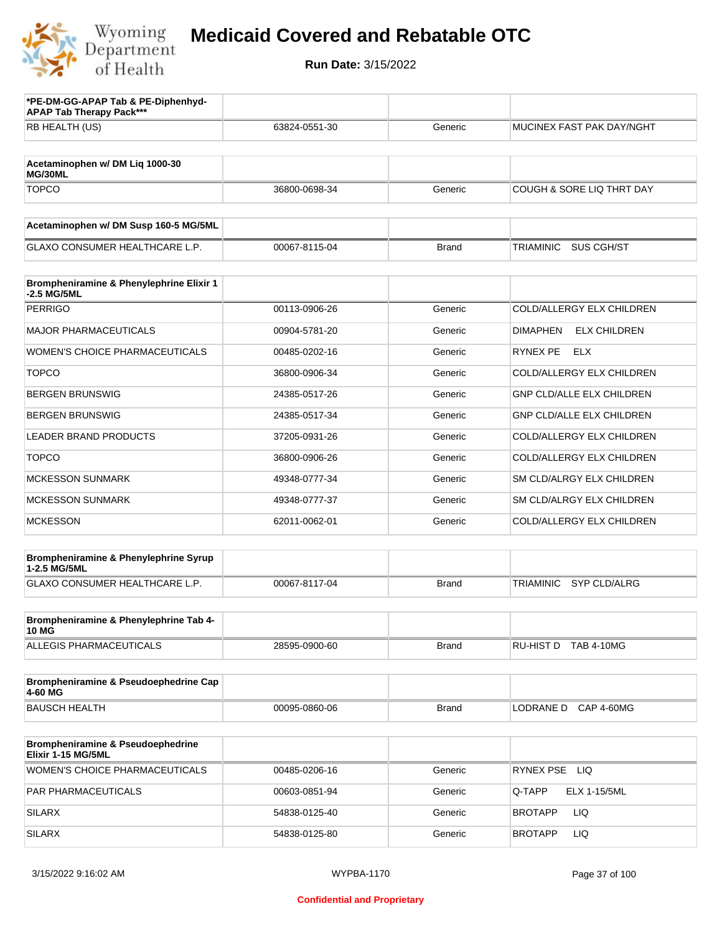

| *PE-DM-GG-APAP Tab & PE-Diphenhyd-<br><b>APAP Tab Therapy Pack***</b> |               |              |                                         |
|-----------------------------------------------------------------------|---------------|--------------|-----------------------------------------|
| RB HEALTH (US)                                                        | 63824-0551-30 | Generic      | MUCINEX FAST PAK DAY/NGHT               |
| Acetaminophen w/ DM Liq 1000-30                                       |               |              |                                         |
| MG/30ML<br><b>TOPCO</b>                                               | 36800-0698-34 | Generic      | COUGH & SORE LIQ THRT DAY               |
|                                                                       |               |              |                                         |
| Acetaminophen w/ DM Susp 160-5 MG/5ML                                 |               |              |                                         |
| <b>GLAXO CONSUMER HEALTHCARE L.P.</b>                                 | 00067-8115-04 | <b>Brand</b> | TRIAMINIC<br>SUS CGH/ST                 |
| Brompheniramine & Phenylephrine Elixir 1<br>-2.5 MG/5ML               |               |              |                                         |
| <b>PERRIGO</b>                                                        | 00113-0906-26 | Generic      | COLD/ALLERGY ELX CHILDREN               |
| <b>MAJOR PHARMACEUTICALS</b>                                          | 00904-5781-20 | Generic      | <b>DIMAPHEN</b><br><b>ELX CHILDREN</b>  |
| <b>WOMEN'S CHOICE PHARMACEUTICALS</b>                                 | 00485-0202-16 | Generic      | RYNEX PE<br>ELX                         |
| <b>TOPCO</b>                                                          | 36800-0906-34 | Generic      | COLD/ALLERGY ELX CHILDREN               |
| <b>BERGEN BRUNSWIG</b>                                                | 24385-0517-26 | Generic      | <b>GNP CLD/ALLE ELX CHILDREN</b>        |
| <b>BERGEN BRUNSWIG</b>                                                | 24385-0517-34 | Generic      | <b>GNP CLD/ALLE ELX CHILDREN</b>        |
| <b>LEADER BRAND PRODUCTS</b>                                          | 37205-0931-26 | Generic      | COLD/ALLERGY ELX CHILDREN               |
| <b>TOPCO</b>                                                          | 36800-0906-26 | Generic      | COLD/ALLERGY ELX CHILDREN               |
| <b>MCKESSON SUNMARK</b>                                               | 49348-0777-34 | Generic      | SM CLD/ALRGY ELX CHILDREN               |
| <b>MCKESSON SUNMARK</b>                                               | 49348-0777-37 | Generic      | SM CLD/ALRGY ELX CHILDREN               |
| <b>MCKESSON</b>                                                       | 62011-0062-01 | Generic      | COLD/ALLERGY ELX CHILDREN               |
| Brompheniramine & Phenylephrine Syrup                                 |               |              |                                         |
| 1-2.5 MG/5ML<br><b>GLAXO CONSUMER HEALTHCARE L.P.</b>                 | 00067-8117-04 | <b>Brand</b> | <b>SYP CLD/ALRG</b><br><b>TRIAMINIC</b> |
|                                                                       |               |              |                                         |
| Brompheniramine & Phenylephrine Tab 4-<br><b>10 MG</b>                |               |              |                                         |
| <b>ALLEGIS PHARMACEUTICALS</b>                                        | 28595-0900-60 | <b>Brand</b> | RU-HIST D TAB 4-10MG                    |
| Brompheniramine & Pseudoephedrine Cap<br>4-60 MG                      |               |              |                                         |
| <b>BAUSCH HEALTH</b>                                                  | 00095-0860-06 | <b>Brand</b> | LODRANE D CAP 4-60MG                    |
| Brompheniramine & Pseudoephedrine<br>Elixir 1-15 MG/5ML               |               |              |                                         |
| WOMEN'S CHOICE PHARMACEUTICALS                                        | 00485-0206-16 | Generic      | RYNEX PSE LIQ                           |
| PAR PHARMACEUTICALS                                                   | 00603-0851-94 | Generic      | Q-TAPP<br><b>ELX 1-15/5ML</b>           |
| <b>SILARX</b>                                                         | 54838-0125-40 | Generic      | LIQ<br>BROTAPP                          |
| <b>SILARX</b>                                                         | 54838-0125-80 | Generic      | LIQ<br>BROTAPP                          |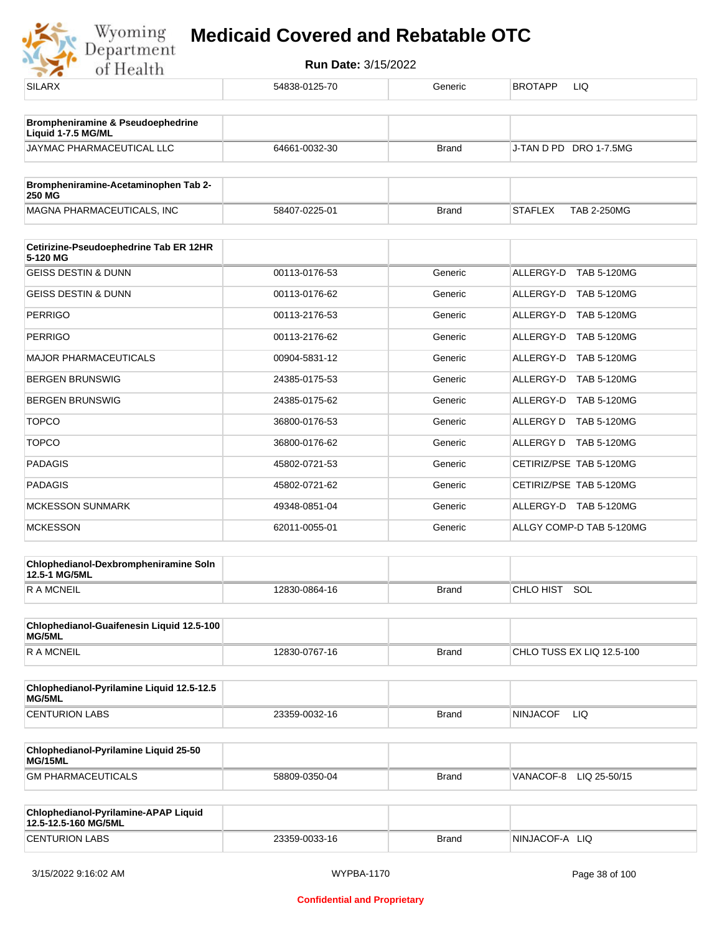

| <b>SILARX</b>                                                      | 54838-0125-70 | Generic      | <b>BROTAPP</b><br>LIQ                |
|--------------------------------------------------------------------|---------------|--------------|--------------------------------------|
|                                                                    |               |              |                                      |
| <b>Brompheniramine &amp; Pseudoephedrine</b><br>Liquid 1-7.5 MG/ML |               |              |                                      |
| JAYMAC PHARMACEUTICAL LLC                                          | 64661-0032-30 | <b>Brand</b> | J-TAN D PD DRO 1-7.5MG               |
| Brompheniramine-Acetaminophen Tab 2-                               |               |              |                                      |
| 250 MG                                                             |               |              |                                      |
| MAGNA PHARMACEUTICALS, INC                                         | 58407-0225-01 | <b>Brand</b> | <b>STAFLEX</b><br><b>TAB 2-250MG</b> |
| Cetirizine-Pseudoephedrine Tab ER 12HR<br>5-120 MG                 |               |              |                                      |
| <b>GEISS DESTIN &amp; DUNN</b>                                     | 00113-0176-53 | Generic      | ALLERGY-D<br><b>TAB 5-120MG</b>      |
| <b>GEISS DESTIN &amp; DUNN</b>                                     | 00113-0176-62 | Generic      | ALLERGY-D TAB 5-120MG                |
| PERRIGO                                                            | 00113-2176-53 | Generic      | ALLERGY-D TAB 5-120MG                |
| <b>PERRIGO</b>                                                     | 00113-2176-62 | Generic      | ALLERGY-D TAB 5-120MG                |
| <b>MAJOR PHARMACEUTICALS</b>                                       | 00904-5831-12 | Generic      | ALLERGY-D<br>TAB 5-120MG             |
| BERGEN BRUNSWIG                                                    | 24385-0175-53 | Generic      | ALLERGY-D TAB 5-120MG                |
| <b>BERGEN BRUNSWIG</b>                                             | 24385-0175-62 | Generic      | ALLERGY-D TAB 5-120MG                |
| <b>TOPCO</b>                                                       | 36800-0176-53 | Generic      | ALLERGY D TAB 5-120MG                |
| <b>TOPCO</b>                                                       | 36800-0176-62 | Generic      | ALLERGY D TAB 5-120MG                |
| PADAGIS                                                            | 45802-0721-53 | Generic      | CETIRIZ/PSE TAB 5-120MG              |
| PADAGIS                                                            | 45802-0721-62 | Generic      | CETIRIZ/PSE TAB 5-120MG              |
| <b>MCKESSON SUNMARK</b>                                            | 49348-0851-04 | Generic      | ALLERGY-D TAB 5-120MG                |
| <b>MCKESSON</b>                                                    | 62011-0055-01 | Generic      | ALLGY COMP-D TAB 5-120MG             |
| Chlophedianol-Dexbrompheniramine Soln<br>12.5-1 MG/5ML             |               |              |                                      |
| <b>RAMCNEIL</b>                                                    | 12830-0864-16 | <b>Brand</b> | CHLO HIST SOL                        |
| Chlophedianol-Guaifenesin Liquid 12.5-100                          |               |              |                                      |
| MG/5ML                                                             |               |              |                                      |
| R A MCNEIL                                                         | 12830-0767-16 | <b>Brand</b> | CHLO TUSS EX LIQ 12.5-100            |
| Chlophedianol-Pyrilamine Liquid 12.5-12.5<br>MG/5ML                |               |              |                                      |
| <b>CENTURION LABS</b>                                              | 23359-0032-16 | <b>Brand</b> | <b>NINJACOF</b><br>LIQ.              |
| Chlophedianol-Pyrilamine Liquid 25-50<br>MG/15ML                   |               |              |                                      |
| <b>GM PHARMACEUTICALS</b>                                          | 58809-0350-04 | <b>Brand</b> | VANACOF-8 LIQ 25-50/15               |
|                                                                    |               |              |                                      |
| Chlophedianol-Pyrilamine-APAP Liquid<br>12.5-12.5-160 MG/5ML       |               |              |                                      |
| <b>CENTURION LABS</b>                                              | 23359-0033-16 | <b>Brand</b> | NINJACOF-A LIQ                       |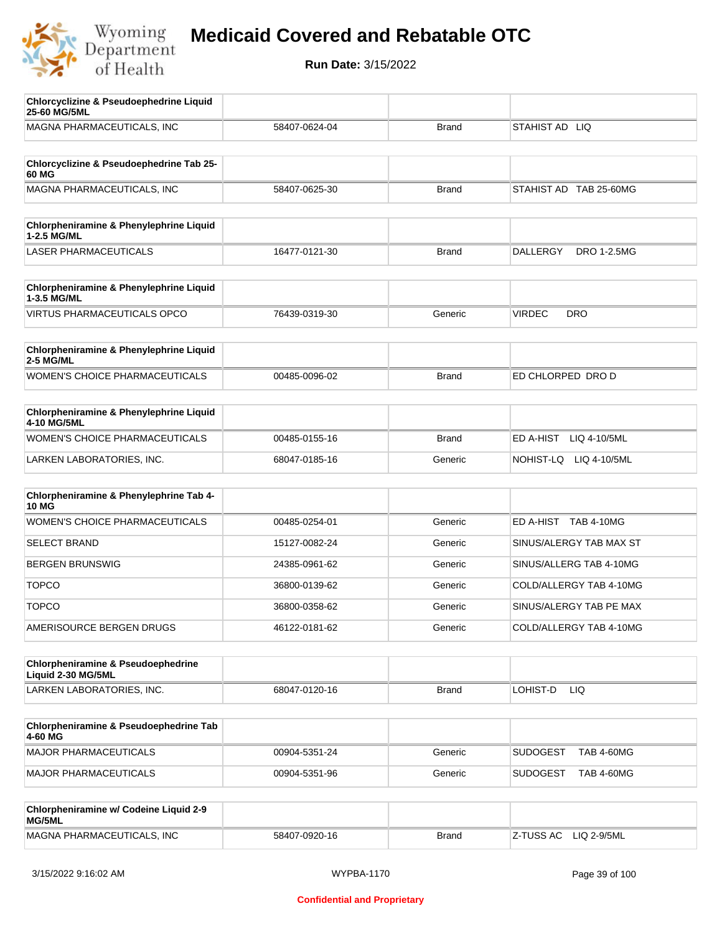

| <b>Chlorcyclizine &amp; Pseudoephedrine Liquid</b><br>25-60 MG/5ML |               |              |                                      |
|--------------------------------------------------------------------|---------------|--------------|--------------------------------------|
| MAGNA PHARMACEUTICALS, INC                                         | 58407-0624-04 | <b>Brand</b> | STAHIST AD LIQ                       |
|                                                                    |               |              |                                      |
| Chlorcyclizine & Pseudoephedrine Tab 25-<br>60 MG                  |               |              |                                      |
| MAGNA PHARMACEUTICALS, INC                                         | 58407-0625-30 | <b>Brand</b> | STAHIST AD TAB 25-60MG               |
|                                                                    |               |              |                                      |
| Chlorpheniramine & Phenylephrine Liquid<br>1-2.5 MG/ML             |               |              |                                      |
| <b>LASER PHARMACEUTICALS</b>                                       | 16477-0121-30 | <b>Brand</b> | DRO 1-2.5MG<br><b>DALLERGY</b>       |
|                                                                    |               |              |                                      |
| Chlorpheniramine & Phenylephrine Liquid<br>1-3.5 MG/ML             |               |              |                                      |
| <b>VIRTUS PHARMACEUTICALS OPCO</b>                                 | 76439-0319-30 | Generic      | <b>VIRDEC</b><br><b>DRO</b>          |
| Chlorpheniramine & Phenylephrine Liquid                            |               |              |                                      |
| 2-5 MG/ML                                                          |               |              |                                      |
| <b>WOMEN'S CHOICE PHARMACEUTICALS</b>                              | 00485-0096-02 | <b>Brand</b> | ED CHLORPED DRO D                    |
|                                                                    |               |              |                                      |
| Chlorpheniramine & Phenylephrine Liquid<br>4-10 MG/5ML             |               |              |                                      |
| WOMEN'S CHOICE PHARMACEUTICALS                                     | 00485-0155-16 | <b>Brand</b> | ED A-HIST<br>LIQ 4-10/5ML            |
| LARKEN LABORATORIES, INC.                                          | 68047-0185-16 | Generic      | NOHIST-LQ<br>LIQ 4-10/5ML            |
|                                                                    |               |              |                                      |
| Chlorpheniramine & Phenylephrine Tab 4-<br><b>10 MG</b>            |               |              |                                      |
| <b>WOMEN'S CHOICE PHARMACEUTICALS</b>                              | 00485-0254-01 | Generic      | ED A-HIST TAB 4-10MG                 |
| <b>SELECT BRAND</b>                                                | 15127-0082-24 | Generic      | SINUS/ALERGY TAB MAX ST              |
| <b>BERGEN BRUNSWIG</b>                                             | 24385-0961-62 | Generic      | SINUS/ALLERG TAB 4-10MG              |
| <b>TOPCO</b>                                                       | 36800-0139-62 | Generic      | COLD/ALLERGY TAB 4-10MG              |
| <b>TOPCO</b>                                                       | 36800-0358-62 | Generic      | SINUS/ALERGY TAB PE MAX              |
| AMERISOURCE BERGEN DRUGS                                           | 46122-0181-62 | Generic      | COLD/ALLERGY TAB 4-10MG              |
| <b>Chlorpheniramine &amp; Pseudoephedrine</b>                      |               |              |                                      |
| Liquid 2-30 MG/5ML                                                 |               |              |                                      |
| LARKEN LABORATORIES, INC.                                          | 68047-0120-16 | <b>Brand</b> | LOHIST-D<br>LIQ.                     |
|                                                                    |               |              |                                      |
| Chlorpheniramine & Pseudoephedrine Tab<br>4-60 MG                  |               |              |                                      |
| MAJOR PHARMACEUTICALS                                              | 00904-5351-24 | Generic      | <b>SUDOGEST</b><br><b>TAB 4-60MG</b> |
| MAJOR PHARMACEUTICALS                                              | 00904-5351-96 | Generic      | <b>SUDOGEST</b><br><b>TAB 4-60MG</b> |
| Chlorpheniramine w/ Codeine Liquid 2-9                             |               |              |                                      |
| MG/5ML                                                             |               |              |                                      |
| MAGNA PHARMACEUTICALS, INC                                         | 58407-0920-16 | <b>Brand</b> | Z-TUSS AC<br>LIQ 2-9/5ML             |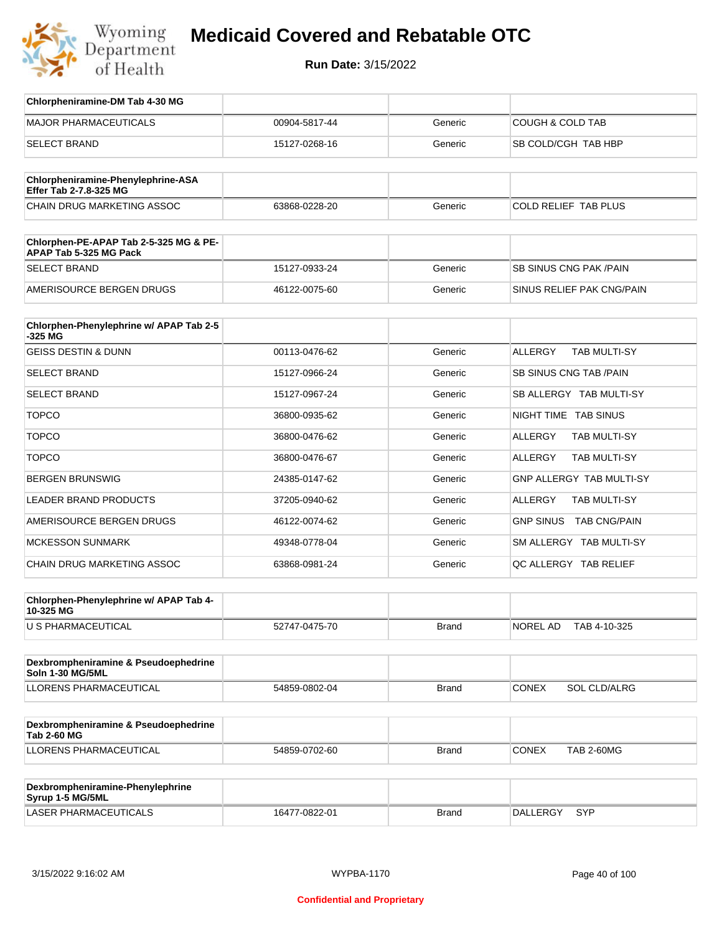

| Chlorpheniramine-DM Tab 4-30 MG                                  |               |              |                                       |
|------------------------------------------------------------------|---------------|--------------|---------------------------------------|
| <b>MAJOR PHARMACEUTICALS</b>                                     | 00904-5817-44 | Generic      | <b>COUGH &amp; COLD TAB</b>           |
| <b>SELECT BRAND</b>                                              | 15127-0268-16 | Generic      | SB COLD/CGH TAB HBP                   |
|                                                                  |               |              |                                       |
| Chlorpheniramine-Phenylephrine-ASA<br>Effer Tab 2-7.8-325 MG     |               |              |                                       |
| CHAIN DRUG MARKETING ASSOC                                       | 63868-0228-20 | Generic      | <b>COLD RELIEF TAB PLUS</b>           |
| Chlorphen-PE-APAP Tab 2-5-325 MG & PE-<br>APAP Tab 5-325 MG Pack |               |              |                                       |
| <b>SELECT BRAND</b>                                              | 15127-0933-24 | Generic      | SB SINUS CNG PAK / PAIN               |
| AMERISOURCE BERGEN DRUGS                                         | 46122-0075-60 | Generic      | SINUS RELIEF PAK CNG/PAIN             |
| Chlorphen-Phenylephrine w/ APAP Tab 2-5<br>-325 MG               |               |              |                                       |
| <b>GEISS DESTIN &amp; DUNN</b>                                   | 00113-0476-62 | Generic      | <b>ALLERGY</b><br><b>TAB MULTI-SY</b> |
| <b>SELECT BRAND</b>                                              | 15127-0966-24 | Generic      | SB SINUS CNG TAB / PAIN               |
| <b>SELECT BRAND</b>                                              | 15127-0967-24 | Generic      | SB ALLERGY TAB MULTI-SY               |
| <b>TOPCO</b>                                                     | 36800-0935-62 | Generic      | NIGHT TIME TAB SINUS                  |
| <b>TOPCO</b>                                                     | 36800-0476-62 | Generic      | ALLERGY<br>TAB MULTI-SY               |
| <b>TOPCO</b>                                                     | 36800-0476-67 | Generic      | ALLERGY<br>TAB MULTI-SY               |
| <b>BERGEN BRUNSWIG</b>                                           | 24385-0147-62 | Generic      | GNP ALLERGY TAB MULTI-SY              |
| LEADER BRAND PRODUCTS                                            | 37205-0940-62 | Generic      | ALLERGY<br>TAB MULTI-SY               |
| AMERISOURCE BERGEN DRUGS                                         | 46122-0074-62 | Generic      | GNP SINUS TAB CNG/PAIN                |
| <b>MCKESSON SUNMARK</b>                                          | 49348-0778-04 | Generic      | SM ALLERGY TAB MULTI-SY               |
| CHAIN DRUG MARKETING ASSOC                                       | 63868-0981-24 | Generic      | QC ALLERGY TAB RELIEF                 |
|                                                                  |               |              |                                       |
| Chlorphen-Phenylephrine w/ APAP Tab 4-<br>10-325 MG              |               |              |                                       |
| <b>U S PHARMACEUTICAL</b>                                        | 52747-0475-70 | Brand        | NOREL AD<br>TAB 4-10-325              |
|                                                                  |               |              |                                       |
| Dexbrompheniramine & Pseudoephedrine<br>Soln 1-30 MG/5ML         |               |              |                                       |
| <b>LLORENS PHARMACEUTICAL</b>                                    | 54859-0802-04 | Brand        | <b>CONEX</b><br>SOL CLD/ALRG          |
| Dexbrompheniramine & Pseudoephedrine<br><b>Tab 2-60 MG</b>       |               |              |                                       |
| LLORENS PHARMACEUTICAL                                           | 54859-0702-60 | Brand        | <b>CONEX</b><br><b>TAB 2-60MG</b>     |
|                                                                  |               |              |                                       |
| Dexbrompheniramine-Phenylephrine<br>Syrup 1-5 MG/5ML             |               |              |                                       |
| LASER PHARMACEUTICALS                                            | 16477-0822-01 | <b>Brand</b> | DALLERGY SYP                          |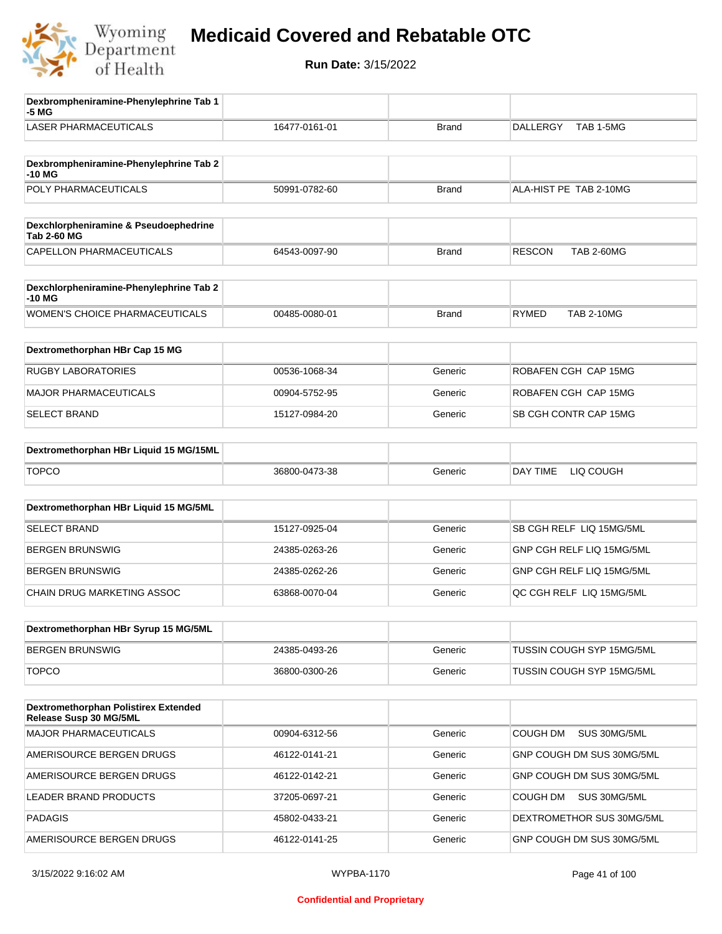

| Dexbrompheniramine-Phenylephrine Tab 1<br>-5 MG             |               |              |                                    |
|-------------------------------------------------------------|---------------|--------------|------------------------------------|
| <b>LASER PHARMACEUTICALS</b>                                | 16477-0161-01 | <b>Brand</b> | TAB 1-5MG<br><b>DALLERGY</b>       |
| Dexbrompheniramine-Phenylephrine Tab 2<br>-10 MG            |               |              |                                    |
| POLY PHARMACEUTICALS                                        | 50991-0782-60 | <b>Brand</b> | ALA-HIST PE TAB 2-10MG             |
| Dexchlorpheniramine & Pseudoephedrine<br><b>Tab 2-60 MG</b> |               |              |                                    |
| CAPELLON PHARMACEUTICALS                                    | 64543-0097-90 | <b>Brand</b> | <b>RESCON</b><br><b>TAB 2-60MG</b> |
| Dexchlorpheniramine-Phenylephrine Tab 2<br>$-10MG$          |               |              |                                    |
| <b>WOMEN'S CHOICE PHARMACEUTICALS</b>                       | 00485-0080-01 | <b>Brand</b> | <b>RYMED</b><br><b>TAB 2-10MG</b>  |
| Dextromethorphan HBr Cap 15 MG                              |               |              |                                    |
| <b>RUGBY LABORATORIES</b>                                   | 00536-1068-34 | Generic      | ROBAFEN CGH CAP 15MG               |
| <b>MAJOR PHARMACEUTICALS</b>                                | 00904-5752-95 | Generic      | ROBAFEN CGH CAP 15MG               |
| <b>SELECT BRAND</b>                                         | 15127-0984-20 | Generic      | SB CGH CONTR CAP 15MG              |
| Dextromethorphan HBr Liquid 15 MG/15ML                      |               |              |                                    |
| <b>TOPCO</b>                                                | 36800-0473-38 | Generic      | DAY TIME<br>LIQ COUGH              |
| Dextromethorphan HBr Liquid 15 MG/5ML                       |               |              |                                    |
| <b>SELECT BRAND</b>                                         | 15127-0925-04 | Generic      | SB CGH RELF LIQ 15MG/5ML           |
| <b>BERGEN BRUNSWIG</b>                                      | 24385-0263-26 | Generic      | GNP CGH RELF LIQ 15MG/5ML          |
| <b>BERGEN BRUNSWIG</b>                                      | 24385-0262-26 | Generic      | GNP CGH RELF LIQ 15MG/5ML          |
| CHAIN DRUG MARKETING ASSOC                                  | 63868-0070-04 | Generic      | QC CGH RELF LIQ 15MG/5ML           |
| Dextromethorphan HBr Syrup 15 MG/5ML                        |               |              |                                    |
| <b>BERGEN BRUNSWIG</b>                                      | 24385-0493-26 | Generic      | TUSSIN COUGH SYP 15MG/5ML          |
| <b>TOPCO</b>                                                | 36800-0300-26 | Generic      | TUSSIN COUGH SYP 15MG/5ML          |
| Dextromethorphan Polistirex Extended                        |               |              |                                    |
| Release Susp 30 MG/5ML<br>MAJOR PHARMACEUTICALS             | 00904-6312-56 | Generic      | <b>COUGH DM</b><br>SUS 30MG/5ML    |
| AMERISOURCE BERGEN DRUGS                                    | 46122-0141-21 | Generic      | GNP COUGH DM SUS 30MG/5ML          |
| AMERISOURCE BERGEN DRUGS                                    | 46122-0142-21 | Generic      | GNP COUGH DM SUS 30MG/5ML          |
| LEADER BRAND PRODUCTS                                       | 37205-0697-21 | Generic      | SUS 30MG/5ML<br>COUGH DM           |
| <b>PADAGIS</b>                                              | 45802-0433-21 | Generic      | DEXTROMETHOR SUS 30MG/5ML          |
| AMERISOURCE BERGEN DRUGS                                    | 46122-0141-25 | Generic      | GNP COUGH DM SUS 30MG/5ML          |
|                                                             |               |              |                                    |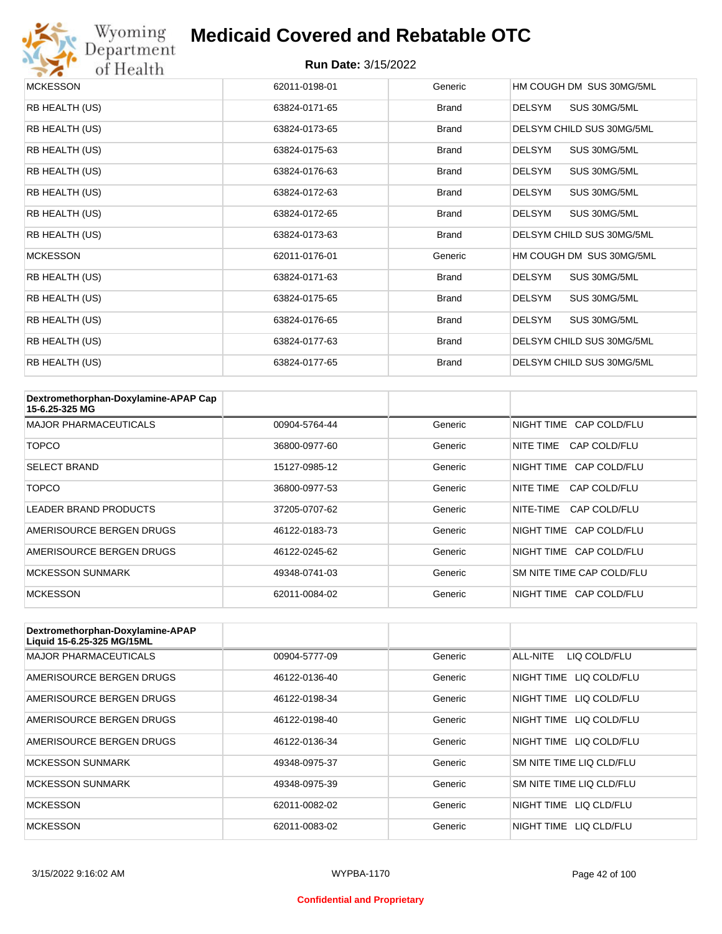

## Wyoming<br>Department<br>of Health

#### **Medicaid Covered and Rebatable OTC**

| <b>MCKESSON</b> | 62011-0198-01 | Generic      | HM COUGH DM SUS 30MG/5ML      |
|-----------------|---------------|--------------|-------------------------------|
| RB HEALTH (US)  | 63824-0171-65 | <b>Brand</b> | SUS 30MG/5ML<br><b>DELSYM</b> |
| RB HEALTH (US)  | 63824-0173-65 | <b>Brand</b> | DELSYM CHILD SUS 30MG/5ML     |
| RB HEALTH (US)  | 63824-0175-63 | <b>Brand</b> | <b>DELSYM</b><br>SUS 30MG/5ML |
| RB HEALTH (US)  | 63824-0176-63 | <b>Brand</b> | <b>DELSYM</b><br>SUS 30MG/5ML |
| RB HEALTH (US)  | 63824-0172-63 | <b>Brand</b> | <b>DELSYM</b><br>SUS 30MG/5ML |
| RB HEALTH (US)  | 63824-0172-65 | <b>Brand</b> | SUS 30MG/5ML<br><b>DELSYM</b> |
| RB HEALTH (US)  | 63824-0173-63 | <b>Brand</b> | DELSYM CHILD SUS 30MG/5ML     |
| <b>MCKESSON</b> | 62011-0176-01 | Generic      | HM COUGH DM SUS 30MG/5ML      |
| RB HEALTH (US)  | 63824-0171-63 | <b>Brand</b> | <b>DELSYM</b><br>SUS 30MG/5ML |
| RB HEALTH (US)  | 63824-0175-65 | <b>Brand</b> | <b>DELSYM</b><br>SUS 30MG/5ML |
| RB HEALTH (US)  | 63824-0176-65 | <b>Brand</b> | <b>DELSYM</b><br>SUS 30MG/5ML |
| RB HEALTH (US)  | 63824-0177-63 | <b>Brand</b> | DELSYM CHILD SUS 30MG/5ML     |
| RB HEALTH (US)  | 63824-0177-65 | <b>Brand</b> | DELSYM CHILD SUS 30MG/5ML     |

| Dextromethorphan-Doxylamine-APAP Cap<br>15-6.25-325 MG |               |         |                           |
|--------------------------------------------------------|---------------|---------|---------------------------|
| <b>MAJOR PHARMACEUTICALS</b>                           | 00904-5764-44 | Generic | NIGHT TIME CAP COLD/FLU   |
| <b>TOPCO</b>                                           | 36800-0977-60 | Generic | CAP COLD/FLU<br>NITE TIME |
| <b>SELECT BRAND</b>                                    | 15127-0985-12 | Generic | NIGHT TIME CAP COLD/FLU   |
| <b>TOPCO</b>                                           | 36800-0977-53 | Generic | CAP COLD/FLU<br>NITE TIME |
| <b>LEADER BRAND PRODUCTS</b>                           | 37205-0707-62 | Generic | NITE-TIME<br>CAP COLD/FLU |
| AMERISOURCE BERGEN DRUGS                               | 46122-0183-73 | Generic | NIGHT TIME CAP COLD/FLU   |
| AMERISOURCE BERGEN DRUGS                               | 46122-0245-62 | Generic | NIGHT TIME CAP COLD/FLU   |
| <b>MCKESSON SUNMARK</b>                                | 49348-0741-03 | Generic | SM NITE TIME CAP COLD/FLU |
| <b>MCKESSON</b>                                        | 62011-0084-02 | Generic | NIGHT TIME CAP COLD/FLU   |

| Dextromethorphan-Doxylamine-APAP<br>Liquid 15-6.25-325 MG/15ML |               |         |                            |
|----------------------------------------------------------------|---------------|---------|----------------------------|
| <b>MAJOR PHARMACEUTICALS</b>                                   | 00904-5777-09 | Generic | ALL-NITE<br>LIQ COLD/FLU   |
| AMERISOURCE BERGEN DRUGS                                       | 46122-0136-40 | Generic | LIQ COLD/FLU<br>NIGHT TIME |
| AMERISOURCE BERGEN DRUGS                                       | 46122-0198-34 | Generic | LIQ COLD/FLU<br>NIGHT TIME |
| AMERISOURCE BERGEN DRUGS                                       | 46122-0198-40 | Generic | NIGHT TIME<br>LIQ COLD/FLU |
| AMERISOURCE BERGEN DRUGS                                       | 46122-0136-34 | Generic | NIGHT TIME<br>LIO COLD/FLU |
| <b>MCKESSON SUNMARK</b>                                        | 49348-0975-37 | Generic | SM NITE TIME LIQ CLD/FLU   |
| <b>MCKESSON SUNMARK</b>                                        | 49348-0975-39 | Generic | SM NITE TIME LIQ CLD/FLU   |
| <b>MCKESSON</b>                                                | 62011-0082-02 | Generic | NIGHT TIME<br>LIO CLD/FLU  |
| <b>MCKESSON</b>                                                | 62011-0083-02 | Generic | NIGHT TIME<br>LIO CLD/FLU  |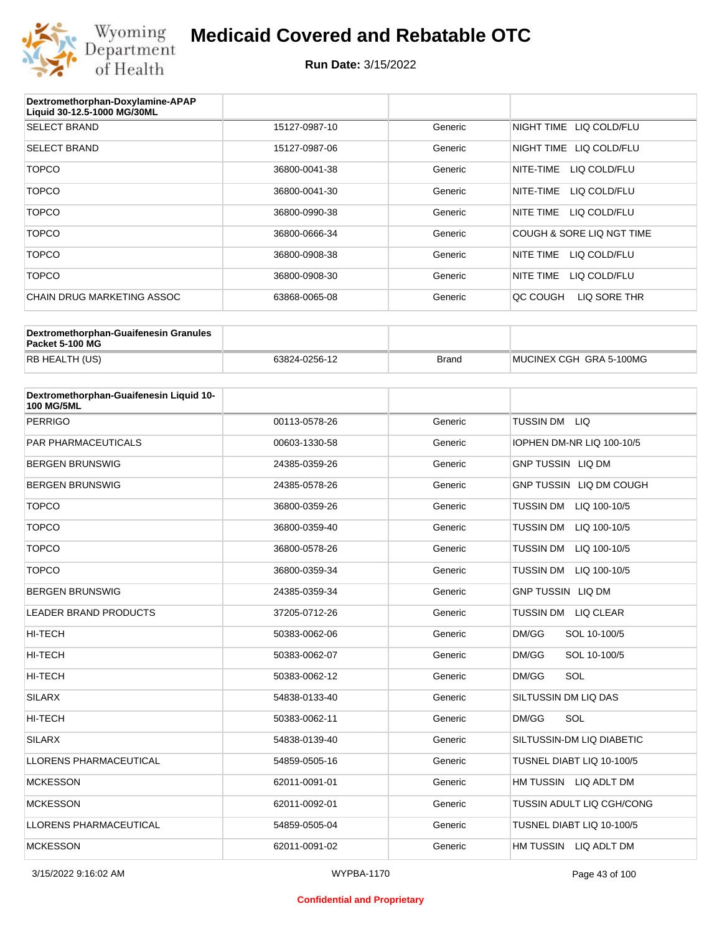

| Dextromethorphan-Doxylamine-APAP<br>Liquid 30-12.5-1000 MG/30ML |               |         |                           |
|-----------------------------------------------------------------|---------------|---------|---------------------------|
| <b>SELECT BRAND</b>                                             | 15127-0987-10 | Generic | NIGHT TIME LIQ COLD/FLU   |
| <b>SELECT BRAND</b>                                             | 15127-0987-06 | Generic | NIGHT TIME LIQ COLD/FLU   |
| <b>TOPCO</b>                                                    | 36800-0041-38 | Generic | NITE-TIME<br>LIQ COLD/FLU |
| <b>TOPCO</b>                                                    | 36800-0041-30 | Generic | NITE-TIME<br>LIQ COLD/FLU |
| <b>TOPCO</b>                                                    | 36800-0990-38 | Generic | NITE TIME<br>LIQ COLD/FLU |
| <b>TOPCO</b>                                                    | 36800-0666-34 | Generic | COUGH & SORE LIQ NGT TIME |
| <b>TOPCO</b>                                                    | 36800-0908-38 | Generic | NITE TIME<br>LIQ COLD/FLU |
| <b>TOPCO</b>                                                    | 36800-0908-30 | Generic | NITE TIME<br>LIQ COLD/FLU |
| CHAIN DRUG MARKETING ASSOC                                      | 63868-0065-08 | Generic | OC COUGH<br>LIQ SORE THR  |

| Dextromethorphan-Guaifenesin Granules<br>Packet 5-100 MG |               |       |                         |
|----------------------------------------------------------|---------------|-------|-------------------------|
| RB HEALTH (US)                                           | 63824-0256-12 | Brand | MUCINEX CGH GRA 5-100MG |

| Dextromethorphan-Guaifenesin Liquid 10-<br><b>100 MG/5ML</b> |               |         |                                  |
|--------------------------------------------------------------|---------------|---------|----------------------------------|
| <b>PERRIGO</b>                                               | 00113-0578-26 | Generic | TUSSIN DM LIQ                    |
| <b>PAR PHARMACEUTICALS</b>                                   | 00603-1330-58 | Generic | IOPHEN DM-NR LIQ 100-10/5        |
| <b>BERGEN BRUNSWIG</b>                                       | 24385-0359-26 | Generic | <b>GNP TUSSIN LIQ DM</b>         |
| <b>BERGEN BRUNSWIG</b>                                       | 24385-0578-26 | Generic | GNP TUSSIN LIQ DM COUGH          |
| <b>TOPCO</b>                                                 | 36800-0359-26 | Generic | TUSSIN DM LIQ 100-10/5           |
| <b>TOPCO</b>                                                 | 36800-0359-40 | Generic | <b>TUSSIN DM</b><br>LIQ 100-10/5 |
| <b>TOPCO</b>                                                 | 36800-0578-26 | Generic | <b>TUSSIN DM</b><br>LIQ 100-10/5 |
| <b>TOPCO</b>                                                 | 36800-0359-34 | Generic | TUSSIN DM LIQ 100-10/5           |
| <b>BERGEN BRUNSWIG</b>                                       | 24385-0359-34 | Generic | <b>GNP TUSSIN LIQ DM</b>         |
| <b>LEADER BRAND PRODUCTS</b>                                 | 37205-0712-26 | Generic | <b>TUSSIN DM</b><br>LIQ CLEAR    |
| <b>HI-TECH</b>                                               | 50383-0062-06 | Generic | DM/GG<br>SOL 10-100/5            |
| HI-TECH                                                      | 50383-0062-07 | Generic | DM/GG<br>SOL 10-100/5            |
| <b>HI-TECH</b>                                               | 50383-0062-12 | Generic | SOL<br>DM/GG                     |
| <b>SILARX</b>                                                | 54838-0133-40 | Generic | SILTUSSIN DM LIQ DAS             |
| <b>HI-TECH</b>                                               | 50383-0062-11 | Generic | SOL<br>DM/GG                     |
| <b>SILARX</b>                                                | 54838-0139-40 | Generic | SILTUSSIN-DM LIQ DIABETIC        |
| <b>LLORENS PHARMACEUTICAL</b>                                | 54859-0505-16 | Generic | TUSNEL DIABT LIQ 10-100/5        |
| <b>MCKESSON</b>                                              | 62011-0091-01 | Generic | HM TUSSIN LIQ ADLT DM            |
| <b>MCKESSON</b>                                              | 62011-0092-01 | Generic | TUSSIN ADULT LIQ CGH/CONG        |
| LLORENS PHARMACEUTICAL                                       | 54859-0505-04 | Generic | TUSNEL DIABT LIQ 10-100/5        |
| <b>MCKESSON</b>                                              | 62011-0091-02 | Generic | HM TUSSIN LIQ ADLT DM            |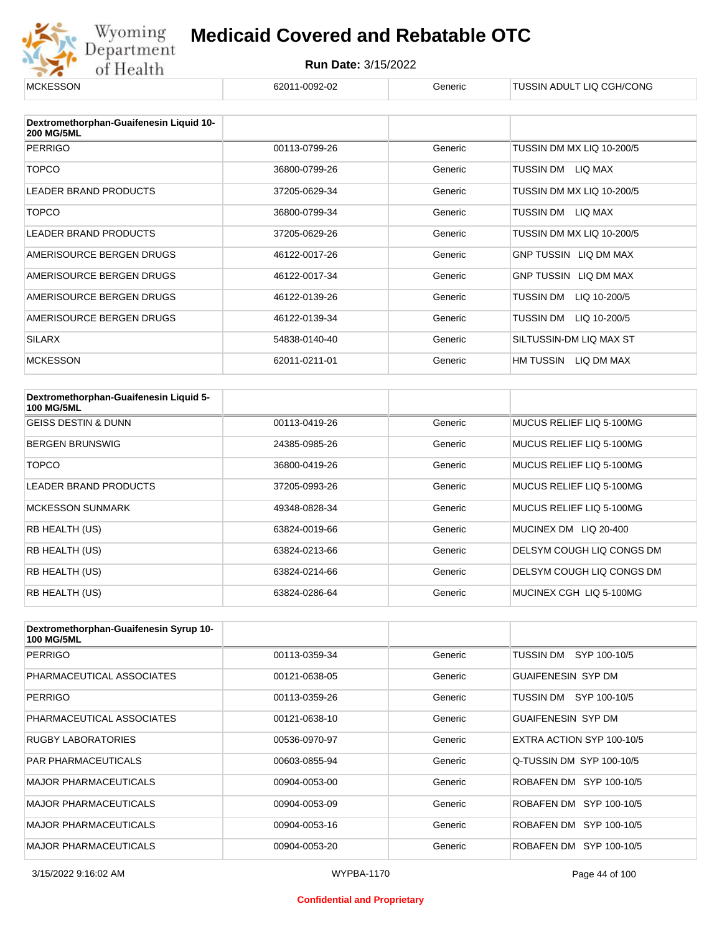

| <b>MCKESSON</b>                                              | 62011-0092-02 | Generic | TUSSIN ADULT LIQ CGH/CONG |
|--------------------------------------------------------------|---------------|---------|---------------------------|
|                                                              |               |         |                           |
| Dextromethorphan-Guaifenesin Liquid 10-<br><b>200 MG/5ML</b> |               |         |                           |
| <b>PERRIGO</b>                                               | 00113-0799-26 | Generic | TUSSIN DM MX LIQ 10-200/5 |
| <b>TOPCO</b>                                                 | 36800-0799-26 | Generic | TUSSIN DM<br>LIQ MAX      |
| <b>LEADER BRAND PRODUCTS</b>                                 | 37205-0629-34 | Generic | TUSSIN DM MX LIQ 10-200/5 |
| <b>TOPCO</b>                                                 | 36800-0799-34 | Generic | LIQ MAX<br>TUSSIN DM      |
| LEADER BRAND PRODUCTS                                        | 37205-0629-26 | Generic | TUSSIN DM MX LIQ 10-200/5 |
| AMERISOURCE BERGEN DRUGS                                     | 46122-0017-26 | Generic | GNP TUSSIN LIQ DM MAX     |
| AMERISOURCE BERGEN DRUGS                                     | 46122-0017-34 | Generic | GNP TUSSIN LIQ DM MAX     |
| AMERISOURCE BERGEN DRUGS                                     | 46122-0139-26 | Generic | LIQ 10-200/5<br>TUSSIN DM |
| AMERISOURCE BERGEN DRUGS                                     | 46122-0139-34 | Generic | TUSSIN DM<br>LIQ 10-200/5 |
| <b>SILARX</b>                                                | 54838-0140-40 | Generic | SILTUSSIN-DM LIQ MAX ST   |
| <b>MCKESSON</b>                                              | 62011-0211-01 | Generic | HM TUSSIN<br>LIQ DM MAX   |

| Dextromethorphan-Guaifenesin Liquid 5-<br><b>100 MG/5ML</b> |               |         |                           |
|-------------------------------------------------------------|---------------|---------|---------------------------|
| <b>GEISS DESTIN &amp; DUNN</b>                              | 00113-0419-26 | Generic | MUCUS RELIEF LIQ 5-100MG  |
| <b>BERGEN BRUNSWIG</b>                                      | 24385-0985-26 | Generic | MUCUS RELIEF LIO 5-100MG  |
| <b>TOPCO</b>                                                | 36800-0419-26 | Generic | MUCUS RELIEF LIO 5-100MG  |
| <b>LEADER BRAND PRODUCTS</b>                                | 37205-0993-26 | Generic | MUCUS RELIEF LIO 5-100MG  |
| <b>MCKESSON SUNMARK</b>                                     | 49348-0828-34 | Generic | MUCUS RELIEF LIO 5-100MG  |
| RB HEALTH (US)                                              | 63824-0019-66 | Generic | MUCINEX DM LIQ 20-400     |
| RB HEALTH (US)                                              | 63824-0213-66 | Generic | DELSYM COUGH LIQ CONGS DM |
| RB HEALTH (US)                                              | 63824-0214-66 | Generic | DELSYM COUGH LIQ CONGS DM |
| RB HEALTH (US)                                              | 63824-0286-64 | Generic | MUCINEX CGH LIQ 5-100MG   |

| Dextromethorphan-Guaifenesin Syrup 10-<br><b>100 MG/5ML</b> |               |         |                           |
|-------------------------------------------------------------|---------------|---------|---------------------------|
| <b>PERRIGO</b>                                              | 00113-0359-34 | Generic | TUSSIN DM<br>SYP 100-10/5 |
| PHARMACEUTICAL ASSOCIATES                                   | 00121-0638-05 | Generic | <b>GUAIFENESIN SYP DM</b> |
| <b>PERRIGO</b>                                              | 00113-0359-26 | Generic | TUSSIN DM<br>SYP 100-10/5 |
| PHARMACEUTICAL ASSOCIATES                                   | 00121-0638-10 | Generic | <b>GUAIFENESIN SYP DM</b> |
| <b>RUGBY LABORATORIES</b>                                   | 00536-0970-97 | Generic | EXTRA ACTION SYP 100-10/5 |
| <b>PAR PHARMACEUTICALS</b>                                  | 00603-0855-94 | Generic | Q-TUSSIN DM SYP 100-10/5  |
| <b>MAJOR PHARMACEUTICALS</b>                                | 00904-0053-00 | Generic | ROBAFEN DM SYP 100-10/5   |
| <b>MAJOR PHARMACEUTICALS</b>                                | 00904-0053-09 | Generic | ROBAFEN DM SYP 100-10/5   |
| <b>MAJOR PHARMACEUTICALS</b>                                | 00904-0053-16 | Generic | ROBAFEN DM SYP 100-10/5   |
| <b>MAJOR PHARMACEUTICALS</b>                                | 00904-0053-20 | Generic | ROBAFEN DM SYP 100-10/5   |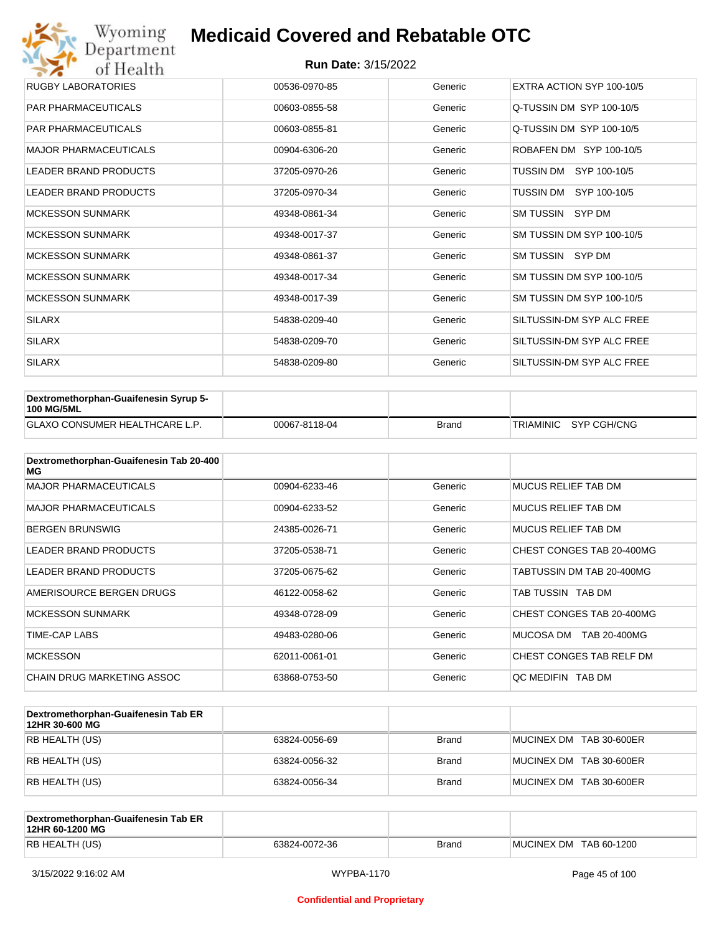| Wyoming<br>Department                   | <b>Medicaid Covered and Rebatable OTC</b> |         |                           |  |  |
|-----------------------------------------|-------------------------------------------|---------|---------------------------|--|--|
| <b>Run Date: 3/15/2022</b><br>of Health |                                           |         |                           |  |  |
| <b>RUGBY LABORATORIES</b>               | 00536-0970-85                             | Generic | EXTRA ACTION SYP 100-10/5 |  |  |
| <b>PAR PHARMACEUTICALS</b>              | 00603-0855-58                             | Generic | Q-TUSSIN DM SYP 100-10/5  |  |  |
| <b>PAR PHARMACEUTICALS</b>              | 00603-0855-81                             | Generic | Q-TUSSIN DM SYP 100-10/5  |  |  |
| <b>MAJOR PHARMACEUTICALS</b>            | 00904-6306-20                             | Generic | ROBAFEN DM SYP 100-10/5   |  |  |
| <b>LEADER BRAND PRODUCTS</b>            | 37205-0970-26                             | Generic | SYP 100-10/5<br>TUSSIN DM |  |  |
| <b>LEADER BRAND PRODUCTS</b>            | 37205-0970-34                             | Generic | TUSSIN DM<br>SYP 100-10/5 |  |  |
| <b>MCKESSON SUNMARK</b>                 | 49348-0861-34                             | Generic | SM TUSSIN SYP DM          |  |  |
| <b>MCKESSON SUNMARK</b>                 | 49348-0017-37                             | Generic | SM TUSSIN DM SYP 100-10/5 |  |  |
| <b>MCKESSON SUNMARK</b>                 | 49348-0861-37                             | Generic | SM TUSSIN SYP DM          |  |  |
| <b>MCKESSON SUNMARK</b>                 | 49348-0017-34                             | Generic | SM TUSSIN DM SYP 100-10/5 |  |  |
| <b>MCKESSON SUNMARK</b>                 | 49348-0017-39                             | Generic | SM TUSSIN DM SYP 100-10/5 |  |  |
| <b>SILARX</b>                           | 54838-0209-40                             | Generic | SILTUSSIN-DM SYP ALC FREE |  |  |
| <b>SILARX</b>                           | 54838-0209-70                             | Generic | SILTUSSIN-DM SYP ALC FREE |  |  |
| <b>SILARX</b>                           | 54838-0209-80                             | Generic | SILTUSSIN-DM SYP ALC FREE |  |  |

| <b>Dextromethorphan-Guaifenesin Syrup 5-</b><br>100 MG/5ML |               |       |                       |
|------------------------------------------------------------|---------------|-------|-----------------------|
| <b>GLAXO CONSUMER HEALTHCARE L.P.</b>                      | 00067-8118-04 | Brand | TRIAMINIC SYP CGH/CNG |

| Dextromethorphan-Guaifenesin Tab 20-400<br>MG |               |         |                            |
|-----------------------------------------------|---------------|---------|----------------------------|
| <b>MAJOR PHARMACEUTICALS</b>                  | 00904-6233-46 | Generic | <b>MUCUS RELIEF TAB DM</b> |
| <b>MAJOR PHARMACEUTICALS</b>                  | 00904-6233-52 | Generic | <b>MUCUS RELIEF TAB DM</b> |
| <b>BERGEN BRUNSWIG</b>                        | 24385-0026-71 | Generic | <b>MUCUS RELIEF TAB DM</b> |
| LEADER BRAND PRODUCTS                         | 37205-0538-71 | Generic | CHEST CONGES TAB 20-400MG  |
| LEADER BRAND PRODUCTS                         | 37205-0675-62 | Generic | TABTUSSIN DM TAB 20-400MG  |
| AMERISOURCE BERGEN DRUGS                      | 46122-0058-62 | Generic | TAB TUSSIN TAB DM          |
| <b>MCKESSON SUNMARK</b>                       | 49348-0728-09 | Generic | CHEST CONGES TAB 20-400MG  |
| TIME-CAP LABS                                 | 49483-0280-06 | Generic | MUCOSA DM<br>TAB 20-400MG  |
| <b>MCKESSON</b>                               | 62011-0061-01 | Generic | CHEST CONGES TAB RELF DM   |
| <b>CHAIN DRUG MARKETING ASSOC</b>             | 63868-0753-50 | Generic | QC MEDIFIN TAB DM          |

| Dextromethorphan-Guaifenesin Tab ER<br>12HR 30-600 MG |               |              |                         |
|-------------------------------------------------------|---------------|--------------|-------------------------|
| RB HEALTH (US)                                        | 63824-0056-69 | <b>Brand</b> | MUCINEX DM TAB 30-600ER |
| RB HEALTH (US)                                        | 63824-0056-32 | <b>Brand</b> | MUCINEX DM TAB 30-600ER |
| RB HEALTH (US)                                        | 63824-0056-34 | <b>Brand</b> | MUCINEX DM TAB 30-600ER |

| Dextromethorphan-Guaifenesin Tab ER<br>12HR 60-1200 MG |               |              |                        |
|--------------------------------------------------------|---------------|--------------|------------------------|
| RB HEALTH (US)                                         | 63824-0072-36 | <b>Brand</b> | MUCINEX DM TAB 60-1200 |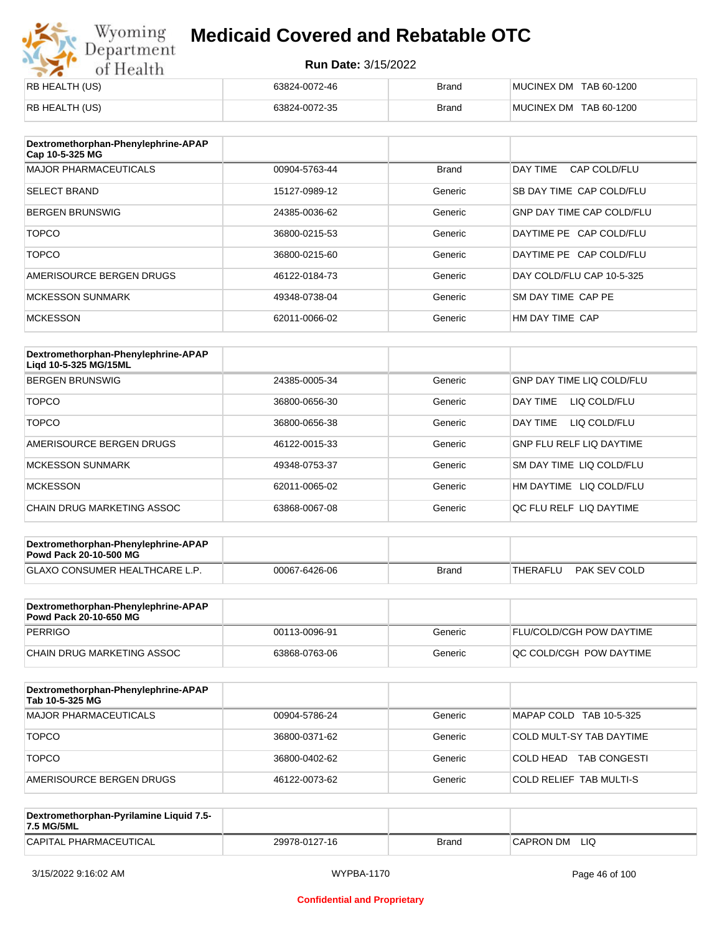# Wyoming<br>Department<br>of Health

## **Medicaid Covered and Rebatable OTC**

| RB HEALTH (US) | 63824-0072-46 | <b>Brand</b> | MUCINEX DM TAB 60-1200 |
|----------------|---------------|--------------|------------------------|
| RB HEALTH (US) | 63824-0072-35 | <b>Brand</b> | MUCINEX DM TAB 60-1200 |

| Dextromethorphan-Phenylephrine-APAP<br>Cap 10-5-325 MG |               |              |                                  |
|--------------------------------------------------------|---------------|--------------|----------------------------------|
| <b>MAJOR PHARMACEUTICALS</b>                           | 00904-5763-44 | <b>Brand</b> | DAY TIME<br>CAP COLD/FLU         |
| <b>SELECT BRAND</b>                                    | 15127-0989-12 | Generic      | SB DAY TIME CAP COLD/FLU         |
| <b>BERGEN BRUNSWIG</b>                                 | 24385-0036-62 | Generic      | <b>GNP DAY TIME CAP COLD/FLU</b> |
| <b>TOPCO</b>                                           | 36800-0215-53 | Generic      | DAYTIME PE CAP COLD/FLU          |
| <b>TOPCO</b>                                           | 36800-0215-60 | Generic      | DAYTIME PE CAP COLD/FLU          |
| AMERISOURCE BERGEN DRUGS                               | 46122-0184-73 | Generic      | DAY COLD/FLU CAP 10-5-325        |
| <b>MCKESSON SUNMARK</b>                                | 49348-0738-04 | Generic      | SM DAY TIME CAP PE               |
| <b>MCKESSON</b>                                        | 62011-0066-02 | Generic      | HM DAY TIME CAP                  |

| Dextromethorphan-Phenylephrine-APAP<br>Ligd 10-5-325 MG/15ML |               |         |                                 |
|--------------------------------------------------------------|---------------|---------|---------------------------------|
| <b>BERGEN BRUNSWIG</b>                                       | 24385-0005-34 | Generic | GNP DAY TIME LIQ COLD/FLU       |
| <b>TOPCO</b>                                                 | 36800-0656-30 | Generic | LIQ COLD/FLU<br>DAY TIMF        |
| <b>TOPCO</b>                                                 | 36800-0656-38 | Generic | DAY TIME<br>LIQ COLD/FLU        |
| AMERISOURCE BERGEN DRUGS                                     | 46122-0015-33 | Generic | <b>GNP FLU RELF LIQ DAYTIME</b> |
| <b>MCKESSON SUNMARK</b>                                      | 49348-0753-37 | Generic | <b>SM DAY TIME LIQ COLD/FLU</b> |
| <b>MCKESSON</b>                                              | 62011-0065-02 | Generic | HM DAYTIME LIQ COLD/FLU         |
| CHAIN DRUG MARKETING ASSOC                                   | 63868-0067-08 | Generic | OC FLU RELF LIO DAYTIME         |

| Dextromethorphan-Phenylephrine-APAP<br><b>Powd Pack 20-10-500 MG</b> |               |       |                          |
|----------------------------------------------------------------------|---------------|-------|--------------------------|
| <b>GLAXO CONSUMER HEALTHCARE L.P.</b>                                | 00067-6426-06 | Brand | PAK SEV COLD<br>THERAFLU |
|                                                                      |               |       |                          |

| Dextromethorphan-Phenylephrine-APAP<br><b>Powd Pack 20-10-650 MG</b> |               |         |                                 |
|----------------------------------------------------------------------|---------------|---------|---------------------------------|
| PERRIGO                                                              | 00113-0096-91 | Generic | <b>FLU/COLD/CGH POW DAYTIME</b> |
| CHAIN DRUG MARKETING ASSOC                                           | 63868-0763-06 | Generic | <b>OC COLD/CGH POW DAYTIME</b>  |

| Dextromethorphan-Phenylephrine-APAP<br>Tab 10-5-325 MG |               |         |                                  |
|--------------------------------------------------------|---------------|---------|----------------------------------|
| <b>MAJOR PHARMACEUTICALS</b>                           | 00904-5786-24 | Generic | MAPAP COLD TAB 10-5-325          |
| <b>TOPCO</b>                                           | 36800-0371-62 | Generic | COLD MULT-SY TAB DAYTIME         |
| <b>TOPCO</b>                                           | 36800-0402-62 | Generic | <b>TAB CONGESTI</b><br>COLD HEAD |
| AMERISOURCE BERGEN DRUGS                               | 46122-0073-62 | Generic | COLD RELIEF TAB MULTI-S          |

| Dextromethorphan-Pyrilamine Liquid 7.5-<br>7.5 MG/5ML |               |       |                  |
|-------------------------------------------------------|---------------|-------|------------------|
| CAPITAL PHARMACEUTICAL                                | 29978-0127-16 | Brand | LIQ<br>CAPRON DM |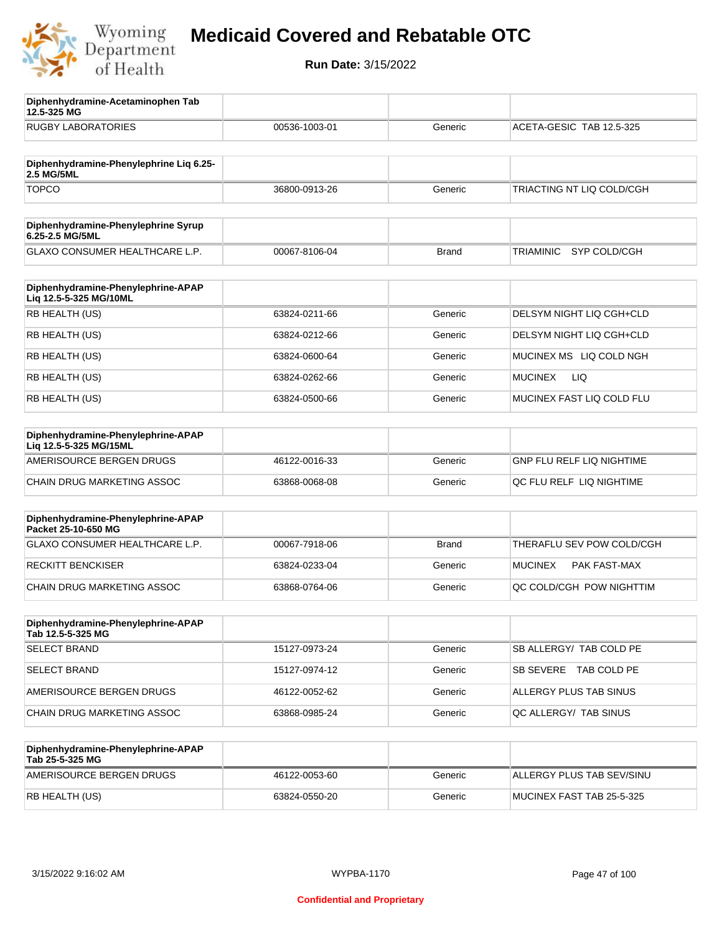

**12.5-325 MG**

**Diphenhydramine-Acetaminophen Tab** 

## **Medicaid Covered and Rebatable OTC**

| <b>RUGBY LABORATORIES</b>                                    | 00536-1003-01 | Generic      | ACETA-GESIC TAB 12.5-325     |
|--------------------------------------------------------------|---------------|--------------|------------------------------|
| Diphenhydramine-Phenylephrine Liq 6.25-                      |               |              |                              |
| 2.5 MG/5ML<br><b>TOPCO</b>                                   | 36800-0913-26 | Generic      | TRIACTING NT LIQ COLD/CGH    |
|                                                              |               |              |                              |
| Diphenhydramine-Phenylephrine Syrup<br>6.25-2.5 MG/5ML       |               |              |                              |
| <b>GLAXO CONSUMER HEALTHCARE L.P.</b>                        | 00067-8106-04 | <b>Brand</b> | SYP COLD/CGH<br>TRIAMINIC    |
| Diphenhydramine-Phenylephrine-APAP<br>Liq 12.5-5-325 MG/10ML |               |              |                              |
| RB HEALTH (US)                                               | 63824-0211-66 | Generic      | DELSYM NIGHT LIQ CGH+CLD     |
| RB HEALTH (US)                                               | 63824-0212-66 | Generic      | DELSYM NIGHT LIQ CGH+CLD     |
| RB HEALTH (US)                                               | 63824-0600-64 | Generic      | MUCINEX MS LIQ COLD NGH      |
| RB HEALTH (US)                                               | 63824-0262-66 | Generic      | <b>LIQ</b><br><b>MUCINEX</b> |
| RB HEALTH (US)                                               | 63824-0500-66 | Generic      | MUCINEX FAST LIQ COLD FLU    |
| Diphenhydramine-Phenylephrine-APAP<br>Lig 12.5-5-325 MG/15ML |               |              |                              |
| AMERISOURCE BERGEN DRUGS                                     | 46122-0016-33 | Generic      | GNP FLU RELF LIQ NIGHTIME    |
| CHAIN DRUG MARKETING ASSOC                                   | 63868-0068-08 | Generic      | QC FLU RELF LIQ NIGHTIME     |
| Diphenhydramine-Phenylephrine-APAP<br>Packet 25-10-650 MG    |               |              |                              |
| GLAXO CONSUMER HEALTHCARE L.P.                               | 00067-7918-06 | <b>Brand</b> | THERAFLU SEV POW COLD/CGH    |
| <b>RECKITT BENCKISER</b>                                     | 63824-0233-04 | Generic      | MUCINEX<br>PAK FAST-MAX      |
| CHAIN DRUG MARKETING ASSOC                                   | 63868-0764-06 | Generic      | QC COLD/CGH POW NIGHTTIM     |
| Diphenhydramine-Phenylephrine-APAP<br>Tab 12.5-5-325 MG      |               |              |                              |
| <b>SELECT BRAND</b>                                          | 15127-0973-24 | Generic      | SB ALLERGY/ TAB COLD PE      |
| <b>SELECT BRAND</b>                                          | 15127-0974-12 | Generic      | SB SEVERE TAB COLD PE        |
| AMERISOURCE BERGEN DRUGS                                     | 46122-0052-62 | Generic      | ALLERGY PLUS TAB SINUS       |
| CHAIN DRUG MARKETING ASSOC                                   | 63868-0985-24 | Generic      | QC ALLERGY/ TAB SINUS        |
| Diphenhydramine-Phenylephrine-APAP<br>Tab 25-5-325 MG        |               |              |                              |
| AMERISOURCE BERGEN DRUGS                                     | 46122-0053-60 | Generic      | ALLERGY PLUS TAB SEV/SINU    |
| RB HEALTH (US)                                               | 63824-0550-20 | Generic      | MUCINEX FAST TAB 25-5-325    |
|                                                              |               |              |                              |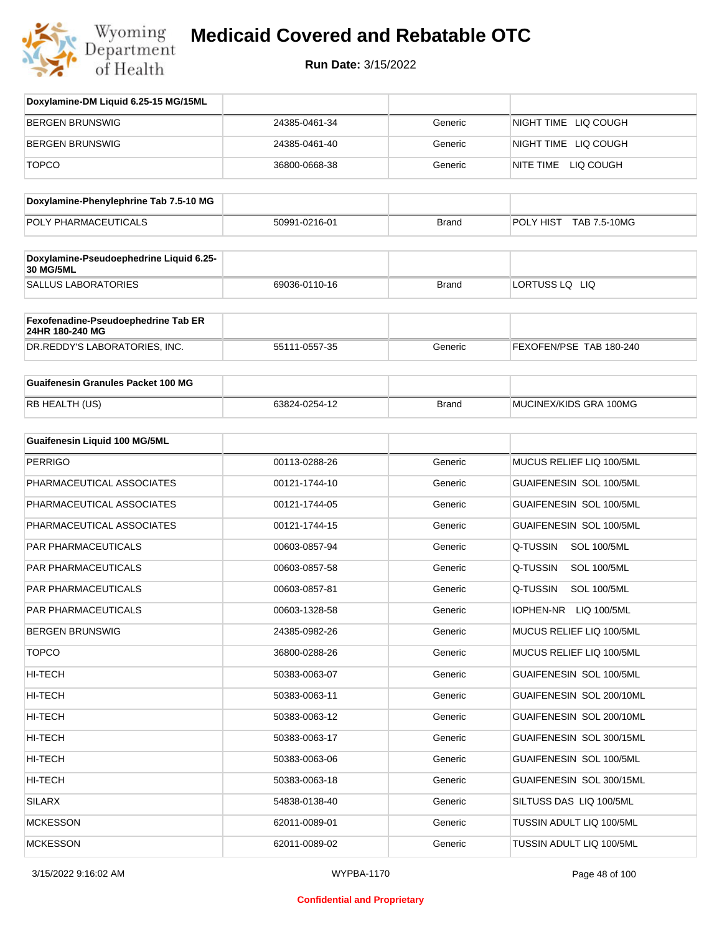

| Doxylamine-DM Liquid 6.25-15 MG/15ML                   |               |              |                                 |
|--------------------------------------------------------|---------------|--------------|---------------------------------|
| <b>BERGEN BRUNSWIG</b>                                 | 24385-0461-34 | Generic      | NIGHT TIME LIQ COUGH            |
| <b>BERGEN BRUNSWIG</b>                                 | 24385-0461-40 | Generic      | NIGHT TIME LIQ COUGH            |
| <b>TOPCO</b>                                           | 36800-0668-38 | Generic      | NITE TIME LIQ COUGH             |
| Doxylamine-Phenylephrine Tab 7.5-10 MG                 |               |              |                                 |
| POLY PHARMACEUTICALS                                   | 50991-0216-01 | <b>Brand</b> | POLY HIST TAB 7.5-10MG          |
|                                                        |               |              |                                 |
| Doxylamine-Pseudoephedrine Liquid 6.25-<br>30 MG/5ML   |               |              |                                 |
| <b>SALLUS LABORATORIES</b>                             | 69036-0110-16 | <b>Brand</b> | LORTUSS LQ LIQ                  |
| Fexofenadine-Pseudoephedrine Tab ER<br>24HR 180-240 MG |               |              |                                 |
| DR.REDDY'S LABORATORIES, INC.                          | 55111-0557-35 | Generic      | FEXOFEN/PSE TAB 180-240         |
| <b>Guaifenesin Granules Packet 100 MG</b>              |               |              |                                 |
| RB HEALTH (US)                                         | 63824-0254-12 | <b>Brand</b> | MUCINEX/KIDS GRA 100MG          |
| <b>Guaifenesin Liquid 100 MG/5ML</b>                   |               |              |                                 |
| <b>PERRIGO</b>                                         | 00113-0288-26 | Generic      | MUCUS RELIEF LIQ 100/5ML        |
| PHARMACEUTICAL ASSOCIATES                              | 00121-1744-10 | Generic      | GUAIFENESIN SOL 100/5ML         |
| PHARMACEUTICAL ASSOCIATES                              | 00121-1744-05 | Generic      | GUAIFENESIN SOL 100/5ML         |
| PHARMACEUTICAL ASSOCIATES                              | 00121-1744-15 | Generic      | GUAIFENESIN SOL 100/5ML         |
| PAR PHARMACEUTICALS                                    | 00603-0857-94 | Generic      | Q-TUSSIN<br><b>SOL 100/5ML</b>  |
| PAR PHARMACEUTICALS                                    | 00603-0857-58 | Generic      | Q-TUSSIN<br><b>SOL 100/5ML</b>  |
| PAR PHARMACEUTICALS                                    | 00603-0857-81 | Generic      | Q-TUSSIN<br><b>SOL 100/5ML</b>  |
| <b>PAR PHARMACEUTICALS</b>                             | 00603-1328-58 | Generic      | <b>IOPHEN-NR</b><br>LIQ 100/5ML |
| <b>BERGEN BRUNSWIG</b>                                 | 24385-0982-26 | Generic      | MUCUS RELIEF LIQ 100/5ML        |
| <b>TOPCO</b>                                           | 36800-0288-26 | Generic      | MUCUS RELIEF LIQ 100/5ML        |
| HI-TECH                                                | 50383-0063-07 | Generic      | GUAIFENESIN SOL 100/5ML         |
| HI-TECH                                                | 50383-0063-11 | Generic      | GUAIFENESIN SOL 200/10ML        |
| HI-TECH                                                | 50383-0063-12 | Generic      | GUAIFENESIN SOL 200/10ML        |
| HI-TECH                                                | 50383-0063-17 | Generic      | GUAIFENESIN SOL 300/15ML        |
| HI-TECH                                                | 50383-0063-06 | Generic      | GUAIFENESIN SOL 100/5ML         |
| HI-TECH                                                | 50383-0063-18 | Generic      | GUAIFENESIN SOL 300/15ML        |
| SILARX                                                 | 54838-0138-40 | Generic      | SILTUSS DAS LIQ 100/5ML         |
| <b>MCKESSON</b>                                        | 62011-0089-01 | Generic      | TUSSIN ADULT LIQ 100/5ML        |
| <b>MCKESSON</b>                                        | 62011-0089-02 | Generic      | TUSSIN ADULT LIQ 100/5ML        |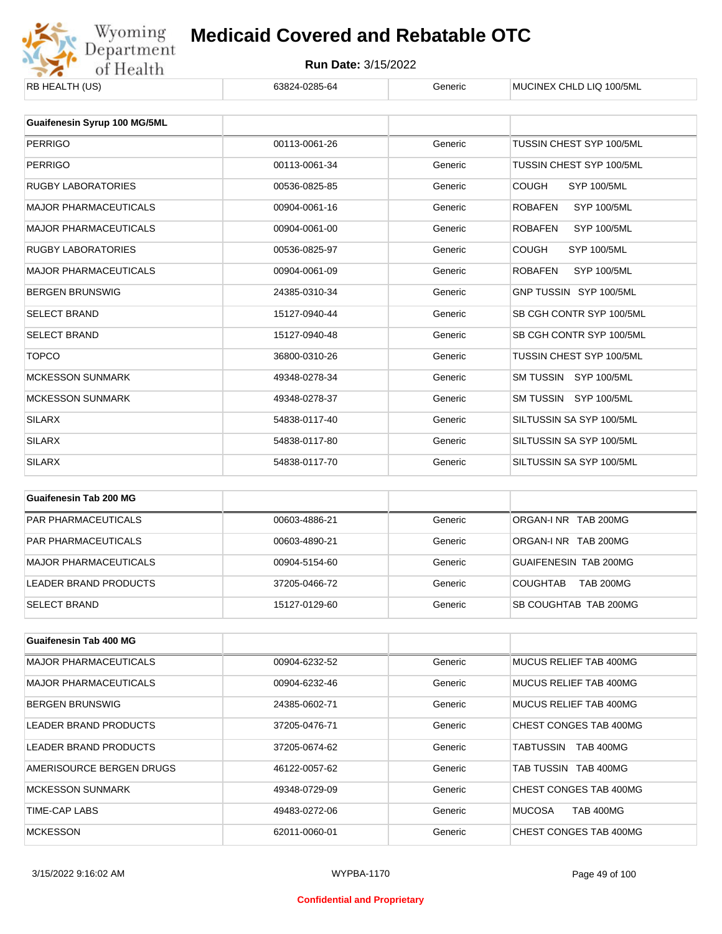

| KD HEALIH (US)               | 03024-0203-04 | oenenc  | <b>INIUUIINEA UHLIJ LIU TUU/JINIL</b> |
|------------------------------|---------------|---------|---------------------------------------|
|                              |               |         |                                       |
| Guaifenesin Syrup 100 MG/5ML |               |         |                                       |
| <b>PERRIGO</b>               | 00113-0061-26 | Generic | TUSSIN CHEST SYP 100/5ML              |
| <b>PERRIGO</b>               | 00113-0061-34 | Generic | TUSSIN CHEST SYP 100/5ML              |
| <b>RUGBY LABORATORIES</b>    | 00536-0825-85 | Generic | <b>COUGH</b><br><b>SYP 100/5ML</b>    |
| <b>MAJOR PHARMACEUTICALS</b> | 00904-0061-16 | Generic | <b>ROBAFEN</b><br><b>SYP 100/5ML</b>  |
| <b>MAJOR PHARMACEUTICALS</b> | 00904-0061-00 | Generic | <b>ROBAFEN</b><br><b>SYP 100/5ML</b>  |
| <b>RUGBY LABORATORIES</b>    | 00536-0825-97 | Generic | <b>COUGH</b><br><b>SYP 100/5ML</b>    |
| <b>MAJOR PHARMACEUTICALS</b> | 00904-0061-09 | Generic | <b>ROBAFEN</b><br><b>SYP 100/5ML</b>  |
| <b>BERGEN BRUNSWIG</b>       | 24385-0310-34 | Generic | GNP TUSSIN SYP 100/5ML                |
| <b>SELECT BRAND</b>          | 15127-0940-44 | Generic | SB CGH CONTR SYP 100/5ML              |
| <b>SELECT BRAND</b>          | 15127-0940-48 | Generic | SB CGH CONTR SYP 100/5ML              |
| <b>TOPCO</b>                 | 36800-0310-26 | Generic | TUSSIN CHEST SYP 100/5ML              |
| <b>MCKESSON SUNMARK</b>      | 49348-0278-34 | Generic | SM TUSSIN SYP 100/5ML                 |
| <b>MCKESSON SUNMARK</b>      | 49348-0278-37 | Generic | SM TUSSIN SYP 100/5ML                 |
| <b>SILARX</b>                | 54838-0117-40 | Generic | SILTUSSIN SA SYP 100/5ML              |
| <b>SILARX</b>                | 54838-0117-80 | Generic | SILTUSSIN SA SYP 100/5ML              |
| <b>SILARX</b>                | 54838-0117-70 | Generic | SILTUSSIN SA SYP 100/5ML              |
|                              |               |         |                                       |
| Cuaifenesin Tah 200 MC       |               |         |                                       |

| Guaifenesin Tab 200 MG     |               |         |                                     |
|----------------------------|---------------|---------|-------------------------------------|
| <b>PAR PHARMACEUTICALS</b> | 00603-4886-21 | Generic | ORGAN-INR TAB 200MG                 |
| <b>PAR PHARMACEUTICALS</b> | 00603-4890-21 | Generic | ORGAN-INR TAB 200MG                 |
| MAJOR PHARMACEUTICALS      | 00904-5154-60 | Generic | GUAIFENESIN TAB 200MG               |
| LEADER BRAND PRODUCTS      | 37205-0466-72 | Generic | <b>TAB 200MG</b><br><b>COUGHTAB</b> |
| <b>SELECT BRAND</b>        | 15127-0129-60 | Generic | SB COUGHTAB TAB 200MG               |

| <b>Guaifenesin Tab 400 MG</b> |               |         |                                   |
|-------------------------------|---------------|---------|-----------------------------------|
| <b>MAJOR PHARMACEUTICALS</b>  | 00904-6232-52 | Generic | MUCUS RELIEF TAB 400MG            |
| <b>MAJOR PHARMACEUTICALS</b>  | 00904-6232-46 | Generic | MUCUS RELIEF TAB 400MG            |
| <b>BERGEN BRUNSWIG</b>        | 24385-0602-71 | Generic | MUCUS RELIEF TAB 400MG            |
| LEADER BRAND PRODUCTS         | 37205-0476-71 | Generic | CHEST CONGES TAB 400MG            |
| LEADER BRAND PRODUCTS         | 37205-0674-62 | Generic | TABTUSSIN<br><b>TAB 400MG</b>     |
| AMERISOURCE BERGEN DRUGS      | 46122-0057-62 | Generic | TAB TUSSIN TAB 400MG              |
| MCKESSON SUNMARK              | 49348-0729-09 | Generic | CHEST CONGES TAB 400MG            |
| TIME-CAP LABS                 | 49483-0272-06 | Generic | <b>MUCOSA</b><br><b>TAB 400MG</b> |
| <b>MCKESSON</b>               | 62011-0060-01 | Generic | CHEST CONGES TAB 400MG            |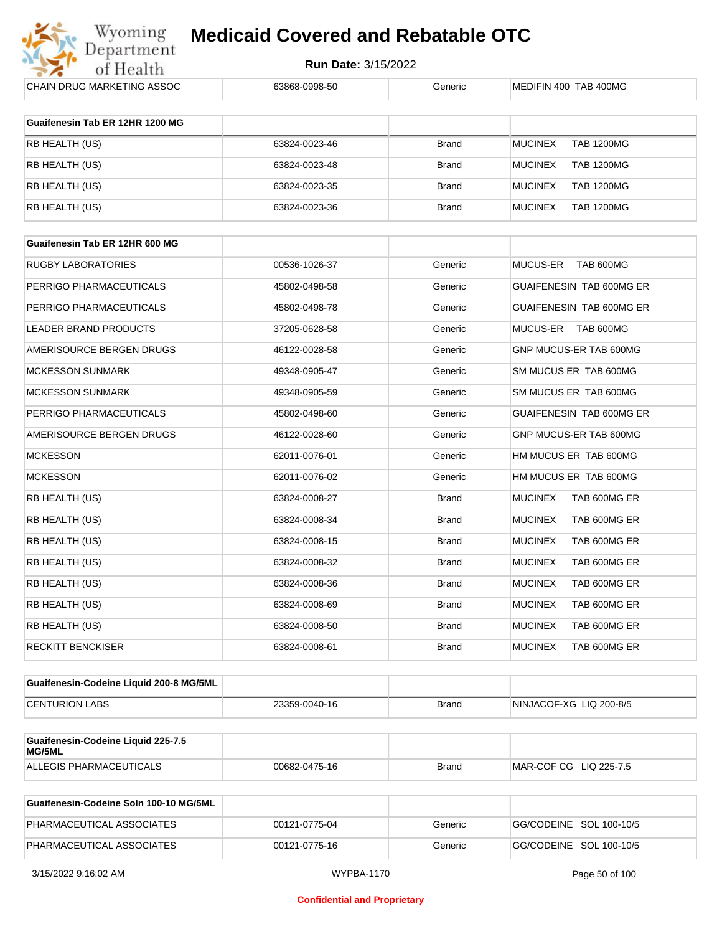

**Run Date:** 3/15/2022

| CHAIN DRUG MARKETING ASSOC                   | 63868-0998-50 | Generic      | MEDIFIN 400 TAB 400MG               |
|----------------------------------------------|---------------|--------------|-------------------------------------|
|                                              |               |              |                                     |
| Guaifenesin Tab ER 12HR 1200 MG              |               |              |                                     |
| RB HEALTH (US)                               | 63824-0023-46 | <b>Brand</b> | <b>MUCINEX</b><br><b>TAB 1200MG</b> |
| RB HEALTH (US)                               | 63824-0023-48 | <b>Brand</b> | <b>MUCINEX</b><br><b>TAB 1200MG</b> |
| RB HEALTH (US)                               | 63824-0023-35 | <b>Brand</b> | <b>TAB 1200MG</b><br><b>MUCINEX</b> |
| RB HEALTH (US)                               | 63824-0023-36 | <b>Brand</b> | <b>TAB 1200MG</b><br><b>MUCINEX</b> |
|                                              |               |              |                                     |
| Guaifenesin Tab ER 12HR 600 MG               |               |              |                                     |
| RUGBY LABORATORIES                           | 00536-1026-37 | Generic      | MUCUS-ER<br>TAB 600MG               |
| PERRIGO PHARMACEUTICALS                      | 45802-0498-58 | Generic      | GUAIFENESIN TAB 600MG ER            |
| PERRIGO PHARMACEUTICALS                      | 45802-0498-78 | Generic      | GUAIFENESIN TAB 600MG ER            |
| <b>LEADER BRAND PRODUCTS</b>                 | 37205-0628-58 | Generic      | <b>MUCUS-ER</b><br>TAB 600MG        |
| AMERISOURCE BERGEN DRUGS                     | 46122-0028-58 | Generic      | GNP MUCUS-ER TAB 600MG              |
| <b>MCKESSON SUNMARK</b>                      | 49348-0905-47 | Generic      | SM MUCUS ER TAB 600MG               |
| <b>MCKESSON SUNMARK</b>                      | 49348-0905-59 | Generic      | SM MUCUS ER TAB 600MG               |
| PERRIGO PHARMACEUTICALS                      | 45802-0498-60 | Generic      | GUAIFENESIN TAB 600MG ER            |
| AMERISOURCE BERGEN DRUGS                     | 46122-0028-60 | Generic      | GNP MUCUS-ER TAB 600MG              |
| <b>MCKESSON</b>                              | 62011-0076-01 | Generic      | HM MUCUS ER TAB 600MG               |
| <b>MCKESSON</b>                              | 62011-0076-02 | Generic      | HM MUCUS ER TAB 600MG               |
| RB HEALTH (US)                               | 63824-0008-27 | <b>Brand</b> | <b>MUCINEX</b><br>TAB 600MG ER      |
| RB HEALTH (US)                               | 63824-0008-34 | <b>Brand</b> | TAB 600MG ER<br><b>MUCINEX</b>      |
| RB HEALTH (US)                               | 63824-0008-15 | <b>Brand</b> | <b>MUCINEX</b><br>TAB 600MG ER      |
| RB HEALTH (US)                               | 63824-0008-32 | <b>Brand</b> | TAB 600MG ER<br><b>MUCINEX</b>      |
| RB HEALTH (US)                               | 63824-0008-36 | <b>Brand</b> | <b>MUCINEX</b><br>TAB 600MG ER      |
| RB HEALTH (US)                               | 63824-0008-69 | <b>Brand</b> | <b>MUCINEX</b><br>TAB 600MG ER      |
| RB HEALTH (US)                               | 63824-0008-50 | Brand        | <b>MUCINEX</b><br>TAB 600MG ER      |
| <b>RECKITT BENCKISER</b>                     | 63824-0008-61 | Brand        | <b>MUCINEX</b><br>TAB 600MG ER      |
| Guaifenesin-Codeine Liquid 200-8 MG/5ML      |               |              |                                     |
|                                              |               |              |                                     |
| <b>CENTURION LABS</b>                        | 23359-0040-16 | Brand        | NINJACOF-XG LIQ 200-8/5             |
| Guaifenesin-Codeine Liquid 225-7.5<br>MG/5ML |               |              |                                     |

| Guaifenesin-Codeine Soln 100-10 MG/5ML |               |         |                         |
|----------------------------------------|---------------|---------|-------------------------|
| PHARMACEUTICAL ASSOCIATES              | 00121-0775-04 | Generic | GG/CODEINE SOL 100-10/5 |
| PHARMACEUTICAL ASSOCIATES              | 00121-0775-16 | Generic | GG/CODEINE SOL 100-10/5 |

ALLEGIS PHARMACEUTICALS 00682-0475-16 Brand MAR-COF CG LIQ 225-7.5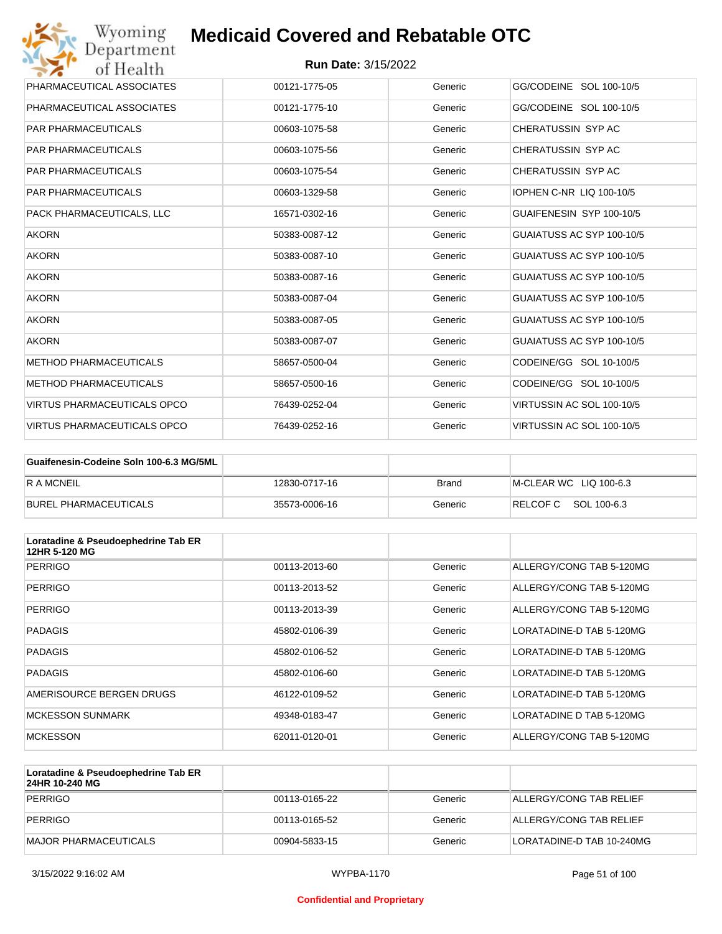| Wyoming<br>Department              | <b>Medicaid Covered and Rebatable OTC</b> |         |                                 |
|------------------------------------|-------------------------------------------|---------|---------------------------------|
| of Health                          | <b>Run Date: 3/15/2022</b>                |         |                                 |
| PHARMACEUTICAL ASSOCIATES          | 00121-1775-05                             | Generic | GG/CODEINE SOL 100-10/5         |
| PHARMACEUTICAL ASSOCIATES          | 00121-1775-10                             | Generic | GG/CODEINE SOL 100-10/5         |
| <b>PAR PHARMACEUTICALS</b>         | 00603-1075-58                             | Generic | CHERATUSSIN SYP AC              |
| <b>PAR PHARMACEUTICALS</b>         | 00603-1075-56                             | Generic | CHERATUSSIN SYP AC              |
| <b>PAR PHARMACEUTICALS</b>         | 00603-1075-54                             | Generic | CHERATUSSIN SYP AC              |
| <b>PAR PHARMACEUTICALS</b>         | 00603-1329-58                             | Generic | <b>IOPHEN C-NR LIQ 100-10/5</b> |
| PACK PHARMACEUTICALS, LLC          | 16571-0302-16                             | Generic | GUAIFENESIN SYP 100-10/5        |
| <b>AKORN</b>                       | 50383-0087-12                             | Generic | GUAIATUSS AC SYP 100-10/5       |
| <b>AKORN</b>                       | 50383-0087-10                             | Generic | GUAIATUSS AC SYP 100-10/5       |
| <b>AKORN</b>                       | 50383-0087-16                             | Generic | GUAIATUSS AC SYP 100-10/5       |
| <b>AKORN</b>                       | 50383-0087-04                             | Generic | GUAIATUSS AC SYP 100-10/5       |
| <b>AKORN</b>                       | 50383-0087-05                             | Generic | GUAIATUSS AC SYP 100-10/5       |
| <b>AKORN</b>                       | 50383-0087-07                             | Generic | GUAIATUSS AC SYP 100-10/5       |
| <b>METHOD PHARMACEUTICALS</b>      | 58657-0500-04                             | Generic | CODEINE/GG SOL 10-100/5         |
| <b>METHOD PHARMACEUTICALS</b>      | 58657-0500-16                             | Generic | CODEINE/GG SOL 10-100/5         |
| <b>VIRTUS PHARMACEUTICALS OPCO</b> | 76439-0252-04                             | Generic | VIRTUSSIN AC SOL 100-10/5       |
| <b>VIRTUS PHARMACEUTICALS OPCO</b> | 76439-0252-16                             | Generic | VIRTUSSIN AC SOL 100-10/5       |

| Guaifenesin-Codeine Soln 100-6.3 MG/5ML |               |         |                        |
|-----------------------------------------|---------------|---------|------------------------|
| <b>R A MCNEIL</b>                       | 12830-0717-16 | Brand   | M-CLEAR WC LIQ 100-6.3 |
| BUREL PHARMACEUTICALS                   | 35573-0006-16 | Generic | RELCOFC SOL 100-6.3    |

| Loratadine & Pseudoephedrine Tab ER<br>12HR 5-120 MG |               |         |                          |
|------------------------------------------------------|---------------|---------|--------------------------|
| PERRIGO                                              | 00113-2013-60 | Generic | ALLERGY/CONG TAB 5-120MG |
| PERRIGO                                              | 00113-2013-52 | Generic | ALLERGY/CONG TAB 5-120MG |
| PERRIGO                                              | 00113-2013-39 | Generic | ALLERGY/CONG TAB 5-120MG |
| <b>PADAGIS</b>                                       | 45802-0106-39 | Generic | LORATADINE-D TAB 5-120MG |
| <b>PADAGIS</b>                                       | 45802-0106-52 | Generic | LORATADINE-D TAB 5-120MG |
| <b>PADAGIS</b>                                       | 45802-0106-60 | Generic | LORATADINE-D TAB 5-120MG |
| AMERISOURCE BERGEN DRUGS                             | 46122-0109-52 | Generic | LORATADINE-D TAB 5-120MG |
| <b>MCKESSON SUNMARK</b>                              | 49348-0183-47 | Generic | LORATADINE D TAB 5-120MG |
| <b>MCKESSON</b>                                      | 62011-0120-01 | Generic | ALLERGY/CONG TAB 5-120MG |

| Loratadine & Pseudoephedrine Tab ER<br>24HR 10-240 MG |               |         |                           |
|-------------------------------------------------------|---------------|---------|---------------------------|
| PERRIGO                                               | 00113-0165-22 | Generic | ALLERGY/CONG TAB RELIEF   |
| PERRIGO                                               | 00113-0165-52 | Generic | ALLERGY/CONG TAB RELIEF   |
| MAJOR PHARMACEUTICALS                                 | 00904-5833-15 | Generic | LORATADINE-D TAB 10-240MG |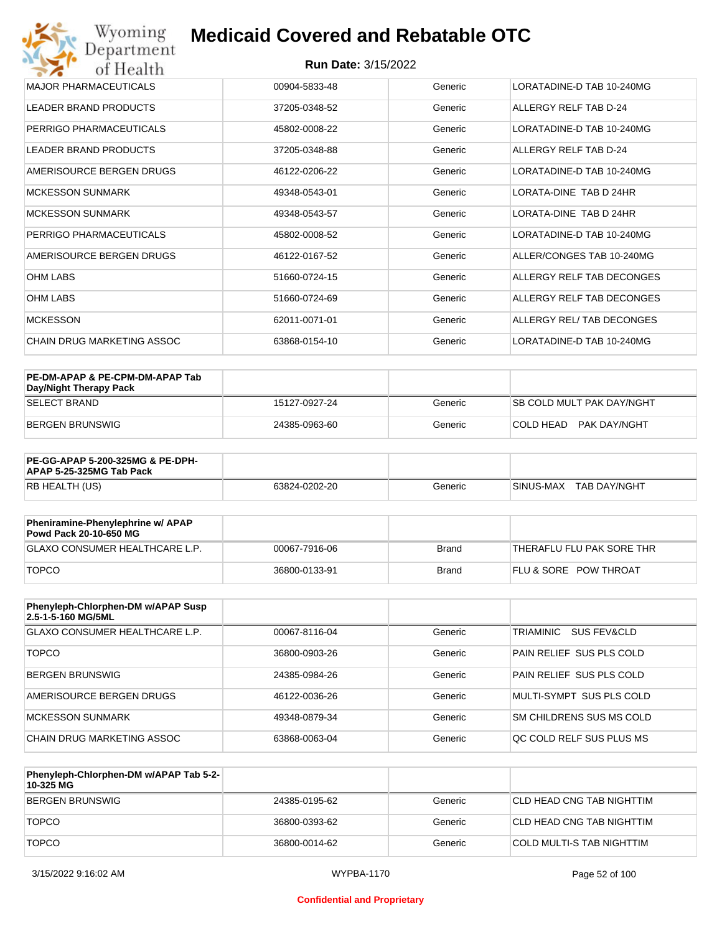| Wyoming<br>Department             | <b>Medicaid Covered and Rebatable OTC</b> |         |                                |
|-----------------------------------|-------------------------------------------|---------|--------------------------------|
| of Health                         | <b>Run Date: 3/15/2022</b>                |         |                                |
| <b>MAJOR PHARMACEUTICALS</b>      | 00904-5833-48                             | Generic | LORATADINE-D TAB 10-240MG      |
| <b>LEADER BRAND PRODUCTS</b>      | 37205-0348-52                             | Generic | ALLERGY RELF TAB D-24          |
| PERRIGO PHARMACEUTICALS           | 45802-0008-22                             | Generic | LORATADINE-D TAB 10-240MG      |
| <b>LEADER BRAND PRODUCTS</b>      | 37205-0348-88                             | Generic | ALLERGY RELF TAB D-24          |
| AMERISOURCE BERGEN DRUGS          | 46122-0206-22                             | Generic | LORATADINE-D TAB 10-240MG      |
| <b>MCKESSON SUNMARK</b>           | 49348-0543-01                             | Generic | <b>I ORATA-DINE TAB D 24HR</b> |
| <b>MCKESSON SUNMARK</b>           | 49348-0543-57                             | Generic | LORATA-DINE TAB D 24HR         |
| PERRIGO PHARMACEUTICALS           | 45802-0008-52                             | Generic | LORATADINE-D TAB 10-240MG      |
| AMERISOURCE BERGEN DRUGS          | 46122-0167-52                             | Generic | ALLER/CONGES TAB 10-240MG      |
| <b>OHM LABS</b>                   | 51660-0724-15                             | Generic | ALLERGY RELF TAB DECONGES      |
| <b>OHM LABS</b>                   | 51660-0724-69                             | Generic | ALLERGY RELF TAB DECONGES      |
| <b>MCKESSON</b>                   | 62011-0071-01                             | Generic | ALLERGY REL/ TAB DECONGES      |
| <b>CHAIN DRUG MARKETING ASSOC</b> | 63868-0154-10                             | Generic | LORATADINE-D TAB 10-240MG      |

| PE-DM-APAP & PE-CPM-DM-APAP Tab<br>Day/Night Therapy Pack |               |         |                                  |
|-----------------------------------------------------------|---------------|---------|----------------------------------|
| <b>SELECT BRAND</b>                                       | 15127-0927-24 | Generic | <b>SB COLD MULT PAK DAY/NGHT</b> |
| BERGEN BRUNSWIG                                           | 24385-0963-60 | Generic | PAK DAY/NGHT<br>ICOI D HEAD.     |

| <b>PE-GG-APAP 5-200-325MG &amp; PE-DPH-</b><br>APAP 5-25-325MG Tab Pack |               |         |                           |
|-------------------------------------------------------------------------|---------------|---------|---------------------------|
| RB HEALTH (US)                                                          | 63824-0202-20 | Generic | SINUS-MAX<br>TAB DAY/NGHT |

| Pheniramine-Phenylephrine w/ APAP<br>Powd Pack 20-10-650 MG |               |       |                                  |
|-------------------------------------------------------------|---------------|-------|----------------------------------|
| GLAXO CONSUMER HEALTHCARE L.P.                              | 00067-7916-06 | Brand | 'THERAFLU FLU PAK SORE THR       |
| <b>TOPCO</b>                                                | 36800-0133-91 | Brand | <b>FLU &amp; SORE POW THROAT</b> |

| Phenyleph-Chlorphen-DM w/APAP Susp<br>2.5-1-5-160 MG/5ML |               |         |                          |
|----------------------------------------------------------|---------------|---------|--------------------------|
| GLAXO CONSUMER HEALTHCARE L.P.                           | 00067-8116-04 | Generic | TRIAMINIC<br>SUS FEV&CLD |
| <b>TOPCO</b>                                             | 36800-0903-26 | Generic | PAIN RELIEF SUS PLS COLD |
| <b>BERGEN BRUNSWIG</b>                                   | 24385-0984-26 | Generic | PAIN RELIEF SUS PLS COLD |
| AMERISOURCE BERGEN DRUGS                                 | 46122-0036-26 | Generic | MULTI-SYMPT SUS PLS COLD |
| MCKESSON SUNMARK                                         | 49348-0879-34 | Generic | SM CHILDRENS SUS MS COLD |
| CHAIN DRUG MARKETING ASSOC                               | 63868-0063-04 | Generic | OC COLD RELF SUS PLUS MS |

| Phenyleph-Chlorphen-DM w/APAP Tab 5-2-<br>10-325 MG |               |         |                           |
|-----------------------------------------------------|---------------|---------|---------------------------|
| BERGEN BRUNSWIG                                     | 24385-0195-62 | Generic | CLD HEAD CNG TAB NIGHTTIM |
| <b>TOPCO</b>                                        | 36800-0393-62 | Generic | CLD HEAD CNG TAB NIGHTTIM |
| <b>TOPCO</b>                                        | 36800-0014-62 | Generic | COLD MULTI-S TAB NIGHTTIM |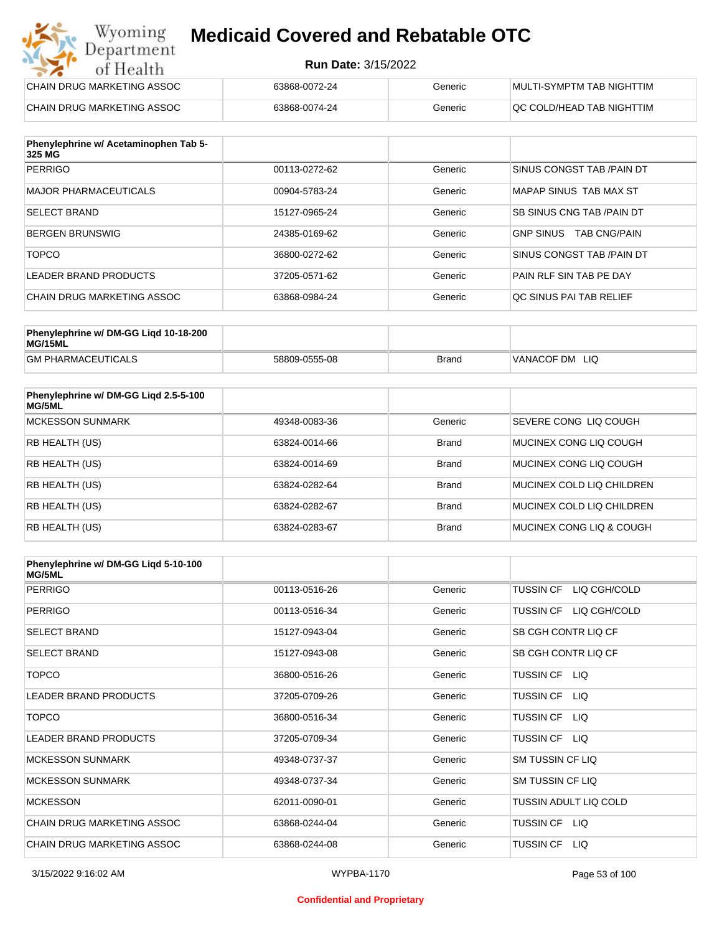#### **Run Date:** 3/15/2022

| Wyoming<br><b>Medicaid Covered and Rebatable OTC</b><br>Department |                            |         |                           |  |
|--------------------------------------------------------------------|----------------------------|---------|---------------------------|--|
| of Health                                                          | <b>Run Date: 3/15/2022</b> |         |                           |  |
| CHAIN DRUG MARKETING ASSOC                                         | 63868-0072-24              | Generic | MULTI-SYMPTM TAB NIGHTTIM |  |
| CHAIN DRUG MARKETING ASSOC                                         | 63868-0074-24              | Generic | QC COLD/HEAD TAB NIGHTTIM |  |

| Phenylephrine w/ Acetaminophen Tab 5-<br>325 MG |               |         |                                         |
|-------------------------------------------------|---------------|---------|-----------------------------------------|
| PERRIGO                                         | 00113-0272-62 | Generic | SINUS CONGST TAB /PAIN DT               |
| MAJOR PHARMACEUTICALS                           | 00904-5783-24 | Generic | MAPAP SINUS TAB MAX ST                  |
| <b>SELECT BRAND</b>                             | 15127-0965-24 | Generic | <b>SB SINUS CNG TAB /PAIN DT</b>        |
| <b>BERGEN BRUNSWIG</b>                          | 24385-0169-62 | Generic | <b>GNP SINUS</b><br><b>TAB CNG/PAIN</b> |
| <b>TOPCO</b>                                    | 36800-0272-62 | Generic | SINUS CONGST TAB /PAIN DT               |
| LEADER BRAND PRODUCTS                           | 37205-0571-62 | Generic | PAIN RLF SIN TAB PE DAY                 |
| CHAIN DRUG MARKETING ASSOC                      | 63868-0984-24 | Generic | OC SINUS PAI TAB RELIEF                 |

| Phenylephrine w/ DM-GG Ligd 10-18-200<br>MG/15ML |               |              |                   |
|--------------------------------------------------|---------------|--------------|-------------------|
| <b>GM PHARMACEUTICALS</b>                        | 58809-0555-08 | <b>Brand</b> | VANACOF DM<br>LIQ |

| Phenylephrine w/ DM-GG Ligd 2.5-5-100<br>MG/5ML |               |              |                           |
|-------------------------------------------------|---------------|--------------|---------------------------|
| <b>MCKESSON SUNMARK</b>                         | 49348-0083-36 | Generic      | SEVERE CONG LIO COUGH     |
| <b>RB HEALTH (US)</b>                           | 63824-0014-66 | <b>Brand</b> | MUCINEX CONG LIO COUGH    |
| <b>RB HEALTH (US)</b>                           | 63824-0014-69 | <b>Brand</b> | MUCINEX CONG LIO COUGH    |
| <b>RB HEALTH (US)</b>                           | 63824-0282-64 | <b>Brand</b> | MUCINEX COLD LIQ CHILDREN |
| <b>RB HEALTH (US)</b>                           | 63824-0282-67 | <b>Brand</b> | MUCINEX COLD LIQ CHILDREN |
| RB HEALTH (US)                                  | 63824-0283-67 | <b>Brand</b> | MUCINEX CONG LIO & COUGH  |

| Phenylephrine w/ DM-GG Ligd 5-10-100<br><b>MG/5ML</b> |               |         |                                  |
|-------------------------------------------------------|---------------|---------|----------------------------------|
| <b>PERRIGO</b>                                        | 00113-0516-26 | Generic | <b>TUSSIN CF</b><br>LIQ CGH/COLD |
| <b>PERRIGO</b>                                        | 00113-0516-34 | Generic | LIQ CGH/COLD<br><b>TUSSIN CF</b> |
| <b>SELECT BRAND</b>                                   | 15127-0943-04 | Generic | SB CGH CONTR LIQ CF              |
| <b>SELECT BRAND</b>                                   | 15127-0943-08 | Generic | SB CGH CONTR LIQ CF              |
| <b>TOPCO</b>                                          | 36800-0516-26 | Generic | TUSSIN CF LIQ                    |
| <b>LEADER BRAND PRODUCTS</b>                          | 37205-0709-26 | Generic | <b>TUSSIN CF</b><br>LIQ          |
| <b>TOPCO</b>                                          | 36800-0516-34 | Generic | <b>TUSSIN CF</b><br>LIQ.         |
| LEADER BRAND PRODUCTS                                 | 37205-0709-34 | Generic | TUSSIN CF LIQ                    |
| <b>MCKESSON SUNMARK</b>                               | 49348-0737-37 | Generic | <b>SM TUSSIN CF LIQ</b>          |
| <b>MCKESSON SUNMARK</b>                               | 49348-0737-34 | Generic | <b>SM TUSSIN CF LIQ</b>          |
| <b>MCKESSON</b>                                       | 62011-0090-01 | Generic | TUSSIN ADULT LIQ COLD            |
| CHAIN DRUG MARKETING ASSOC                            | 63868-0244-04 | Generic | TUSSIN CF LIQ                    |
| CHAIN DRUG MARKETING ASSOC                            | 63868-0244-08 | Generic | <b>TUSSIN CF</b><br>LIQ.         |

#### **Confidential and Proprietary**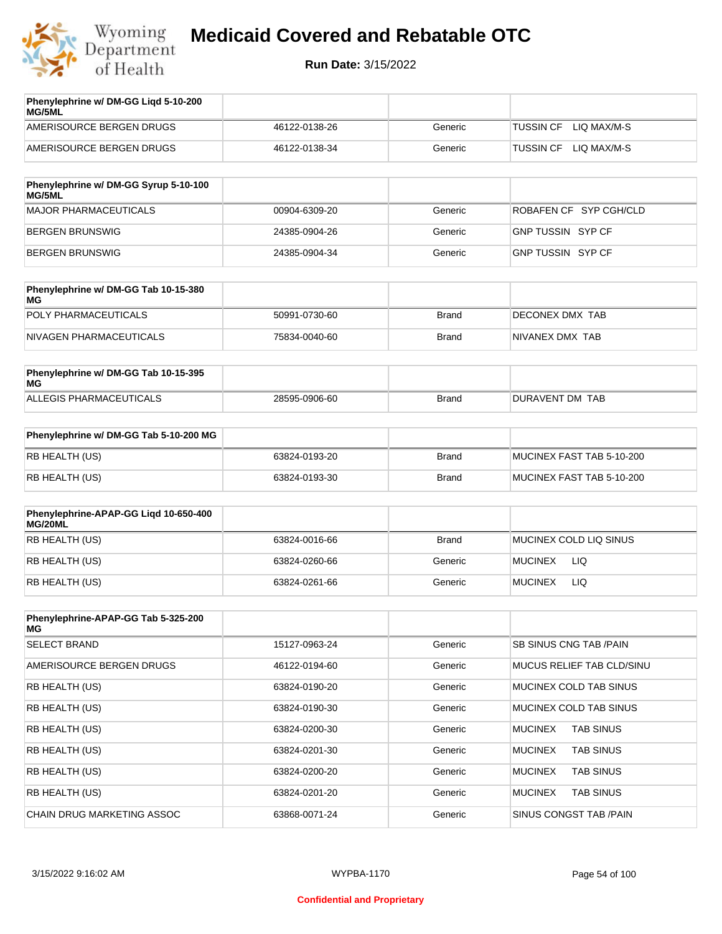

| Phenylephrine w/ DM-GG Ligd 5-10-200<br><b>MG/5ML</b> |               |         |                                 |
|-------------------------------------------------------|---------------|---------|---------------------------------|
| AMERISOURCE BERGEN DRUGS                              | 46122-0138-26 | Generic | LIO MAX/M-S<br>TUSSIN CF        |
| AMERISOURCE BERGEN DRUGS                              | 46122-0138-34 | Generic | LIO MAX/M-S<br><b>TUSSIN CF</b> |

| Phenylephrine w/ DM-GG Syrup 5-10-100<br>MG/5ML |               |         |                          |
|-------------------------------------------------|---------------|---------|--------------------------|
| MAJOR PHARMACEUTICALS                           | 00904-6309-20 | Generic | ROBAFEN CF SYP CGH/CLD   |
| BERGEN BRUNSWIG                                 | 24385-0904-26 | Generic | <b>GNP TUSSIN SYP CF</b> |
| BERGEN BRUNSWIG                                 | 24385-0904-34 | Generic | GNP TUSSIN SYP CF        |

| Phenylephrine w/ DM-GG Tab 10-15-380<br>MG |               |              |                 |
|--------------------------------------------|---------------|--------------|-----------------|
| POLY PHARMACEUTICALS                       | 50991-0730-60 | <b>Brand</b> | DECONEX DMX TAB |
| NIVAGEN PHARMACEUTICALS                    | 75834-0040-60 | Brand        | NIVANEX DMX TAB |

| Phenylephrine w/ DM-GG Tab 10-15-395<br>MG |               |       |                 |
|--------------------------------------------|---------------|-------|-----------------|
| ALLEGIS PHARMACEUTICALS                    | 28595-0906-60 | Brand | DURAVENT DM TAB |

| Phenylephrine w/ DM-GG Tab 5-10-200 MG |               |       |                           |
|----------------------------------------|---------------|-------|---------------------------|
| RB HEALTH (US)                         | 63824-0193-20 | Brand | MUCINEX FAST TAB 5-10-200 |
| RB HEALTH (US)                         | 63824-0193-30 | Brand | MUCINEX FAST TAB 5-10-200 |

| Phenylephrine-APAP-GG Ligd 10-650-400<br>MG/20ML |               |         |                        |
|--------------------------------------------------|---------------|---------|------------------------|
| RB HEALTH (US)                                   | 63824-0016-66 | Brand   | MUCINEX COLD LIQ SINUS |
| RB HEALTH (US)                                   | 63824-0260-66 | Generic | LIQ<br><b>MUCINEX</b>  |
| RB HEALTH (US)                                   | 63824-0261-66 | Generic | <b>MUCINEX</b><br>LIQ  |

| Phenylephrine-APAP-GG Tab 5-325-200<br>MG |               |         |                                    |
|-------------------------------------------|---------------|---------|------------------------------------|
| <b>SELECT BRAND</b>                       | 15127-0963-24 | Generic | SB SINUS CNG TAB / PAIN            |
| AMERISOURCE BERGEN DRUGS                  | 46122-0194-60 | Generic | MUCUS RELIEF TAB CLD/SINU          |
| <b>RB HEALTH (US)</b>                     | 63824-0190-20 | Generic | MUCINEX COLD TAB SINUS             |
| <b>RB HEALTH (US)</b>                     | 63824-0190-30 | Generic | MUCINEX COLD TAB SINUS             |
| <b>RB HEALTH (US)</b>                     | 63824-0200-30 | Generic | <b>TAB SINUS</b><br><b>MUCINEX</b> |
| <b>RB HEALTH (US)</b>                     | 63824-0201-30 | Generic | <b>MUCINEX</b><br><b>TAB SINUS</b> |
| <b>RB HEALTH (US)</b>                     | 63824-0200-20 | Generic | <b>TAB SINUS</b><br><b>MUCINEX</b> |
| <b>RB HEALTH (US)</b>                     | 63824-0201-20 | Generic | <b>MUCINEX</b><br><b>TAB SINUS</b> |
| <b>CHAIN DRUG MARKETING ASSOC</b>         | 63868-0071-24 | Generic | SINUS CONGST TAB /PAIN             |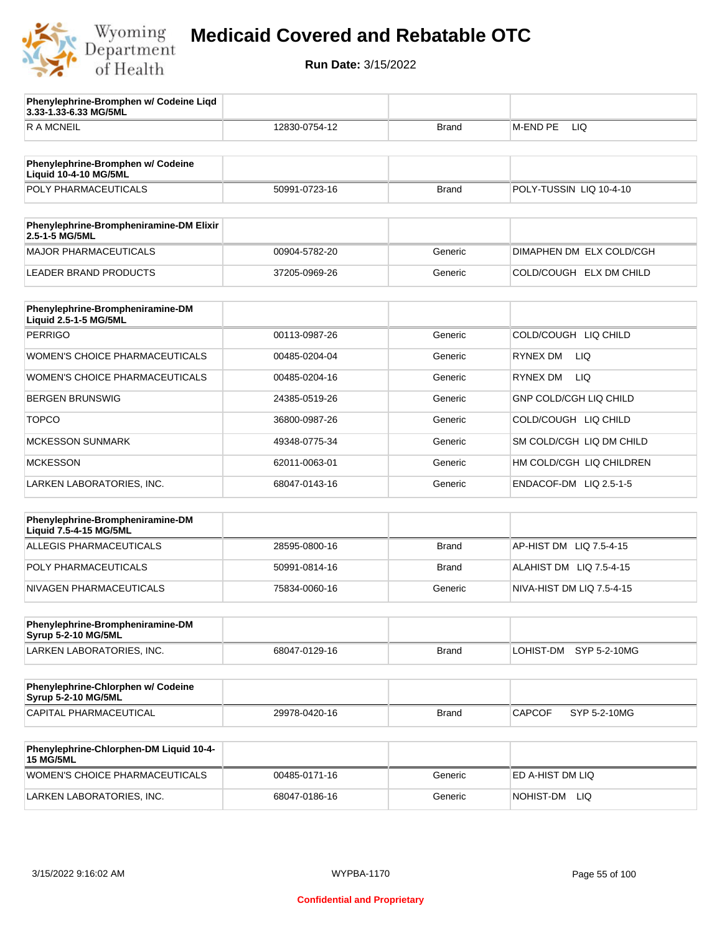

**3.33-1.33-6.33 MG/5ML**

**Phenylephrine-Bromphen w/ Codeine Liqd** 

## **Medicaid Covered and Rebatable OTC**

| R A MCNEIL                                                        | 12830-0754-12 | Brand        | M-END PE<br>LIQ               |
|-------------------------------------------------------------------|---------------|--------------|-------------------------------|
|                                                                   |               |              |                               |
| Phenylephrine-Bromphen w/ Codeine<br><b>Liquid 10-4-10 MG/5ML</b> |               |              |                               |
| POLY PHARMACEUTICALS                                              | 50991-0723-16 | <b>Brand</b> | POLY-TUSSIN LIQ 10-4-10       |
| Phenylephrine-Brompheniramine-DM Elixir<br>2.5-1-5 MG/5ML         |               |              |                               |
| <b>MAJOR PHARMACEUTICALS</b>                                      | 00904-5782-20 | Generic      | DIMAPHEN DM ELX COLD/CGH      |
| <b>LEADER BRAND PRODUCTS</b>                                      | 37205-0969-26 | Generic      | COLD/COUGH ELX DM CHILD       |
|                                                                   |               |              |                               |
| Phenylephrine-Brompheniramine-DM<br>Liquid 2.5-1-5 MG/5ML         |               |              |                               |
| <b>PERRIGO</b>                                                    | 00113-0987-26 | Generic      | COLD/COUGH LIQ CHILD          |
| <b>WOMEN'S CHOICE PHARMACEUTICALS</b>                             | 00485-0204-04 | Generic      | RYNEX DM<br>LIQ.              |
| WOMEN'S CHOICE PHARMACEUTICALS                                    | 00485-0204-16 | Generic      | <b>LIQ</b><br><b>RYNEX DM</b> |
| <b>BERGEN BRUNSWIG</b>                                            | 24385-0519-26 | Generic      | <b>GNP COLD/CGH LIQ CHILD</b> |
| <b>TOPCO</b>                                                      | 36800-0987-26 | Generic      | COLD/COUGH LIQ CHILD          |
| <b>MCKESSON SUNMARK</b>                                           | 49348-0775-34 | Generic      | SM COLD/CGH LIQ DM CHILD      |
| <b>MCKESSON</b>                                                   | 62011-0063-01 | Generic      | HM COLD/CGH LIQ CHILDREN      |
| LARKEN LABORATORIES, INC.                                         | 68047-0143-16 | Generic      | ENDACOF-DM LIQ 2.5-1-5        |
|                                                                   |               |              |                               |
| Phenylephrine-Brompheniramine-DM<br>Liquid 7.5-4-15 MG/5ML        |               |              |                               |
| <b>ALLEGIS PHARMACEUTICALS</b>                                    | 28595-0800-16 | <b>Brand</b> | AP-HIST DM LIQ 7.5-4-15       |
| POLY PHARMACEUTICALS                                              | 50991-0814-16 | Brand        | ALAHIST DM LIQ 7.5-4-15       |
| NIVAGEN PHARMACEUTICALS                                           | 75834-0060-16 | Generic      | NIVA-HIST DM LIQ 7.5-4-15     |
|                                                                   |               |              |                               |
| Phenylephrine-Brompheniramine-DM<br><b>Syrup 5-2-10 MG/5ML</b>    |               |              |                               |
| LARKEN LABORATORIES, INC.                                         | 68047-0129-16 | <b>Brand</b> | LOHIST-DM<br>SYP 5-2-10MG     |
| Phenylephrine-Chlorphen w/ Codeine<br><b>Syrup 5-2-10 MG/5ML</b>  |               |              |                               |
| CAPITAL PHARMACEUTICAL                                            | 29978-0420-16 | <b>Brand</b> | <b>CAPCOF</b><br>SYP 5-2-10MG |
|                                                                   |               |              |                               |
| Phenylephrine-Chlorphen-DM Liquid 10-4-<br><b>15 MG/5ML</b>       |               |              |                               |
| WOMEN'S CHOICE PHARMACEUTICALS                                    | 00485-0171-16 | Generic      | ED A-HIST DM LIQ              |
| LARKEN LABORATORIES, INC.                                         | 68047-0186-16 | Generic      | NOHIST-DM LIQ                 |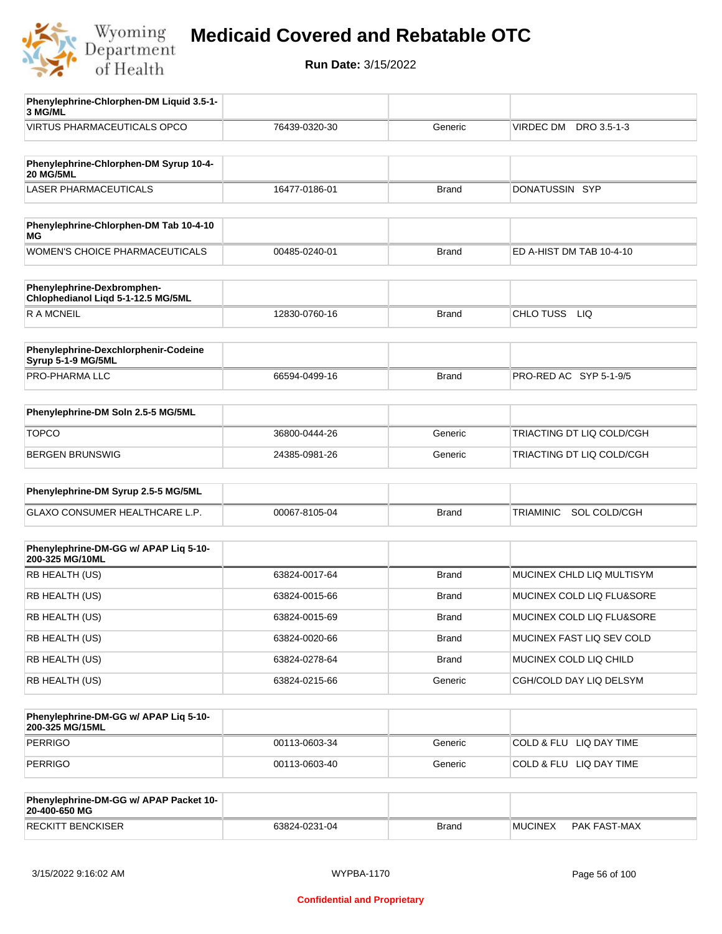

| Phenylephrine-Chlorphen-DM Liquid 3.5-1-<br>3 MG/ML              |               |              |                                  |
|------------------------------------------------------------------|---------------|--------------|----------------------------------|
| <b>VIRTUS PHARMACEUTICALS OPCO</b>                               | 76439-0320-30 | Generic      | VIRDEC DM DRO 3.5-1-3            |
|                                                                  |               |              |                                  |
| Phenylephrine-Chlorphen-DM Syrup 10-4-<br><b>20 MG/5ML</b>       |               |              |                                  |
| <b>LASER PHARMACEUTICALS</b>                                     | 16477-0186-01 | <b>Brand</b> | DONATUSSIN SYP                   |
|                                                                  |               |              |                                  |
| Phenylephrine-Chlorphen-DM Tab 10-4-10<br>ΜG                     |               |              |                                  |
| <b>WOMEN'S CHOICE PHARMACEUTICALS</b>                            | 00485-0240-01 | <b>Brand</b> | ED A-HIST DM TAB 10-4-10         |
| Phenylephrine-Dexbromphen-<br>Chlophedianol Liqd 5-1-12.5 MG/5ML |               |              |                                  |
| R A MCNEIL                                                       | 12830-0760-16 | <b>Brand</b> | CHLO TUSS LIQ                    |
|                                                                  |               |              |                                  |
| Phenylephrine-Dexchlorphenir-Codeine<br>Syrup 5-1-9 MG/5ML       |               |              |                                  |
| PRO-PHARMA LLC                                                   | 66594-0499-16 | <b>Brand</b> | PRO-RED AC SYP 5-1-9/5           |
|                                                                  |               |              |                                  |
| Phenylephrine-DM Soln 2.5-5 MG/5ML                               |               |              |                                  |
| <b>TOPCO</b>                                                     | 36800-0444-26 | Generic      | TRIACTING DT LIQ COLD/CGH        |
| <b>BERGEN BRUNSWIG</b>                                           | 24385-0981-26 | Generic      | TRIACTING DT LIQ COLD/CGH        |
| Phenylephrine-DM Syrup 2.5-5 MG/5ML                              |               |              |                                  |
|                                                                  |               |              |                                  |
| GLAXO CONSUMER HEALTHCARE L.P.                                   | 00067-8105-04 | <b>Brand</b> | SOL COLD/CGH<br><b>TRIAMINIC</b> |
|                                                                  |               |              |                                  |
| Phenylephrine-DM-GG w/ APAP Liq 5-10-<br>200-325 MG/10ML         |               |              |                                  |
| RB HEALTH (US)                                                   | 63824-0017-64 | <b>Brand</b> | MUCINEX CHLD LIQ MULTISYM        |
| RB HEALTH (US)                                                   | 63824-0015-66 | Brand        | MUCINEX COLD LIQ FLU&SORE        |
| RB HEALTH (US)                                                   | 63824-0015-69 | <b>Brand</b> | MUCINEX COLD LIQ FLU&SORE        |
| RB HEALTH (US)                                                   | 63824-0020-66 | <b>Brand</b> | MUCINEX FAST LIQ SEV COLD        |
| RB HEALTH (US)                                                   | 63824-0278-64 | <b>Brand</b> | MUCINEX COLD LIQ CHILD           |
| RB HEALTH (US)                                                   | 63824-0215-66 | Generic      | CGH/COLD DAY LIQ DELSYM          |
|                                                                  |               |              |                                  |
| Phenylephrine-DM-GG w/ APAP Liq 5-10-<br>200-325 MG/15ML         |               |              |                                  |
| <b>PERRIGO</b>                                                   | 00113-0603-34 | Generic      | COLD & FLU LIQ DAY TIME          |
| <b>PERRIGO</b>                                                   | 00113-0603-40 | Generic      | COLD & FLU LIQ DAY TIME          |
|                                                                  |               |              |                                  |
| Phenylephrine-DM-GG w/ APAP Packet 10-<br>20-400-650 MG          |               |              |                                  |
| <b>RECKITT BENCKISER</b>                                         | 63824-0231-04 | <b>Brand</b> | <b>MUCINEX</b><br>PAK FAST-MAX   |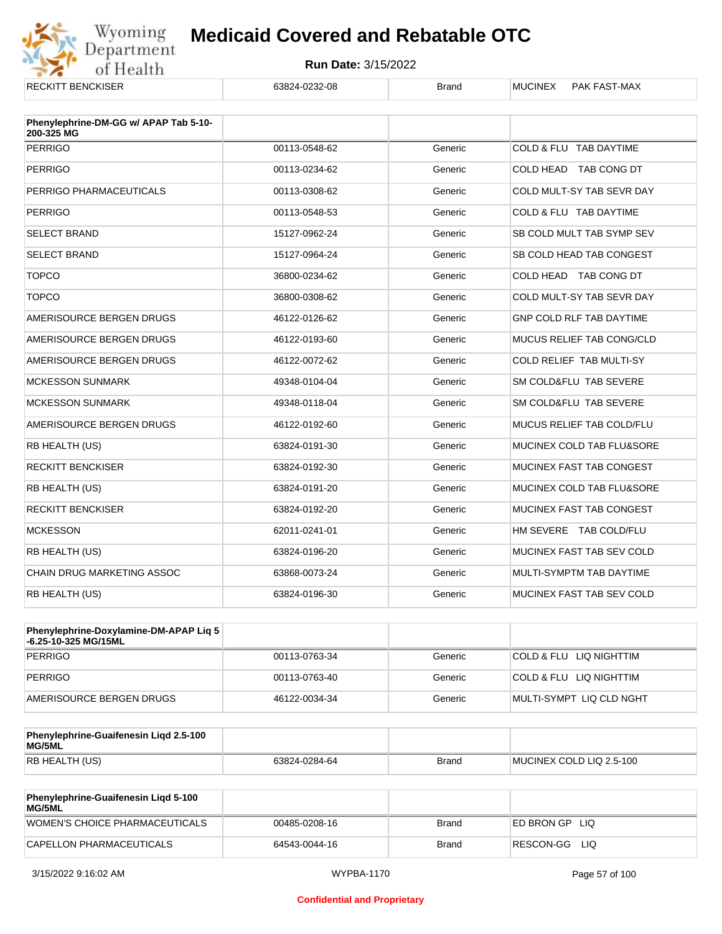

| <b>RECKITT BENCKISER</b>                            | 63824-0232-08 | <b>Brand</b> | <b>MUCINEX</b><br>PAK FAST-MAX   |
|-----------------------------------------------------|---------------|--------------|----------------------------------|
| Phenylephrine-DM-GG w/ APAP Tab 5-10-<br>200-325 MG |               |              |                                  |
| <b>PERRIGO</b>                                      | 00113-0548-62 | Generic      | COLD & FLU TAB DAYTIME           |
| <b>PERRIGO</b>                                      | 00113-0234-62 | Generic      | COLD HEAD TAB CONG DT            |
| PERRIGO PHARMACEUTICALS                             | 00113-0308-62 | Generic      | COLD MULT-SY TAB SEVR DAY        |
| <b>PERRIGO</b>                                      | 00113-0548-53 | Generic      | COLD & FLU TAB DAYTIME           |
| <b>SELECT BRAND</b>                                 | 15127-0962-24 | Generic      | SB COLD MULT TAB SYMP SEV        |
| <b>SELECT BRAND</b>                                 | 15127-0964-24 | Generic      | SB COLD HEAD TAB CONGEST         |
| <b>TOPCO</b>                                        | 36800-0234-62 | Generic      | COLD HEAD TAB CONG DT            |
| <b>TOPCO</b>                                        | 36800-0308-62 | Generic      | COLD MULT-SY TAB SEVR DAY        |
| AMERISOURCE BERGEN DRUGS                            | 46122-0126-62 | Generic      | <b>GNP COLD RLF TAB DAYTIME</b>  |
| AMERISOURCE BERGEN DRUGS                            | 46122-0193-60 | Generic      | <b>MUCUS RELIEF TAB CONG/CLD</b> |
| AMERISOURCE BERGEN DRUGS                            | 46122-0072-62 | Generic      | COLD RELIEF TAB MULTI-SY         |
| <b>MCKESSON SUNMARK</b>                             | 49348-0104-04 | Generic      | SM COLD&FLU TAB SEVERE           |
| <b>MCKESSON SUNMARK</b>                             | 49348-0118-04 | Generic      | SM COLD&FLU TAB SEVERE           |
| AMERISOURCE BERGEN DRUGS                            | 46122-0192-60 | Generic      | MUCUS RELIEF TAB COLD/FLU        |
| RB HEALTH (US)                                      | 63824-0191-30 | Generic      | MUCINEX COLD TAB FLU&SORE        |
| <b>RECKITT BENCKISER</b>                            | 63824-0192-30 | Generic      | MUCINEX FAST TAB CONGEST         |
| RB HEALTH (US)                                      | 63824-0191-20 | Generic      | MUCINEX COLD TAB FLU&SORE        |
| <b>RECKITT BENCKISER</b>                            | 63824-0192-20 | Generic      | MUCINEX FAST TAB CONGEST         |
| <b>MCKESSON</b>                                     | 62011-0241-01 | Generic      | HM SEVERE TAB COLD/FLU           |
| RB HEALTH (US)                                      | 63824-0196-20 | Generic      | MUCINEX FAST TAB SEV COLD        |
| <b>CHAIN DRUG MARKETING ASSOC</b>                   | 63868-0073-24 | Generic      | MULTI-SYMPTM TAB DAYTIME         |
| RB HEALTH (US)                                      | 63824-0196-30 | Generic      | MUCINEX FAST TAB SEV COLD        |

| <b>Phenylephrine-Doxylamine-DM-APAP Lig 5</b><br>-6.25-10-325 MG/15ML |               |         |                          |
|-----------------------------------------------------------------------|---------------|---------|--------------------------|
| PERRIGO                                                               | 00113-0763-34 | Generic | COLD & FLU LIQ NIGHTTIM  |
| PERRIGO                                                               | 00113-0763-40 | Generic | COLD & FLU LIQ NIGHTTIM  |
| AMERISOURCE BERGEN DRUGS                                              | 46122-0034-34 | Generic | MULTI-SYMPT LIQ CLD NGHT |

| Phenylephrine-Guaifenesin Ligd 2.5-100<br>MG/5ML |               |              |                          |
|--------------------------------------------------|---------------|--------------|--------------------------|
| <b>RB HEALTH (US)</b>                            | 63824-0284-64 | <b>Brand</b> | MUCINEX COLD LIQ 2.5-100 |

| <b>Phenylephrine-Guaifenesin Ligd 5-100</b><br>MG/5ML |               |       |                    |
|-------------------------------------------------------|---------------|-------|--------------------|
| WOMEN'S CHOICE PHARMACEUTICALS                        | 00485-0208-16 | Brand | ED BRON GP<br>-LIQ |
| CAPELLON PHARMACEUTICALS                              | 64543-0044-16 | Brand | RESCON-GG LIO      |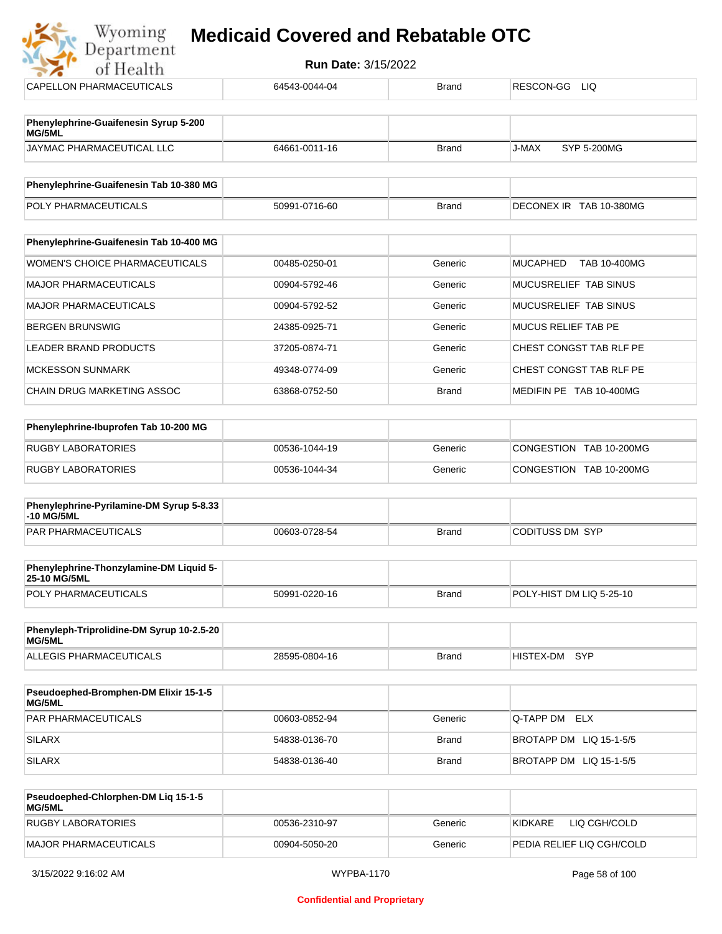## **Myoming Medicaid Covered and Rebatable OTC**

| <b>Run Date: 3/15/2022</b><br>of Health                |               |              |                                        |  |
|--------------------------------------------------------|---------------|--------------|----------------------------------------|--|
| <b>CAPELLON PHARMACEUTICALS</b>                        | 64543-0044-04 | <b>Brand</b> | RESCON-GG<br><b>LIQ</b>                |  |
| Phenylephrine-Guaifenesin Syrup 5-200<br>MG/5ML        |               |              |                                        |  |
| JAYMAC PHARMACEUTICAL LLC                              | 64661-0011-16 | <b>Brand</b> | <b>SYP 5-200MG</b><br>J-MAX            |  |
| Phenylephrine-Guaifenesin Tab 10-380 MG                |               |              |                                        |  |
| POLY PHARMACEUTICALS                                   | 50991-0716-60 | <b>Brand</b> | DECONEX IR TAB 10-380MG                |  |
| Phenylephrine-Guaifenesin Tab 10-400 MG                |               |              |                                        |  |
| WOMEN'S CHOICE PHARMACEUTICALS                         | 00485-0250-01 | Generic      | <b>MUCAPHED</b><br><b>TAB 10-400MG</b> |  |
| <b>MAJOR PHARMACEUTICALS</b>                           | 00904-5792-46 | Generic      | MUCUSRELIEF TAB SINUS                  |  |
| <b>MAJOR PHARMACEUTICALS</b>                           | 00904-5792-52 | Generic      | MUCUSRELIEF TAB SINUS                  |  |
| <b>BERGEN BRUNSWIG</b>                                 | 24385-0925-71 | Generic      | <b>MUCUS RELIEF TAB PE</b>             |  |
| <b>LEADER BRAND PRODUCTS</b>                           | 37205-0874-71 | Generic      | CHEST CONGST TAB RLF PE                |  |
| <b>MCKESSON SUNMARK</b>                                | 49348-0774-09 | Generic      | CHEST CONGST TAB RLF PE                |  |
| CHAIN DRUG MARKETING ASSOC                             | 63868-0752-50 | <b>Brand</b> | MEDIFIN PE TAB 10-400MG                |  |
| Phenylephrine-Ibuprofen Tab 10-200 MG                  |               |              |                                        |  |
| <b>RUGBY LABORATORIES</b>                              | 00536-1044-19 | Generic      | CONGESTION TAB 10-200MG                |  |
| <b>RUGBY LABORATORIES</b>                              | 00536-1044-34 | Generic      | CONGESTION TAB 10-200MG                |  |
| Phenylephrine-Pyrilamine-DM Syrup 5-8.33<br>-10 MG/5ML |               |              |                                        |  |
| <b>PAR PHARMACEUTICALS</b>                             | 00603-0728-54 | <b>Brand</b> | <b>CODITUSS DM SYP</b>                 |  |

| Phenylephrine-Thonzylamine-DM Liquid 5-<br><b>25-10 MG/5ML</b> |               |       |                           |
|----------------------------------------------------------------|---------------|-------|---------------------------|
| <b>POLY PHARMACEUTICALS</b>                                    | 50991-0220-16 | Brand | IPOLY-HIST DM LIQ 5-25-10 |

| Phenyleph-Triprolidine-DM Syrup 10-2.5-20<br>MG/5ML |               |       |               |  |
|-----------------------------------------------------|---------------|-------|---------------|--|
| ALLEGIS PHARMACEUTICALS                             | 28595-0804-16 | Brand | HISTEX-DM SYP |  |

| <b>Pseudoephed-Bromphen-DM Elixir 15-1-5</b><br>MG/5ML |               |         |                         |
|--------------------------------------------------------|---------------|---------|-------------------------|
| <b>PAR PHARMACEUTICALS</b>                             | 00603-0852-94 | Generic | Q-TAPP DM ELX           |
| SILARX                                                 | 54838-0136-70 | Brand   | BROTAPP DM LIQ 15-1-5/5 |
| SILARX                                                 | 54838-0136-40 | Brand   | BROTAPP DM LIQ 15-1-5/5 |

| <b>Pseudoephed-Chlorphen-DM Lig 15-1-5</b><br>MG/5ML |               |         |                           |
|------------------------------------------------------|---------------|---------|---------------------------|
| <b>RUGBY LABORATORIES</b>                            | 00536-2310-97 | Generic | KIDKARE<br>LIQ CGH/COLD   |
| MAJOR PHARMACEUTICALS                                | 00904-5050-20 | Generic | PEDIA RELIEF LIO CGH/COLD |

 $\frac{1}{2}$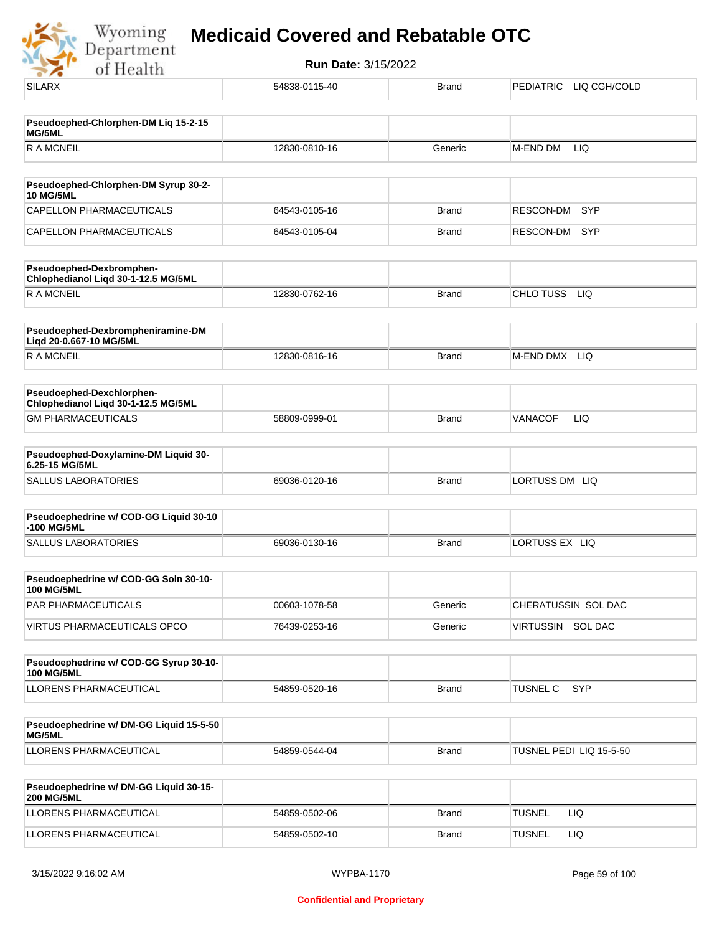Wyoming<br>Department<br>of Health

| <b>SILARX</b>                                                    | 54838-0115-40 | <b>Brand</b> | PEDIATRIC LIQ CGH/COLD  |
|------------------------------------------------------------------|---------------|--------------|-------------------------|
| Pseudoephed-Chlorphen-DM Lig 15-2-15<br>MG/5ML                   |               |              |                         |
| <b>RAMCNEIL</b>                                                  | 12830-0810-16 | Generic      | <b>LIQ</b><br>M-END DM  |
|                                                                  |               |              |                         |
| Pseudoephed-Chlorphen-DM Syrup 30-2-<br><b>10 MG/5ML</b>         |               |              |                         |
| CAPELLON PHARMACEUTICALS                                         | 64543-0105-16 | <b>Brand</b> | RESCON-DM<br>SYP        |
| CAPELLON PHARMACEUTICALS                                         | 64543-0105-04 | <b>Brand</b> | SYP<br>RESCON-DM        |
| Pseudoephed-Dexbromphen-<br>Chlophedianol Liqd 30-1-12.5 MG/5ML  |               |              |                         |
| <b>RAMCNEIL</b>                                                  | 12830-0762-16 | <b>Brand</b> | CHLO TUSS LIQ           |
| Pseudoephed-Dexbrompheniramine-DM<br>Liqd 20-0.667-10 MG/5ML     |               |              |                         |
| R A MCNEIL                                                       | 12830-0816-16 | <b>Brand</b> | LIQ<br>M-END DMX        |
| Pseudoephed-Dexchlorphen-<br>Chlophedianol Liqd 30-1-12.5 MG/5ML |               |              |                         |
| <b>GM PHARMACEUTICALS</b>                                        | 58809-0999-01 | <b>Brand</b> | LIQ<br><b>VANACOF</b>   |
| Pseudoephed-Doxylamine-DM Liquid 30-<br>6.25-15 MG/5ML           |               |              |                         |
| <b>SALLUS LABORATORIES</b>                                       | 69036-0120-16 | <b>Brand</b> | LORTUSS DM LIQ          |
| Pseudoephedrine w/ COD-GG Liquid 30-10<br>-100 MG/5ML            |               |              |                         |
| <b>SALLUS LABORATORIES</b>                                       | 69036-0130-16 | <b>Brand</b> | LORTUSS EX LIQ          |
| Pseudoephedrine w/ COD-GG Soln 30-10-<br><b>100 MG/5ML</b>       |               |              |                         |
| PAR PHARMACEUTICALS                                              | 00603-1078-58 | Generic      | CHERATUSSIN SOL DAC     |
| <b>VIRTUS PHARMACEUTICALS OPCO</b>                               | 76439-0253-16 | Generic      | VIRTUSSIN SOL DAC       |
| Pseudoephedrine w/ COD-GG Syrup 30-10-<br><b>100 MG/5ML</b>      |               |              |                         |
| LLORENS PHARMACEUTICAL                                           | 54859-0520-16 | <b>Brand</b> | SYP<br><b>TUSNEL C</b>  |
|                                                                  |               |              |                         |
| Pseudoephedrine w/ DM-GG Liquid 15-5-50<br>MG/5ML                |               |              |                         |
| LLORENS PHARMACEUTICAL                                           | 54859-0544-04 | <b>Brand</b> | TUSNEL PEDI LIQ 15-5-50 |
| Pseudoephedrine w/ DM-GG Liquid 30-15-<br><b>200 MG/5ML</b>      |               |              |                         |
| LLORENS PHARMACEUTICAL                                           | 54859-0502-06 | <b>Brand</b> | <b>TUSNEL</b><br>LIQ.   |
| LLORENS PHARMACEUTICAL                                           | 54859-0502-10 | <b>Brand</b> | <b>TUSNEL</b><br>LIQ    |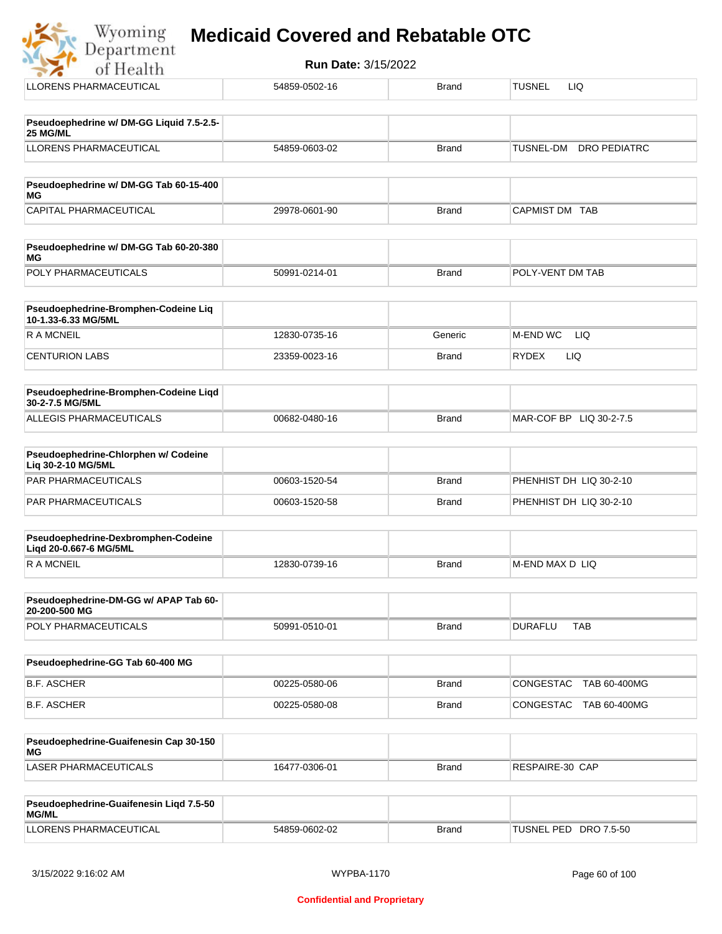#### **Medicaid Covered and Rebatable OTC**Department

Wyoming

**Run Date:** 3/15/2022 of Health LLORENS PHARMACEUTICAL 54859-0502-16 Brand TUSNEL LIQ **Pseudoephedrine w/ DM-GG Liquid 7.5-2.5- 25 MG/ML** LLORENS PHARMACEUTICAL 54859-0603-02 Brand TUSNEL-DM DRO PEDIATRC **Pseudoephedrine w/ DM-GG Tab 60-15-400 MG** CAPITAL PHARMACEUTICAL 29978-0601-90 Brand CAPMIST DM TAB **Pseudoephedrine w/ DM-GG Tab 60-20-380 MG** POLY PHARMACEUTICALS 50991-0214-01 Brand POLY-VENT DM TAB **Pseudoephedrine-Bromphen-Codeine Liq 10-1.33-6.33 MG/5ML** R A MCNEIL **12830-0735-16** Generic M-END WC LIQ CENTURION LABS CONSULTED: 23359-0023-16 Brand RYDEX LIQ **Pseudoephedrine-Bromphen-Codeine Liqd 30-2-7.5 MG/5ML** ALLEGIS PHARMACEUTICALS 00682-0480-16 Brand MAR-COF BP LIQ 30-2-7.5

| <b>Pseudoephedrine-Chlorphen w/ Codeine</b><br>Lig 30-2-10 MG/5ML |               |       |                         |
|-------------------------------------------------------------------|---------------|-------|-------------------------|
| <b>PAR PHARMACEUTICALS</b>                                        | 00603-1520-54 | Brand | PHENHIST DH LIQ 30-2-10 |
| PAR PHARMACEUTICALS                                               | 00603-1520-58 | Brand | PHENHIST DH LIQ 30-2-10 |

| Pseudoephedrine-Dexbromphen-Codeine<br>Ligd 20-0.667-6 MG/5ML |               |              |                  |
|---------------------------------------------------------------|---------------|--------------|------------------|
| R A MCNFIL                                                    | 12830-0739-16 | <b>Brand</b> | IM-END MAX D LIQ |

| Pseudoephedrine-DM-GG w/ APAP Tab 60-<br>20-200-500 MG |               |              |         |     |
|--------------------------------------------------------|---------------|--------------|---------|-----|
| <b>POLY PHARMACEUTICALS</b>                            | 50991-0510-01 | <b>Brand</b> | DURAFLU | TAB |

| Pseudoephedrine-GG Tab 60-400 MG |               |              |                           |
|----------------------------------|---------------|--------------|---------------------------|
| B.F. ASCHER                      | 00225-0580-06 | Brand        | CONGESTAC TAB 60-400MG    |
| B.F. ASCHER                      | 00225-0580-08 | <b>Brand</b> | CONGESTAC<br>TAB 60-400MG |

| Pseudoephedrine-Guaifenesin Cap 30-150<br>MG |               |       |                 |
|----------------------------------------------|---------------|-------|-----------------|
| LASER PHARMACEUTICALS                        | 16477-0306-01 | Brand | RESPAIRE-30 CAP |

| Pseudoephedrine-Guaifenesin Ligd 7.5-50<br><b>MG/ML</b> |               |              |                                 |
|---------------------------------------------------------|---------------|--------------|---------------------------------|
| LLORENS PHARMACEUTICAL                                  | 54859-0602-02 | <b>Brand</b> | <b>TUSNEL PED</b><br>DRO 7.5-50 |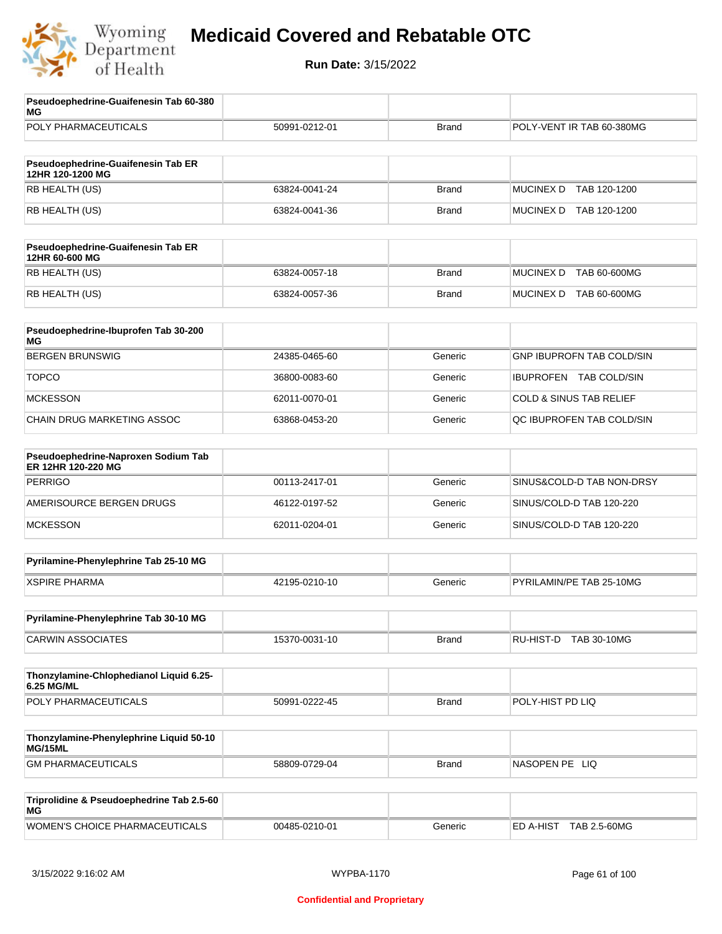

| Pseudoephedrine-Guaifenesin Tab 60-380<br>MG              |               |              |                                    |
|-----------------------------------------------------------|---------------|--------------|------------------------------------|
| POLY PHARMACEUTICALS                                      | 50991-0212-01 | <b>Brand</b> | POLY-VENT IR TAB 60-380MG          |
|                                                           |               |              |                                    |
| Pseudoephedrine-Guaifenesin Tab ER<br>12HR 120-1200 MG    |               |              |                                    |
| RB HEALTH (US)                                            | 63824-0041-24 | <b>Brand</b> | <b>MUCINEX D</b><br>TAB 120-1200   |
| RB HEALTH (US)                                            | 63824-0041-36 | <b>Brand</b> | MUCINEX D TAB 120-1200             |
| Pseudoephedrine-Guaifenesin Tab ER<br>12HR 60-600 MG      |               |              |                                    |
| RB HEALTH (US)                                            | 63824-0057-18 | <b>Brand</b> | <b>MUCINEX D</b><br>TAB 60-600MG   |
| RB HEALTH (US)                                            | 63824-0057-36 | <b>Brand</b> | MUCINEX D TAB 60-600MG             |
| Pseudoephedrine-Ibuprofen Tab 30-200<br>МG                |               |              |                                    |
| <b>BERGEN BRUNSWIG</b>                                    | 24385-0465-60 | Generic      | <b>GNP IBUPROFN TAB COLD/SIN</b>   |
| <b>TOPCO</b>                                              | 36800-0083-60 | Generic      | <b>IBUPROFEN TAB COLD/SIN</b>      |
| <b>MCKESSON</b>                                           | 62011-0070-01 | Generic      | <b>COLD &amp; SINUS TAB RELIEF</b> |
| CHAIN DRUG MARKETING ASSOC                                | 63868-0453-20 | Generic      | QC IBUPROFEN TAB COLD/SIN          |
| Pseudoephedrine-Naproxen Sodium Tab<br>ER 12HR 120-220 MG |               |              |                                    |
| <b>PERRIGO</b>                                            | 00113-2417-01 | Generic      | SINUS&COLD-D TAB NON-DRSY          |
| AMERISOURCE BERGEN DRUGS                                  | 46122-0197-52 | Generic      | SINUS/COLD-D TAB 120-220           |
| <b>MCKESSON</b>                                           | 62011-0204-01 | Generic      | SINUS/COLD-D TAB 120-220           |
| Pyrilamine-Phenylephrine Tab 25-10 MG                     |               |              |                                    |
| <b>XSPIRE PHARMA</b>                                      | 42195-0210-10 | Generic      | PYRILAMIN/PE TAB 25-10MG           |
| Pyrilamine-Phenylephrine Tab 30-10 MG                     |               |              |                                    |
| <b>CARWIN ASSOCIATES</b>                                  | 15370-0031-10 | <b>Brand</b> | RU-HIST-D TAB 30-10MG              |
| Thonzylamine-Chlophedianol Liquid 6.25-<br>6.25 MG/ML     |               |              |                                    |
| POLY PHARMACEUTICALS                                      | 50991-0222-45 | <b>Brand</b> | POLY-HIST PD LIQ                   |
| Thonzylamine-Phenylephrine Liquid 50-10<br>MG/15ML        |               |              |                                    |
| <b>GM PHARMACEUTICALS</b>                                 | 58809-0729-04 | <b>Brand</b> | NASOPEN PE LIQ                     |
| Triprolidine & Pseudoephedrine Tab 2.5-60<br>МG           |               |              |                                    |
| WOMEN'S CHOICE PHARMACEUTICALS                            | 00485-0210-01 | Generic      | ED A-HIST TAB 2.5-60MG             |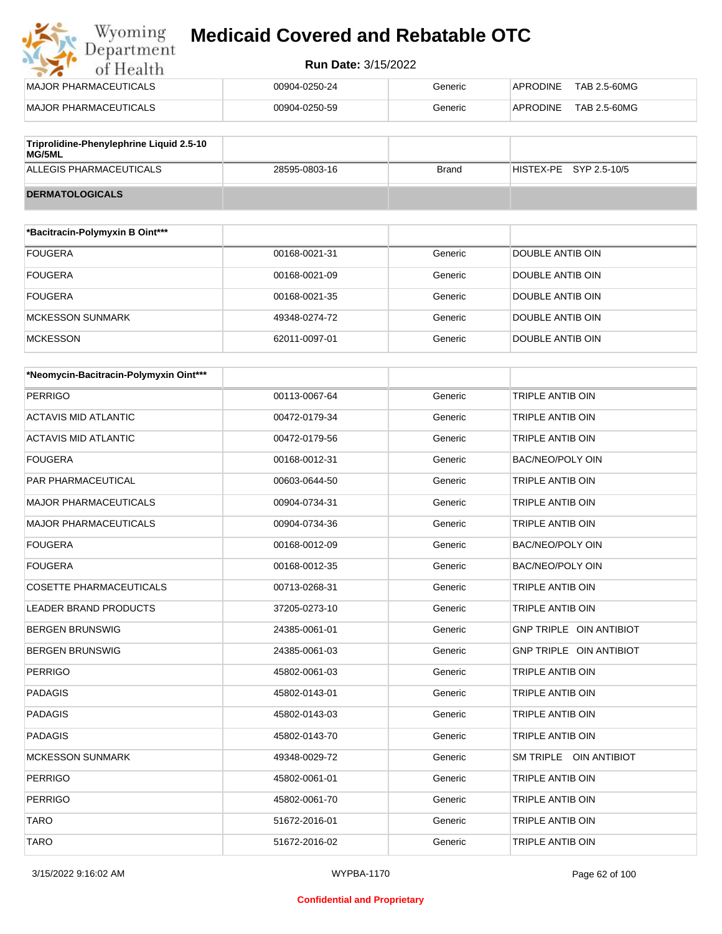#### **Run Date:** 3/15/2022

| <b>IMAJOR PHARMACEUTICALS</b>            | 00904-0250-24 | Generic | TAB 2.5-60MG<br>APRODINE |
|------------------------------------------|---------------|---------|--------------------------|
| MAJOR PHARMACEUTICALS                    | 00904-0250-59 | Generic | TAB 2.5-60MG<br>APRODINE |
|                                          |               |         |                          |
| Triprolidine-Phenylephrine Liquid 2.5-10 |               |         |                          |

| $\sim$ . The origin is the interpretation of the coupling $\sim$<br>MG/5ML |               |       |                          |
|----------------------------------------------------------------------------|---------------|-------|--------------------------|
| ALLEGIS PHARMACEUTICALS                                                    | 28595-0803-16 | Brand | $HISTEX-PE$ SYP 2.5-10/5 |
| <b>DERMATOLOGICALS</b>                                                     |               |       |                          |

| *Bacitracin-Polymyxin B Oint*** |               |         |                  |
|---------------------------------|---------------|---------|------------------|
| <b>FOUGERA</b>                  | 00168-0021-31 | Generic | DOUBLE ANTIB OIN |
| <b>FOUGERA</b>                  | 00168-0021-09 | Generic | DOUBLE ANTIB OIN |
| <b>FOUGERA</b>                  | 00168-0021-35 | Generic | DOUBLE ANTIB OIN |
| <b>MCKESSON SUNMARK</b>         | 49348-0274-72 | Generic | DOUBLE ANTIB OIN |
| <b>MCKESSON</b>                 | 62011-0097-01 | Generic | DOUBLE ANTIB OIN |

| *Neomycin-Bacitracin-Polymyxin Oint*** |               |         |                         |
|----------------------------------------|---------------|---------|-------------------------|
| <b>PERRIGO</b>                         | 00113-0067-64 | Generic | <b>TRIPLE ANTIB OIN</b> |
| <b>ACTAVIS MID ATLANTIC</b>            | 00472-0179-34 | Generic | <b>TRIPLE ANTIB OIN</b> |
| ACTAVIS MID ATLANTIC                   | 00472-0179-56 | Generic | <b>TRIPLE ANTIB OIN</b> |
| <b>FOUGERA</b>                         | 00168-0012-31 | Generic | <b>BAC/NEO/POLY OIN</b> |
| <b>PAR PHARMACEUTICAL</b>              | 00603-0644-50 | Generic | <b>TRIPLE ANTIB OIN</b> |
| <b>MAJOR PHARMACEUTICALS</b>           | 00904-0734-31 | Generic | <b>TRIPLE ANTIB OIN</b> |
| <b>MAJOR PHARMACEUTICALS</b>           | 00904-0734-36 | Generic | <b>TRIPLE ANTIB OIN</b> |
| <b>FOUGERA</b>                         | 00168-0012-09 | Generic | BAC/NEO/POLY OIN        |
| <b>FOUGERA</b>                         | 00168-0012-35 | Generic | BAC/NEO/POLY OIN        |
| <b>COSETTE PHARMACEUTICALS</b>         | 00713-0268-31 | Generic | <b>TRIPLE ANTIB OIN</b> |
| LEADER BRAND PRODUCTS                  | 37205-0273-10 | Generic | TRIPLE ANTIB OIN        |
| <b>BERGEN BRUNSWIG</b>                 | 24385-0061-01 | Generic | GNP TRIPLE OIN ANTIBIOT |
| <b>BERGEN BRUNSWIG</b>                 | 24385-0061-03 | Generic | GNP TRIPLE OIN ANTIBIOT |
| <b>PERRIGO</b>                         | 45802-0061-03 | Generic | TRIPLE ANTIB OIN        |
| <b>PADAGIS</b>                         | 45802-0143-01 | Generic | <b>TRIPLE ANTIB OIN</b> |
| <b>PADAGIS</b>                         | 45802-0143-03 | Generic | <b>TRIPLE ANTIB OIN</b> |
| <b>PADAGIS</b>                         | 45802-0143-70 | Generic | <b>TRIPLE ANTIB OIN</b> |
| <b>MCKESSON SUNMARK</b>                | 49348-0029-72 | Generic | SM TRIPLE OIN ANTIBIOT  |
| <b>PERRIGO</b>                         | 45802-0061-01 | Generic | TRIPLE ANTIB OIN        |
| <b>PERRIGO</b>                         | 45802-0061-70 | Generic | <b>TRIPLE ANTIB OIN</b> |
| <b>TARO</b>                            | 51672-2016-01 | Generic | <b>TRIPLE ANTIB OIN</b> |
| <b>TARO</b>                            | 51672-2016-02 | Generic | <b>TRIPLE ANTIB OIN</b> |

#### **Confidential and Proprietary**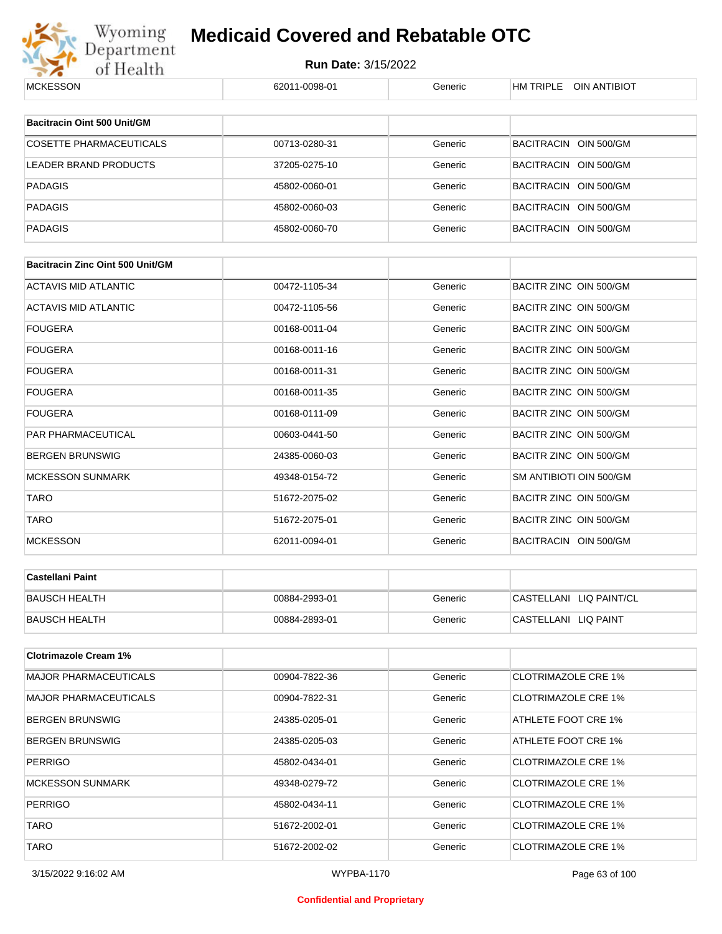

| <b>MCKESSON</b>                         | 62011-0098-01 | Generic | HM TRIPLE OIN ANTIBIOT     |  |
|-----------------------------------------|---------------|---------|----------------------------|--|
|                                         |               |         |                            |  |
| <b>Bacitracin Oint 500 Unit/GM</b>      |               |         |                            |  |
| <b>COSETTE PHARMACEUTICALS</b>          | 00713-0280-31 | Generic | BACITRACIN OIN 500/GM      |  |
| LEADER BRAND PRODUCTS                   | 37205-0275-10 | Generic | BACITRACIN OIN 500/GM      |  |
| <b>PADAGIS</b>                          | 45802-0060-01 | Generic | BACITRACIN OIN 500/GM      |  |
| <b>PADAGIS</b>                          | 45802-0060-03 | Generic | BACITRACIN OIN 500/GM      |  |
| <b>PADAGIS</b>                          | 45802-0060-70 | Generic | BACITRACIN OIN 500/GM      |  |
|                                         |               |         |                            |  |
| <b>Bacitracin Zinc Oint 500 Unit/GM</b> |               |         |                            |  |
| <b>ACTAVIS MID ATLANTIC</b>             | 00472-1105-34 | Generic | BACITR ZINC OIN 500/GM     |  |
| <b>ACTAVIS MID ATLANTIC</b>             | 00472-1105-56 | Generic | BACITR ZINC OIN 500/GM     |  |
| <b>FOUGERA</b>                          | 00168-0011-04 | Generic | BACITR ZINC OIN 500/GM     |  |
| <b>FOUGERA</b>                          | 00168-0011-16 | Generic | BACITR ZINC OIN 500/GM     |  |
| <b>FOUGERA</b>                          | 00168-0011-31 | Generic | BACITR ZINC OIN 500/GM     |  |
| <b>FOUGERA</b>                          | 00168-0011-35 | Generic | BACITR ZINC OIN 500/GM     |  |
| <b>FOUGERA</b>                          | 00168-0111-09 | Generic | BACITR ZINC OIN 500/GM     |  |
| PAR PHARMACEUTICAL                      | 00603-0441-50 | Generic | BACITR ZINC OIN 500/GM     |  |
| <b>BERGEN BRUNSWIG</b>                  | 24385-0060-03 | Generic | BACITR ZINC OIN 500/GM     |  |
| <b>MCKESSON SUNMARK</b>                 | 49348-0154-72 | Generic | SM ANTIBIOTI OIN 500/GM    |  |
| <b>TARO</b>                             | 51672-2075-02 | Generic | BACITR ZINC OIN 500/GM     |  |
| <b>TARO</b>                             | 51672-2075-01 | Generic | BACITR ZINC OIN 500/GM     |  |
| <b>MCKESSON</b>                         | 62011-0094-01 | Generic | BACITRACIN OIN 500/GM      |  |
| <b>Castellani Paint</b>                 |               |         |                            |  |
|                                         |               |         |                            |  |
| <b>BAUSCH HEALTH</b>                    | 00884-2993-01 | Generic | CASTELLANI LIQ PAINT/CL    |  |
| <b>BAUSCH HEALTH</b>                    | 00884-2893-01 | Generic | CASTELLANI LIQ PAINT       |  |
| <b>Clotrimazole Cream 1%</b>            |               |         |                            |  |
| <b>MAJOR PHARMACEUTICALS</b>            | 00904-7822-36 | Generic | <b>CLOTRIMAZOLE CRE 1%</b> |  |
| <b>MAJOR PHARMACEUTICALS</b>            | 00904-7822-31 | Generic | <b>CLOTRIMAZOLE CRE 1%</b> |  |
| <b>BERGEN BRUNSWIG</b>                  | 24385-0205-01 | Generic | ATHLETE FOOT CRE 1%        |  |
| <b>BERGEN BRUNSWIG</b>                  | 24385-0205-03 | Generic | ATHLETE FOOT CRE 1%        |  |
| <b>PERRIGO</b>                          | 45802-0434-01 | Generic | <b>CLOTRIMAZOLE CRE 1%</b> |  |
| <b>MCKESSON SUNMARK</b>                 | 49348-0279-72 | Generic | <b>CLOTRIMAZOLE CRE 1%</b> |  |
| <b>PERRIGO</b>                          | 45802-0434-11 | Generic | <b>CLOTRIMAZOLE CRE 1%</b> |  |
| TARO                                    | 51672-2002-01 | Generic | <b>CLOTRIMAZOLE CRE 1%</b> |  |
| <b>TARO</b>                             | 51672-2002-02 | Generic | <b>CLOTRIMAZOLE CRE 1%</b> |  |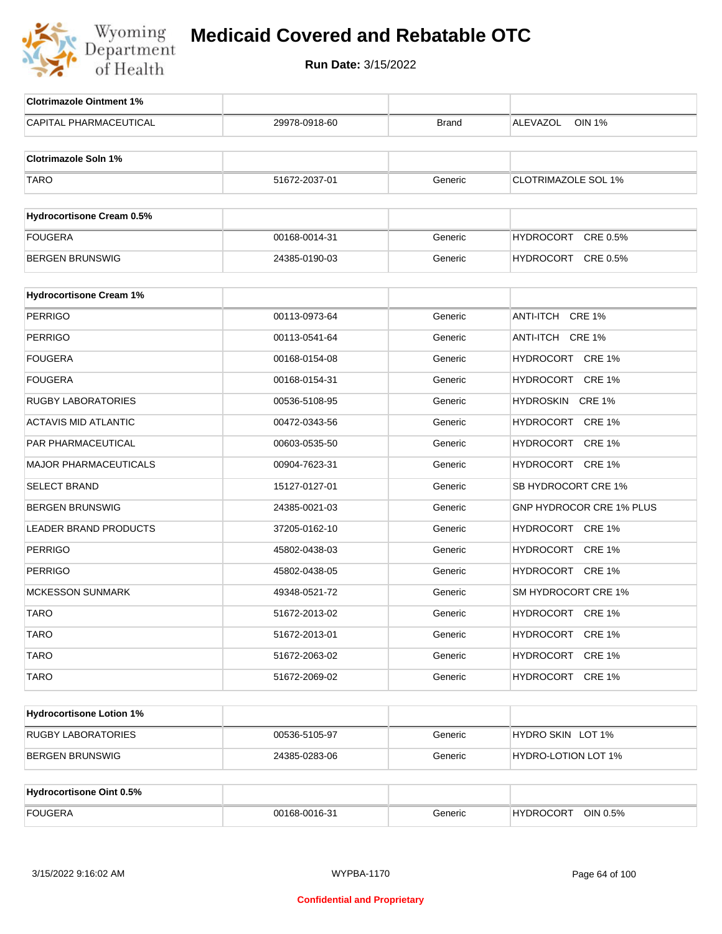

| <b>Clotrimazole Ointment 1%</b>  |               |              |                            |
|----------------------------------|---------------|--------------|----------------------------|
| <b>CAPITAL PHARMACEUTICAL</b>    | 29978-0918-60 | <b>Brand</b> | ALEVAZOL<br><b>OIN 1%</b>  |
| <b>Clotrimazole Soln 1%</b>      |               |              |                            |
| <b>TARO</b>                      | 51672-2037-01 | Generic      | <b>CLOTRIMAZOLE SOL 1%</b> |
|                                  |               |              |                            |
| <b>Hydrocortisone Cream 0.5%</b> |               |              |                            |
| <b>FOUGERA</b>                   | 00168-0014-31 | Generic      | HYDROCORT CRE 0.5%         |
| <b>BERGEN BRUNSWIG</b>           | 24385-0190-03 | Generic      | HYDROCORT CRE 0.5%         |
| <b>Hydrocortisone Cream 1%</b>   |               |              |                            |
| <b>PERRIGO</b>                   | 00113-0973-64 | Generic      | ANTI-ITCH CRE 1%           |
| PERRIGO                          | 00113-0541-64 | Generic      | ANTI-ITCH CRE 1%           |
| FOUGERA                          | 00168-0154-08 | Generic      | HYDROCORT CRE 1%           |
| <b>FOUGERA</b>                   | 00168-0154-31 | Generic      | HYDROCORT CRE 1%           |
| RUGBY LABORATORIES               | 00536-5108-95 | Generic      | HYDROSKIN CRE 1%           |
| <b>ACTAVIS MID ATLANTIC</b>      | 00472-0343-56 | Generic      | HYDROCORT CRE 1%           |
| PAR PHARMACEUTICAL               | 00603-0535-50 | Generic      | HYDROCORT CRE 1%           |
| MAJOR PHARMACEUTICALS            | 00904-7623-31 | Generic      | HYDROCORT CRE 1%           |
| <b>SELECT BRAND</b>              | 15127-0127-01 | Generic      | SB HYDROCORT CRE 1%        |
| BERGEN BRUNSWIG                  | 24385-0021-03 | Generic      | GNP HYDROCOR CRE 1% PLUS   |
| LEADER BRAND PRODUCTS            | 37205-0162-10 | Generic      | HYDROCORT CRE 1%           |
| <b>PERRIGO</b>                   | 45802-0438-03 | Generic      | HYDROCORT CRE 1%           |
| <b>PERRIGO</b>                   | 45802-0438-05 | Generic      | HYDROCORT CRE 1%           |
| <b>MCKESSON SUNMARK</b>          | 49348-0521-72 | Generic      | SM HYDROCORT CRE 1%        |
| <b>TARO</b>                      | 51672-2013-02 | Generic      | HYDROCORT CRE 1%           |
| <b>TARO</b>                      | 51672-2013-01 | Generic      | HYDROCORT CRE 1%           |
| <b>TARO</b>                      | 51672-2063-02 | Generic      | HYDROCORT CRE 1%           |
| <b>TARO</b>                      | 51672-2069-02 | Generic      | HYDROCORT CRE 1%           |
| <b>Hydrocortisone Lotion 1%</b>  |               |              |                            |
| RUGBY LABORATORIES               | 00536-5105-97 | Generic      | HYDRO SKIN LOT 1%          |
| <b>BERGEN BRUNSWIG</b>           | 24385-0283-06 | Generic      | HYDRO-LOTION LOT 1%        |
|                                  |               |              |                            |
| <b>Hydrocortisone Oint 0.5%</b>  |               |              |                            |
| <b>FOUGERA</b>                   | 00168-0016-31 | Generic      | HYDROCORT OIN 0.5%         |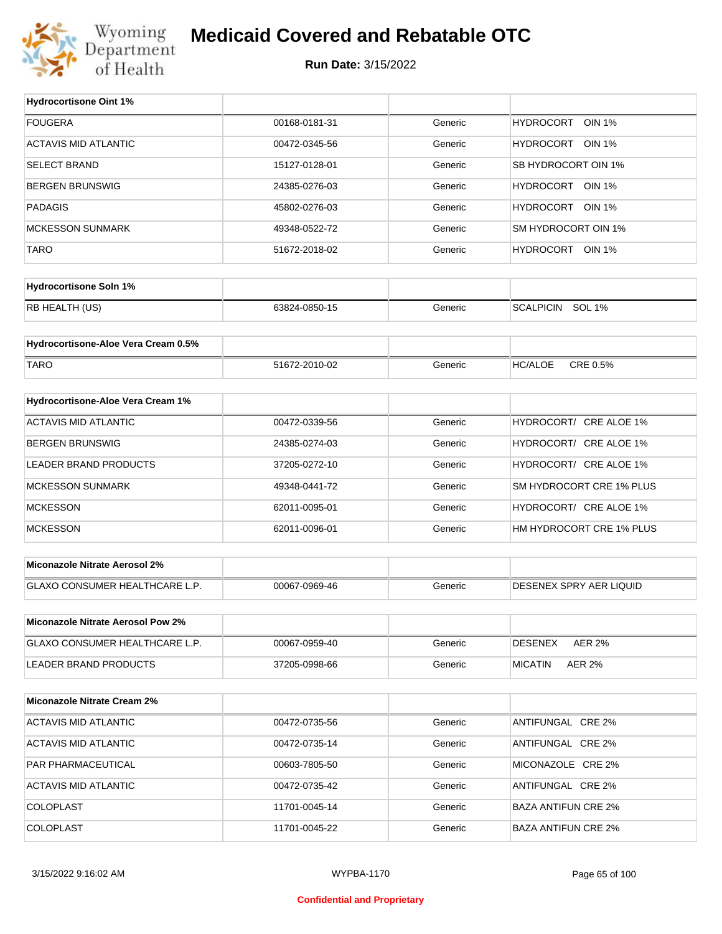

#### **Medicaid Covered and Rebatable OTC**

**Run Date:** 3/15/2022

| <b>Hydrocortisone Oint 1%</b>        |               |         |                                   |
|--------------------------------------|---------------|---------|-----------------------------------|
| <b>FOUGERA</b>                       | 00168-0181-31 | Generic | <b>HYDROCORT</b><br><b>OIN 1%</b> |
| <b>ACTAVIS MID ATLANTIC</b>          | 00472-0345-56 | Generic | HYDROCORT OIN 1%                  |
| <b>SELECT BRAND</b>                  | 15127-0128-01 | Generic | SB HYDROCORT OIN 1%               |
| <b>BERGEN BRUNSWIG</b>               | 24385-0276-03 | Generic | HYDROCORT OIN 1%                  |
| <b>PADAGIS</b>                       | 45802-0276-03 | Generic | HYDROCORT OIN 1%                  |
| <b>MCKESSON SUNMARK</b>              | 49348-0522-72 | Generic | SM HYDROCORT OIN 1%               |
| <b>TARO</b>                          | 51672-2018-02 | Generic | HYDROCORT OIN 1%                  |
|                                      |               |         |                                   |
| <b>Hydrocortisone Soln 1%</b>        |               |         |                                   |
| RB HEALTH (US)                       | 63824-0850-15 | Generic | SCALPICIN SOL 1%                  |
| Hydrocortisone-Aloe Vera Cream 0.5%  |               |         |                                   |
| <b>TARO</b>                          | 51672-2010-02 | Generic | CRE 0.5%<br><b>HC/ALOE</b>        |
|                                      |               |         |                                   |
| Hydrocortisone-Aloe Vera Cream 1%    |               |         |                                   |
| <b>ACTAVIS MID ATLANTIC</b>          | 00472-0339-56 | Generic | HYDROCORT/ CRE ALOE 1%            |
| <b>BERGEN BRUNSWIG</b>               | 24385-0274-03 | Generic | HYDROCORT/ CRE ALOE 1%            |
| LEADER BRAND PRODUCTS                | 37205-0272-10 | Generic | HYDROCORT/ CRE ALOE 1%            |
| <b>MCKESSON SUNMARK</b>              | 49348-0441-72 | Generic | SM HYDROCORT CRE 1% PLUS          |
| <b>MCKESSON</b>                      | 62011-0095-01 | Generic | HYDROCORT/ CRE ALOE 1%            |
| <b>MCKESSON</b>                      | 62011-0096-01 | Generic | HM HYDROCORT CRE 1% PLUS          |
| <b>Miconazole Nitrate Aerosol 2%</b> |               |         |                                   |
|                                      |               |         |                                   |
| GLAXO CONSUMER HEALTHCARE L.P.       | 00067-0969-46 | Generic | DESENEX SPRY AER LIQUID           |
| Miconazole Nitrate Aerosol Pow 2%    |               |         |                                   |
| GLAXO CONSUMER HEALTHCARE L.P.       | 00067-0959-40 | Generic | <b>DESENEX</b><br><b>AER 2%</b>   |
| LEADER BRAND PRODUCTS                | 37205-0998-66 | Generic | <b>MICATIN</b><br><b>AER 2%</b>   |
|                                      |               |         |                                   |
| <b>Miconazole Nitrate Cream 2%</b>   |               |         |                                   |
| <b>ACTAVIS MID ATLANTIC</b>          | 00472-0735-56 | Generic | ANTIFUNGAL CRE 2%                 |
| <b>ACTAVIS MID ATLANTIC</b>          | 00472-0735-14 | Generic | ANTIFUNGAL CRE 2%                 |
| PAR PHARMACEUTICAL                   | 00603-7805-50 | Generic | MICONAZOLE CRE 2%                 |
| <b>ACTAVIS MID ATLANTIC</b>          |               |         |                                   |
|                                      | 00472-0735-42 | Generic | ANTIFUNGAL CRE 2%                 |
| COLOPLAST                            | 11701-0045-14 | Generic | <b>BAZA ANTIFUN CRE 2%</b>        |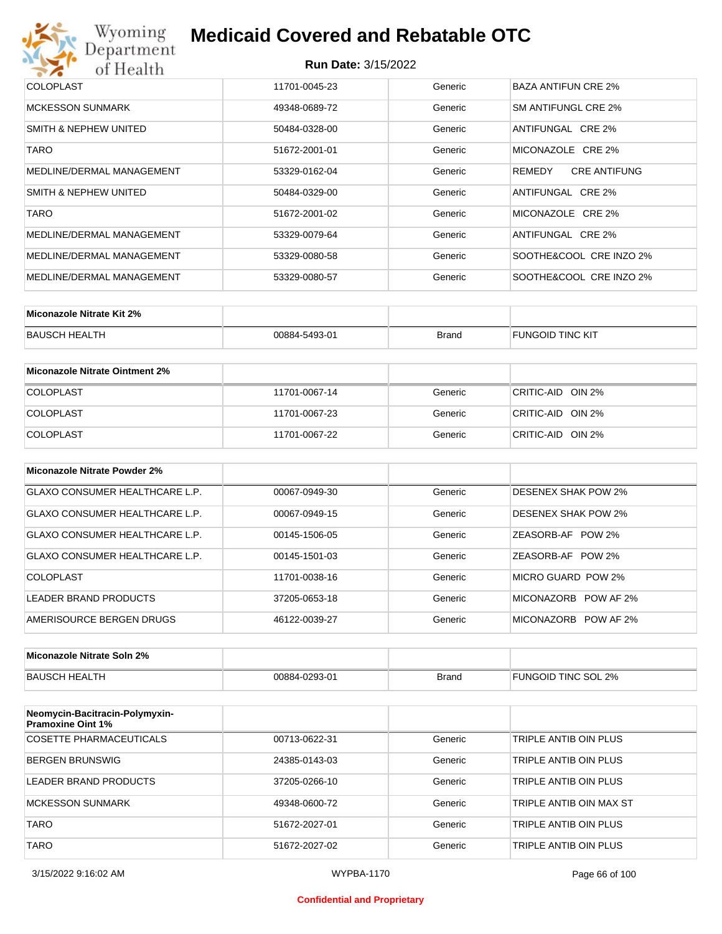# Wyoming<br>Department<br>of Health

## **Medicaid Covered and Rebatable OTC**

| <b>COLOPLAST</b>          | 11701-0045-23 | Generic | BAZA ANTIFUN CRE 2%           |
|---------------------------|---------------|---------|-------------------------------|
| MCKESSON SUNMARK          | 49348-0689-72 | Generic | SM ANTIFUNGL CRE 2%           |
| SMITH & NEPHEW UNITED     | 50484-0328-00 | Generic | ANTIFUNGAL CRE 2%             |
| <b>TARO</b>               | 51672-2001-01 | Generic | MICONAZOLE CRE 2%             |
| MEDLINE/DERMAL MANAGEMENT | 53329-0162-04 | Generic | <b>CRE ANTIFUNG</b><br>REMEDY |
| SMITH & NEPHEW UNITED     | 50484-0329-00 | Generic | ANTIFUNGAL CRE 2%             |
| <b>TARO</b>               | 51672-2001-02 | Generic | MICONAZOLE CRE 2%             |
| MEDLINE/DERMAL MANAGEMENT | 53329-0079-64 | Generic | ANTIFUNGAL CRE 2%             |
| MEDLINE/DERMAL MANAGEMENT | 53329-0080-58 | Generic | SOOTHE&COOL CRE INZO 2%       |
| MEDLINE/DERMAL MANAGEMENT | 53329-0080-57 | Generic | SOOTHE&COOL CRE INZO 2%       |

| Miconazole Nitrate Kit 2% |               |              |                         |
|---------------------------|---------------|--------------|-------------------------|
| <b>BAUSCH HEALTH</b>      | 00884-5493-01 | <b>Brand</b> | <b>FUNGOID TINC KIT</b> |

| Miconazole Nitrate Ointment 2% |               |         |                   |
|--------------------------------|---------------|---------|-------------------|
| <b>COLOPLAST</b>               | 11701-0067-14 | Generic | CRITIC-AID OIN 2% |
| <b>COLOPLAST</b>               | 11701-0067-23 | Generic | CRITIC-AID OIN 2% |
| <b>COLOPLAST</b>               | 11701-0067-22 | Generic | CRITIC-AID OIN 2% |

| Miconazole Nitrate Powder 2%          |               |         |                            |
|---------------------------------------|---------------|---------|----------------------------|
| <b>GLAXO CONSUMER HEALTHCARE L.P.</b> | 00067-0949-30 | Generic | <b>DESENEX SHAK POW 2%</b> |
| GLAXO CONSUMER HEALTHCARE L.P.        | 00067-0949-15 | Generic | <b>DESENEX SHAK POW 2%</b> |
| GLAXO CONSUMER HEALTHCARE L.P.        | 00145-1506-05 | Generic | ZEASORB-AF POW 2%          |
| GLAXO CONSUMER HEALTHCARE L.P.        | 00145-1501-03 | Generic | ZEASORB-AF POW 2%          |
| COLOPLAST                             | 11701-0038-16 | Generic | MICRO GUARD POW 2%         |
| LEADER BRAND PRODUCTS                 | 37205-0653-18 | Generic | MICONAZORB POW AF 2%       |
| AMERISOURCE BERGEN DRUGS              | 46122-0039-27 | Generic | MICONAZORB POW AF 2%       |

| Miconazole Nitrate Soln 2% |               |       |                            |
|----------------------------|---------------|-------|----------------------------|
| BAUSCH HEALTH              | 00884-0293-01 | Brand | <b>FUNGOID TINC SOL 2%</b> |

| Neomycin-Bacitracin-Polymyxin-<br><b>Pramoxine Oint 1%</b> |               |         |                         |
|------------------------------------------------------------|---------------|---------|-------------------------|
| COSETTE PHARMACEUTICALS                                    | 00713-0622-31 | Generic | TRIPLE ANTIB OIN PLUS   |
| BERGEN BRUNSWIG                                            | 24385-0143-03 | Generic | TRIPLE ANTIB OIN PLUS   |
| LEADER BRAND PRODUCTS                                      | 37205-0266-10 | Generic | TRIPLE ANTIB OIN PLUS   |
| MCKESSON SUNMARK                                           | 49348-0600-72 | Generic | TRIPLE ANTIB OIN MAX ST |
| <b>TARO</b>                                                | 51672-2027-01 | Generic | TRIPLE ANTIB OIN PLUS   |
| <b>TARO</b>                                                | 51672-2027-02 | Generic | TRIPLE ANTIB OIN PLUS   |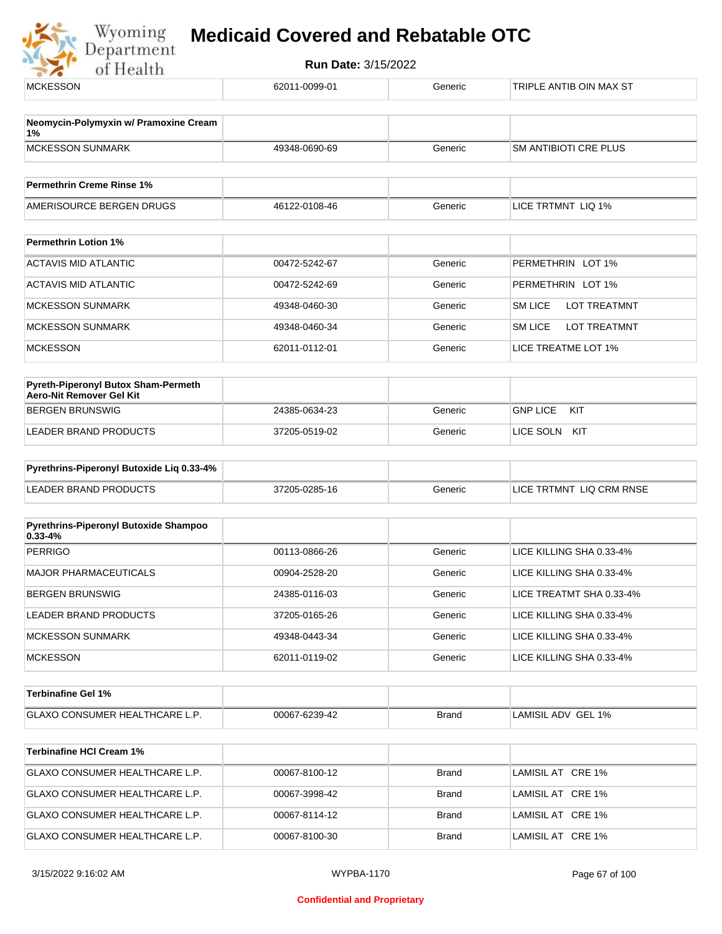| <b>MCKESSON</b>                                                        | 62011-0099-01 | Generic | TRIPLE ANTIB OIN MAX ST               |
|------------------------------------------------------------------------|---------------|---------|---------------------------------------|
| Neomycin-Polymyxin w/ Pramoxine Cream                                  |               |         |                                       |
| 1%<br><b>MCKESSON SUNMARK</b>                                          | 49348-0690-69 | Generic | <b>SM ANTIBIOTI CRE PLUS</b>          |
| <b>Permethrin Creme Rinse 1%</b>                                       |               |         |                                       |
| AMERISOURCE BERGEN DRUGS                                               | 46122-0108-46 | Generic | LICE TRTMNT LIQ 1%                    |
| <b>Permethrin Lotion 1%</b>                                            |               |         |                                       |
| <b>ACTAVIS MID ATLANTIC</b>                                            | 00472-5242-67 | Generic | PERMETHRIN LOT 1%                     |
| <b>ACTAVIS MID ATLANTIC</b>                                            | 00472-5242-69 | Generic | PERMETHRIN LOT 1%                     |
| <b>MCKESSON SUNMARK</b>                                                | 49348-0460-30 | Generic | <b>SM LICE</b><br><b>LOT TREATMNT</b> |
| <b>MCKESSON SUNMARK</b>                                                | 49348-0460-34 | Generic | <b>SM LICE</b><br><b>LOT TREATMNT</b> |
| <b>MCKESSON</b>                                                        | 62011-0112-01 | Generic | LICE TREATME LOT 1%                   |
| <b>Pyreth-Piperonyl Butox Sham-Permeth</b><br>Aero-Nit Remover Gel Kit |               |         |                                       |
| <b>BERGEN BRUNSWIG</b>                                                 | 24385-0634-23 | Generic | <b>GNP LICE</b><br>KIT                |
| <b>LEADER BRAND PRODUCTS</b>                                           | 37205-0519-02 | Generic | LICE SOLN KIT                         |
| Pyrethrins-Piperonyl Butoxide Liq 0.33-4%                              |               |         |                                       |
| <b>LEADER BRAND PRODUCTS</b>                                           | 37205-0285-16 | Generic | LICE TRTMNT LIQ CRM RNSE              |
|                                                                        |               |         |                                       |
| Pyrethrins-Piperonyl Butoxide Shampoo<br>$0.33 - 4%$                   |               |         |                                       |
| <b>PERRIGO</b>                                                         | 00113-0866-26 | Generic | LICE KILLING SHA 0.33-4%              |
| MAJOR PHARMACEUTICALS                                                  | 00904-2528-20 | Generic | LICE KILLING SHA 0.33-4%              |
| <b>BERGEN BRUNSWIG</b>                                                 | 24385-0116-03 | Generic | LICE TREATMT SHA 0.33-4%              |
| LEADER BRAND PRODUCTS                                                  | 37205-0165-26 | Generic | LICE KILLING SHA 0.33-4%              |
| <b>MCKESSON SUNMARK</b>                                                | 49348-0443-34 | Generic | LICE KILLING SHA 0.33-4%              |
| <b>MCKESSON</b>                                                        | 62011-0119-02 | Generic | LICE KILLING SHA 0.33-4%              |
| <b>Terbinafine Gel 1%</b>                                              |               |         |                                       |
| GLAXO CONSUMER HEALTHCARE L.P.                                         | 00067-6239-42 | Brand   | LAMISIL ADV GEL 1%                    |
| <b>Terbinafine HCI Cream 1%</b>                                        |               |         |                                       |
| GLAXO CONSUMER HEALTHCARE L.P.                                         | 00067-8100-12 | Brand   | LAMISIL AT CRE 1%                     |
| GLAXO CONSUMER HEALTHCARE L.P.                                         | 00067-3998-42 | Brand   | LAMISIL AT CRE 1%                     |
| GLAXO CONSUMER HEALTHCARE L.P.                                         | 00067-8114-12 | Brand   | LAMISIL AT CRE 1%                     |
| GLAXO CONSUMER HEALTHCARE L.P.                                         | 00067-8100-30 | Brand   | LAMISIL AT CRE 1%                     |
|                                                                        |               |         |                                       |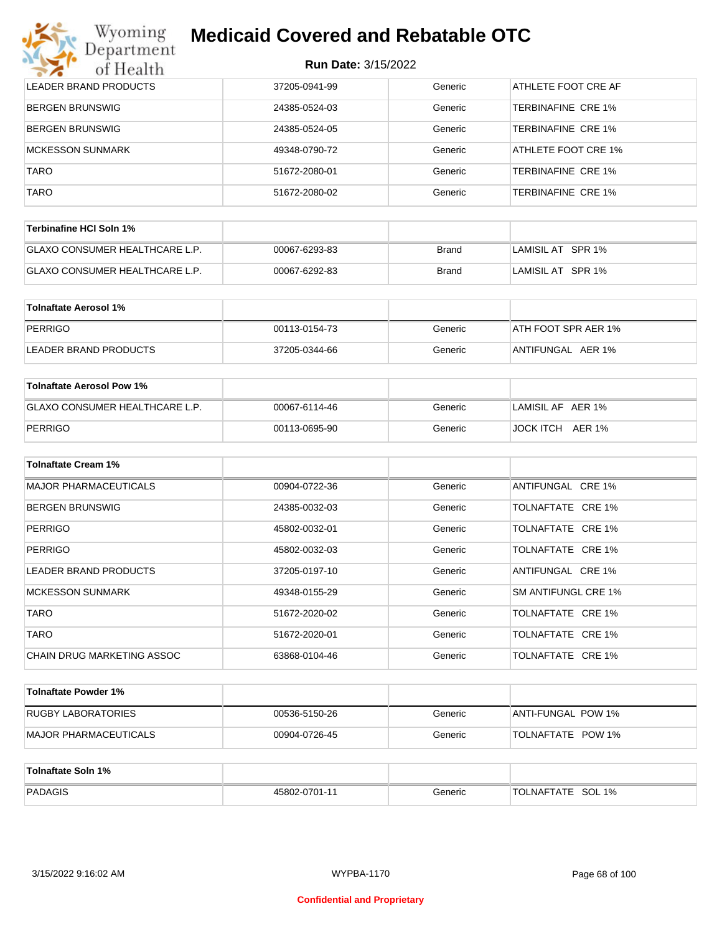| Wyoming<br>Jepartment        | <b>Medicaid Covered and Rebatable OTC</b> |         |                           |
|------------------------------|-------------------------------------------|---------|---------------------------|
| of Health                    | <b>Run Date: 3/15/2022</b>                |         |                           |
| <b>LEADER BRAND PRODUCTS</b> | 37205-0941-99                             | Generic | ATHLETE FOOT CRE AF       |
| <b>BERGEN BRUNSWIG</b>       | 24385-0524-03                             | Generic | TERBINAFINE CRE 1%        |
| <b>BERGEN BRUNSWIG</b>       | 24385-0524-05                             | Generic | TERBINAFINE CRE 1%        |
| <b>MCKESSON SUNMARK</b>      | 49348-0790-72                             | Generic | ATHLETE FOOT CRE 1%       |
| <b>TARO</b>                  | 51672-2080-01                             | Generic | <b>TERBINAFINE CRE 1%</b> |
| <b>TARO</b>                  | 51672-2080-02                             | Generic | TERBINAFINE CRE 1%        |

| Terbinafine HCI Soln 1%               |               |       |                    |
|---------------------------------------|---------------|-------|--------------------|
| <b>GLAXO CONSUMER HEALTHCARE L.P.</b> | 00067-6293-83 | Brand | LAMISIL AT SPR 1%  |
| <b>GLAXO CONSUMER HEALTHCARE L.P.</b> | 00067-6292-83 | Brand | ⊺LAMISIL AT⊥SPR 1% |

| Tolnaftate Aerosol 1% |               |         |                      |
|-----------------------|---------------|---------|----------------------|
| PERRIGO               | 00113-0154-73 | Generic | IATH FOOT SPR AER 1% |
| LEADER BRAND PRODUCTS | 37205-0344-66 | Generic | ANTIFUNGAL AER 1%    |

| <b>Toinaftate Aerosol Pow 1%</b>      |               |         |                   |
|---------------------------------------|---------------|---------|-------------------|
| <b>GLAXO CONSUMER HEALTHCARE L.P.</b> | 00067-6114-46 | Generic | LAMISIL AF AER 1% |
| PERRIGO                               | 00113-0695-90 | Generic | JOCK ITCH AER 1%  |

| <b>Tolnaftate Cream 1%</b>        |               |         |                     |
|-----------------------------------|---------------|---------|---------------------|
| <b>MAJOR PHARMACEUTICALS</b>      | 00904-0722-36 | Generic | ANTIFUNGAL CRE 1%   |
| <b>BERGEN BRUNSWIG</b>            | 24385-0032-03 | Generic | TOLNAFTATE CRE 1%   |
| <b>PERRIGO</b>                    | 45802-0032-01 | Generic | TOLNAFTATE CRE 1%   |
| <b>PERRIGO</b>                    | 45802-0032-03 | Generic | TOLNAFTATE CRE 1%   |
| LEADER BRAND PRODUCTS             | 37205-0197-10 | Generic | ANTIFUNGAL CRE 1%   |
| <b>MCKESSON SUNMARK</b>           | 49348-0155-29 | Generic | SM ANTIFUNGL CRE 1% |
| <b>TARO</b>                       | 51672-2020-02 | Generic | TOLNAFTATE CRE 1%   |
| <b>TARO</b>                       | 51672-2020-01 | Generic | TOLNAFTATE CRE 1%   |
| <b>CHAIN DRUG MARKETING ASSOC</b> | 63868-0104-46 | Generic | TOLNAFTATE CRE 1%   |

| Tolnaftate Powder 1%  |               |         |                    |
|-----------------------|---------------|---------|--------------------|
| RUGBY LABORATORIES    | 00536-5150-26 | Generic | ANTI-FUNGAL POW 1% |
| MAJOR PHARMACEUTICALS | 00904-0726-45 | Generic | TOLNAFTATE POW 1%  |

| Tolnaftate Soln 1% |               |         |                       |
|--------------------|---------------|---------|-----------------------|
| PADAGIS            | 45802-0701-11 | Generic | SOL 1%<br>'TOLNAFTATE |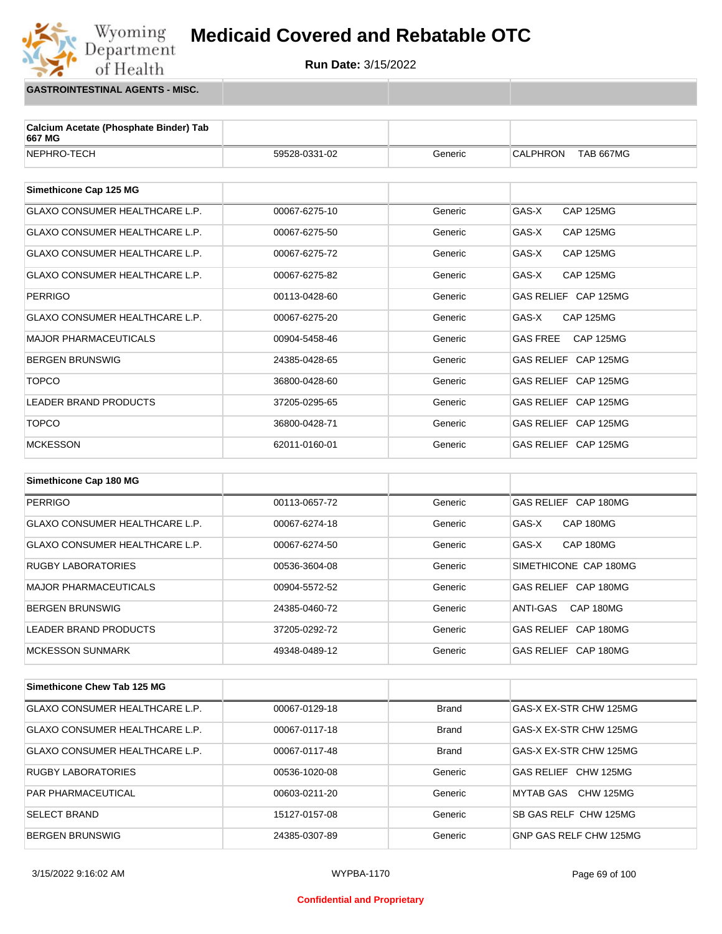**Run Date:** 3/15/2022

**GASTROINTESTINAL AGENTS - MISC.**

Wyoming<br>Department<br>of Health

| 59528-0331-02 | Generic | <b>CALPHRON</b><br><b>TAB 667MG</b> |
|---------------|---------|-------------------------------------|
|               |         |                                     |
|               |         |                                     |
| 00067-6275-10 | Generic | GAS-X<br><b>CAP 125MG</b>           |
| 00067-6275-50 | Generic | GAS-X<br><b>CAP 125MG</b>           |
| 00067-6275-72 | Generic | GAS-X<br><b>CAP 125MG</b>           |
| 00067-6275-82 | Generic | GAS-X<br><b>CAP 125MG</b>           |
| 00113-0428-60 | Generic | GAS RELIEF CAP 125MG                |
| 00067-6275-20 | Generic | <b>CAP 125MG</b><br>GAS-X           |
| 00904-5458-46 | Generic | <b>GAS FREE</b><br><b>CAP 125MG</b> |
| 24385-0428-65 | Generic | GAS RELIEF CAP 125MG                |
| 36800-0428-60 | Generic | GAS RELIEF CAP 125MG                |
| 37205-0295-65 | Generic | GAS RELIEF CAP 125MG                |
| 36800-0428-71 | Generic | GAS RELIEF CAP 125MG                |
| 62011-0160-01 | Generic | GAS RELIEF CAP 125MG                |
|               |         |                                     |

| Simethicone Cap 180 MG                |               |         |                       |
|---------------------------------------|---------------|---------|-----------------------|
| <b>PERRIGO</b>                        | 00113-0657-72 | Generic | GAS RELIEF CAP 180MG  |
| <b>GLAXO CONSUMER HEALTHCARE L.P.</b> | 00067-6274-18 | Generic | GAS-X<br>CAP 180MG    |
| <b>GLAXO CONSUMER HEALTHCARE L.P.</b> | 00067-6274-50 | Generic | GAS-X<br>CAP 180MG    |
| <b>RUGBY LABORATORIES</b>             | 00536-3604-08 | Generic | SIMETHICONE CAP 180MG |
| <b>MAJOR PHARMACEUTICALS</b>          | 00904-5572-52 | Generic | GAS RELIEF CAP 180MG  |
| <b>BERGEN BRUNSWIG</b>                | 24385-0460-72 | Generic | CAP 180MG<br>ANTI-GAS |
| LEADER BRAND PRODUCTS                 | 37205-0292-72 | Generic | GAS RELIEF CAP 180MG  |
| <b>MCKESSON SUNMARK</b>               | 49348-0489-12 | Generic | GAS RELIEF CAP 180MG  |

| Simethicone Chew Tab 125 MG           |               |              |                        |
|---------------------------------------|---------------|--------------|------------------------|
| <b>GLAXO CONSUMER HEALTHCARE L.P.</b> | 00067-0129-18 | <b>Brand</b> | GAS-X EX-STR CHW 125MG |
| <b>GLAXO CONSUMER HEALTHCARE L.P.</b> | 00067-0117-18 | <b>Brand</b> | GAS-X EX-STR CHW 125MG |
| <b>GLAXO CONSUMER HEALTHCARE L.P.</b> | 00067-0117-48 | <b>Brand</b> | GAS-X EX-STR CHW 125MG |
| <b>RUGBY LABORATORIES</b>             | 00536-1020-08 | Generic      | GAS RELIEF CHW 125MG   |
| <b>PAR PHARMACEUTICAL</b>             | 00603-0211-20 | Generic      | CHW 125MG<br>MYTAB GAS |
| <b>SELECT BRAND</b>                   | 15127-0157-08 | Generic      | SB GAS RELF CHW 125MG  |
| <b>BERGEN BRUNSWIG</b>                | 24385-0307-89 | Generic      | GNP GAS RELF CHW 125MG |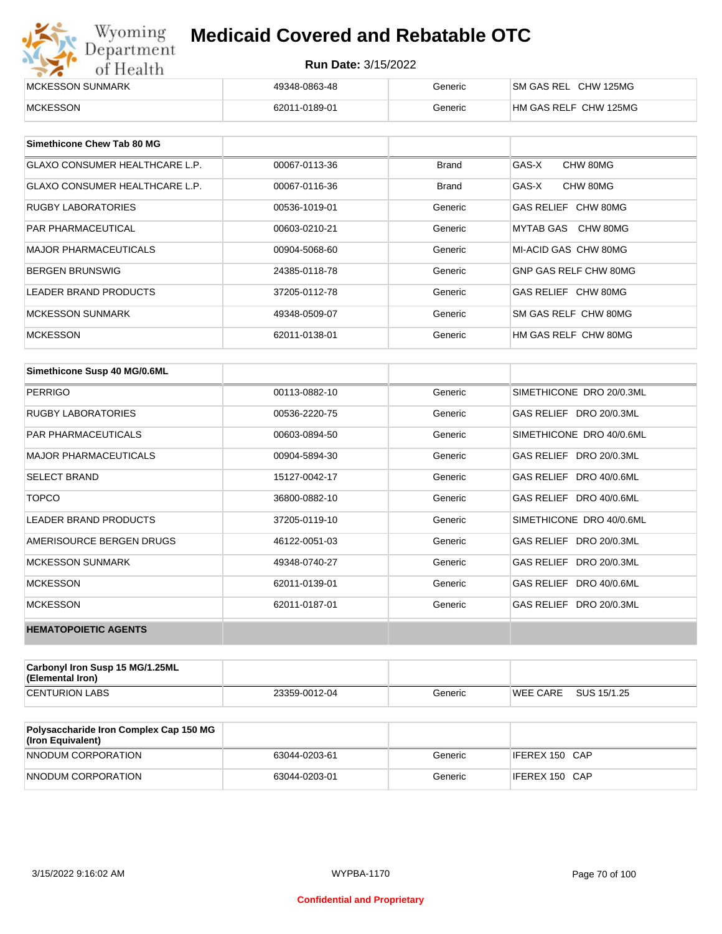| Wyoming<br>Department | <b>Medicaid Covered and Rebatable OTC</b><br><b>Run Date: 3/15/2022</b> |         |                       |  |
|-----------------------|-------------------------------------------------------------------------|---------|-----------------------|--|
| of Health             |                                                                         |         |                       |  |
| MCKESSON SUNMARK      | 49348-0863-48                                                           | Generic | SM GAS REL CHW 125MG  |  |
| <b>MCKESSON</b>       | 62011-0189-01                                                           | Generic | HM GAS RELF CHW 125MG |  |

| Simethicone Chew Tab 80 MG     |               |              |                       |
|--------------------------------|---------------|--------------|-----------------------|
| GLAXO CONSUMER HEALTHCARE L.P. | 00067-0113-36 | <b>Brand</b> | GAS-X<br>CHW 80MG     |
| GLAXO CONSUMER HEALTHCARE L.P. | 00067-0116-36 | <b>Brand</b> | GAS-X<br>CHW 80MG     |
| <b>RUGBY LABORATORIES</b>      | 00536-1019-01 | Generic      | GAS RELIEF CHW 80MG   |
| <b>PAR PHARMACEUTICAL</b>      | 00603-0210-21 | Generic      | MYTAB GAS CHW 80MG    |
| <b>MAJOR PHARMACEUTICALS</b>   | 00904-5068-60 | Generic      | MI-ACID GAS CHW 80MG  |
| <b>BERGEN BRUNSWIG</b>         | 24385-0118-78 | Generic      | GNP GAS RELF CHW 80MG |
| <b>LEADER BRAND PRODUCTS</b>   | 37205-0112-78 | Generic      | GAS RELIEF CHW 80MG   |
| MCKESSON SUNMARK               | 49348-0509-07 | Generic      | SM GAS RELF CHW 80MG  |
| <b>MCKESSON</b>                | 62011-0138-01 | Generic      | HM GAS RELF CHW 80MG  |

| Simethicone Susp 40 MG/0.6ML |               |         |                          |
|------------------------------|---------------|---------|--------------------------|
| <b>PERRIGO</b>               | 00113-0882-10 | Generic | SIMETHICONE DRO 20/0.3ML |
| <b>RUGBY LABORATORIES</b>    | 00536-2220-75 | Generic | GAS RELIEF DRO 20/0.3ML  |
| <b>PAR PHARMACEUTICALS</b>   | 00603-0894-50 | Generic | SIMETHICONE DRO 40/0.6ML |
| <b>MAJOR PHARMACEUTICALS</b> | 00904-5894-30 | Generic | GAS RELIEF DRO 20/0.3ML  |
| <b>SELECT BRAND</b>          | 15127-0042-17 | Generic | GAS RELIEF DRO 40/0.6ML  |
| <b>TOPCO</b>                 | 36800-0882-10 | Generic | GAS RELIEF DRO 40/0.6ML  |
| <b>LEADER BRAND PRODUCTS</b> | 37205-0119-10 | Generic | SIMETHICONE DRO 40/0.6ML |
| AMERISOURCE BERGEN DRUGS     | 46122-0051-03 | Generic | GAS RELIEF DRO 20/0.3ML  |
| <b>MCKESSON SUNMARK</b>      | 49348-0740-27 | Generic | GAS RELIEF DRO 20/0.3ML  |
| <b>MCKESSON</b>              | 62011-0139-01 | Generic | GAS RELIEF DRO 40/0.6ML  |
| <b>MCKESSON</b>              | 62011-0187-01 | Generic | GAS RELIEF DRO 20/0.3ML  |
| <b>HEMATOPOIETIC AGENTS</b>  |               |         |                          |

| Carbonyl Iron Susp 15 MG/1.25ML<br>(Elemental Iron) |               |         |                 |             |
|-----------------------------------------------------|---------------|---------|-----------------|-------------|
| <b>CENTURION LABS</b>                               | 23359-0012-04 | Generic | <b>WEE CARE</b> | SUS 15/1.25 |

| <b>Polysaccharide Iron Complex Cap 150 MG</b><br>(Iron Equivalent) |               |         |                |
|--------------------------------------------------------------------|---------------|---------|----------------|
| NNODUM CORPORATION                                                 | 63044-0203-61 | Generic | IFEREX 150 CAP |
| NNODUM CORPORATION                                                 | 63044-0203-01 | Generic | IFEREX 150 CAP |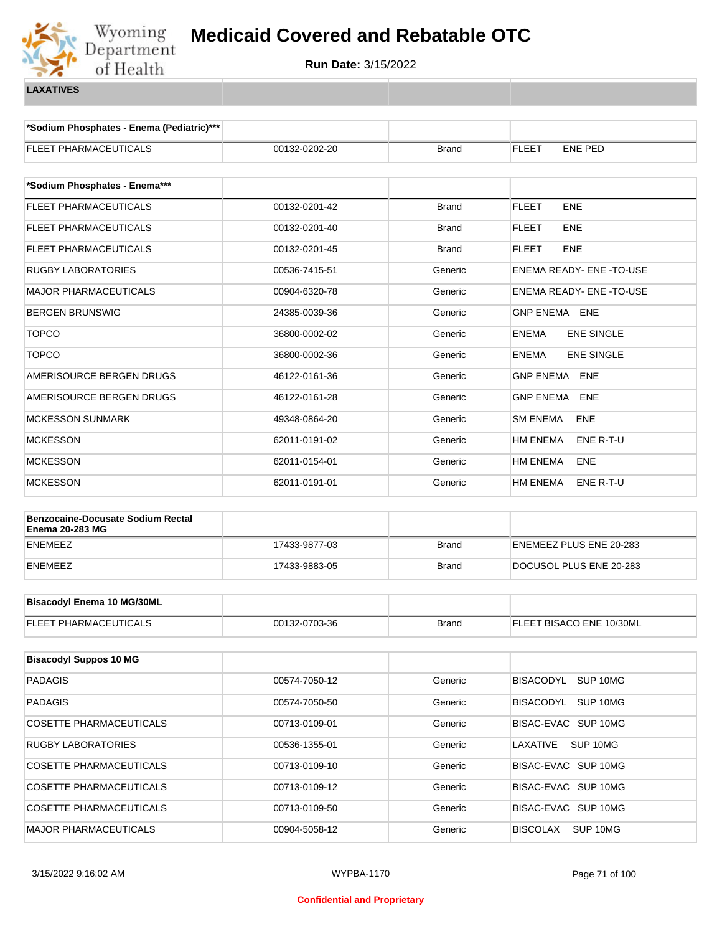

**\*Sodium Phosphates - Enema (Pediatric)\*\*\***

| <b>FLEET PHARMACEUTICALS</b>                                       | 00132-0202-20 | Brand        | ENE PED<br><b>FLEET</b>           |  |  |
|--------------------------------------------------------------------|---------------|--------------|-----------------------------------|--|--|
|                                                                    |               |              |                                   |  |  |
| *Sodium Phosphates - Enema***                                      |               |              |                                   |  |  |
| FLEET PHARMACEUTICALS                                              | 00132-0201-42 | <b>Brand</b> | <b>FLEET</b><br><b>ENE</b>        |  |  |
| FLEET PHARMACEUTICALS                                              | 00132-0201-40 | Brand        | ENE<br><b>FLEET</b>               |  |  |
| FLEET PHARMACEUTICALS                                              | 00132-0201-45 | Brand        | FLEET<br><b>ENE</b>               |  |  |
| <b>RUGBY LABORATORIES</b>                                          | 00536-7415-51 | Generic      | ENEMA READY- ENE - TO-USE         |  |  |
| <b>MAJOR PHARMACEUTICALS</b>                                       | 00904-6320-78 | Generic      | <b>ENEMA READY- ENE-TO-USE</b>    |  |  |
| <b>BERGEN BRUNSWIG</b>                                             | 24385-0039-36 | Generic      | <b>GNP ENEMA ENE</b>              |  |  |
| <b>TOPCO</b>                                                       | 36800-0002-02 | Generic      | <b>ENE SINGLE</b><br><b>ENEMA</b> |  |  |
| <b>TOPCO</b>                                                       | 36800-0002-36 | Generic      | <b>ENE SINGLE</b><br><b>ENEMA</b> |  |  |
| AMERISOURCE BERGEN DRUGS                                           | 46122-0161-36 | Generic      | <b>GNP ENEMA</b><br><b>ENE</b>    |  |  |
| AMERISOURCE BERGEN DRUGS                                           | 46122-0161-28 | Generic      | <b>GNP ENEMA</b><br><b>ENE</b>    |  |  |
| <b>MCKESSON SUNMARK</b>                                            | 49348-0864-20 | Generic      | <b>SM ENEMA</b><br>ENE            |  |  |
| <b>MCKESSON</b>                                                    | 62011-0191-02 | Generic      | <b>HM ENEMA</b><br>ENE R-T-U      |  |  |
| <b>MCKESSON</b>                                                    | 62011-0154-01 | Generic      | <b>HM ENEMA</b><br><b>ENE</b>     |  |  |
| <b>MCKESSON</b>                                                    | 62011-0191-01 | Generic      | <b>HM ENEMA</b><br>ENE R-T-U      |  |  |
|                                                                    |               |              |                                   |  |  |
| <b>Benzocaine-Docusate Sodium Rectal</b><br><b>Enema 20-283 MG</b> |               |              |                                   |  |  |
| <b>ENEMEEZ</b>                                                     | 17433-9877-03 | Brand        | ENEMEEZ PLUS ENE 20-283           |  |  |
| <b>ENEMEEZ</b>                                                     | 17433-9883-05 | Brand        | DOCUSOL PLUS ENE 20-283           |  |  |
|                                                                    |               |              |                                   |  |  |
| <b>Bisacodyl Enema 10 MG/30ML</b>                                  |               |              |                                   |  |  |
| <b>FLEET PHARMACEUTICALS</b>                                       | 00132-0703-36 | <b>Brand</b> | FLEET BISACO ENE 10/30ML          |  |  |
|                                                                    |               |              |                                   |  |  |
| <b>Bisacodyl Suppos 10 MG</b>                                      |               |              |                                   |  |  |
| <b>PADAGIS</b>                                                     | 00574-7050-12 | Generic      | BISACODYL SUP 10MG                |  |  |
| <b>PADAGIS</b>                                                     | 00574-7050-50 | Generic      | BISACODYL SUP 10MG                |  |  |
| COSETTE PHARMACEUTICALS                                            | 00713-0109-01 | Generic      | BISAC-EVAC SUP 10MG               |  |  |
| <b>RUGBY LABORATORIES</b>                                          | 00536-1355-01 | Generic      | LAXATIVE<br>SUP 10MG              |  |  |
| <b>COSETTE PHARMACEUTICALS</b>                                     | 00713-0109-10 | Generic      | BISAC-EVAC SUP 10MG               |  |  |
| COSETTE PHARMACEUTICALS                                            | 00713-0109-12 | Generic      | BISAC-EVAC SUP 10MG               |  |  |
| <b>COSETTE PHARMACEUTICALS</b>                                     | 00713-0109-50 | Generic      | BISAC-EVAC SUP 10MG               |  |  |
| MAJOR PHARMACEUTICALS                                              | 00904-5058-12 | Generic      | <b>BISCOLAX</b><br>SUP 10MG       |  |  |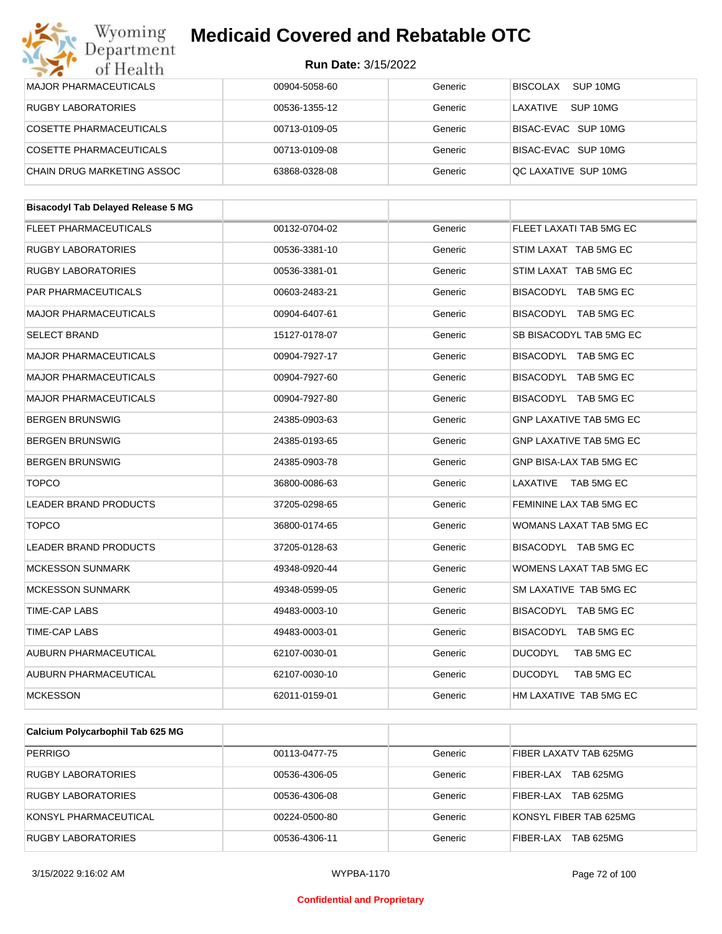| Department<br>of Health                   | <b>Run Date: 3/15/2022</b> |         |                                |
|-------------------------------------------|----------------------------|---------|--------------------------------|
| <b>MAJOR PHARMACEUTICALS</b>              | 00904-5058-60              | Generic | SUP 10MG<br><b>BISCOLAX</b>    |
| <b>RUGBY LABORATORIES</b>                 | 00536-1355-12              | Generic | LAXATIVE<br>SUP 10MG           |
| <b>COSETTE PHARMACEUTICALS</b>            | 00713-0109-05              | Generic | BISAC-EVAC SUP 10MG            |
| <b>COSETTE PHARMACEUTICALS</b>            | 00713-0109-08              | Generic | BISAC-EVAC SUP 10MG            |
| CHAIN DRUG MARKETING ASSOC                | 63868-0328-08              | Generic | QC LAXATIVE SUP 10MG           |
| <b>Bisacodyl Tab Delayed Release 5 MG</b> |                            |         |                                |
| <b>FLEET PHARMACEUTICALS</b>              | 00132-0704-02              | Generic | FLEET LAXATI TAB 5MG EC        |
| RUGBY LABORATORIES                        | 00536-3381-10              | Generic | STIM LAXAT TAB 5MG EC          |
| <b>RUGBY LABORATORIES</b>                 | 00536-3381-01              | Generic | STIM LAXAT TAB 5MG EC          |
| PAR PHARMACEUTICALS                       | 00603-2483-21              | Generic | BISACODYL TAB 5MG EC           |
| <b>MAJOR PHARMACEUTICALS</b>              | 00904-6407-61              | Generic | BISACODYL TAB 5MG EC           |
| <b>SELECT BRAND</b>                       | 15127-0178-07              | Generic | SB BISACODYL TAB 5MG EC        |
| <b>MAJOR PHARMACEUTICALS</b>              | 00904-7927-17              | Generic | BISACODYL TAB 5MG EC           |
| <b>MAJOR PHARMACEUTICALS</b>              | 00904-7927-60              | Generic | BISACODYL TAB 5MG EC           |
| <b>MAJOR PHARMACEUTICALS</b>              | 00904-7927-80              | Generic | BISACODYL TAB 5MG EC           |
| <b>BERGEN BRUNSWIG</b>                    | 24385-0903-63              | Generic | <b>GNP LAXATIVE TAB 5MG EC</b> |
| <b>BERGEN BRUNSWIG</b>                    | 24385-0193-65              | Generic | <b>GNP LAXATIVE TAB 5MG EC</b> |
| <b>BERGEN BRUNSWIG</b>                    | 24385-0903-78              | Generic | GNP BISA-LAX TAB 5MG EC        |
| <b>TOPCO</b>                              | 36800-0086-63              | Generic | LAXATIVE<br>TAB 5MG EC         |
| LEADER BRAND PRODUCTS                     | 37205-0298-65              | Generic | FEMININE LAX TAB 5MG EC        |
| <b>TOPCO</b>                              | 36800-0174-65              | Generic | WOMANS LAXAT TAB 5MG EC        |
| <b>LEADER BRAND PRODUCTS</b>              | 37205-0128-63              | Generic | BISACODYL TAB 5MG EC           |
| <b>MCKESSON SUNMARK</b>                   | 49348-0920-44              | Generic | WOMENS LAXAT TAB 5MG EC        |
| <b>MCKESSON SUNMARK</b>                   | 49348-0599-05              | Generic | SM LAXATIVE TAB 5MG EC         |
| TIME-CAP LABS                             | 49483-0003-10              | Generic | BISACODYL TAB 5MG EC           |
| TIME-CAP LABS                             | 49483-0003-01              | Generic | BISACODYL TAB 5MG EC           |
| AUBURN PHARMACEUTICAL                     | 62107-0030-01              | Generic | <b>DUCODYL</b><br>TAB 5MG EC   |
| AUBURN PHARMACEUTICAL                     | 62107-0030-10              | Generic | <b>DUCODYL</b><br>TAB 5MG EC   |
| <b>MCKESSON</b>                           | 62011-0159-01              | Generic | HM LAXATIVE TAB 5MG EC         |

| Calcium Forveal Dophin Tap 023 MG |               |         |                               |
|-----------------------------------|---------------|---------|-------------------------------|
| PERRIGO                           | 00113-0477-75 | Generic | FIBER LAXATV TAB 625MG        |
| RUGBY LABORATORIES                | 00536-4306-05 | Generic | <b>TAB 625MG</b><br>FIBER-LAX |
| RUGBY LABORATORIES                | 00536-4306-08 | Generic | FIBER-LAX<br><b>TAB 625MG</b> |
| KONSYL PHARMACEUTICAL             | 00224-0500-80 | Generic | KONSYL FIBER TAB 625MG        |
| RUGBY LABORATORIES                | 00536-4306-11 | Generic | FIBER-LAX<br><b>TAB 625MG</b> |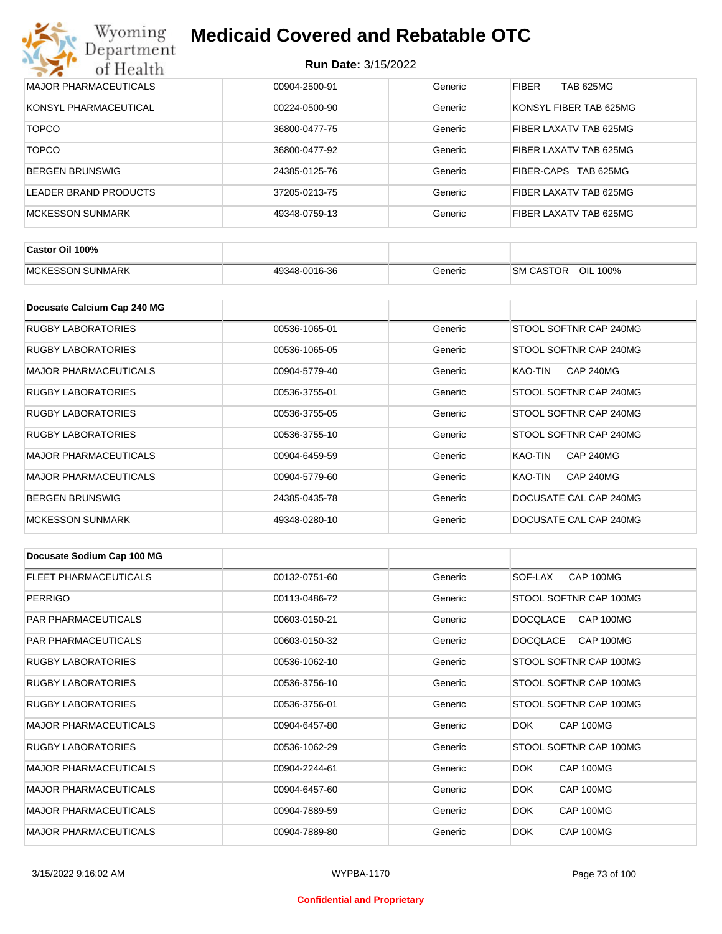| Wyoming<br><b>Medicaid Covered and Rebatable OTC</b><br>Department |                            |         |                                  |  |
|--------------------------------------------------------------------|----------------------------|---------|----------------------------------|--|
| of Health                                                          | <b>Run Date: 3/15/2022</b> |         |                                  |  |
| <b>MAJOR PHARMACEUTICALS</b>                                       | 00904-2500-91              | Generic | <b>FIBER</b><br><b>TAB 625MG</b> |  |
| KONSYL PHARMACEUTICAL                                              | 00224-0500-90              | Generic | KONSYL FIBER TAB 625MG           |  |
| <b>TOPCO</b>                                                       | 36800-0477-75              | Generic | FIBER LAXATV TAB 625MG           |  |
| <b>TOPCO</b>                                                       | 36800-0477-92              | Generic | FIBER LAXATV TAB 625MG           |  |
| <b>BERGEN BRUNSWIG</b>                                             | 24385-0125-76              | Generic | TAB 625MG<br>FIBER-CAPS          |  |
| LEADER BRAND PRODUCTS                                              | 37205-0213-75              | Generic | FIBER LAXATV TAB 625MG           |  |
| <b>MCKESSON SUNMARK</b>                                            | 49348-0759-13              | Generic | FIBER LAXATV TAB 625MG           |  |

| Castor Oil 100%          |               |         |                               |
|--------------------------|---------------|---------|-------------------------------|
| <b>IMCKESSON SUNMARK</b> | 49348-0016-36 | Generic | OIL 100%<br><b>ISM CASTOR</b> |

| Docusate Calcium Cap 240 MG  |               |         |                             |
|------------------------------|---------------|---------|-----------------------------|
| RUGBY LABORATORIES           | 00536-1065-01 | Generic | STOOL SOFTNR CAP 240MG      |
| <b>RUGBY LABORATORIES</b>    | 00536-1065-05 | Generic | STOOL SOFTNR CAP 240MG      |
| <b>MAJOR PHARMACEUTICALS</b> | 00904-5779-40 | Generic | KAO-TIN<br><b>CAP 240MG</b> |
| <b>RUGBY LABORATORIES</b>    | 00536-3755-01 | Generic | STOOL SOFTNR CAP 240MG      |
| <b>RUGBY LABORATORIES</b>    | 00536-3755-05 | Generic | STOOL SOFTNR CAP 240MG      |
| <b>RUGBY LABORATORIES</b>    | 00536-3755-10 | Generic | STOOL SOFTNR CAP 240MG      |
| <b>MAJOR PHARMACEUTICALS</b> | 00904-6459-59 | Generic | <b>CAP 240MG</b><br>KAO-TIN |
| <b>MAJOR PHARMACEUTICALS</b> | 00904-5779-60 | Generic | <b>CAP 240MG</b><br>KAO-TIN |
| <b>BERGEN BRUNSWIG</b>       | 24385-0435-78 | Generic | DOCUSATE CAL CAP 240MG      |
| <b>MCKESSON SUNMARK</b>      | 49348-0280-10 | Generic | DOCUSATE CAL CAP 240MG      |

| Docusate Sodium Cap 100 MG   |               |         |                              |
|------------------------------|---------------|---------|------------------------------|
| <b>FLEET PHARMACEUTICALS</b> | 00132-0751-60 | Generic | CAP 100MG<br>SOF-LAX         |
| <b>PERRIGO</b>               | 00113-0486-72 | Generic | STOOL SOFTNR CAP 100MG       |
| <b>PAR PHARMACEUTICALS</b>   | 00603-0150-21 | Generic | <b>DOCQLACE</b><br>CAP 100MG |
| <b>PAR PHARMACEUTICALS</b>   | 00603-0150-32 | Generic | DOCQLACE<br>CAP 100MG        |
| <b>RUGBY LABORATORIES</b>    | 00536-1062-10 | Generic | STOOL SOFTNR CAP 100MG       |
| <b>RUGBY LABORATORIES</b>    | 00536-3756-10 | Generic | STOOL SOFTNR CAP 100MG       |
| <b>RUGBY LABORATORIES</b>    | 00536-3756-01 | Generic | STOOL SOFTNR CAP 100MG       |
| <b>MAJOR PHARMACEUTICALS</b> | 00904-6457-80 | Generic | CAP 100MG<br>DOK.            |
| <b>RUGBY LABORATORIES</b>    | 00536-1062-29 | Generic | STOOL SOFTNR CAP 100MG       |
| <b>MAJOR PHARMACEUTICALS</b> | 00904-2244-61 | Generic | DOK.<br>CAP 100MG            |
| <b>MAJOR PHARMACEUTICALS</b> | 00904-6457-60 | Generic | DOK.<br>CAP 100MG            |
| <b>MAJOR PHARMACEUTICALS</b> | 00904-7889-59 | Generic | <b>DOK</b><br>CAP 100MG      |
| <b>MAJOR PHARMACEUTICALS</b> | 00904-7889-80 | Generic | DOK.<br>CAP 100MG            |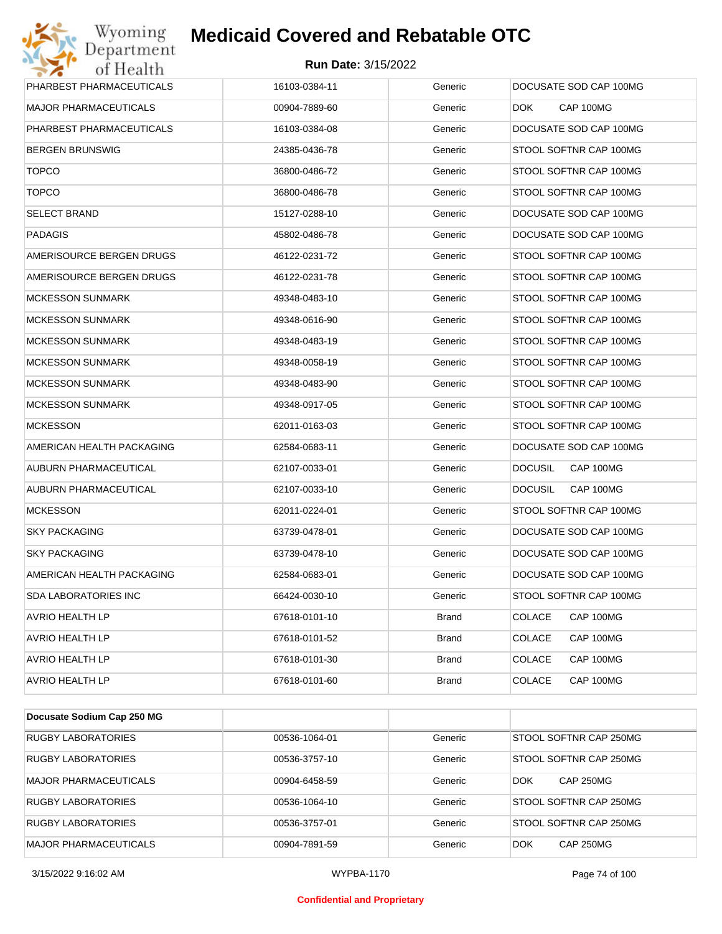| Wyoming<br>Department        | <b>Medicaid Covered and Rebatable OTC</b> |              |                             |
|------------------------------|-------------------------------------------|--------------|-----------------------------|
| of Health                    | <b>Run Date: 3/15/2022</b>                |              |                             |
| PHARBEST PHARMACEUTICALS     | 16103-0384-11                             | Generic      | DOCUSATE SOD CAP 100MG      |
| <b>MAJOR PHARMACEUTICALS</b> | 00904-7889-60                             | Generic      | CAP 100MG<br>DOK.           |
| PHARBEST PHARMACEUTICALS     | 16103-0384-08                             | Generic      | DOCUSATE SOD CAP 100MG      |
| <b>BERGEN BRUNSWIG</b>       | 24385-0436-78                             | Generic      | STOOL SOFTNR CAP 100MG      |
| <b>TOPCO</b>                 | 36800-0486-72                             | Generic      | STOOL SOFTNR CAP 100MG      |
| <b>TOPCO</b>                 | 36800-0486-78                             | Generic      | STOOL SOFTNR CAP 100MG      |
| <b>SELECT BRAND</b>          | 15127-0288-10                             | Generic      | DOCUSATE SOD CAP 100MG      |
| <b>PADAGIS</b>               | 45802-0486-78                             | Generic      | DOCUSATE SOD CAP 100MG      |
| AMERISOURCE BERGEN DRUGS     | 46122-0231-72                             | Generic      | STOOL SOFTNR CAP 100MG      |
| AMERISOURCE BERGEN DRUGS     | 46122-0231-78                             | Generic      | STOOL SOFTNR CAP 100MG      |
| <b>MCKESSON SUNMARK</b>      | 49348-0483-10                             | Generic      | STOOL SOFTNR CAP 100MG      |
| <b>MCKESSON SUNMARK</b>      | 49348-0616-90                             | Generic      | STOOL SOFTNR CAP 100MG      |
| <b>MCKESSON SUNMARK</b>      | 49348-0483-19                             | Generic      | STOOL SOFTNR CAP 100MG      |
| <b>MCKESSON SUNMARK</b>      | 49348-0058-19                             | Generic      | STOOL SOFTNR CAP 100MG      |
| <b>MCKESSON SUNMARK</b>      | 49348-0483-90                             | Generic      | STOOL SOFTNR CAP 100MG      |
| <b>MCKESSON SUNMARK</b>      | 49348-0917-05                             | Generic      | STOOL SOFTNR CAP 100MG      |
| <b>MCKESSON</b>              | 62011-0163-03                             | Generic      | STOOL SOFTNR CAP 100MG      |
| AMERICAN HEALTH PACKAGING    | 62584-0683-11                             | Generic      | DOCUSATE SOD CAP 100MG      |
| AUBURN PHARMACEUTICAL        | 62107-0033-01                             | Generic      | CAP 100MG<br><b>DOCUSIL</b> |
| AUBURN PHARMACEUTICAL        | 62107-0033-10                             | Generic      | <b>DOCUSIL</b><br>CAP 100MG |
| <b>MCKESSON</b>              | 62011-0224-01                             | Generic      | STOOL SOFTNR CAP 100MG      |
| <b>SKY PACKAGING</b>         | 63739-0478-01                             | Generic      | DOCUSATE SOD CAP 100MG      |
| <b>SKY PACKAGING</b>         | 63739-0478-10                             | Generic      | DOCUSATE SOD CAP 100MG      |
| AMERICAN HEALTH PACKAGING    | 62584-0683-01                             | Generic      | DOCUSATE SOD CAP 100MG      |
| <b>SDA LABORATORIES INC</b>  | 66424-0030-10                             | Generic      | STOOL SOFTNR CAP 100MG      |
| AVRIO HEALTH LP              | 67618-0101-10                             | Brand        | <b>COLACE</b><br>CAP 100MG  |
| AVRIO HEALTH LP              | 67618-0101-52                             | Brand        | <b>COLACE</b><br>CAP 100MG  |
| AVRIO HEALTH LP              | 67618-0101-30                             | Brand        | <b>COLACE</b><br>CAP 100MG  |
| AVRIO HEALTH LP              | 67618-0101-60                             | <b>Brand</b> | <b>COLACE</b><br>CAP 100MG  |
| Docusate Sodium Cap 250 MG   |                                           |              |                             |

| Docusate Sodium Cap 250 MG   |               |         |                         |
|------------------------------|---------------|---------|-------------------------|
| <b>RUGBY LABORATORIES</b>    | 00536-1064-01 | Generic | STOOL SOFTNR CAP 250MG  |
| <b>RUGBY LABORATORIES</b>    | 00536-3757-10 | Generic | STOOL SOFTNR CAP 250MG  |
| <b>MAJOR PHARMACEUTICALS</b> | 00904-6458-59 | Generic | <b>CAP 250MG</b><br>DOK |
| <b>RUGBY LABORATORIES</b>    | 00536-1064-10 | Generic | STOOL SOFTNR CAP 250MG  |
| <b>RUGBY LABORATORIES</b>    | 00536-3757-01 | Generic | STOOL SOFTNR CAP 250MG  |
| <b>MAJOR PHARMACEUTICALS</b> | 00904-7891-59 | Generic | <b>CAP 250MG</b><br>DOK |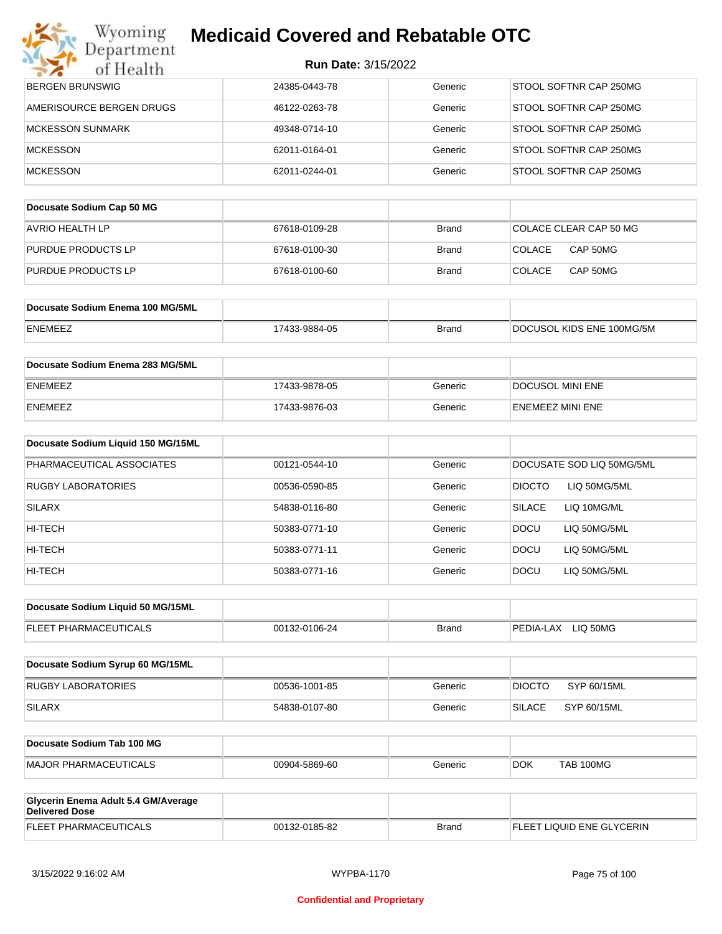|  |  | <b>Run Date: 3/15/2022</b> |  |  |
|--|--|----------------------------|--|--|
|--|--|----------------------------|--|--|

| Wyoming<br>Department                                        | <b>Medicaid Covered and Rebatable OTC</b> |              |                                |
|--------------------------------------------------------------|-------------------------------------------|--------------|--------------------------------|
| of Health                                                    | <b>Run Date: 3/15/2022</b>                |              |                                |
| <b>BERGEN BRUNSWIG</b>                                       | 24385-0443-78                             | Generic      | STOOL SOFTNR CAP 250MG         |
| AMERISOURCE BERGEN DRUGS                                     | 46122-0263-78                             | Generic      | STOOL SOFTNR CAP 250MG         |
| <b>MCKESSON SUNMARK</b>                                      | 49348-0714-10                             | Generic      | STOOL SOFTNR CAP 250MG         |
| <b>MCKESSON</b>                                              | 62011-0164-01                             | Generic      | STOOL SOFTNR CAP 250MG         |
| <b>MCKESSON</b>                                              | 62011-0244-01                             | Generic      | STOOL SOFTNR CAP 250MG         |
| Docusate Sodium Cap 50 MG                                    |                                           |              |                                |
| <b>AVRIO HEALTH LP</b>                                       | 67618-0109-28                             | <b>Brand</b> | COLACE CLEAR CAP 50 MG         |
| PURDUE PRODUCTS LP                                           | 67618-0100-30                             | <b>Brand</b> | <b>COLACE</b><br>CAP 50MG      |
| PURDUE PRODUCTS LP                                           | 67618-0100-60                             | <b>Brand</b> | <b>COLACE</b><br>CAP 50MG      |
| Docusate Sodium Enema 100 MG/5ML                             |                                           |              |                                |
| ENEMEEZ                                                      | 17433-9884-05                             | <b>Brand</b> | DOCUSOL KIDS ENE 100MG/5M      |
| Docusate Sodium Enema 283 MG/5ML                             |                                           |              |                                |
| ENEMEEZ                                                      | 17433-9878-05                             | Generic      | <b>DOCUSOL MINI ENE</b>        |
| ENEMEEZ                                                      | 17433-9876-03                             | Generic      | <b>ENEMEEZ MINI ENE</b>        |
| Docusate Sodium Liquid 150 MG/15ML                           |                                           |              |                                |
| PHARMACEUTICAL ASSOCIATES                                    | 00121-0544-10                             | Generic      | DOCUSATE SOD LIQ 50MG/5ML      |
| <b>RUGBY LABORATORIES</b>                                    | 00536-0590-85                             | Generic      | <b>DIOCTO</b><br>LIQ 50MG/5ML  |
| SILARX                                                       | 54838-0116-80                             | Generic      | <b>SILACE</b><br>LIQ 10MG/ML   |
| HI-TECH                                                      | 50383-0771-10                             | Generic      | DOCU<br>LIQ 50MG/5ML           |
| HI-TECH                                                      | 50383-0771-11                             | Generic      | DOCU<br>LIQ 50MG/5ML           |
| HI-TECH                                                      | 50383-0771-16                             | Generic      | <b>DOCU</b><br>LIQ 50MG/5ML    |
| Docusate Sodium Liquid 50 MG/15ML                            |                                           |              |                                |
| FLEET PHARMACEUTICALS                                        | 00132-0106-24                             | <b>Brand</b> | PEDIA-LAX LIQ 50MG             |
| Docusate Sodium Syrup 60 MG/15ML                             |                                           |              |                                |
| <b>RUGBY LABORATORIES</b>                                    | 00536-1001-85                             | Generic      | <b>DIOCTO</b><br>SYP 60/15ML   |
| <b>SILARX</b>                                                | 54838-0107-80                             | Generic      | <b>SILACE</b><br>SYP 60/15ML   |
| Docusate Sodium Tab 100 MG                                   |                                           |              |                                |
| <b>MAJOR PHARMACEUTICALS</b>                                 | 00904-5869-60                             | Generic      | <b>TAB 100MG</b><br><b>DOK</b> |
|                                                              |                                           |              |                                |
| Glycerin Enema Adult 5.4 GM/Average<br><b>Delivered Dose</b> |                                           |              |                                |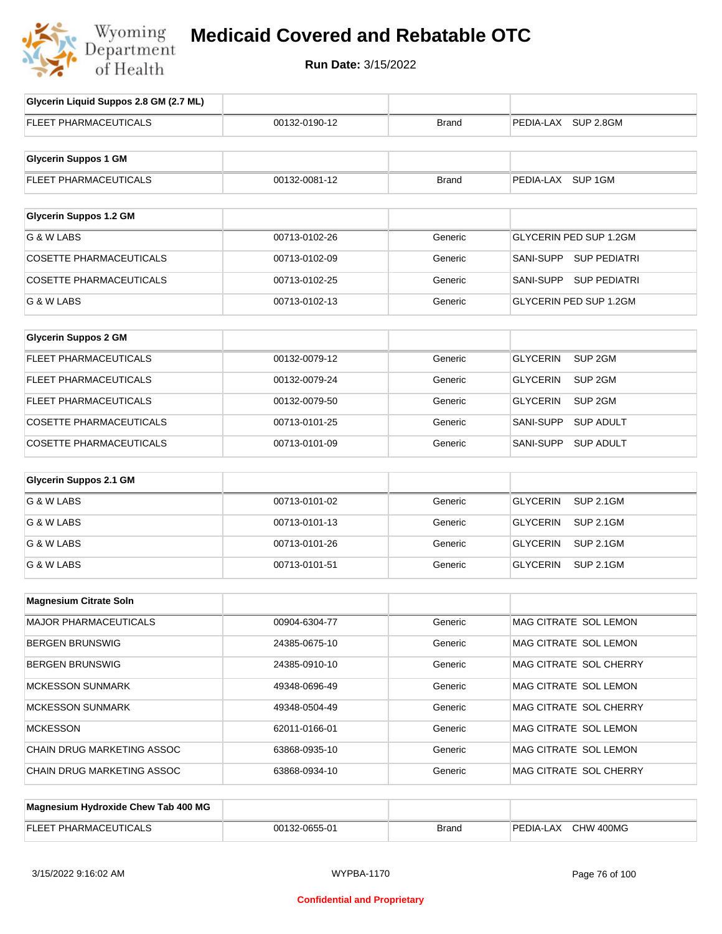

# **Medicaid Covered and Rebatable OTC**

**Run Date:** 3/15/2022

| Glycerin Liquid Suppos 2.8 GM (2.7 ML) |               |              |                                       |
|----------------------------------------|---------------|--------------|---------------------------------------|
| FLEET PHARMACEUTICALS                  | 00132-0190-12 | <b>Brand</b> | PEDIA-LAX SUP 2.8GM                   |
| <b>Glycerin Suppos 1 GM</b>            |               |              |                                       |
|                                        |               |              |                                       |
| <b>FLEET PHARMACEUTICALS</b>           | 00132-0081-12 | <b>Brand</b> | PEDIA-LAX SUP 1GM                     |
| <b>Glycerin Suppos 1.2 GM</b>          |               |              |                                       |
|                                        |               |              |                                       |
| G & W LABS                             | 00713-0102-26 | Generic      | GLYCERIN PED SUP 1.2GM                |
| <b>COSETTE PHARMACEUTICALS</b>         | 00713-0102-09 | Generic      | SANI-SUPP SUP PEDIATRI                |
| <b>COSETTE PHARMACEUTICALS</b>         | 00713-0102-25 | Generic      | SANI-SUPP SUP PEDIATRI                |
| G & W LABS                             | 00713-0102-13 | Generic      | GLYCERIN PED SUP 1.2GM                |
|                                        |               |              |                                       |
| <b>Glycerin Suppos 2 GM</b>            |               |              |                                       |
| FLEET PHARMACEUTICALS                  | 00132-0079-12 | Generic      | SUP <sub>2GM</sub><br><b>GLYCERIN</b> |
| FLEET PHARMACEUTICALS                  | 00132-0079-24 | Generic      | SUP <sub>2GM</sub><br><b>GLYCERIN</b> |
| FLEET PHARMACEUTICALS                  | 00132-0079-50 | Generic      | SUP <sub>2GM</sub><br><b>GLYCERIN</b> |
| <b>COSETTE PHARMACEUTICALS</b>         | 00713-0101-25 | Generic      | SANI-SUPP<br><b>SUP ADULT</b>         |
| <b>COSETTE PHARMACEUTICALS</b>         | 00713-0101-09 | Generic      | SANI-SUPP<br><b>SUP ADULT</b>         |
| <b>Glycerin Suppos 2.1 GM</b>          |               |              |                                       |
|                                        |               |              |                                       |
| G & W LABS                             | 00713-0101-02 | Generic      | <b>SUP 2.1GM</b><br><b>GLYCERIN</b>   |
| G & W LABS                             | 00713-0101-13 | Generic      | <b>GLYCERIN</b><br><b>SUP 2.1GM</b>   |
| G & W LABS                             | 00713-0101-26 | Generic      | <b>GLYCERIN</b><br><b>SUP 2.1GM</b>   |
| G & W LABS                             | 00713-0101-51 | Generic      | <b>GLYCERIN</b><br><b>SUP 2.1GM</b>   |
| <b>Magnesium Citrate Soln</b>          |               |              |                                       |
|                                        |               |              |                                       |
| MAJOR PHARMACEUTICALS                  | 00904-6304-77 | Generic      | MAG CITRATE SOL LEMON                 |
| <b>BERGEN BRUNSWIG</b>                 | 24385-0675-10 | Generic      | MAG CITRATE SOL LEMON                 |
| <b>BERGEN BRUNSWIG</b>                 | 24385-0910-10 | Generic      | MAG CITRATE SOL CHERRY                |
| <b>MCKESSON SUNMARK</b>                | 49348-0696-49 | Generic      | MAG CITRATE SOL LEMON                 |
| <b>MCKESSON SUNMARK</b>                | 49348-0504-49 | Generic      | MAG CITRATE SOL CHERRY                |
| <b>MCKESSON</b>                        | 62011-0166-01 | Generic      | MAG CITRATE SOL LEMON                 |
| CHAIN DRUG MARKETING ASSOC             | 63868-0935-10 | Generic      | MAG CITRATE SOL LEMON                 |
| CHAIN DRUG MARKETING ASSOC             | 63868-0934-10 | Generic      | MAG CITRATE SOL CHERRY                |
|                                        |               |              |                                       |
| Magnesium Hydroxide Chew Tab 400 MG    |               |              |                                       |
| FLEET PHARMACEUTICALS                  | 00132-0655-01 | <b>Brand</b> | PEDIA-LAX CHW 400MG                   |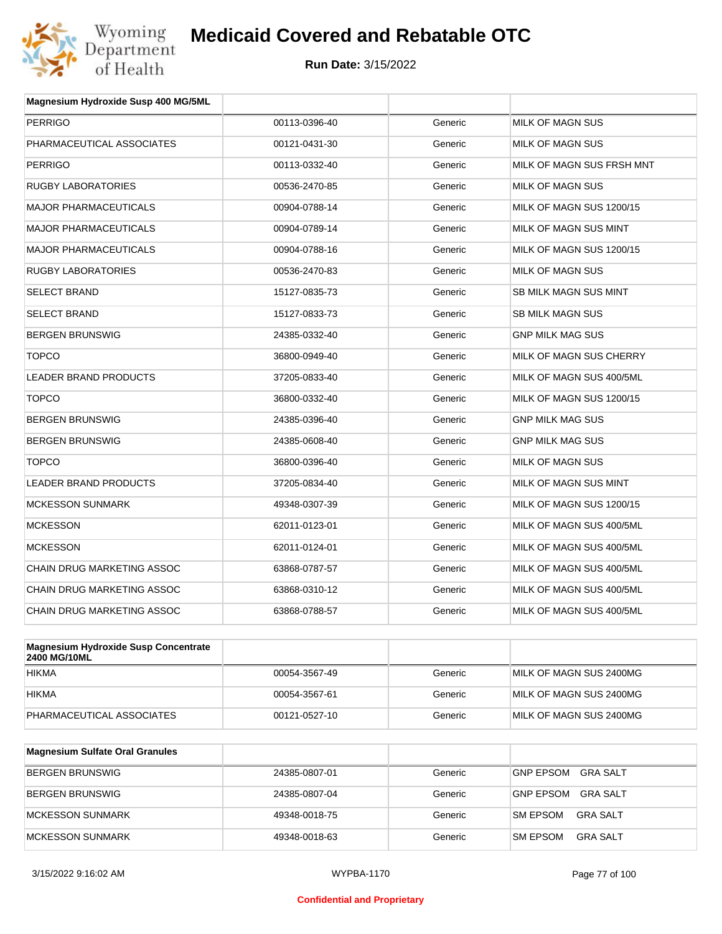

| Magnesium Hydroxide Susp 400 MG/5ML |               |         |                           |
|-------------------------------------|---------------|---------|---------------------------|
| <b>PERRIGO</b>                      | 00113-0396-40 | Generic | <b>MILK OF MAGN SUS</b>   |
| PHARMACEUTICAL ASSOCIATES           | 00121-0431-30 | Generic | MILK OF MAGN SUS          |
| <b>PERRIGO</b>                      | 00113-0332-40 | Generic | MILK OF MAGN SUS FRSH MNT |
| <b>RUGBY LABORATORIES</b>           | 00536-2470-85 | Generic | <b>MILK OF MAGN SUS</b>   |
| <b>MAJOR PHARMACEUTICALS</b>        | 00904-0788-14 | Generic | MILK OF MAGN SUS 1200/15  |
| <b>MAJOR PHARMACEUTICALS</b>        | 00904-0789-14 | Generic | MILK OF MAGN SUS MINT     |
| <b>MAJOR PHARMACEUTICALS</b>        | 00904-0788-16 | Generic | MILK OF MAGN SUS 1200/15  |
| <b>RUGBY LABORATORIES</b>           | 00536-2470-83 | Generic | MILK OF MAGN SUS          |
| <b>SELECT BRAND</b>                 | 15127-0835-73 | Generic | SB MILK MAGN SUS MINT     |
| <b>SELECT BRAND</b>                 | 15127-0833-73 | Generic | <b>SB MILK MAGN SUS</b>   |
| <b>BERGEN BRUNSWIG</b>              | 24385-0332-40 | Generic | <b>GNP MILK MAG SUS</b>   |
| <b>TOPCO</b>                        | 36800-0949-40 | Generic | MILK OF MAGN SUS CHERRY   |
| <b>LEADER BRAND PRODUCTS</b>        | 37205-0833-40 | Generic | MILK OF MAGN SUS 400/5ML  |
| <b>TOPCO</b>                        | 36800-0332-40 | Generic | MILK OF MAGN SUS 1200/15  |
| <b>BERGEN BRUNSWIG</b>              | 24385-0396-40 | Generic | <b>GNP MILK MAG SUS</b>   |
| <b>BERGEN BRUNSWIG</b>              | 24385-0608-40 | Generic | <b>GNP MILK MAG SUS</b>   |
| <b>TOPCO</b>                        | 36800-0396-40 | Generic | <b>MILK OF MAGN SUS</b>   |
| <b>LEADER BRAND PRODUCTS</b>        | 37205-0834-40 | Generic | MILK OF MAGN SUS MINT     |
| <b>MCKESSON SUNMARK</b>             | 49348-0307-39 | Generic | MILK OF MAGN SUS 1200/15  |
| <b>MCKESSON</b>                     | 62011-0123-01 | Generic | MILK OF MAGN SUS 400/5ML  |
| <b>MCKESSON</b>                     | 62011-0124-01 | Generic | MILK OF MAGN SUS 400/5ML  |
| <b>CHAIN DRUG MARKETING ASSOC</b>   | 63868-0787-57 | Generic | MILK OF MAGN SUS 400/5ML  |
| CHAIN DRUG MARKETING ASSOC          | 63868-0310-12 | Generic | MILK OF MAGN SUS 400/5ML  |
| <b>CHAIN DRUG MARKETING ASSOC</b>   | 63868-0788-57 | Generic | MILK OF MAGN SUS 400/5ML  |
|                                     |               |         |                           |

| Magnesium Hydroxide Susp Concentrate<br><b>2400 MG/10ML</b> |               |         |                         |
|-------------------------------------------------------------|---------------|---------|-------------------------|
| <b>HIKMA</b>                                                | 00054-3567-49 | Generic | MILK OF MAGN SUS 2400MG |
| <b>HIKMA</b>                                                | 00054-3567-61 | Generic | MILK OF MAGN SUS 2400MG |
| PHARMACEUTICAL ASSOCIATES                                   | 00121-0527-10 | Generic | MILK OF MAGN SUS 2400MG |

| <b>Magnesium Sulfate Oral Granules</b> |               |         |                                     |
|----------------------------------------|---------------|---------|-------------------------------------|
| <b>BERGEN BRUNSWIG</b>                 | 24385-0807-01 | Generic | <b>GNP EPSOM</b><br>GRA SALT        |
| <b>BERGEN BRUNSWIG</b>                 | 24385-0807-04 | Generic | <b>GNP EPSOM</b><br><b>GRA SALT</b> |
| MCKESSON SUNMARK                       | 49348-0018-75 | Generic | GRA SALT<br><b>SM EPSOM</b>         |
| MCKESSON SUNMARK                       | 49348-0018-63 | Generic | <b>SM EPSOM</b><br>GRA SALT         |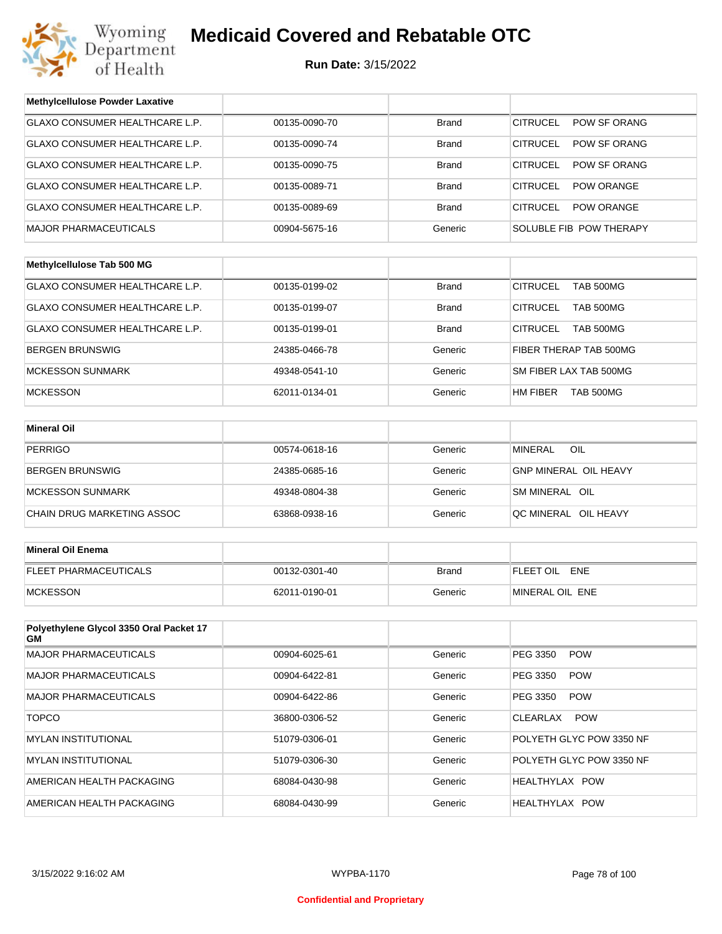

| <b>Methylcellulose Powder Laxative</b>        |               |              |                                        |  |
|-----------------------------------------------|---------------|--------------|----------------------------------------|--|
| GLAXO CONSUMER HEALTHCARE L.P.                | 00135-0090-70 | <b>Brand</b> | POW SF ORANG<br><b>CITRUCEL</b>        |  |
| GLAXO CONSUMER HEALTHCARE L.P.                | 00135-0090-74 | Brand        | <b>CITRUCEL</b><br>POW SF ORANG        |  |
| GLAXO CONSUMER HEALTHCARE L.P.                | 00135-0090-75 | <b>Brand</b> | <b>CITRUCEL</b><br><b>POW SF ORANG</b> |  |
| GLAXO CONSUMER HEALTHCARE L.P.                | 00135-0089-71 | Brand        | <b>CITRUCEL</b><br>POW ORANGE          |  |
| GLAXO CONSUMER HEALTHCARE L.P.                | 00135-0089-69 | <b>Brand</b> | <b>CITRUCEL</b><br><b>POW ORANGE</b>   |  |
| <b>MAJOR PHARMACEUTICALS</b>                  | 00904-5675-16 | Generic      | SOLUBLE FIB POW THERAPY                |  |
|                                               |               |              |                                        |  |
| Methylcellulose Tab 500 MG                    |               |              |                                        |  |
| GLAXO CONSUMER HEALTHCARE L.P.                | 00135-0199-02 | <b>Brand</b> | <b>CITRUCEL</b><br>TAB 500MG           |  |
| GLAXO CONSUMER HEALTHCARE L.P.                | 00135-0199-07 | <b>Brand</b> | <b>CITRUCEL</b><br><b>TAB 500MG</b>    |  |
| GLAXO CONSUMER HEALTHCARE L.P.                | 00135-0199-01 | <b>Brand</b> | <b>CITRUCEL</b><br>TAB 500MG           |  |
| <b>BERGEN BRUNSWIG</b>                        | 24385-0466-78 | Generic      | FIBER THERAP TAB 500MG                 |  |
| <b>MCKESSON SUNMARK</b>                       | 49348-0541-10 | Generic      | SM FIBER LAX TAB 500MG                 |  |
| <b>MCKESSON</b>                               | 62011-0134-01 | Generic      | HM FIBER<br>TAB 500MG                  |  |
|                                               |               |              |                                        |  |
| <b>Mineral Oil</b>                            |               |              |                                        |  |
| <b>PERRIGO</b>                                | 00574-0618-16 | Generic      | <b>MINERAL</b><br>OIL                  |  |
| <b>BERGEN BRUNSWIG</b>                        | 24385-0685-16 | Generic      | <b>GNP MINERAL OIL HEAVY</b>           |  |
| <b>MCKESSON SUNMARK</b>                       | 49348-0804-38 | Generic      | SM MINERAL OIL                         |  |
| CHAIN DRUG MARKETING ASSOC                    | 63868-0938-16 | Generic      | QC MINERAL OIL HEAVY                   |  |
|                                               |               |              |                                        |  |
| <b>Mineral Oil Enema</b>                      |               |              |                                        |  |
| FLEET PHARMACEUTICALS                         | 00132-0301-40 | <b>Brand</b> | FLEET OIL ENE                          |  |
| <b>MCKESSON</b>                               | 62011-0190-01 | Generic      | MINERAL OIL ENE                        |  |
|                                               |               |              |                                        |  |
| Polyethylene Glycol 3350 Oral Packet 17<br>GМ |               |              |                                        |  |
| MAJOR PHARMACEUTICALS                         | 00904-6025-61 | Generic      | PEG 3350<br><b>POW</b>                 |  |
| <b>MAJOR PHARMACEUTICALS</b>                  | 00904-6422-81 | Generic      | PEG 3350<br><b>POW</b>                 |  |
| <b>MAJOR PHARMACEUTICALS</b>                  | 00904-6422-86 | Generic      | PEG 3350<br><b>POW</b>                 |  |
| <b>TOPCO</b>                                  | 36800-0306-52 | Generic      | CLEARLAX<br><b>POW</b>                 |  |
| <b>MYLAN INSTITUTIONAL</b>                    | 51079-0306-01 | Generic      | POLYETH GLYC POW 3350 NF               |  |
| <b>MYLAN INSTITUTIONAL</b>                    | 51079-0306-30 | Generic      | POLYETH GLYC POW 3350 NF               |  |
| AMERICAN HEALTH PACKAGING                     | 68084-0430-98 | Generic      | HEALTHYLAX POW                         |  |
| AMERICAN HEALTH PACKAGING                     | 68084-0430-99 | Generic      | HEALTHYLAX POW                         |  |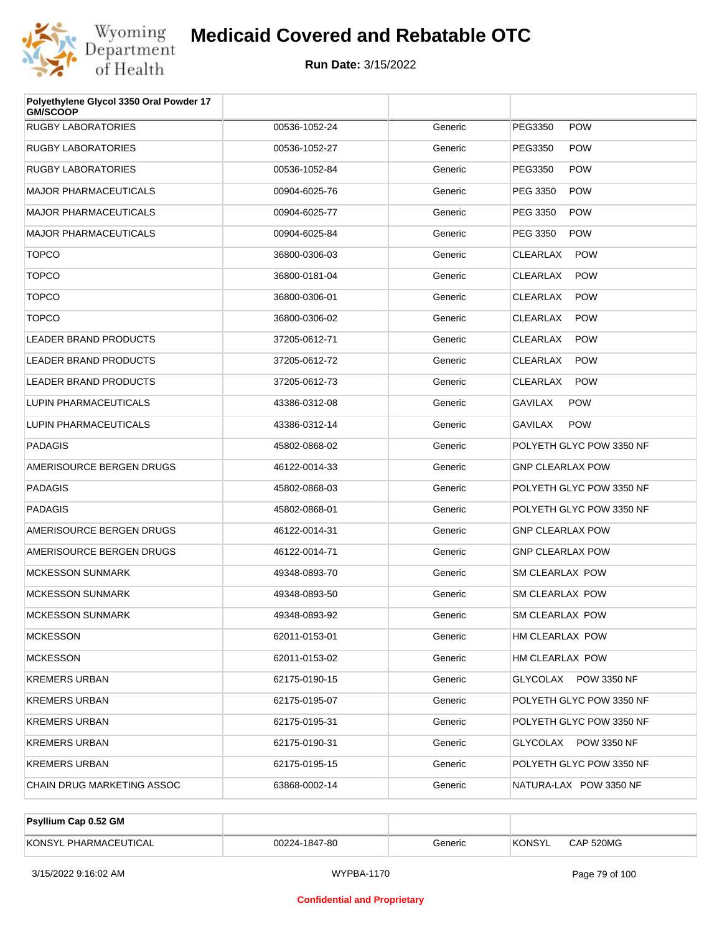

| Polyethylene Glycol 3350 Oral Powder 17<br><b>GM/SCOOP</b> |               |         |                               |  |
|------------------------------------------------------------|---------------|---------|-------------------------------|--|
| <b>RUGBY LABORATORIES</b>                                  | 00536-1052-24 | Generic | <b>POW</b><br>PEG3350         |  |
| <b>RUGBY LABORATORIES</b>                                  | 00536-1052-27 | Generic | <b>POW</b><br>PEG3350         |  |
| <b>RUGBY LABORATORIES</b>                                  | 00536-1052-84 | Generic | <b>POW</b><br>PEG3350         |  |
| <b>MAJOR PHARMACEUTICALS</b>                               | 00904-6025-76 | Generic | <b>POW</b><br>PEG 3350        |  |
| <b>MAJOR PHARMACEUTICALS</b>                               | 00904-6025-77 | Generic | <b>POW</b><br>PEG 3350        |  |
| <b>MAJOR PHARMACEUTICALS</b>                               | 00904-6025-84 | Generic | <b>POW</b><br>PEG 3350        |  |
| <b>TOPCO</b>                                               | 36800-0306-03 | Generic | <b>POW</b><br><b>CLEARLAX</b> |  |
| <b>TOPCO</b>                                               | 36800-0181-04 | Generic | <b>POW</b><br><b>CLEARLAX</b> |  |
| <b>TOPCO</b>                                               | 36800-0306-01 | Generic | <b>POW</b><br><b>CLEARLAX</b> |  |
| <b>TOPCO</b>                                               | 36800-0306-02 | Generic | <b>POW</b><br><b>CLEARLAX</b> |  |
| <b>LEADER BRAND PRODUCTS</b>                               | 37205-0612-71 | Generic | <b>POW</b><br>CLEARLAX        |  |
| <b>LEADER BRAND PRODUCTS</b>                               | 37205-0612-72 | Generic | <b>POW</b><br><b>CLEARLAX</b> |  |
| LEADER BRAND PRODUCTS                                      | 37205-0612-73 | Generic | <b>POW</b><br><b>CLEARLAX</b> |  |
| LUPIN PHARMACEUTICALS                                      | 43386-0312-08 | Generic | GAVILAX<br><b>POW</b>         |  |
| LUPIN PHARMACEUTICALS                                      | 43386-0312-14 | Generic | <b>POW</b><br>GAVILAX         |  |
| <b>PADAGIS</b>                                             | 45802-0868-02 | Generic | POLYETH GLYC POW 3350 NF      |  |
| AMERISOURCE BERGEN DRUGS                                   | 46122-0014-33 | Generic | <b>GNP CLEARLAX POW</b>       |  |
| <b>PADAGIS</b>                                             | 45802-0868-03 | Generic | POLYETH GLYC POW 3350 NF      |  |
| <b>PADAGIS</b>                                             | 45802-0868-01 | Generic | POLYETH GLYC POW 3350 NF      |  |
| AMERISOURCE BERGEN DRUGS                                   | 46122-0014-31 | Generic | <b>GNP CLEARLAX POW</b>       |  |
| AMERISOURCE BERGEN DRUGS                                   | 46122-0014-71 | Generic | <b>GNP CLEARLAX POW</b>       |  |
| <b>MCKESSON SUNMARK</b>                                    | 49348-0893-70 | Generic | <b>SM CLEARLAX POW</b>        |  |
| <b>MCKESSON SUNMARK</b>                                    | 49348-0893-50 | Generic | <b>SM CLEARLAX POW</b>        |  |
| <b>MCKESSON SUNMARK</b>                                    | 49348-0893-92 | Generic | <b>SM CLEARLAX POW</b>        |  |
| <b>MCKESSON</b>                                            | 62011-0153-01 | Generic | HM CLEARLAX POW               |  |
| <b>MCKESSON</b>                                            | 62011-0153-02 | Generic | HM CLEARLAX POW               |  |
| <b>KREMERS URBAN</b>                                       | 62175-0190-15 | Generic | GLYCOLAX POW 3350 NF          |  |
| <b>KREMERS URBAN</b>                                       | 62175-0195-07 | Generic | POLYETH GLYC POW 3350 NF      |  |
| <b>KREMERS URBAN</b>                                       | 62175-0195-31 | Generic | POLYETH GLYC POW 3350 NF      |  |
| <b>KREMERS URBAN</b>                                       | 62175-0190-31 | Generic | GLYCOLAX POW 3350 NF          |  |
| <b>KREMERS URBAN</b>                                       | 62175-0195-15 | Generic | POLYETH GLYC POW 3350 NF      |  |
| CHAIN DRUG MARKETING ASSOC                                 | 63868-0002-14 | Generic | NATURA-LAX POW 3350 NF        |  |

| Psyllium Cap 0.52 GM  |               |         |               |           |
|-----------------------|---------------|---------|---------------|-----------|
| KONSYL PHARMACEUTICAL | 00224-1847-80 | Generic | <b>KONSYL</b> | CAP 520MG |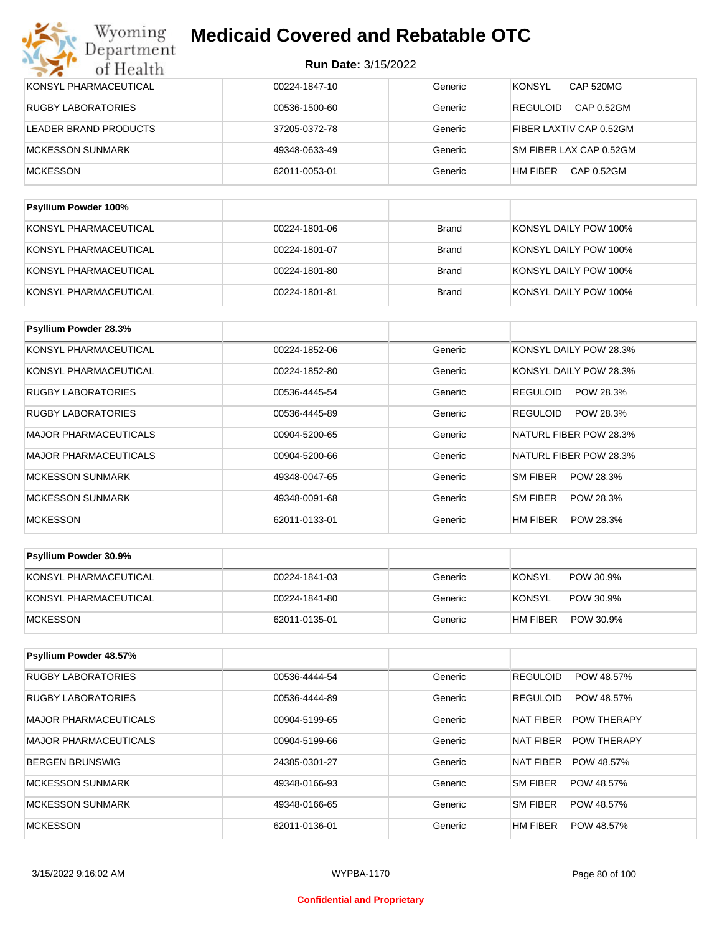| KONSYL PHARMACEUTICAL     | 00224-1847-10 | Generic      | <b>KONSYL</b><br>CAP 520MG    |
|---------------------------|---------------|--------------|-------------------------------|
| <b>RUGBY LABORATORIES</b> | 00536-1500-60 | Generic      | CAP 0.52GM<br><b>REGULOID</b> |
| LEADER BRAND PRODUCTS     | 37205-0372-78 | Generic      | FIBER LAXTIV CAP 0.52GM       |
| <b>MCKESSON SUNMARK</b>   | 49348-0633-49 | Generic      | SM FIBER LAX CAP 0.52GM       |
| <b>MCKESSON</b>           | 62011-0053-01 | Generic      | HM FIBER<br>CAP 0.52GM        |
|                           |               |              |                               |
| Psyllium Powder 100%      |               |              |                               |
| KONSYL PHARMACEUTICAL     | 00224-1801-06 | <b>Brand</b> | KONSYL DAILY POW 100%         |
| KONSYL PHARMACEUTICAL     | 00224-1801-07 | <b>Brand</b> | KONSYL DAILY POW 100%         |
| KONSYL PHARMACEUTICAL     | 00224-1801-80 | <b>Brand</b> | KONSYL DAILY POW 100%         |
| KONSYL PHARMACEUTICAL     | 00224-1801-81 | Brand        | KONSYL DAILY POW 100%         |

| <b>Psyllium Powder 28.3%</b> |               |         |                              |
|------------------------------|---------------|---------|------------------------------|
| KONSYL PHARMACEUTICAL        | 00224-1852-06 | Generic | KONSYL DAILY POW 28.3%       |
| KONSYL PHARMACEUTICAL        | 00224-1852-80 | Generic | KONSYL DAILY POW 28.3%       |
| <b>RUGBY LABORATORIES</b>    | 00536-4445-54 | Generic | <b>REGULOID</b><br>POW 28.3% |
| <b>RUGBY LABORATORIES</b>    | 00536-4445-89 | Generic | POW 28.3%<br>REGULOID        |
| <b>MAJOR PHARMACEUTICALS</b> | 00904-5200-65 | Generic | NATURL FIBER POW 28.3%       |
| <b>MAJOR PHARMACEUTICALS</b> | 00904-5200-66 | Generic | NATURL FIBER POW 28.3%       |
| <b>MCKESSON SUNMARK</b>      | 49348-0047-65 | Generic | SM FIBER<br>POW 28.3%        |
| <b>MCKESSON SUNMARK</b>      | 49348-0091-68 | Generic | SM FIBER<br>POW 28.3%        |
| <b>MCKESSON</b>              | 62011-0133-01 | Generic | HM FIBER<br>POW 28.3%        |

| <b>Psyllium Powder 30.9%</b> |               |         |          |           |
|------------------------------|---------------|---------|----------|-----------|
| KONSYL PHARMACEUTICAL        | 00224-1841-03 | Generic | KONSYL   | POW 30.9% |
| KONSYL PHARMACEUTICAL        | 00224-1841-80 | Generic | KONSYL   | POW 30.9% |
| MCKESSON                     | 62011-0135-01 | Generic | HM FIBER | POW 30.9% |

| Psyllium Powder 48.57%    |               |         |                                 |
|---------------------------|---------------|---------|---------------------------------|
| <b>RUGBY LABORATORIES</b> | 00536-4444-54 | Generic | <b>REGULOID</b><br>POW 48.57%   |
| <b>RUGBY LABORATORIES</b> | 00536-4444-89 | Generic | <b>REGULOID</b><br>POW 48.57%   |
| MAJOR PHARMACEUTICALS     | 00904-5199-65 | Generic | NAT FIBER<br><b>POW THERAPY</b> |
| MAJOR PHARMACEUTICALS     | 00904-5199-66 | Generic | NAT FIBER<br><b>POW THERAPY</b> |
| BERGEN BRUNSWIG           | 24385-0301-27 | Generic | POW 48.57%<br>NAT FIBER         |
| MCKESSON SUNMARK          | 49348-0166-93 | Generic | SM FIBER<br>POW 48.57%          |
| <b>MCKESSON SUNMARK</b>   | 49348-0166-65 | Generic | <b>SM FIBER</b><br>POW 48.57%   |
| <b>MCKESSON</b>           | 62011-0136-01 | Generic | <b>HM FIBER</b><br>POW 48.57%   |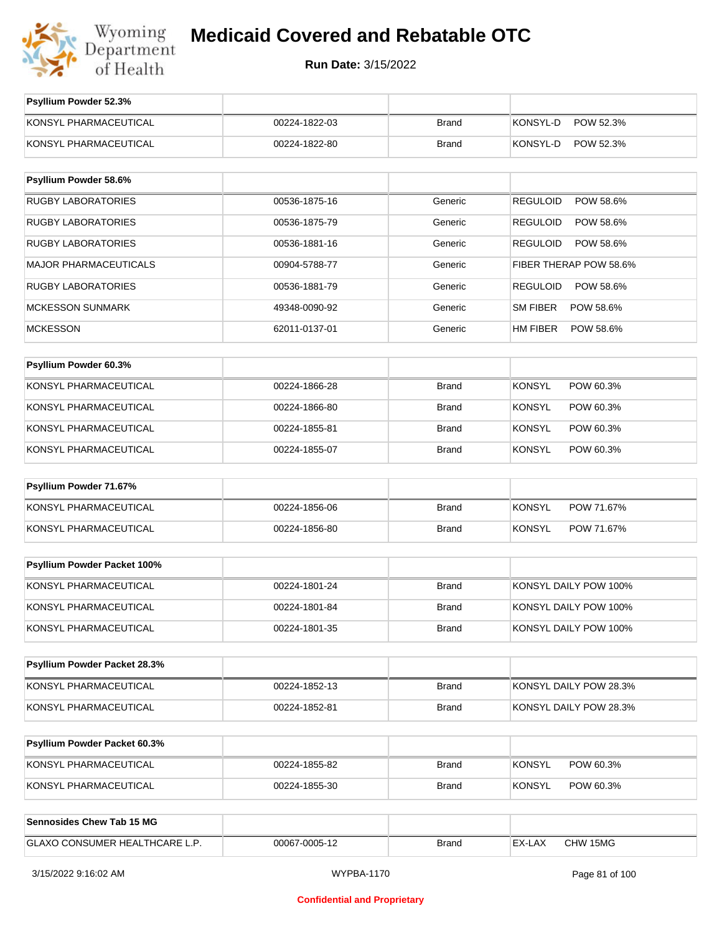

**Run Date:** 3/15/2022

| Psyllium Powder 52.3%          |               |              |                              |
|--------------------------------|---------------|--------------|------------------------------|
| KONSYL PHARMACEUTICAL          | 00224-1822-03 | <b>Brand</b> | KONSYL-D<br>POW 52.3%        |
| KONSYL PHARMACEUTICAL          | 00224-1822-80 | <b>Brand</b> | KONSYL-D<br>POW 52.3%        |
|                                |               |              |                              |
| Psyllium Powder 58.6%          |               |              |                              |
| <b>RUGBY LABORATORIES</b>      | 00536-1875-16 | Generic      | <b>REGULOID</b><br>POW 58.6% |
| <b>RUGBY LABORATORIES</b>      | 00536-1875-79 | Generic      | REGULOID<br>POW 58.6%        |
| <b>RUGBY LABORATORIES</b>      | 00536-1881-16 | Generic      | <b>REGULOID</b><br>POW 58.6% |
| <b>MAJOR PHARMACEUTICALS</b>   | 00904-5788-77 | Generic      | FIBER THERAP POW 58.6%       |
| <b>RUGBY LABORATORIES</b>      | 00536-1881-79 | Generic      | REGULOID<br>POW 58.6%        |
| <b>MCKESSON SUNMARK</b>        | 49348-0090-92 | Generic      | SM FIBER<br>POW 58.6%        |
| <b>MCKESSON</b>                | 62011-0137-01 | Generic      | HM FIBER<br>POW 58.6%        |
|                                |               |              |                              |
| Psyllium Powder 60.3%          |               |              |                              |
| KONSYL PHARMACEUTICAL          | 00224-1866-28 | <b>Brand</b> | <b>KONSYL</b><br>POW 60.3%   |
| KONSYL PHARMACEUTICAL          | 00224-1866-80 | <b>Brand</b> | KONSYL<br>POW 60.3%          |
| KONSYL PHARMACEUTICAL          | 00224-1855-81 | <b>Brand</b> | <b>KONSYL</b><br>POW 60.3%   |
| KONSYL PHARMACEUTICAL          | 00224-1855-07 | <b>Brand</b> | KONSYL<br>POW 60.3%          |
| Psyllium Powder 71.67%         |               |              |                              |
|                                |               |              |                              |
| KONSYL PHARMACEUTICAL          | 00224-1856-06 | <b>Brand</b> | <b>KONSYL</b><br>POW 71.67%  |
| KONSYL PHARMACEUTICAL          | 00224-1856-80 | <b>Brand</b> | <b>KONSYL</b><br>POW 71.67%  |
| Psyllium Powder Packet 100%    |               |              |                              |
| KONSYL PHARMACEUTICAL          | 00224-1801-24 | <b>Brand</b> | KONSYL DAILY POW 100%        |
| KONSYL PHARMACEUTICAL          | 00224-1801-84 | <b>Brand</b> | KONSYL DAILY POW 100%        |
| KONSYL PHARMACEUTICAL          | 00224-1801-35 | <b>Brand</b> | KONSYL DAILY POW 100%        |
|                                |               |              |                              |
| Psyllium Powder Packet 28.3%   |               |              |                              |
| KONSYL PHARMACEUTICAL          | 00224-1852-13 | <b>Brand</b> | KONSYL DAILY POW 28.3%       |
| KONSYL PHARMACEUTICAL          | 00224-1852-81 | <b>Brand</b> | KONSYL DAILY POW 28.3%       |
|                                |               |              |                              |
| Psyllium Powder Packet 60.3%   |               |              |                              |
| KONSYL PHARMACEUTICAL          | 00224-1855-82 | Brand        | <b>KONSYL</b><br>POW 60.3%   |
| KONSYL PHARMACEUTICAL          | 00224-1855-30 | <b>Brand</b> | <b>KONSYL</b><br>POW 60.3%   |
|                                |               |              |                              |
| Sennosides Chew Tab 15 MG      |               |              |                              |
| GLAXO CONSUMER HEALTHCARE L.P. | 00067-0005-12 | <b>Brand</b> | EX-LAX<br>CHW 15MG           |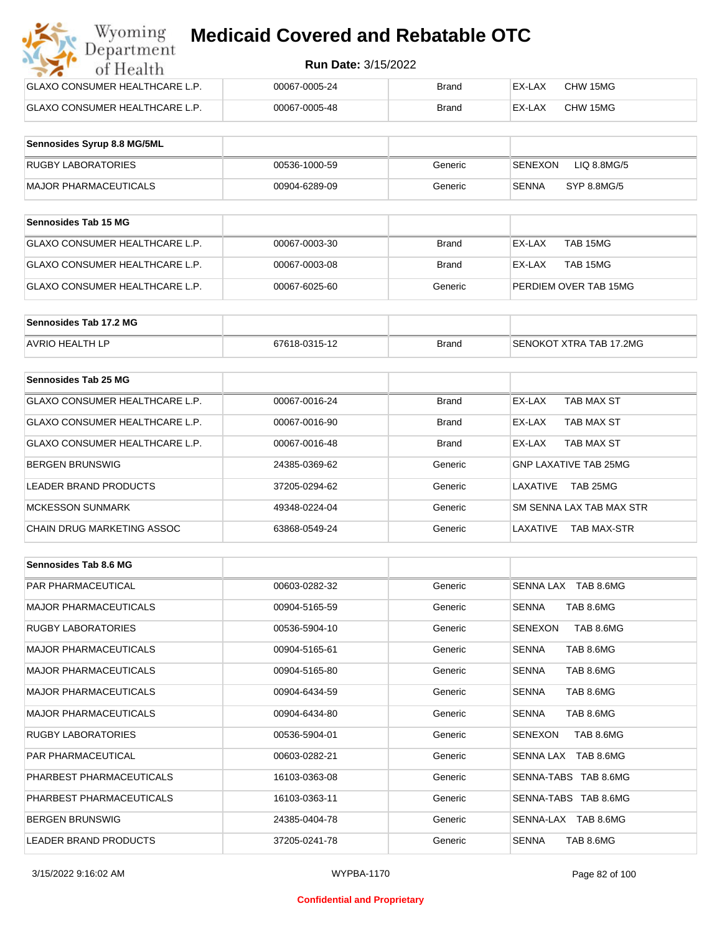| Wyoming<br><b>Medicaid Covered and Rebatable OTC</b><br>Department |                            |              |        |          |  |  |
|--------------------------------------------------------------------|----------------------------|--------------|--------|----------|--|--|
| of Health                                                          | <b>Run Date: 3/15/2022</b> |              |        |          |  |  |
| <b>GLAXO CONSUMER HEALTHCARE L.P.</b>                              | 00067-0005-24              | Brand        | EX-LAX | CHW 15MG |  |  |
| GLAXO CONSUMER HEALTHCARE L.P.                                     | 00067-0005-48              | <b>Brand</b> | EX-LAX | CHW 15MG |  |  |

| Sennosides Syrup 8.8 MG/5ML |               |         |                               |
|-----------------------------|---------------|---------|-------------------------------|
| <b>RUGBY LABORATORIES</b>   | 00536-1000-59 | Generic | LIQ 8.8MG/5<br><b>SENEXON</b> |
| MAJOR PHARMACEUTICALS       | 00904-6289-09 | Generic | SYP 8.8MG/5<br>SENNA          |

| <b>Sennosides Tab 15 MG</b>    |               |              |                       |
|--------------------------------|---------------|--------------|-----------------------|
| GLAXO CONSUMER HEALTHCARE L.P. | 00067-0003-30 | <b>Brand</b> | TAB 15MG<br>EX-LAX    |
| GLAXO CONSUMER HEALTHCARE L.P. | 00067-0003-08 | Brand        | TAB 15MG<br>EX-LAX    |
| GLAXO CONSUMER HEALTHCARE L.P. | 00067-6025-60 | Generic      | PERDIEM OVER TAB 15MG |

| Sennosides Tab 17.2 MG |               |              |                         |
|------------------------|---------------|--------------|-------------------------|
| <b>AVRIO HEALTH LP</b> | 67618-0315-12 | <b>Brand</b> | SENOKOT XTRA TAB 17.2MG |

| Sennosides Tab 25 MG           |               |              |                                |
|--------------------------------|---------------|--------------|--------------------------------|
| GLAXO CONSUMER HEALTHCARE L.P. | 00067-0016-24 | <b>Brand</b> | EX-LAX<br>TAB MAX ST           |
| GLAXO CONSUMER HEALTHCARE L.P. | 00067-0016-90 | <b>Brand</b> | TAB MAX ST<br>EX-LAX           |
| GLAXO CONSUMER HEALTHCARE L.P. | 00067-0016-48 | <b>Brand</b> | TAB MAX ST<br>EX-LAX           |
| <b>BERGEN BRUNSWIG</b>         | 24385-0369-62 | Generic      | <b>GNP LAXATIVE TAB 25MG</b>   |
| LEADER BRAND PRODUCTS          | 37205-0294-62 | Generic      | TAB 25MG<br>LAXATIVE           |
| <b>MCKESSON SUNMARK</b>        | 49348-0224-04 | Generic      | SM SENNA LAX TAB MAX STR       |
| CHAIN DRUG MARKETING ASSOC     | 63868-0549-24 | Generic      | LAXATIVE<br><b>TAB MAX-STR</b> |

| Sennosides Tab 8.6 MG        |               |         |                             |
|------------------------------|---------------|---------|-----------------------------|
| <b>PAR PHARMACEUTICAL</b>    | 00603-0282-32 | Generic | SENNA LAX TAB 8.6MG         |
| <b>MAJOR PHARMACEUTICALS</b> | 00904-5165-59 | Generic | <b>SENNA</b><br>TAB 8.6MG   |
| <b>RUGBY LABORATORIES</b>    | 00536-5904-10 | Generic | TAB 8.6MG<br>SENEXON        |
| <b>MAJOR PHARMACEUTICALS</b> | 00904-5165-61 | Generic | TAB 8.6MG<br><b>SENNA</b>   |
| <b>MAJOR PHARMACEUTICALS</b> | 00904-5165-80 | Generic | <b>SENNA</b><br>TAB 8.6MG   |
| <b>MAJOR PHARMACEUTICALS</b> | 00904-6434-59 | Generic | <b>SENNA</b><br>TAB 8.6MG   |
| <b>MAJOR PHARMACEUTICALS</b> | 00904-6434-80 | Generic | TAB 8.6MG<br><b>SENNA</b>   |
| <b>RUGBY LABORATORIES</b>    | 00536-5904-01 | Generic | <b>SENEXON</b><br>TAB 8.6MG |
| <b>PAR PHARMACEUTICAL</b>    | 00603-0282-21 | Generic | SENNA LAX TAB 8.6MG         |
| PHARBEST PHARMACEUTICALS     | 16103-0363-08 | Generic | SENNA-TABS TAB 8.6MG        |
| PHARBEST PHARMACEUTICALS     | 16103-0363-11 | Generic | SENNA-TABS TAB 8.6MG        |
| <b>BERGEN BRUNSWIG</b>       | 24385-0404-78 | Generic | SENNA-LAX TAB 8.6MG         |
| <b>LEADER BRAND PRODUCTS</b> | 37205-0241-78 | Generic | <b>SENNA</b><br>TAB 8.6MG   |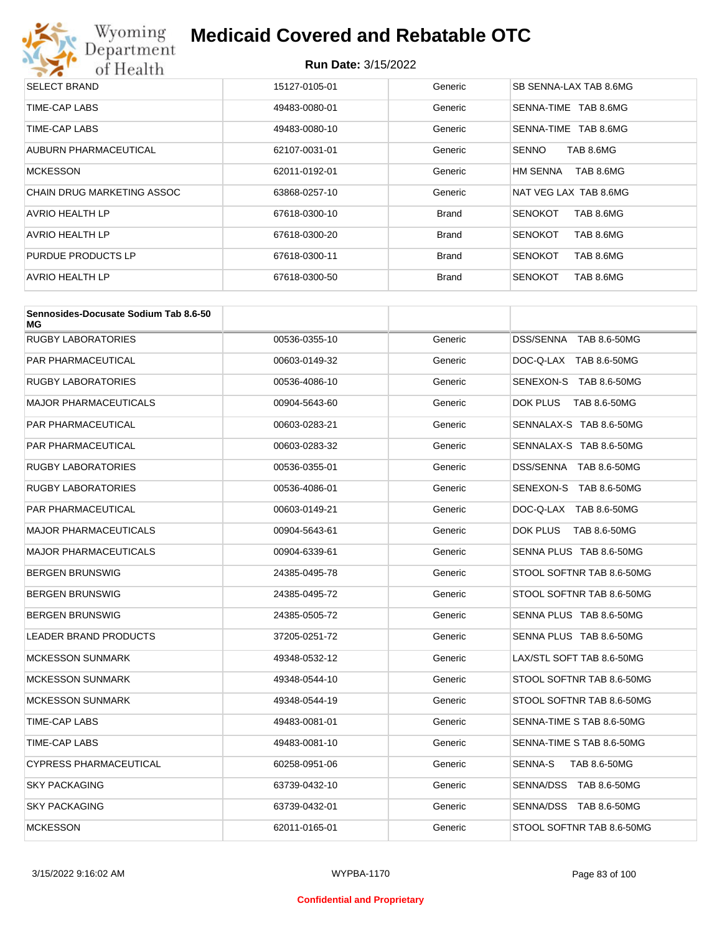

| <b>SELECT BRAND</b>        | 15127-0105-01 | Generic      | SB SENNA-LAX TAB 8.6MG      |
|----------------------------|---------------|--------------|-----------------------------|
| TIME-CAP LABS              | 49483-0080-01 | Generic      | TAB 8.6MG<br>SENNA-TIME     |
| TIME-CAP LABS              | 49483-0080-10 | Generic      | TAB 8.6MG<br>SENNA-TIME     |
| AUBURN PHARMACEUTICAL      | 62107-0031-01 | Generic      | <b>SENNO</b><br>TAB 8.6MG   |
| <b>MCKESSON</b>            | 62011-0192-01 | Generic      | HM SENNA<br>TAB 8.6MG       |
| CHAIN DRUG MARKETING ASSOC | 63868-0257-10 | Generic      | NAT VEG LAX TAB 8.6MG       |
| AVRIO HEALTH LP            | 67618-0300-10 | <b>Brand</b> | TAB 8.6MG<br><b>SENOKOT</b> |
| AVRIO HEALTH LP            | 67618-0300-20 | <b>Brand</b> | TAB 8.6MG<br><b>SENOKOT</b> |
| PURDUE PRODUCTS LP         | 67618-0300-11 | <b>Brand</b> | <b>SENOKOT</b><br>TAB 8.6MG |
| AVRIO HEALTH LP            | 67618-0300-50 | <b>Brand</b> | <b>SENOKOT</b><br>TAB 8.6MG |

| Sennosides-Docusate Sodium Tab 8.6-50<br>МG |               |         |                                |
|---------------------------------------------|---------------|---------|--------------------------------|
| <b>RUGBY LABORATORIES</b>                   | 00536-0355-10 | Generic | DSS/SENNA TAB 8.6-50MG         |
| PAR PHARMACEUTICAL                          | 00603-0149-32 | Generic | DOC-Q-LAX TAB 8.6-50MG         |
| RUGBY LABORATORIES                          | 00536-4086-10 | Generic | SENEXON-S TAB 8.6-50MG         |
| MAJOR PHARMACEUTICALS                       | 00904-5643-60 | Generic | DOK PLUS<br>TAB 8.6-50MG       |
| PAR PHARMACEUTICAL                          | 00603-0283-21 | Generic | SENNALAX-S TAB 8.6-50MG        |
| PAR PHARMACEUTICAL                          | 00603-0283-32 | Generic | SENNALAX-S TAB 8.6-50MG        |
| RUGBY LABORATORIES                          | 00536-0355-01 | Generic | DSS/SENNA TAB 8.6-50MG         |
| RUGBY LABORATORIES                          | 00536-4086-01 | Generic | SENEXON-S TAB 8.6-50MG         |
| PAR PHARMACEUTICAL                          | 00603-0149-21 | Generic | DOC-Q-LAX TAB 8.6-50MG         |
| MAJOR PHARMACEUTICALS                       | 00904-5643-61 | Generic | DOK PLUS<br>TAB 8.6-50MG       |
| <b>MAJOR PHARMACEUTICALS</b>                | 00904-6339-61 | Generic | SENNA PLUS TAB 8.6-50MG        |
| BERGEN BRUNSWIG                             | 24385-0495-78 | Generic | STOOL SOFTNR TAB 8.6-50MG      |
| BERGEN BRUNSWIG                             | 24385-0495-72 | Generic | STOOL SOFTNR TAB 8.6-50MG      |
| BERGEN BRUNSWIG                             | 24385-0505-72 | Generic | SENNA PLUS TAB 8.6-50MG        |
| <b>LEADER BRAND PRODUCTS</b>                | 37205-0251-72 | Generic | SENNA PLUS TAB 8.6-50MG        |
| <b>MCKESSON SUNMARK</b>                     | 49348-0532-12 | Generic | LAX/STL SOFT TAB 8.6-50MG      |
| <b>MCKESSON SUNMARK</b>                     | 49348-0544-10 | Generic | STOOL SOFTNR TAB 8.6-50MG      |
| <b>MCKESSON SUNMARK</b>                     | 49348-0544-19 | Generic | STOOL SOFTNR TAB 8.6-50MG      |
| TIME-CAP LABS                               | 49483-0081-01 | Generic | SENNA-TIME S TAB 8.6-50MG      |
| TIME-CAP LABS                               | 49483-0081-10 | Generic | SENNA-TIME S TAB 8.6-50MG      |
| CYPRESS PHARMACEUTICAL                      | 60258-0951-06 | Generic | <b>SENNA-S</b><br>TAB 8.6-50MG |
| <b>SKY PACKAGING</b>                        | 63739-0432-10 | Generic | SENNA/DSS TAB 8.6-50MG         |
| SKY PACKAGING                               | 63739-0432-01 | Generic | SENNA/DSS TAB 8.6-50MG         |
| <b>MCKESSON</b>                             | 62011-0165-01 | Generic | STOOL SOFTNR TAB 8.6-50MG      |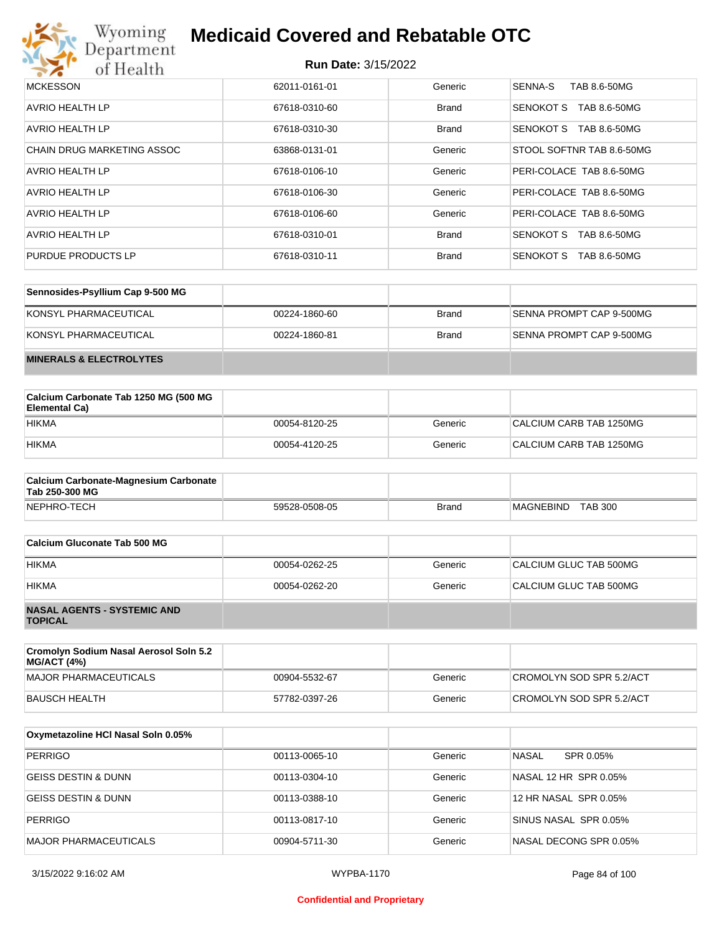

| <b>MCKESSON</b>                   | 62011-0161-01 | Generic      | <b>SENNA-S</b><br>TAB 8.6-50MG   |
|-----------------------------------|---------------|--------------|----------------------------------|
| AVRIO HEALTH LP                   | 67618-0310-60 | <b>Brand</b> | TAB 8.6-50MG<br><b>SENOKOT S</b> |
| AVRIO HEALTH LP                   | 67618-0310-30 | <b>Brand</b> | SENOKOT S<br>TAB 8.6-50MG        |
| <b>CHAIN DRUG MARKETING ASSOC</b> | 63868-0131-01 | Generic      | STOOL SOFTNR TAB 8.6-50MG        |
| AVRIO HEALTH LP                   | 67618-0106-10 | Generic      | PERI-COLACE TAB 8.6-50MG         |
| AVRIO HEALTH LP                   | 67618-0106-30 | Generic      | PERI-COLACE TAB 8.6-50MG         |
| AVRIO HEALTH LP                   | 67618-0106-60 | Generic      | PERI-COLACE TAB 8.6-50MG         |
| AVRIO HEALTH LP                   | 67618-0310-01 | <b>Brand</b> | SENOKOT S<br>TAB 8.6-50MG        |
| PURDUE PRODUCTS LP                | 67618-0310-11 | <b>Brand</b> | <b>SENOKOT S</b><br>TAB 8.6-50MG |

| Sennosides-Psyllium Cap 9-500 MG   |               |              |                          |
|------------------------------------|---------------|--------------|--------------------------|
| KONSYL PHARMACEUTICAL              | 00224-1860-60 | <b>Brand</b> | SENNA PROMPT CAP 9-500MG |
| KONSYL PHARMACEUTICAL              | 00224-1860-81 | <b>Brand</b> | SENNA PROMPT CAP 9-500MG |
| <b>MINERALS &amp; ELECTROLYTES</b> |               |              |                          |

| Calcium Carbonate Tab 1250 MG (500 MG<br>Elemental Ca) |               |         |                         |
|--------------------------------------------------------|---------------|---------|-------------------------|
| <b>HIKMA</b>                                           | 00054-8120-25 | Generic | CALCIUM CARB TAB 1250MG |
| <b>HIKMA</b>                                           | 00054-4120-25 | Generic | CALCIUM CARB TAB 1250MG |

| <b>Calcium Carbonate-Magnesium Carbonate</b><br>Tab 250-300 MG |               |              |                             |
|----------------------------------------------------------------|---------------|--------------|-----------------------------|
| NEPHRO-TECH                                                    | 59528-0508-05 | <b>Brand</b> | <b>TAB 300</b><br>MAGNEBIND |

| Calcium Gluconate Tab 500 MG                         |               |         |                        |
|------------------------------------------------------|---------------|---------|------------------------|
| <b>HIKMA</b>                                         | 00054-0262-25 | Generic | CALCIUM GLUC TAB 500MG |
| <b>HIKMA</b>                                         | 00054-0262-20 | Generic | CALCIUM GLUC TAB 500MG |
| <b>NASAL AGENTS - SYSTEMIC AND</b><br><b>TOPICAL</b> |               |         |                        |

| Cromolyn Sodium Nasal Aerosol Soln 5.2<br><b>MG/ACT (4%)</b> |               |         |                          |
|--------------------------------------------------------------|---------------|---------|--------------------------|
| MAJOR PHARMACEUTICALS                                        | 00904-5532-67 | Generic | CROMOLYN SOD SPR 5.2/ACT |
| BAUSCH HEALTH                                                | 57782-0397-26 | Generic | CROMOLYN SOD SPR 5.2/ACT |

| Oxymetazoline HCI Nasal Soln 0.05% |               |         |                           |
|------------------------------------|---------------|---------|---------------------------|
| <b>PERRIGO</b>                     | 00113-0065-10 | Generic | <b>NASAL</b><br>SPR 0.05% |
| <b>GEISS DESTIN &amp; DUNN</b>     | 00113-0304-10 | Generic | NASAL 12 HR SPR 0.05%     |
| <b>GEISS DESTIN &amp; DUNN</b>     | 00113-0388-10 | Generic | 12 HR NASAL SPR 0.05%     |
| PERRIGO                            | 00113-0817-10 | Generic | SINUS NASAL SPR 0.05%     |
| MAJOR PHARMACEUTICALS              | 00904-5711-30 | Generic | NASAL DECONG SPR 0.05%    |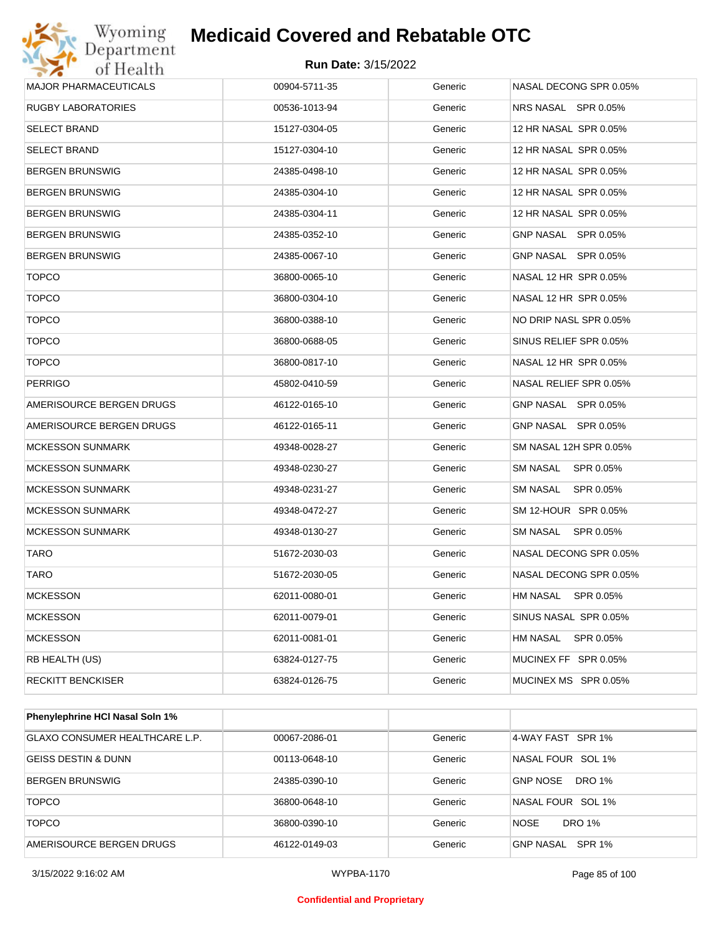

| Wyoming<br><b>Medicaid Covered and Rebatable OTC</b><br><b>Department</b> |                            |         |                              |  |
|---------------------------------------------------------------------------|----------------------------|---------|------------------------------|--|
| of Health                                                                 | <b>Run Date: 3/15/2022</b> |         |                              |  |
| <b>MAJOR PHARMACEUTICALS</b>                                              | 00904-5711-35              | Generic | NASAL DECONG SPR 0.05%       |  |
| RUGBY LABORATORIES                                                        | 00536-1013-94              | Generic | NRS NASAL SPR 0.05%          |  |
| SELECT BRAND                                                              | 15127-0304-05              | Generic | 12 HR NASAL SPR 0.05%        |  |
| <b>SELECT BRAND</b>                                                       | 15127-0304-10              | Generic | 12 HR NASAL SPR 0.05%        |  |
| BERGEN BRUNSWIG                                                           | 24385-0498-10              | Generic | 12 HR NASAL SPR 0.05%        |  |
| BERGEN BRUNSWIG                                                           | 24385-0304-10              | Generic | 12 HR NASAL SPR 0.05%        |  |
| BERGEN BRUNSWIG                                                           | 24385-0304-11              | Generic | 12 HR NASAL SPR 0.05%        |  |
| BERGEN BRUNSWIG                                                           | 24385-0352-10              | Generic | GNP NASAL SPR 0.05%          |  |
| BERGEN BRUNSWIG                                                           | 24385-0067-10              | Generic | GNP NASAL SPR 0.05%          |  |
| <b>TOPCO</b>                                                              | 36800-0065-10              | Generic | NASAL 12 HR SPR 0.05%        |  |
| <b>TOPCO</b>                                                              | 36800-0304-10              | Generic | NASAL 12 HR SPR 0.05%        |  |
| <b>TOPCO</b>                                                              | 36800-0388-10              | Generic | NO DRIP NASL SPR 0.05%       |  |
| <b>TOPCO</b>                                                              | 36800-0688-05              | Generic | SINUS RELIEF SPR 0.05%       |  |
| <b>TOPCO</b>                                                              | 36800-0817-10              | Generic | NASAL 12 HR SPR 0.05%        |  |
| PERRIGO                                                                   | 45802-0410-59              | Generic | NASAL RELIEF SPR 0.05%       |  |
| AMERISOURCE BERGEN DRUGS                                                  | 46122-0165-10              | Generic | GNP NASAL SPR 0.05%          |  |
| AMERISOURCE BERGEN DRUGS                                                  | 46122-0165-11              | Generic | GNP NASAL SPR 0.05%          |  |
| MCKESSON SUNMARK                                                          | 49348-0028-27              | Generic | SM NASAL 12H SPR 0.05%       |  |
| <b>MCKESSON SUNMARK</b>                                                   | 49348-0230-27              | Generic | SM NASAL<br>SPR 0.05%        |  |
| MCKESSON SUNMARK                                                          | 49348-0231-27              | Generic | SM NASAL<br>SPR 0.05%        |  |
| <b>MCKESSON SUNMARK</b>                                                   | 49348-0472-27              | Generic | SM 12-HOUR SPR 0.05%         |  |
| <b>MCKESSON SUNMARK</b>                                                   | 49348-0130-27              | Generic | <b>SM NASAL</b><br>SPR 0.05% |  |
| TARO                                                                      | 51672-2030-03              | Generic | NASAL DECONG SPR 0.05%       |  |
| TARO                                                                      | 51672-2030-05              | Generic | NASAL DECONG SPR 0.05%       |  |
| <b>MCKESSON</b>                                                           | 62011-0080-01              | Generic | <b>HM NASAL</b><br>SPR 0.05% |  |
| <b>MCKESSON</b>                                                           | 62011-0079-01              | Generic | SINUS NASAL SPR 0.05%        |  |
| <b>MCKESSON</b>                                                           | 62011-0081-01              | Generic | HM NASAL<br>SPR 0.05%        |  |
| RB HEALTH (US)                                                            | 63824-0127-75              | Generic | MUCINEX FF SPR 0.05%         |  |
| <b>RECKITT BENCKISER</b>                                                  | 63824-0126-75              | Generic | MUCINEX MS SPR 0.05%         |  |

| <b>Phenylephrine HCI Nasal Soln 1%</b> |               |         |                                  |
|----------------------------------------|---------------|---------|----------------------------------|
| GLAXO CONSUMER HEALTHCARE L.P.         | 00067-2086-01 | Generic | 4-WAY FAST SPR 1%                |
| GEISS DESTIN & DUNN                    | 00113-0648-10 | Generic | NASAL FOUR SOL 1%                |
| <b>BERGEN BRUNSWIG</b>                 | 24385-0390-10 | Generic | <b>DRO 1%</b><br><b>GNP NOSE</b> |
| <b>TOPCO</b>                           | 36800-0648-10 | Generic | NASAL FOUR SOL 1%                |
| <b>TOPCO</b>                           | 36800-0390-10 | Generic | NOSE<br>DRO 1%                   |
| AMERISOURCE BERGEN DRUGS               | 46122-0149-03 | Generic | GNP NASAL<br>SPR 1%              |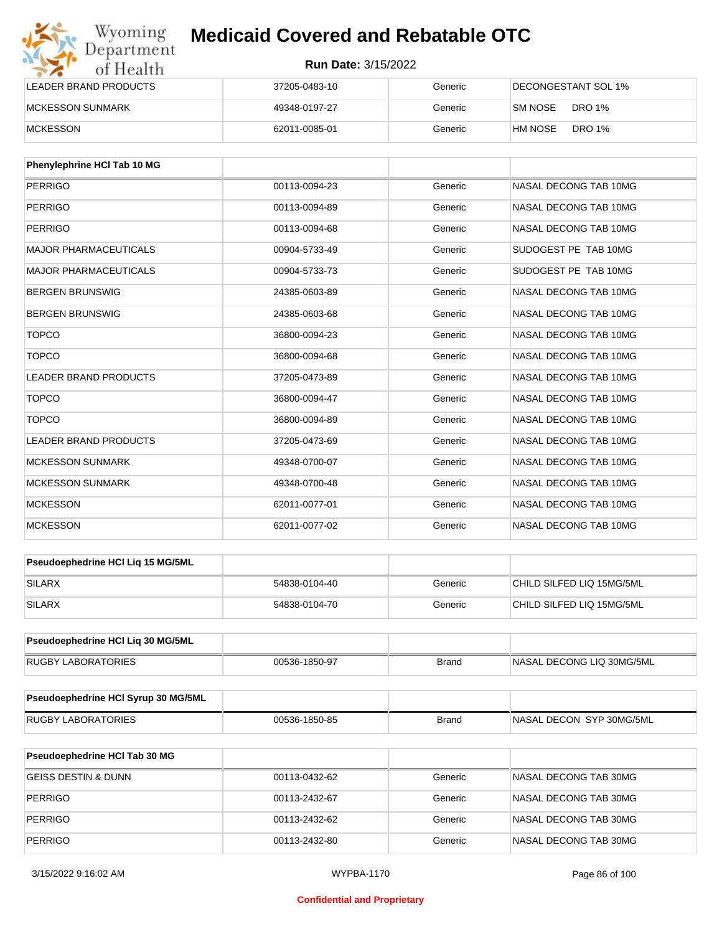| Wyoming<br>Department   | <b>Medicaid Covered and Rebatable OTC</b><br><b>Run Date: 3/15/2022</b> |         |                          |  |
|-------------------------|-------------------------------------------------------------------------|---------|--------------------------|--|
| of Health               |                                                                         |         |                          |  |
| LEADER BRAND PRODUCTS   | 37205-0483-10                                                           | Generic | DECONGESTANT SOL 1%      |  |
| <b>MCKESSON SUNMARK</b> | 49348-0197-27                                                           | Generic | <b>DRO 1%</b><br>SM NOSE |  |
| <b>MCKESSON</b>         | 62011-0085-01                                                           | Generic | <b>DRO 1%</b><br>HM NOSE |  |

| <b>Phenylephrine HCI Tab 10 MG</b> |               |         |                       |
|------------------------------------|---------------|---------|-----------------------|
| <b>PERRIGO</b>                     | 00113-0094-23 | Generic | NASAL DECONG TAB 10MG |
| PERRIGO                            | 00113-0094-89 | Generic | NASAL DECONG TAB 10MG |
| <b>PERRIGO</b>                     | 00113-0094-68 | Generic | NASAL DECONG TAB 10MG |
| <b>MAJOR PHARMACEUTICALS</b>       | 00904-5733-49 | Generic | SUDOGEST PE TAB 10MG  |
| <b>MAJOR PHARMACEUTICALS</b>       | 00904-5733-73 | Generic | SUDOGEST PE TAB 10MG  |
| <b>BERGEN BRUNSWIG</b>             | 24385-0603-89 | Generic | NASAL DECONG TAB 10MG |
| <b>BERGEN BRUNSWIG</b>             | 24385-0603-68 | Generic | NASAL DECONG TAB 10MG |
| <b>TOPCO</b>                       | 36800-0094-23 | Generic | NASAL DECONG TAB 10MG |
| <b>TOPCO</b>                       | 36800-0094-68 | Generic | NASAL DECONG TAB 10MG |
| <b>LEADER BRAND PRODUCTS</b>       | 37205-0473-89 | Generic | NASAL DECONG TAB 10MG |
| <b>TOPCO</b>                       | 36800-0094-47 | Generic | NASAL DECONG TAB 10MG |
| <b>TOPCO</b>                       | 36800-0094-89 | Generic | NASAL DECONG TAB 10MG |
| <b>LEADER BRAND PRODUCTS</b>       | 37205-0473-69 | Generic | NASAL DECONG TAB 10MG |
| <b>MCKESSON SUNMARK</b>            | 49348-0700-07 | Generic | NASAL DECONG TAB 10MG |
| <b>MCKESSON SUNMARK</b>            | 49348-0700-48 | Generic | NASAL DECONG TAB 10MG |
| <b>MCKESSON</b>                    | 62011-0077-01 | Generic | NASAL DECONG TAB 10MG |
| <b>MCKESSON</b>                    | 62011-0077-02 | Generic | NASAL DECONG TAB 10MG |

| <b>Pseudoephedrine HCI Lig 15 MG/5ML</b> |               |         |                           |
|------------------------------------------|---------------|---------|---------------------------|
| <b>SILARX</b>                            | 54838-0104-40 | Generic | CHILD SILFED LIQ 15MG/5ML |
| <b>SILARX</b>                            | 54838-0104-70 | Generic | CHILD SILFED LIQ 15MG/5ML |

| <b>Pseudoephedrine HCI Lig 30 MG/5ML</b> |               |       |                            |
|------------------------------------------|---------------|-------|----------------------------|
| <b>RUGBY LABORATORIES</b>                | 00536-1850-97 | Brand | INASAL DECONG LIQ 30MG/5ML |

| Pseudoephedrine HCI Syrup 30 MG/5ML |               |       |                           |
|-------------------------------------|---------------|-------|---------------------------|
| LABORATORIES<br>RUGBY               | 00536-1850-85 | Brand | INASAL DECON SYP 30MG/5ML |

| <b>Pseudoephedrine HCI Tab 30 MG</b> |               |         |                       |
|--------------------------------------|---------------|---------|-----------------------|
| GEISS DESTIN & DUNN                  | 00113-0432-62 | Generic | NASAL DECONG TAB 30MG |
| PERRIGO                              | 00113-2432-67 | Generic | NASAL DECONG TAB 30MG |
| PERRIGO                              | 00113-2432-62 | Generic | NASAL DECONG TAB 30MG |
| PERRIGO                              | 00113-2432-80 | Generic | NASAL DECONG TAB 30MG |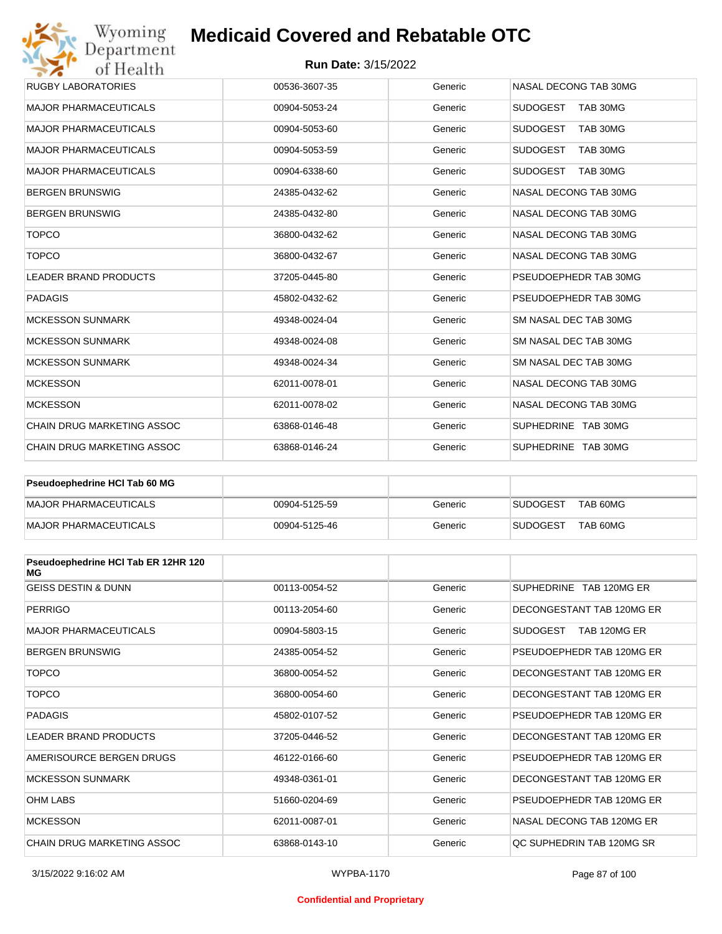| Wyoming                                               | <b>Medicaid Covered and Rebatable OTC</b> |         |                             |  |  |
|-------------------------------------------------------|-------------------------------------------|---------|-----------------------------|--|--|
| Department<br><b>Run Date: 3/15/2022</b><br>of Health |                                           |         |                             |  |  |
| <b>RUGBY LABORATORIES</b>                             | 00536-3607-35                             | Generic | NASAL DECONG TAB 30MG       |  |  |
| <b>MAJOR PHARMACEUTICALS</b>                          | 00904-5053-24                             | Generic | <b>SUDOGEST</b><br>TAB 30MG |  |  |
| <b>MAJOR PHARMACEUTICALS</b>                          | 00904-5053-60                             | Generic | <b>SUDOGEST</b><br>TAB 30MG |  |  |
| <b>MAJOR PHARMACEUTICALS</b>                          | 00904-5053-59                             | Generic | <b>SUDOGEST</b><br>TAB 30MG |  |  |
| <b>MAJOR PHARMACEUTICALS</b>                          | 00904-6338-60                             | Generic | <b>SUDOGEST</b><br>TAB 30MG |  |  |
| <b>BERGEN BRUNSWIG</b>                                | 24385-0432-62                             | Generic | NASAL DECONG TAB 30MG       |  |  |
| <b>BERGEN BRUNSWIG</b>                                | 24385-0432-80                             | Generic | NASAL DECONG TAB 30MG       |  |  |
| <b>TOPCO</b>                                          | 36800-0432-62                             | Generic | NASAL DECONG TAB 30MG       |  |  |
| <b>TOPCO</b>                                          | 36800-0432-67                             | Generic | NASAL DECONG TAB 30MG       |  |  |
| <b>LEADER BRAND PRODUCTS</b>                          | 37205-0445-80                             | Generic | PSEUDOEPHEDR TAB 30MG       |  |  |
| <b>PADAGIS</b>                                        | 45802-0432-62                             | Generic | PSEUDOEPHEDR TAB 30MG       |  |  |
| <b>MCKESSON SUNMARK</b>                               | 49348-0024-04                             | Generic | SM NASAL DEC TAB 30MG       |  |  |
| <b>MCKESSON SUNMARK</b>                               | 49348-0024-08                             | Generic | SM NASAL DEC TAB 30MG       |  |  |
| <b>MCKESSON SUNMARK</b>                               | 49348-0024-34                             | Generic | SM NASAL DEC TAB 30MG       |  |  |
| <b>MCKESSON</b>                                       | 62011-0078-01                             | Generic | NASAL DECONG TAB 30MG       |  |  |
| <b>MCKESSON</b>                                       | 62011-0078-02                             | Generic | NASAL DECONG TAB 30MG       |  |  |
| <b>CHAIN DRUG MARKETING ASSOC</b>                     | 63868-0146-48                             | Generic | SUPHEDRINE TAB 30MG         |  |  |
| <b>CHAIN DRUG MARKETING ASSOC</b>                     | 63868-0146-24                             | Generic | SUPHEDRINE TAB 30MG         |  |  |

| <b>Pseudoephedrine HCI Tab 60 MG</b> |               |         |                             |
|--------------------------------------|---------------|---------|-----------------------------|
| MAJOR PHARMACEUTICALS                | 00904-5125-59 | Generic | TAB 60MG<br><b>SUDOGEST</b> |
| MAJOR PHARMACEUTICALS                | 00904-5125-46 | Generic | TAB 60MG<br><b>SUDOGEST</b> |

| Pseudoephedrine HCI Tab ER 12HR 120<br>МG |               |         |                           |
|-------------------------------------------|---------------|---------|---------------------------|
| <b>GEISS DESTIN &amp; DUNN</b>            | 00113-0054-52 | Generic | SUPHEDRINE TAB 120MG ER   |
| <b>PERRIGO</b>                            | 00113-2054-60 | Generic | DECONGESTANT TAB 120MG ER |
| <b>MAJOR PHARMACEUTICALS</b>              | 00904-5803-15 | Generic | SUDOGEST<br>TAB 120MG ER  |
| <b>BERGEN BRUNSWIG</b>                    | 24385-0054-52 | Generic | PSEUDOFPHEDR TAB 120MG FR |
| <b>TOPCO</b>                              | 36800-0054-52 | Generic | DECONGESTANT TAB 120MG ER |
| <b>TOPCO</b>                              | 36800-0054-60 | Generic | DECONGESTANT TAB 120MG ER |
| <b>PADAGIS</b>                            | 45802-0107-52 | Generic | PSEUDOEPHEDR TAB 120MG ER |
| <b>LEADER BRAND PRODUCTS</b>              | 37205-0446-52 | Generic | DECONGESTANT TAB 120MG ER |
| AMERISOURCE BERGEN DRUGS                  | 46122-0166-60 | Generic | PSEUDOEPHEDR TAB 120MG ER |
| <b>MCKESSON SUNMARK</b>                   | 49348-0361-01 | Generic | DECONGESTANT TAB 120MG ER |
| <b>OHM LABS</b>                           | 51660-0204-69 | Generic | PSEUDOEPHEDR TAB 120MG ER |
| <b>MCKESSON</b>                           | 62011-0087-01 | Generic | NASAL DECONG TAB 120MG ER |
| <b>CHAIN DRUG MARKETING ASSOC</b>         | 63868-0143-10 | Generic | OC SUPHEDRIN TAB 120MG SR |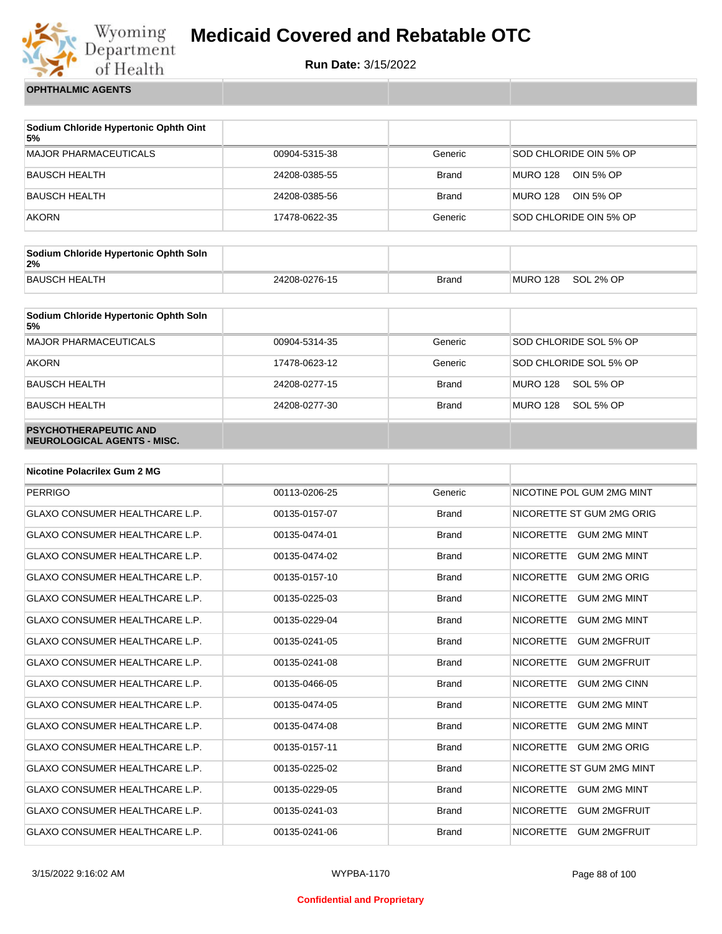

**Run Date:** 3/15/2022

**OPHTHALMIC AGENTS**

| Sodium Chloride Hypertonic Ophth Oint<br>5% |               |              |                              |
|---------------------------------------------|---------------|--------------|------------------------------|
| <b>MAJOR PHARMACEUTICALS</b>                | 00904-5315-38 | Generic      | SOD CHLORIDE OIN 5% OP       |
| BAUSCH HEALTH                               | 24208-0385-55 | <b>Brand</b> | <b>MURO 128</b><br>OIN 5% OP |
| <b>BAUSCH HEALTH</b>                        | 24208-0385-56 | <b>Brand</b> | MURO 128<br>OIN 5% OP        |
| <b>AKORN</b>                                | 17478-0622-35 | Generic      | SOD CHLORIDE OIN 5% OP       |

| Sodium Chloride Hypertonic Ophth Soln<br>2% |               |              |          |           |
|---------------------------------------------|---------------|--------------|----------|-----------|
| BAUSCH HEALTH                               | 24208-0276-15 | <b>Brand</b> | MURO 128 | SOL 2% OP |

| Sodium Chloride Hypertonic Ophth Soln<br>5%                 |               |              |                              |
|-------------------------------------------------------------|---------------|--------------|------------------------------|
| <b>MAJOR PHARMACEUTICALS</b>                                | 00904-5314-35 | Generic      | SOD CHLORIDE SOL 5% OP       |
| <b>AKORN</b>                                                | 17478-0623-12 | Generic      | SOD CHLORIDE SOL 5% OP       |
| <b>BAUSCH HEALTH</b>                                        | 24208-0277-15 | <b>Brand</b> | <b>MURO 128</b><br>SOL 5% OP |
| <b>BAUSCH HEALTH</b>                                        | 24208-0277-30 | <b>Brand</b> | <b>MURO 128</b><br>SOL 5% OP |
| <b>PSYCHOTHERAPEUTIC AND</b><br>NEUROLOGICAL AGENTS - MISC. |               |              |                              |

| <b>Nicotine Polacrilex Gum 2 MG</b>   |               |              |                                         |
|---------------------------------------|---------------|--------------|-----------------------------------------|
| <b>PERRIGO</b>                        | 00113-0206-25 | Generic      | NICOTINE POL GUM 2MG MINT               |
| <b>GLAXO CONSUMER HEALTHCARE L.P.</b> | 00135-0157-07 | <b>Brand</b> | NICORETTE ST GUM 2MG ORIG               |
| <b>GLAXO CONSUMER HEALTHCARE L.P.</b> | 00135-0474-01 | <b>Brand</b> | <b>NICORETTE</b><br><b>GUM 2MG MINT</b> |
| <b>GLAXO CONSUMER HEALTHCARE L.P.</b> | 00135-0474-02 | <b>Brand</b> | <b>NICORETTE</b><br><b>GUM 2MG MINT</b> |
| <b>GLAXO CONSUMER HEALTHCARE L.P.</b> | 00135-0157-10 | <b>Brand</b> | <b>NICORETTE</b><br><b>GUM 2MG ORIG</b> |
| <b>GLAXO CONSUMER HEALTHCARE L.P.</b> | 00135-0225-03 | <b>Brand</b> | <b>NICORETTE</b><br><b>GUM 2MG MINT</b> |
| <b>GLAXO CONSUMER HEALTHCARE L.P.</b> | 00135-0229-04 | <b>Brand</b> | <b>NICORETTE</b><br><b>GUM 2MG MINT</b> |
| <b>GLAXO CONSUMER HEALTHCARE L.P.</b> | 00135-0241-05 | <b>Brand</b> | <b>NICORETTE</b><br><b>GUM 2MGFRUIT</b> |
| <b>GLAXO CONSUMER HEALTHCARE L.P.</b> | 00135-0241-08 | <b>Brand</b> | <b>NICORETTE</b><br><b>GUM 2MGFRUIT</b> |
| <b>GLAXO CONSUMER HEALTHCARE L.P.</b> | 00135-0466-05 | <b>Brand</b> | <b>NICORETTE</b><br><b>GUM 2MG CINN</b> |
| <b>GLAXO CONSUMER HEALTHCARE L.P.</b> | 00135-0474-05 | <b>Brand</b> | <b>GUM 2MG MINT</b><br><b>NICORETTE</b> |
| <b>GLAXO CONSUMER HEALTHCARE L.P.</b> | 00135-0474-08 | <b>Brand</b> | <b>NICORETTE</b><br><b>GUM 2MG MINT</b> |
| <b>GLAXO CONSUMER HEALTHCARE L.P.</b> | 00135-0157-11 | <b>Brand</b> | <b>NICORETTE</b><br><b>GUM 2MG ORIG</b> |
| <b>GLAXO CONSUMER HEALTHCARE L.P.</b> | 00135-0225-02 | <b>Brand</b> | NICORETTE ST GUM 2MG MINT               |
| <b>GLAXO CONSUMER HEALTHCARE L.P.</b> | 00135-0229-05 | <b>Brand</b> | <b>NICORETTE</b><br><b>GUM 2MG MINT</b> |
| <b>GLAXO CONSUMER HEALTHCARE L.P.</b> | 00135-0241-03 | <b>Brand</b> | <b>NICORETTE</b><br><b>GUM 2MGFRUIT</b> |
| <b>GLAXO CONSUMER HEALTHCARE L.P.</b> | 00135-0241-06 | <b>Brand</b> | <b>NICORETTE</b><br><b>GUM 2MGFRUIT</b> |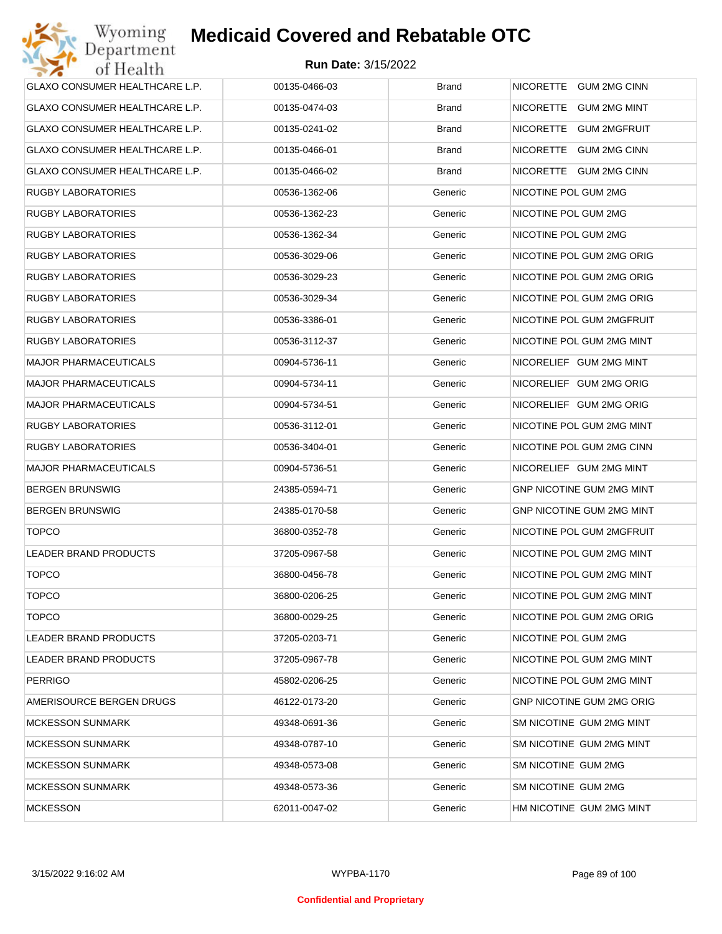| GLAXO CONSUMER HEALTHCARE L.P. | 00135-0466-03 | <b>Brand</b> | NICORETTE GUM 2MG CINN           |
|--------------------------------|---------------|--------------|----------------------------------|
| GLAXO CONSUMER HEALTHCARE L.P. | 00135-0474-03 | <b>Brand</b> | NICORETTE GUM 2MG MINT           |
| GLAXO CONSUMER HEALTHCARE L.P. | 00135-0241-02 | <b>Brand</b> | NICORETTE GUM 2MGFRUIT           |
| GLAXO CONSUMER HEALTHCARE L.P. | 00135-0466-01 | <b>Brand</b> | NICORETTE GUM 2MG CINN           |
| GLAXO CONSUMER HEALTHCARE L.P. | 00135-0466-02 | <b>Brand</b> | NICORETTE GUM 2MG CINN           |
| <b>RUGBY LABORATORIES</b>      | 00536-1362-06 | Generic      | NICOTINE POL GUM 2MG             |
| <b>RUGBY LABORATORIES</b>      | 00536-1362-23 | Generic      | NICOTINE POL GUM 2MG             |
| <b>RUGBY LABORATORIES</b>      | 00536-1362-34 | Generic      | NICOTINE POL GUM 2MG             |
| <b>RUGBY LABORATORIES</b>      | 00536-3029-06 | Generic      | NICOTINE POL GUM 2MG ORIG        |
| <b>RUGBY LABORATORIES</b>      | 00536-3029-23 | Generic      | NICOTINE POL GUM 2MG ORIG        |
| <b>RUGBY LABORATORIES</b>      | 00536-3029-34 | Generic      | NICOTINE POL GUM 2MG ORIG        |
| <b>RUGBY LABORATORIES</b>      | 00536-3386-01 | Generic      | NICOTINE POL GUM 2MGFRUIT        |
| <b>RUGBY LABORATORIES</b>      | 00536-3112-37 | Generic      | NICOTINE POL GUM 2MG MINT        |
| <b>MAJOR PHARMACEUTICALS</b>   | 00904-5736-11 | Generic      | NICORELIEF GUM 2MG MINT          |
| <b>MAJOR PHARMACEUTICALS</b>   | 00904-5734-11 | Generic      | NICORELIEF GUM 2MG ORIG          |
| <b>MAJOR PHARMACEUTICALS</b>   | 00904-5734-51 | Generic      | NICORELIEF GUM 2MG ORIG          |
| <b>RUGBY LABORATORIES</b>      | 00536-3112-01 | Generic      | NICOTINE POL GUM 2MG MINT        |
| <b>RUGBY LABORATORIES</b>      | 00536-3404-01 | Generic      | NICOTINE POL GUM 2MG CINN        |
| <b>MAJOR PHARMACEUTICALS</b>   | 00904-5736-51 | Generic      | NICORELIEF GUM 2MG MINT          |
| <b>BERGEN BRUNSWIG</b>         | 24385-0594-71 | Generic      | GNP NICOTINE GUM 2MG MINT        |
| <b>BERGEN BRUNSWIG</b>         | 24385-0170-58 | Generic      | GNP NICOTINE GUM 2MG MINT        |
| <b>TOPCO</b>                   | 36800-0352-78 | Generic      | NICOTINE POL GUM 2MGFRUIT        |
| <b>LEADER BRAND PRODUCTS</b>   | 37205-0967-58 | Generic      | NICOTINE POL GUM 2MG MINT        |
| <b>TOPCO</b>                   | 36800-0456-78 | Generic      | NICOTINE POL GUM 2MG MINT        |
| <b>TOPCO</b>                   | 36800-0206-25 | Generic      | NICOTINE POL GUM 2MG MINT        |
| <b>TOPCO</b>                   | 36800-0029-25 | Generic      | NICOTINE POL GUM 2MG ORIG        |
| <b>LEADER BRAND PRODUCTS</b>   | 37205-0203-71 | Generic      | NICOTINE POL GUM 2MG             |
| LEADER BRAND PRODUCTS          | 37205-0967-78 | Generic      | NICOTINE POL GUM 2MG MINT        |
| <b>PERRIGO</b>                 | 45802-0206-25 | Generic      | NICOTINE POL GUM 2MG MINT        |
| AMERISOURCE BERGEN DRUGS       | 46122-0173-20 | Generic      | <b>GNP NICOTINE GUM 2MG ORIG</b> |
| <b>MCKESSON SUNMARK</b>        | 49348-0691-36 | Generic      | SM NICOTINE GUM 2MG MINT         |
| <b>MCKESSON SUNMARK</b>        | 49348-0787-10 | Generic      | SM NICOTINE GUM 2MG MINT         |
| <b>MCKESSON SUNMARK</b>        | 49348-0573-08 | Generic      | SM NICOTINE GUM 2MG              |
| <b>MCKESSON SUNMARK</b>        | 49348-0573-36 | Generic      | SM NICOTINE GUM 2MG              |
| <b>MCKESSON</b>                | 62011-0047-02 | Generic      | HM NICOTINE GUM 2MG MINT         |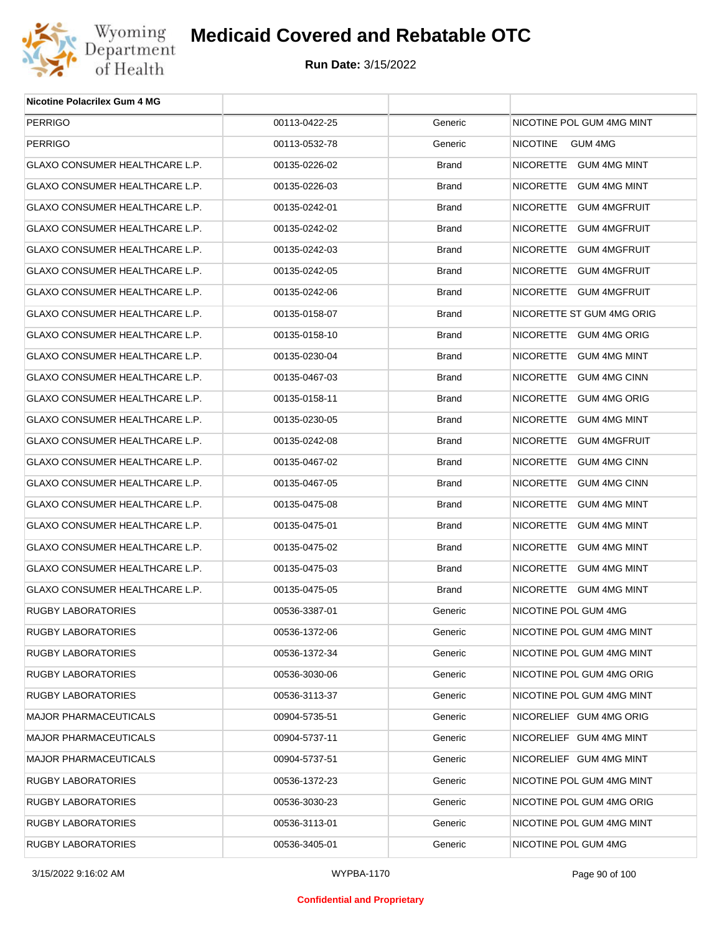

| Nicotine Polacrilex Gum 4 MG   |               |         |                            |
|--------------------------------|---------------|---------|----------------------------|
| <b>PERRIGO</b>                 | 00113-0422-25 | Generic | NICOTINE POL GUM 4MG MINT  |
| PERRIGO                        | 00113-0532-78 | Generic | <b>NICOTINE</b><br>GUM 4MG |
| GLAXO CONSUMER HEALTHCARE L.P. | 00135-0226-02 | Brand   | NICORETTE GUM 4MG MINT     |
| GLAXO CONSUMER HEALTHCARE L.P. | 00135-0226-03 | Brand   | NICORETTE GUM 4MG MINT     |
| GLAXO CONSUMER HEALTHCARE L.P. | 00135-0242-01 | Brand   | NICORETTE GUM 4MGFRUIT     |
| GLAXO CONSUMER HEALTHCARE L.P. | 00135-0242-02 | Brand   | NICORETTE GUM 4MGFRUIT     |
| GLAXO CONSUMER HEALTHCARE L.P. | 00135-0242-03 | Brand   | NICORETTE GUM 4MGFRUIT     |
| GLAXO CONSUMER HEALTHCARE L.P. | 00135-0242-05 | Brand   | NICORETTE GUM 4MGFRUIT     |
| GLAXO CONSUMER HEALTHCARE L.P. | 00135-0242-06 | Brand   | NICORETTE GUM 4MGFRUIT     |
| GLAXO CONSUMER HEALTHCARE L.P. | 00135-0158-07 | Brand   | NICORETTE ST GUM 4MG ORIG  |
| GLAXO CONSUMER HEALTHCARE L.P. | 00135-0158-10 | Brand   | NICORETTE GUM 4MG ORIG     |
| GLAXO CONSUMER HEALTHCARE L.P. | 00135-0230-04 | Brand   | NICORETTE GUM 4MG MINT     |
| GLAXO CONSUMER HEALTHCARE L.P. | 00135-0467-03 | Brand   | NICORETTE GUM 4MG CINN     |
| GLAXO CONSUMER HEALTHCARE L.P. | 00135-0158-11 | Brand   | NICORETTE GUM 4MG ORIG     |
| GLAXO CONSUMER HEALTHCARE L.P. | 00135-0230-05 | Brand   | NICORETTE GUM 4MG MINT     |
| GLAXO CONSUMER HEALTHCARE L.P. | 00135-0242-08 | Brand   | NICORETTE GUM 4MGFRUIT     |
| GLAXO CONSUMER HEALTHCARE L.P. | 00135-0467-02 | Brand   | NICORETTE GUM 4MG CINN     |
| GLAXO CONSUMER HEALTHCARE L.P. | 00135-0467-05 | Brand   | NICORETTE GUM 4MG CINN     |
| GLAXO CONSUMER HEALTHCARE L.P. | 00135-0475-08 | Brand   | NICORETTE GUM 4MG MINT     |
| GLAXO CONSUMER HEALTHCARE L.P. | 00135-0475-01 | Brand   | NICORETTE GUM 4MG MINT     |
| GLAXO CONSUMER HEALTHCARE L.P. | 00135-0475-02 | Brand   | NICORETTE GUM 4MG MINT     |
| GLAXO CONSUMER HEALTHCARE L.P. | 00135-0475-03 | Brand   | NICORETTE GUM 4MG MINT     |
| GLAXO CONSUMER HEALTHCARE L.P. | 00135-0475-05 | Brand   | NICORETTE GUM 4MG MINT     |
| RUGBY LABORATORIES             | 00536-3387-01 | Generic | NICOTINE POL GUM 4MG       |
| RUGBY LABORATORIES             | 00536-1372-06 | Generic | NICOTINE POL GUM 4MG MINT  |
| RUGBY LABORATORIES             | 00536-1372-34 | Generic | NICOTINE POL GUM 4MG MINT  |
| RUGBY LABORATORIES             | 00536-3030-06 | Generic | NICOTINE POL GUM 4MG ORIG  |
| RUGBY LABORATORIES             | 00536-3113-37 | Generic | NICOTINE POL GUM 4MG MINT  |
| MAJOR PHARMACEUTICALS          | 00904-5735-51 | Generic | NICORELIEF GUM 4MG ORIG    |
| <b>MAJOR PHARMACEUTICALS</b>   | 00904-5737-11 | Generic | NICORELIEF GUM 4MG MINT    |
| MAJOR PHARMACEUTICALS          | 00904-5737-51 | Generic | NICORELIEF GUM 4MG MINT    |
| RUGBY LABORATORIES             | 00536-1372-23 | Generic | NICOTINE POL GUM 4MG MINT  |
| RUGBY LABORATORIES             | 00536-3030-23 | Generic | NICOTINE POL GUM 4MG ORIG  |
| RUGBY LABORATORIES             | 00536-3113-01 | Generic | NICOTINE POL GUM 4MG MINT  |
| <b>RUGBY LABORATORIES</b>      | 00536-3405-01 | Generic | NICOTINE POL GUM 4MG       |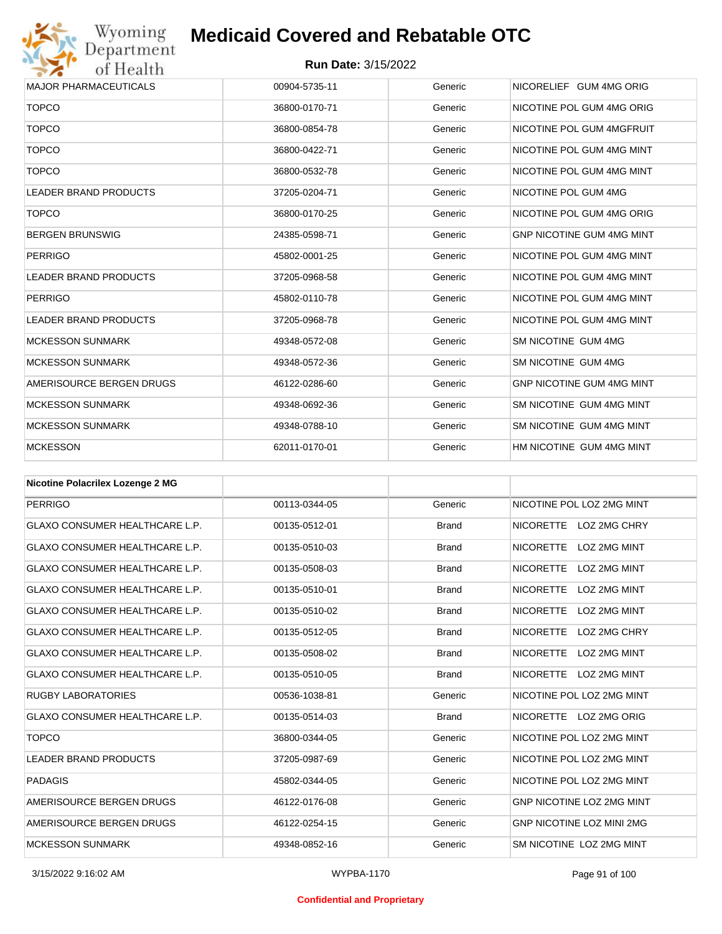

| <b>MAJOR PHARMACEUTICALS</b> | 00904-5735-11 | Generic | NICORELIEF GUM 4MG ORIG          |
|------------------------------|---------------|---------|----------------------------------|
| <b>TOPCO</b>                 | 36800-0170-71 | Generic | NICOTINE POL GUM 4MG ORIG        |
| <b>TOPCO</b>                 | 36800-0854-78 | Generic | NICOTINE POL GUM 4MGFRUIT        |
| <b>TOPCO</b>                 | 36800-0422-71 | Generic | NICOTINE POL GUM 4MG MINT        |
| <b>TOPCO</b>                 | 36800-0532-78 | Generic | NICOTINE POL GUM 4MG MINT        |
| <b>LEADER BRAND PRODUCTS</b> | 37205-0204-71 | Generic | NICOTINE POL GUM 4MG             |
| <b>TOPCO</b>                 | 36800-0170-25 | Generic | NICOTINE POL GUM 4MG ORIG        |
| <b>BERGEN BRUNSWIG</b>       | 24385-0598-71 | Generic | <b>GNP NICOTINE GUM 4MG MINT</b> |
| <b>PERRIGO</b>               | 45802-0001-25 | Generic | NICOTINE POL GUM 4MG MINT        |
| <b>LEADER BRAND PRODUCTS</b> | 37205-0968-58 | Generic | NICOTINE POL GUM 4MG MINT        |
| <b>PERRIGO</b>               | 45802-0110-78 | Generic | NICOTINE POL GUM 4MG MINT        |
| <b>LEADER BRAND PRODUCTS</b> | 37205-0968-78 | Generic | NICOTINE POL GUM 4MG MINT        |
| <b>MCKESSON SUNMARK</b>      | 49348-0572-08 | Generic | SM NICOTINE GUM 4MG              |
| <b>MCKESSON SUNMARK</b>      | 49348-0572-36 | Generic | SM NICOTINE GUM 4MG              |
| AMERISOURCE BERGEN DRUGS     | 46122-0286-60 | Generic | <b>GNP NICOTINE GUM 4MG MINT</b> |
| <b>MCKESSON SUNMARK</b>      | 49348-0692-36 | Generic | SM NICOTINE GUM 4MG MINT         |
| <b>MCKESSON SUNMARK</b>      | 49348-0788-10 | Generic | SM NICOTINE GUM 4MG MINT         |
| <b>MCKESSON</b>              | 62011-0170-01 | Generic | HM NICOTINE GUM 4MG MINT         |

| <b>Nicotine Polacrilex Lozenge 2 MG</b> |               |              |                                         |
|-----------------------------------------|---------------|--------------|-----------------------------------------|
| <b>PERRIGO</b>                          | 00113-0344-05 | Generic      | NICOTINE POL LOZ 2MG MINT               |
| <b>GLAXO CONSUMER HEALTHCARE L.P.</b>   | 00135-0512-01 | <b>Brand</b> | NICORETTE LOZ 2MG CHRY                  |
| <b>GLAXO CONSUMER HEALTHCARE L.P.</b>   | 00135-0510-03 | <b>Brand</b> | <b>LOZ 2MG MINT</b><br><b>NICORETTE</b> |
| <b>GLAXO CONSUMER HEALTHCARE L.P.</b>   | 00135-0508-03 | <b>Brand</b> | <b>NICORETTE</b><br>LOZ 2MG MINT        |
| <b>GLAXO CONSUMER HEALTHCARE L.P.</b>   | 00135-0510-01 | <b>Brand</b> | <b>NICORETTE</b><br>LOZ 2MG MINT        |
| <b>GLAXO CONSUMER HEALTHCARE L.P.</b>   | 00135-0510-02 | <b>Brand</b> | <b>NICORETTE</b><br><b>LOZ 2MG MINT</b> |
| <b>GLAXO CONSUMER HEALTHCARE L.P.</b>   | 00135-0512-05 | <b>Brand</b> | <b>NICORETTE</b><br>LOZ 2MG CHRY        |
| <b>GLAXO CONSUMER HEALTHCARE L.P.</b>   | 00135-0508-02 | <b>Brand</b> | <b>NICORETTE</b><br>LOZ 2MG MINT        |
| <b>GLAXO CONSUMER HEALTHCARE L.P.</b>   | 00135-0510-05 | <b>Brand</b> | NICORETTE LOZ 2MG MINT                  |
| <b>RUGBY LABORATORIES</b>               | 00536-1038-81 | Generic      | NICOTINE POL LOZ 2MG MINT               |
| <b>GLAXO CONSUMER HEALTHCARE L.P.</b>   | 00135-0514-03 | <b>Brand</b> | NICORETTE LOZ 2MG ORIG                  |
| <b>TOPCO</b>                            | 36800-0344-05 | Generic      | NICOTINE POL LOZ 2MG MINT               |
| <b>LEADER BRAND PRODUCTS</b>            | 37205-0987-69 | Generic      | NICOTINE POL LOZ 2MG MINT               |
| <b>PADAGIS</b>                          | 45802-0344-05 | Generic      | NICOTINE POL LOZ 2MG MINT               |
| AMERISOURCE BERGEN DRUGS                | 46122-0176-08 | Generic      | GNP NICOTINE LOZ 2MG MINT               |
| AMERISOURCE BERGEN DRUGS                | 46122-0254-15 | Generic      | <b>GNP NICOTINE LOZ MINI 2MG</b>        |
| <b>MCKESSON SUNMARK</b>                 | 49348-0852-16 | Generic      | SM NICOTINE LOZ 2MG MINT                |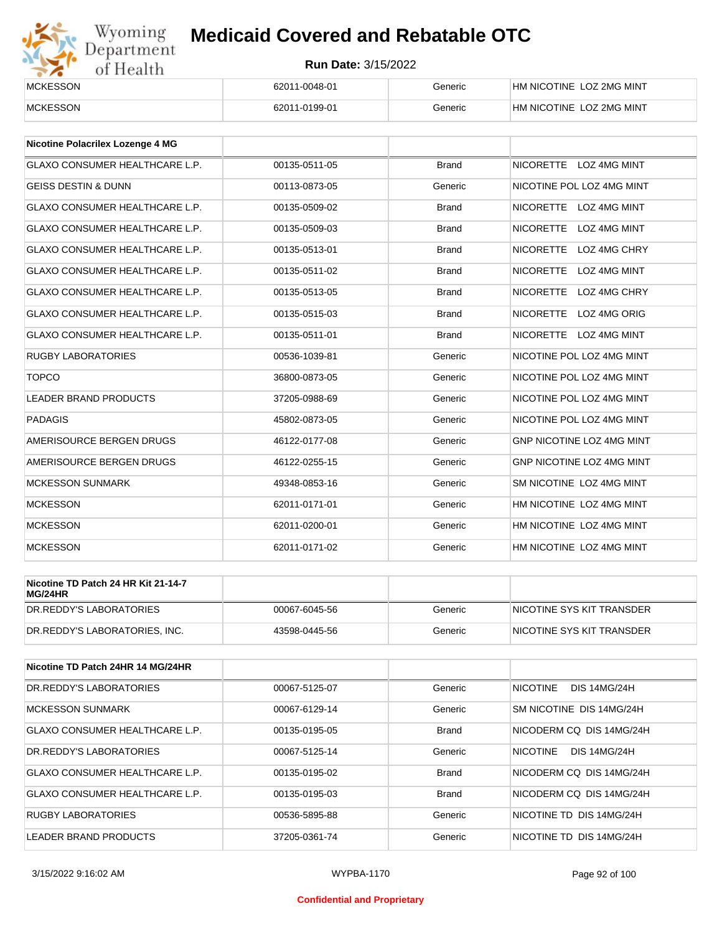

| <b>MCKESSON</b> | 62011-0048-01 | Generic | HM NICOTINE LOZ 2MG MINT        |
|-----------------|---------------|---------|---------------------------------|
| <b>MCKESSON</b> | 62011-0199-01 | Generic | <b>HM NICOTINE LOZ 2MG MINT</b> |

| Nicotine Polacrilex Lozenge 4 MG      |               |              |                                         |
|---------------------------------------|---------------|--------------|-----------------------------------------|
| <b>GLAXO CONSUMER HEALTHCARE L.P.</b> | 00135-0511-05 | <b>Brand</b> | NICORETTE LOZ 4MG MINT                  |
| <b>GEISS DESTIN &amp; DUNN</b>        | 00113-0873-05 | Generic      | NICOTINE POL LOZ 4MG MINT               |
| <b>GLAXO CONSUMER HEALTHCARE L.P.</b> | 00135-0509-02 | <b>Brand</b> | <b>NICORETTE</b><br>LOZ 4MG MINT        |
| <b>GLAXO CONSUMER HEALTHCARE L.P.</b> | 00135-0509-03 | <b>Brand</b> | <b>NICORETTE</b><br><b>LOZ 4MG MINT</b> |
| <b>GLAXO CONSUMER HEALTHCARE L.P.</b> | 00135-0513-01 | <b>Brand</b> | <b>NICORETTE</b><br>LOZ 4MG CHRY        |
| <b>GLAXO CONSUMER HEALTHCARE L.P.</b> | 00135-0511-02 | <b>Brand</b> | <b>NICORETTE</b><br><b>LOZ 4MG MINT</b> |
| <b>GLAXO CONSUMER HEALTHCARE L.P.</b> | 00135-0513-05 | <b>Brand</b> | <b>NICORETTE</b><br>LOZ 4MG CHRY        |
| <b>GLAXO CONSUMER HEALTHCARE L.P.</b> | 00135-0515-03 | <b>Brand</b> | <b>NICORETTE</b><br>LOZ 4MG ORIG        |
| <b>GLAXO CONSUMER HEALTHCARE L.P.</b> | 00135-0511-01 | <b>Brand</b> | NICORETTE LOZ 4MG MINT                  |
| <b>RUGBY LABORATORIES</b>             | 00536-1039-81 | Generic      | NICOTINE POL LOZ 4MG MINT               |
| <b>TOPCO</b>                          | 36800-0873-05 | Generic      | NICOTINE POL LOZ 4MG MINT               |
| <b>LEADER BRAND PRODUCTS</b>          | 37205-0988-69 | Generic      | NICOTINE POL LOZ 4MG MINT               |
| <b>PADAGIS</b>                        | 45802-0873-05 | Generic      | NICOTINE POL LOZ 4MG MINT               |
| AMERISOURCE BERGEN DRUGS              | 46122-0177-08 | Generic      | GNP NICOTINE LOZ 4MG MINT               |
| AMERISOURCE BERGEN DRUGS              | 46122-0255-15 | Generic      | <b>GNP NICOTINE LOZ 4MG MINT</b>        |
| <b>MCKESSON SUNMARK</b>               | 49348-0853-16 | Generic      | SM NICOTINE LOZ 4MG MINT                |
| <b>MCKESSON</b>                       | 62011-0171-01 | Generic      | HM NICOTINE LOZ 4MG MINT                |
| <b>MCKESSON</b>                       | 62011-0200-01 | Generic      | HM NICOTINE LOZ 4MG MINT                |
| <b>MCKESSON</b>                       | 62011-0171-02 | Generic      | HM NICOTINE LOZ 4MG MINT                |

| Nicotine TD Patch 24 HR Kit 21-14-7<br>MG/24HR |               |         |                           |
|------------------------------------------------|---------------|---------|---------------------------|
| DR.REDDY'S LABORATORIES                        | 00067-6045-56 | Generic | NICOTINE SYS KIT TRANSDER |
| DR.REDDY'S LABORATORIES. INC.                  | 43598-0445-56 | Generic | NICOTINE SYS KIT TRANSDER |

| Nicotine TD Patch 24HR 14 MG/24HR     |               |              |                                        |
|---------------------------------------|---------------|--------------|----------------------------------------|
| DR. REDDY'S LABORATORIES              | 00067-5125-07 | Generic      | <b>NICOTINE</b><br><b>DIS 14MG/24H</b> |
| MCKESSON SUNMARK                      | 00067-6129-14 | Generic      | SM NICOTINE DIS 14MG/24H               |
| <b>GLAXO CONSUMER HEALTHCARE L.P.</b> | 00135-0195-05 | <b>Brand</b> | NICODERM CO DIS 14MG/24H               |
| DR.REDDY'S LABORATORIES               | 00067-5125-14 | Generic      | <b>NICOTINE</b><br><b>DIS 14MG/24H</b> |
| GLAXO CONSUMER HEALTHCARE L.P.        | 00135-0195-02 | <b>Brand</b> | NICODERM CO DIS 14MG/24H               |
| GLAXO CONSUMER HEALTHCARE L.P.        | 00135-0195-03 | <b>Brand</b> | NICODERM CO DIS 14MG/24H               |
| <b>RUGBY LABORATORIES</b>             | 00536-5895-88 | Generic      | NICOTINE TD DIS 14MG/24H               |
| LEADER BRAND PRODUCTS                 | 37205-0361-74 | Generic      | NICOTINE TD DIS 14MG/24H               |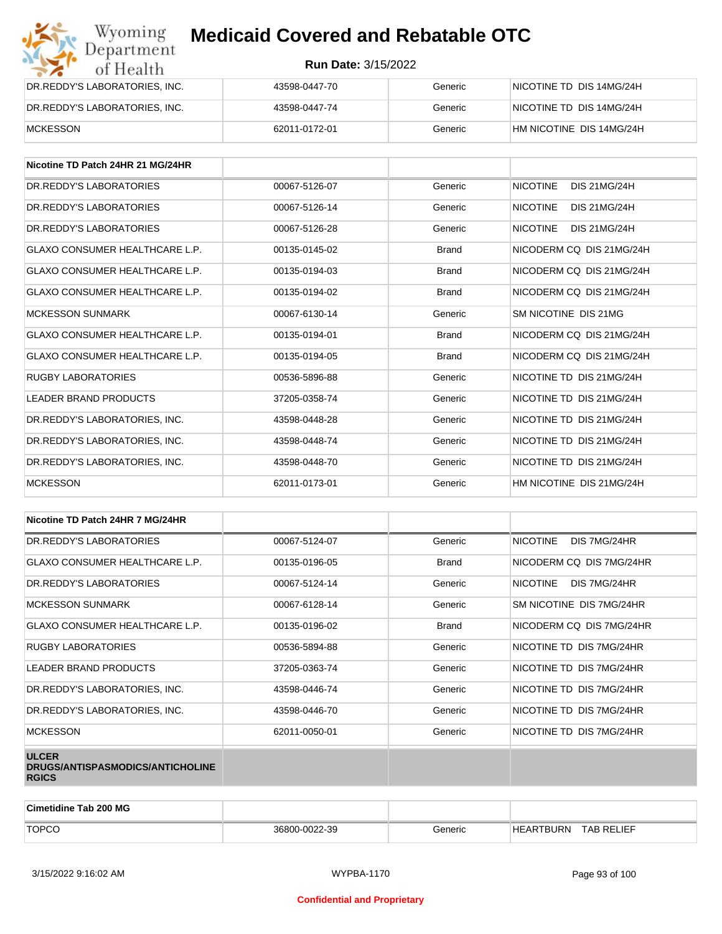| Wyoming<br>Department         | <b>Medicaid Covered and Rebatable OTC</b> |         |                          |  |  |
|-------------------------------|-------------------------------------------|---------|--------------------------|--|--|
| of Health                     | <b>Run Date: 3/15/2022</b>                |         |                          |  |  |
| DR.REDDY'S LABORATORIES, INC. | 43598-0447-70                             | Generic | NICOTINE TD DIS 14MG/24H |  |  |
| DR.REDDY'S LABORATORIES, INC. | 43598-0447-74                             | Generic | NICOTINE TD DIS 14MG/24H |  |  |
| <b>MCKESSON</b>               | 62011-0172-01                             | Generic | HM NICOTINE DIS 14MG/24H |  |  |

| Nicotine TD Patch 24HR 21 MG/24HR     |               |              |                                        |
|---------------------------------------|---------------|--------------|----------------------------------------|
| DR.REDDY'S LABORATORIES               | 00067-5126-07 | Generic      | <b>NICOTINE</b><br><b>DIS 21MG/24H</b> |
| DR. REDDY'S LABORATORIES              | 00067-5126-14 | Generic      | <b>NICOTINE</b><br><b>DIS 21MG/24H</b> |
| DR.REDDY'S LABORATORIES               | 00067-5126-28 | Generic      | <b>NICOTINE</b><br>DIS 21MG/24H        |
| <b>GLAXO CONSUMER HEALTHCARE L.P.</b> | 00135-0145-02 | <b>Brand</b> | NICODERM CO DIS 21MG/24H               |
| <b>GLAXO CONSUMER HEALTHCARE L.P.</b> | 00135-0194-03 | <b>Brand</b> | NICODERM CQ DIS 21MG/24H               |
| <b>GLAXO CONSUMER HEALTHCARE L.P.</b> | 00135-0194-02 | <b>Brand</b> | NICODERM CO DIS 21MG/24H               |
| <b>MCKESSON SUNMARK</b>               | 00067-6130-14 | Generic      | SM NICOTINE DIS 21MG                   |
| <b>GLAXO CONSUMER HEALTHCARE L.P.</b> | 00135-0194-01 | <b>Brand</b> | NICODERM CQ DIS 21MG/24H               |
| <b>GLAXO CONSUMER HEALTHCARE L.P.</b> | 00135-0194-05 | <b>Brand</b> | NICODERM CO DIS 21MG/24H               |
| <b>RUGBY LABORATORIES</b>             | 00536-5896-88 | Generic      | NICOTINE TD DIS 21MG/24H               |
| <b>LEADER BRAND PRODUCTS</b>          | 37205-0358-74 | Generic      | NICOTINE TD DIS 21MG/24H               |
| DR. REDDY'S LABORATORIES. INC.        | 43598-0448-28 | Generic      | NICOTINE TD DIS 21MG/24H               |
| DR.REDDY'S LABORATORIES, INC.         | 43598-0448-74 | Generic      | NICOTINE TD DIS 21MG/24H               |
| DR. REDDY'S LABORATORIES. INC.        | 43598-0448-70 | Generic      | NICOTINE TD DIS 21MG/24H               |
| <b>MCKESSON</b>                       | 62011-0173-01 | Generic      | HM NICOTINE DIS 21MG/24H               |

| Nicotine TD Patch 24HR 7 MG/24HR                                 |               |              |                                 |
|------------------------------------------------------------------|---------------|--------------|---------------------------------|
| DR. REDDY'S LABORATORIES                                         | 00067-5124-07 | Generic      | DIS 7MG/24HR<br><b>NICOTINE</b> |
| <b>GLAXO CONSUMER HEALTHCARE L.P.</b>                            | 00135-0196-05 | <b>Brand</b> | NICODERM CQ DIS 7MG/24HR        |
| DR. REDDY'S LABORATORIES                                         | 00067-5124-14 | Generic      | NICOTINE<br>DIS 7MG/24HR        |
| <b>MCKESSON SUNMARK</b>                                          | 00067-6128-14 | Generic      | SM NICOTINE DIS 7MG/24HR        |
| GLAXO CONSUMER HEALTHCARE L.P.                                   | 00135-0196-02 | <b>Brand</b> | NICODERM CO DIS 7MG/24HR        |
| RUGBY LABORATORIES                                               | 00536-5894-88 | Generic      | NICOTINE TD DIS 7MG/24HR        |
| <b>LEADER BRAND PRODUCTS</b>                                     | 37205-0363-74 | Generic      | NICOTINE TD DIS 7MG/24HR        |
| DR.REDDY'S LABORATORIES, INC.                                    | 43598-0446-74 | Generic      | NICOTINE TD DIS 7MG/24HR        |
| DR.REDDY'S LABORATORIES, INC.                                    | 43598-0446-70 | Generic      | NICOTINE TD DIS 7MG/24HR        |
| <b>MCKESSON</b>                                                  | 62011-0050-01 | Generic      | NICOTINE TD DIS 7MG/24HR        |
| <b>ULCER</b><br>DRUGS/ANTISPASMODICS/ANTICHOLINE<br><b>RGICS</b> |               |              |                                 |

| <b>Cimetidine Tab 200 MG</b> |               |         |                  |                   |
|------------------------------|---------------|---------|------------------|-------------------|
| <b>TOPCO</b>                 | 36800-0022-39 | Beneric | <b>HEARTBURN</b> | <b>TAB RELIEF</b> |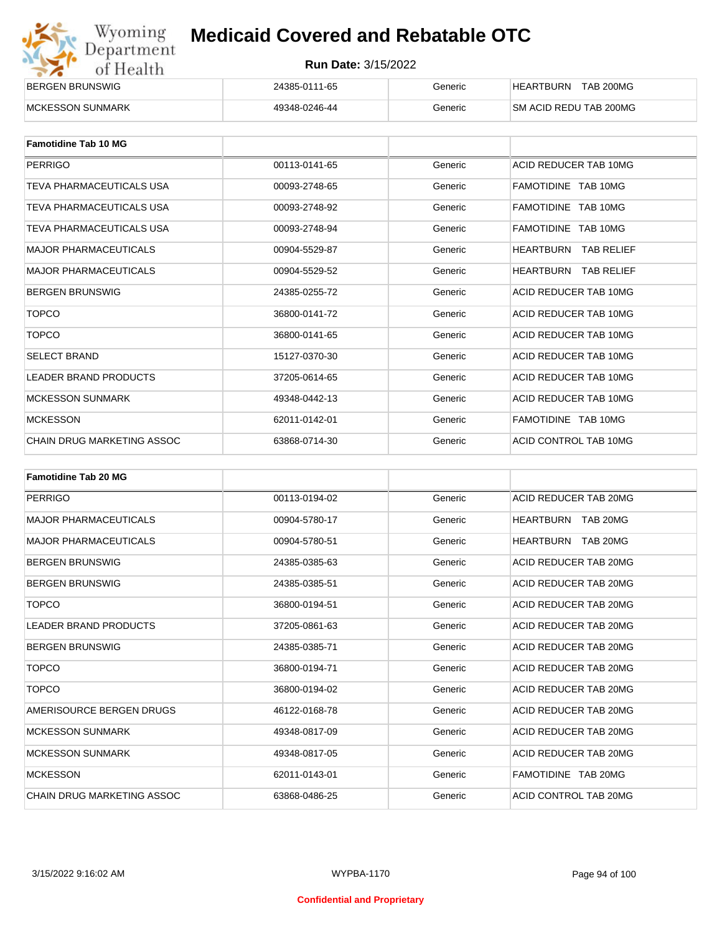| Wyoming    |
|------------|
| Department |
| of Health  |

| BERGEN BRUNSWIG          | 24385-0111-65 | Generic | <b>TAB 200MG</b><br>HEARTBURN  |
|--------------------------|---------------|---------|--------------------------------|
| <b>IMCKESSON SUNMARK</b> | 49348-0246-44 | Generic | <b>ISM ACID REDU TAB 200MG</b> |

| <b>Famotidine Tab 10 MG</b>  |               |         |                                       |
|------------------------------|---------------|---------|---------------------------------------|
| <b>PERRIGO</b>               | 00113-0141-65 | Generic | ACID REDUCER TAB 10MG                 |
| TEVA PHARMACEUTICALS USA     | 00093-2748-65 | Generic | FAMOTIDINE TAB 10MG                   |
| TEVA PHARMACEUTICALS USA     | 00093-2748-92 | Generic | FAMOTIDINE TAB 10MG                   |
| TEVA PHARMACEUTICALS USA     | 00093-2748-94 | Generic | FAMOTIDINE TAB 10MG                   |
| <b>MAJOR PHARMACEUTICALS</b> | 00904-5529-87 | Generic | <b>HEARTBURN</b><br><b>TAB RELIEF</b> |
| <b>MAJOR PHARMACEUTICALS</b> | 00904-5529-52 | Generic | <b>HEARTBURN</b><br><b>TAB RELIEF</b> |
| <b>BERGEN BRUNSWIG</b>       | 24385-0255-72 | Generic | ACID REDUCER TAB 10MG                 |
| <b>TOPCO</b>                 | 36800-0141-72 | Generic | ACID REDUCER TAB 10MG                 |
| <b>TOPCO</b>                 | 36800-0141-65 | Generic | ACID REDUCER TAB 10MG                 |
| <b>SELECT BRAND</b>          | 15127-0370-30 | Generic | ACID REDUCER TAB 10MG                 |
| <b>LEADER BRAND PRODUCTS</b> | 37205-0614-65 | Generic | ACID REDUCER TAB 10MG                 |
| <b>MCKESSON SUNMARK</b>      | 49348-0442-13 | Generic | ACID REDUCER TAB 10MG                 |
| <b>MCKESSON</b>              | 62011-0142-01 | Generic | FAMOTIDINE TAB 10MG                   |
| CHAIN DRUG MARKETING ASSOC   | 63868-0714-30 | Generic | ACID CONTROL TAB 10MG                 |

| <b>Famotidine Tab 20 MG</b>       |               |         |                              |
|-----------------------------------|---------------|---------|------------------------------|
| <b>PERRIGO</b>                    | 00113-0194-02 | Generic | ACID REDUCER TAB 20MG        |
| <b>MAJOR PHARMACEUTICALS</b>      | 00904-5780-17 | Generic | TAB 20MG<br>HEARTBURN        |
| <b>MAJOR PHARMACEUTICALS</b>      | 00904-5780-51 | Generic | <b>HEARTBURN</b><br>TAB 20MG |
| <b>BERGEN BRUNSWIG</b>            | 24385-0385-63 | Generic | ACID REDUCER TAB 20MG        |
| <b>BERGEN BRUNSWIG</b>            | 24385-0385-51 | Generic | ACID REDUCER TAB 20MG        |
| <b>TOPCO</b>                      | 36800-0194-51 | Generic | ACID REDUCER TAB 20MG        |
| <b>LEADER BRAND PRODUCTS</b>      | 37205-0861-63 | Generic | ACID REDUCER TAB 20MG        |
| <b>BERGEN BRUNSWIG</b>            | 24385-0385-71 | Generic | ACID REDUCER TAB 20MG        |
| <b>TOPCO</b>                      | 36800-0194-71 | Generic | ACID REDUCER TAB 20MG        |
| <b>TOPCO</b>                      | 36800-0194-02 | Generic | ACID REDUCER TAB 20MG        |
| AMERISOURCE BERGEN DRUGS          | 46122-0168-78 | Generic | ACID REDUCER TAB 20MG        |
| <b>MCKESSON SUNMARK</b>           | 49348-0817-09 | Generic | ACID REDUCER TAB 20MG        |
| <b>MCKESSON SUNMARK</b>           | 49348-0817-05 | Generic | ACID REDUCER TAB 20MG        |
| <b>MCKESSON</b>                   | 62011-0143-01 | Generic | FAMOTIDINE TAB 20MG          |
| <b>CHAIN DRUG MARKETING ASSOC</b> | 63868-0486-25 | Generic | ACID CONTROL TAB 20MG        |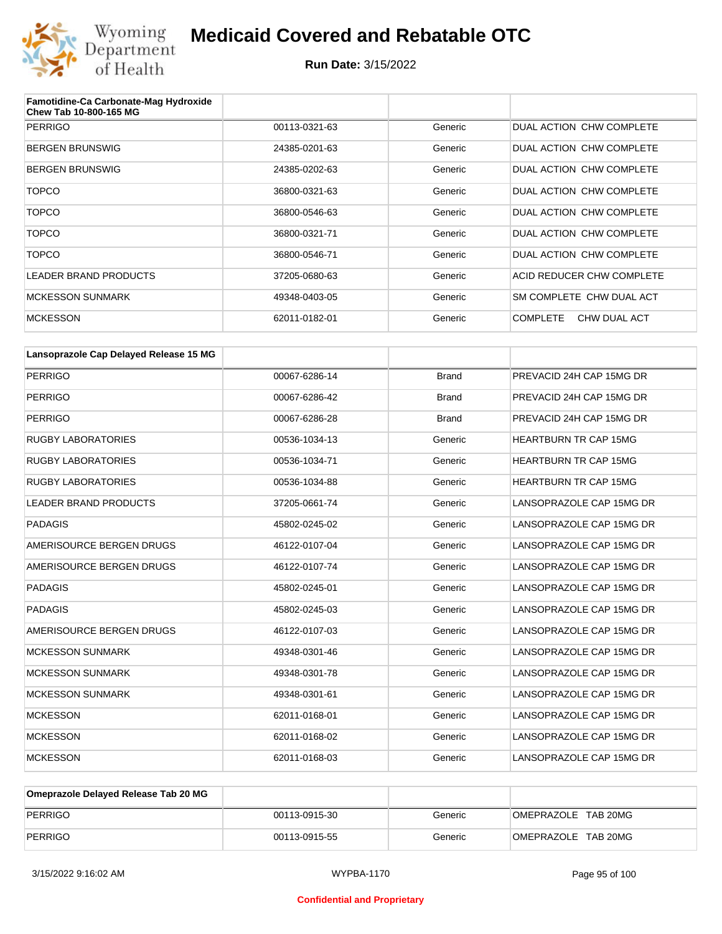

| Famotidine-Ca Carbonate-Mag Hydroxide<br>Chew Tab 10-800-165 MG |               |         |                                 |
|-----------------------------------------------------------------|---------------|---------|---------------------------------|
| <b>PERRIGO</b>                                                  | 00113-0321-63 | Generic | DUAL ACTION CHW COMPLETE        |
| <b>BERGEN BRUNSWIG</b>                                          | 24385-0201-63 | Generic | DUAL ACTION CHW COMPLETE        |
| <b>BERGEN BRUNSWIG</b>                                          | 24385-0202-63 | Generic | DUAL ACTION CHW COMPLETE        |
| <b>TOPCO</b>                                                    | 36800-0321-63 | Generic | DUAL ACTION CHW COMPLETE        |
| <b>TOPCO</b>                                                    | 36800-0546-63 | Generic | DUAL ACTION CHW COMPLETE        |
| <b>TOPCO</b>                                                    | 36800-0321-71 | Generic | DUAL ACTION CHW COMPLETE        |
| <b>TOPCO</b>                                                    | 36800-0546-71 | Generic | DUAL ACTION CHW COMPLETE        |
| LEADER BRAND PRODUCTS                                           | 37205-0680-63 | Generic | ACID REDUCER CHW COMPLETE       |
| <b>MCKESSON SUNMARK</b>                                         | 49348-0403-05 | Generic | SM COMPLETE CHW DUAL ACT        |
| <b>MCKESSON</b>                                                 | 62011-0182-01 | Generic | <b>COMPLETE</b><br>CHW DUAL ACT |

| Lansoprazole Cap Delayed Release 15 MG |               |              |                              |
|----------------------------------------|---------------|--------------|------------------------------|
| <b>PERRIGO</b>                         | 00067-6286-14 | <b>Brand</b> | PREVACID 24H CAP 15MG DR     |
| <b>PERRIGO</b>                         | 00067-6286-42 | <b>Brand</b> | PREVACID 24H CAP 15MG DR     |
| <b>PERRIGO</b>                         | 00067-6286-28 | <b>Brand</b> | PREVACID 24H CAP 15MG DR     |
| <b>RUGBY LABORATORIES</b>              | 00536-1034-13 | Generic      | <b>HEARTBURN TR CAP 15MG</b> |
| <b>RUGBY LABORATORIES</b>              | 00536-1034-71 | Generic      | <b>HEARTBURN TR CAP 15MG</b> |
| <b>RUGBY LABORATORIES</b>              | 00536-1034-88 | Generic      | HEARTBURN TR CAP 15MG        |
| <b>LEADER BRAND PRODUCTS</b>           | 37205-0661-74 | Generic      | LANSOPRAZOLE CAP 15MG DR     |
| <b>PADAGIS</b>                         | 45802-0245-02 | Generic      | LANSOPRAZOLE CAP 15MG DR     |
| AMERISOURCE BERGEN DRUGS               | 46122-0107-04 | Generic      | LANSOPRAZOLE CAP 15MG DR     |
| AMERISOURCE BERGEN DRUGS               | 46122-0107-74 | Generic      | LANSOPRAZOLE CAP 15MG DR     |
| <b>PADAGIS</b>                         | 45802-0245-01 | Generic      | LANSOPRAZOLE CAP 15MG DR     |
| <b>PADAGIS</b>                         | 45802-0245-03 | Generic      | LANSOPRAZOLE CAP 15MG DR     |
| AMERISOURCE BERGEN DRUGS               | 46122-0107-03 | Generic      | LANSOPRAZOLE CAP 15MG DR     |
| <b>MCKESSON SUNMARK</b>                | 49348-0301-46 | Generic      | LANSOPRAZOLE CAP 15MG DR     |
| <b>MCKESSON SUNMARK</b>                | 49348-0301-78 | Generic      | LANSOPRAZOLE CAP 15MG DR     |
| <b>MCKESSON SUNMARK</b>                | 49348-0301-61 | Generic      | LANSOPRAZOLE CAP 15MG DR     |
| <b>MCKESSON</b>                        | 62011-0168-01 | Generic      | LANSOPRAZOLE CAP 15MG DR     |
| <b>MCKESSON</b>                        | 62011-0168-02 | Generic      | LANSOPRAZOLE CAP 15MG DR     |
| <b>MCKESSON</b>                        | 62011-0168-03 | Generic      | LANSOPRAZOLE CAP 15MG DR     |

| Omeprazole Delayed Release Tab 20 MG |               |         |                     |
|--------------------------------------|---------------|---------|---------------------|
| PERRIGO                              | 00113-0915-30 | Generic | OMEPRAZOLE TAB 20MG |
| PERRIGO                              | 00113-0915-55 | Generic | OMEPRAZOLE TAB 20MG |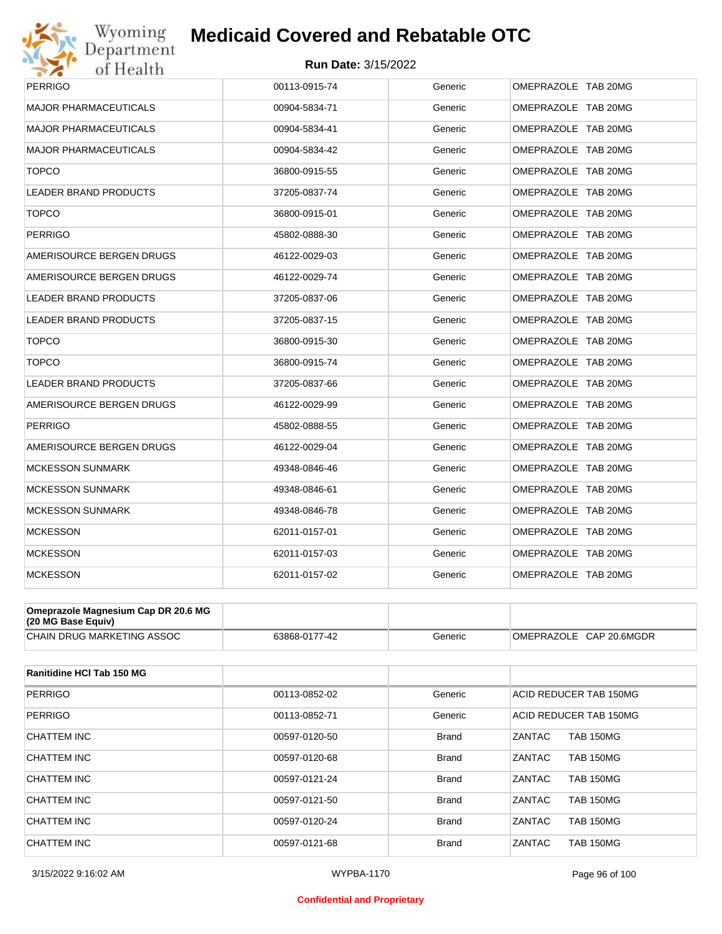

| PERRIGO                      | 00113-0915-74 | Generic | OMEPRAZOLE TAB 20MG |
|------------------------------|---------------|---------|---------------------|
| <b>MAJOR PHARMACEUTICALS</b> | 00904-5834-71 | Generic | OMEPRAZOLE TAB 20MG |
| <b>MAJOR PHARMACEUTICALS</b> | 00904-5834-41 | Generic | OMEPRAZOLE TAB 20MG |
| <b>MAJOR PHARMACEUTICALS</b> | 00904-5834-42 | Generic | OMEPRAZOLE TAB 20MG |
| <b>TOPCO</b>                 | 36800-0915-55 | Generic | OMEPRAZOLE TAB 20MG |
| <b>LEADER BRAND PRODUCTS</b> | 37205-0837-74 | Generic | OMEPRAZOLE TAB 20MG |
| <b>TOPCO</b>                 | 36800-0915-01 | Generic | OMEPRAZOLE TAB 20MG |
| <b>PERRIGO</b>               | 45802-0888-30 | Generic | OMEPRAZOLE TAB 20MG |
| AMERISOURCE BERGEN DRUGS     | 46122-0029-03 | Generic | OMEPRAZOLE TAB 20MG |
| AMERISOURCE BERGEN DRUGS     | 46122-0029-74 | Generic | OMEPRAZOLE TAB 20MG |
| <b>LEADER BRAND PRODUCTS</b> | 37205-0837-06 | Generic | OMEPRAZOLE TAB 20MG |
| <b>LEADER BRAND PRODUCTS</b> | 37205-0837-15 | Generic | OMEPRAZOLE TAB 20MG |
| <b>TOPCO</b>                 | 36800-0915-30 | Generic | OMEPRAZOLE TAB 20MG |
| <b>TOPCO</b>                 | 36800-0915-74 | Generic | OMEPRAZOLE TAB 20MG |
| <b>LEADER BRAND PRODUCTS</b> | 37205-0837-66 | Generic | OMEPRAZOLE TAB 20MG |
| AMERISOURCE BERGEN DRUGS     | 46122-0029-99 | Generic | OMEPRAZOLE TAB 20MG |
| <b>PERRIGO</b>               | 45802-0888-55 | Generic | OMEPRAZOLE TAB 20MG |
| AMERISOURCE BERGEN DRUGS     | 46122-0029-04 | Generic | OMEPRAZOLE TAB 20MG |
| <b>MCKESSON SUNMARK</b>      | 49348-0846-46 | Generic | OMEPRAZOLE TAB 20MG |
| <b>MCKESSON SUNMARK</b>      | 49348-0846-61 | Generic | OMEPRAZOLE TAB 20MG |
| <b>MCKESSON SUNMARK</b>      | 49348-0846-78 | Generic | OMEPRAZOLE TAB 20MG |
| <b>MCKESSON</b>              | 62011-0157-01 | Generic | OMEPRAZOLE TAB 20MG |
| <b>MCKESSON</b>              | 62011-0157-03 | Generic | OMEPRAZOLE TAB 20MG |
| <b>MCKESSON</b>              | 62011-0157-02 | Generic | OMEPRAZOLE TAB 20MG |

| Omeprazole Magnesium Cap DR 20.6 MG<br>$(20 \text{ MG Base}$ Equiv) |               |         |                         |
|---------------------------------------------------------------------|---------------|---------|-------------------------|
| <b>CHAIN DRUG MARKETING ASSOC</b>                                   | 63868-0177-42 | Generic | OMEPRAZOLE CAP 20.6MGDR |

| Ranitidine HCI Tab 150 MG |               |              |                                   |
|---------------------------|---------------|--------------|-----------------------------------|
| <b>PERRIGO</b>            | 00113-0852-02 | Generic      | ACID REDUCER TAB 150MG            |
| <b>PERRIGO</b>            | 00113-0852-71 | Generic      | ACID REDUCER TAB 150MG            |
| CHATTEM INC               | 00597-0120-50 | <b>Brand</b> | ZANTAC<br><b>TAB 150MG</b>        |
| CHATTEM INC               | 00597-0120-68 | <b>Brand</b> | <b>ZANTAC</b><br><b>TAB 150MG</b> |
| CHATTEM INC               | 00597-0121-24 | <b>Brand</b> | ZANTAC<br><b>TAB 150MG</b>        |
| CHATTEM INC               | 00597-0121-50 | <b>Brand</b> | <b>ZANTAC</b><br><b>TAB 150MG</b> |
| CHATTEM INC               | 00597-0120-24 | <b>Brand</b> | ZANTAC<br><b>TAB 150MG</b>        |
| CHATTEM INC               | 00597-0121-68 | <b>Brand</b> | ZANTAC<br><b>TAB 150MG</b>        |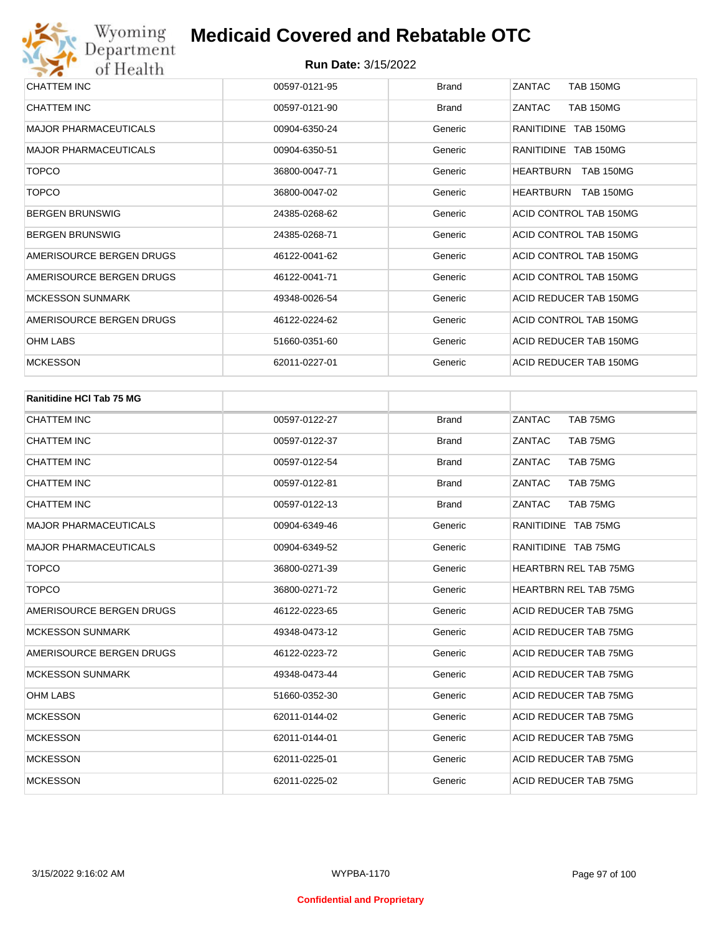| CHATTEM INC                  | 00597-0121-95 | <b>Brand</b> | ZANTAC<br><b>TAB 150MG</b>           |
|------------------------------|---------------|--------------|--------------------------------------|
| CHATTEM INC                  | 00597-0121-90 | <b>Brand</b> | ZANTAC<br><b>TAB 150MG</b>           |
| <b>MAJOR PHARMACEUTICALS</b> | 00904-6350-24 | Generic      | RANITIDINE TAB 150MG                 |
| <b>MAJOR PHARMACEUTICALS</b> | 00904-6350-51 | Generic      | RANITIDINE TAB 150MG                 |
| <b>TOPCO</b>                 | 36800-0047-71 | Generic      | <b>TAB 150MG</b><br><b>HEARTBURN</b> |
| <b>TOPCO</b>                 | 36800-0047-02 | Generic      | HEARTBURN<br><b>TAB 150MG</b>        |
| <b>BERGEN BRUNSWIG</b>       | 24385-0268-62 | Generic      | ACID CONTROL TAB 150MG               |
| <b>BERGEN BRUNSWIG</b>       | 24385-0268-71 | Generic      | ACID CONTROL TAB 150MG               |
| AMERISOURCE BERGEN DRUGS     | 46122-0041-62 | Generic      | ACID CONTROL TAB 150MG               |
| AMERISOURCE BERGEN DRUGS     | 46122-0041-71 | Generic      | ACID CONTROL TAB 150MG               |
| <b>MCKESSON SUNMARK</b>      | 49348-0026-54 | Generic      | ACID REDUCER TAB 150MG               |
| AMERISOURCE BERGEN DRUGS     | 46122-0224-62 | Generic      | ACID CONTROL TAB 150MG               |
| <b>OHM LABS</b>              | 51660-0351-60 | Generic      | ACID REDUCER TAB 150MG               |
| <b>MCKESSON</b>              | 62011-0227-01 | Generic      | ACID REDUCER TAB 150MG               |

| <b>Ranitidine HCI Tab 75 MG</b> |               |              |                              |
|---------------------------------|---------------|--------------|------------------------------|
| <b>CHATTEM INC</b>              | 00597-0122-27 | <b>Brand</b> | ZANTAC<br>TAB 75MG           |
| <b>CHATTEM INC</b>              | 00597-0122-37 | <b>Brand</b> | ZANTAC<br>TAB 75MG           |
| <b>CHATTEM INC</b>              | 00597-0122-54 | <b>Brand</b> | ZANTAC<br>TAB 75MG           |
| <b>CHATTEM INC</b>              | 00597-0122-81 | <b>Brand</b> | ZANTAC<br>TAB 75MG           |
| <b>CHATTEM INC</b>              | 00597-0122-13 | <b>Brand</b> | ZANTAC<br>TAB 75MG           |
| <b>MAJOR PHARMACEUTICALS</b>    | 00904-6349-46 | Generic      | RANITIDINE TAB 75MG          |
| <b>MAJOR PHARMACEUTICALS</b>    | 00904-6349-52 | Generic      | RANITIDINE TAB 75MG          |
| <b>TOPCO</b>                    | 36800-0271-39 | Generic      | <b>HEARTBRN REL TAB 75MG</b> |
| <b>TOPCO</b>                    | 36800-0271-72 | Generic      | <b>HEARTBRN REL TAB 75MG</b> |
| AMERISOURCE BERGEN DRUGS        | 46122-0223-65 | Generic      | ACID REDUCER TAB 75MG        |
| <b>MCKESSON SUNMARK</b>         | 49348-0473-12 | Generic      | <b>ACID REDUCER TAB 75MG</b> |
| AMERISOURCE BERGEN DRUGS        | 46122-0223-72 | Generic      | <b>ACID REDUCER TAB 75MG</b> |
| <b>MCKESSON SUNMARK</b>         | 49348-0473-44 | Generic      | <b>ACID REDUCER TAB 75MG</b> |
| <b>OHM LABS</b>                 | 51660-0352-30 | Generic      | ACID REDUCER TAB 75MG        |
| <b>MCKESSON</b>                 | 62011-0144-02 | Generic      | <b>ACID REDUCER TAB 75MG</b> |
| <b>MCKESSON</b>                 | 62011-0144-01 | Generic      | <b>ACID REDUCER TAB 75MG</b> |
| <b>MCKESSON</b>                 | 62011-0225-01 | Generic      | <b>ACID REDUCER TAB 75MG</b> |
| <b>MCKESSON</b>                 | 62011-0225-02 | Generic      | ACID REDUCER TAB 75MG        |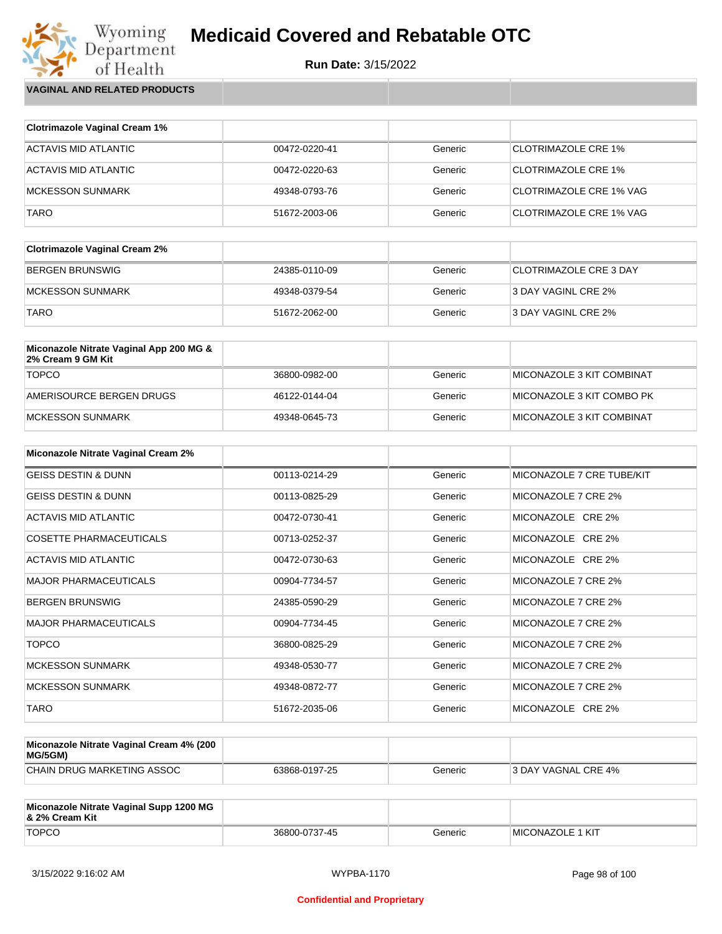**Run Date:** 3/15/2022

Wyoming<br>Department<br>of Health **VAGINAL AND RELATED PRODUCTS**

| <b>Clotrimazole Vaginal Cream 1%</b> |               |         |                                |
|--------------------------------------|---------------|---------|--------------------------------|
| ACTAVIS MID ATLANTIC                 | 00472-0220-41 | Generic | <b>CLOTRIMAZOLE CRE 1%</b>     |
| ACTAVIS MID ATLANTIC                 | 00472-0220-63 | Generic | <b>CLOTRIMAZOLE CRE 1%</b>     |
| MCKESSON SUNMARK                     | 49348-0793-76 | Generic | <b>CLOTRIMAZOLE CRE 1% VAG</b> |
| TARO                                 | 51672-2003-06 | Generic | <b>CLOTRIMAZOLE CRE 1% VAG</b> |

| <b>Clotrimazole Vaginal Cream 2%</b> |               |         |                        |
|--------------------------------------|---------------|---------|------------------------|
| BERGEN BRUNSWIG                      | 24385-0110-09 | Generic | CLOTRIMAZOLE CRE 3 DAY |
| MCKESSON SUNMARK                     | 49348-0379-54 | Generic | 3 DAY VAGINL CRE 2%    |
| <b>TARO</b>                          | 51672-2062-00 | Generic | 3 DAY VAGINL CRE 2%    |

| Miconazole Nitrate Vaginal App 200 MG &<br>2% Cream 9 GM Kit |               |         |                               |
|--------------------------------------------------------------|---------------|---------|-------------------------------|
| <b>TOPCO</b>                                                 | 36800-0982-00 | Generic | ™IICONAZOLE 3 KIT COMBINAT    |
| AMERISOURCE BERGEN DRUGS                                     | 46122-0144-04 | Generic | ™II MICONAZOLE 3 KIT COMBO PK |
| IMCKESSON SUNMARK                                            | 49348-0645-73 | Generic | MICONAZOLE 3 KIT COMBINAT     |

| <b>Miconazole Nitrate Vaginal Cream 2%</b> |               |         |                           |
|--------------------------------------------|---------------|---------|---------------------------|
| <b>GEISS DESTIN &amp; DUNN</b>             | 00113-0214-29 | Generic | MICONAZOLE 7 CRE TUBE/KIT |
| <b>GEISS DESTIN &amp; DUNN</b>             | 00113-0825-29 | Generic | MICONAZOLE 7 CRE 2%       |
| ACTAVIS MID ATLANTIC                       | 00472-0730-41 | Generic | MICONAZOLE CRE 2%         |
| COSETTE PHARMACEUTICALS                    | 00713-0252-37 | Generic | MICONAZOLE CRE 2%         |
| ACTAVIS MID ATLANTIC                       | 00472-0730-63 | Generic | MICONAZOLE CRE 2%         |
| <b>MAJOR PHARMACEUTICALS</b>               | 00904-7734-57 | Generic | MICONAZOLE 7 CRE 2%       |
| <b>BERGEN BRUNSWIG</b>                     | 24385-0590-29 | Generic | MICONAZOLE 7 CRE 2%       |
| <b>MAJOR PHARMACEUTICALS</b>               | 00904-7734-45 | Generic | MICONAZOLE 7 CRE 2%       |
| <b>TOPCO</b>                               | 36800-0825-29 | Generic | MICONAZOLE 7 CRE 2%       |
| <b>MCKESSON SUNMARK</b>                    | 49348-0530-77 | Generic | MICONAZOLE 7 CRE 2%       |
| <b>MCKESSON SUNMARK</b>                    | 49348-0872-77 | Generic | MICONAZOLE 7 CRE 2%       |
| <b>TARO</b>                                | 51672-2035-06 | Generic | MICONAZOLE CRE 2%         |

| Miconazole Nitrate Vaginal Cream 4% (200<br>MG/5GM) |               |         |                            |
|-----------------------------------------------------|---------------|---------|----------------------------|
| CHAIN DRUG MARKETING ASSOC                          | 63868-0197-25 | Generic | <b>3 DAY VAGNAL CRE 4%</b> |

| Miconazole Nitrate Vaginal Supp 1200 MG<br>8. 2% Cream Kit |               |         |                          |
|------------------------------------------------------------|---------------|---------|--------------------------|
| <b>TOPCO</b>                                               | 36800-0737-45 | Generic | <b>IMICONAZOLE 1 KIT</b> |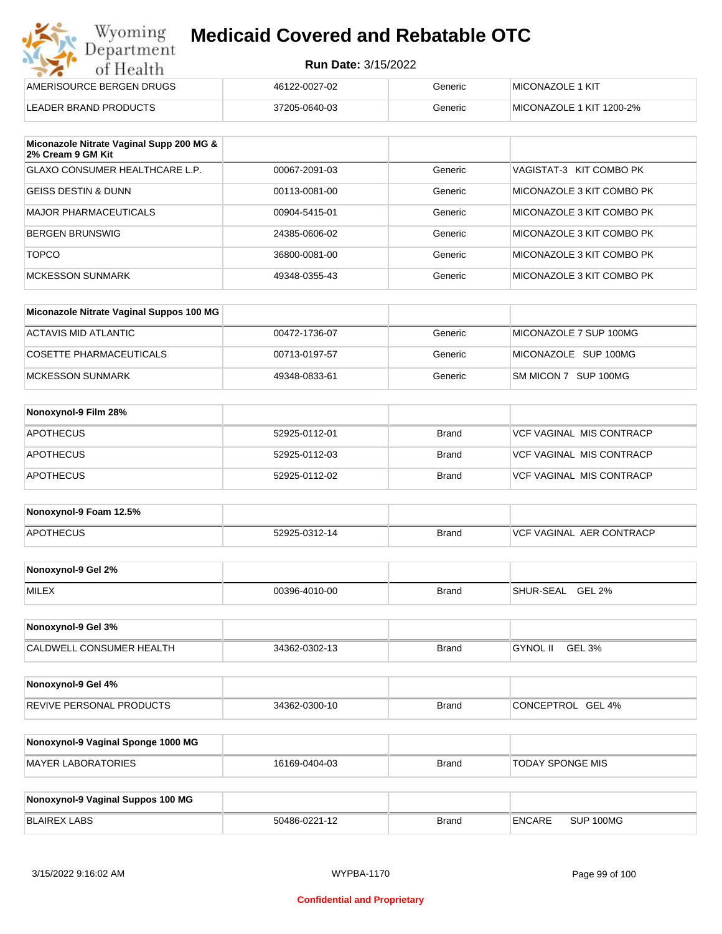| Wyoming<br><b>Medicaid Covered and Rebatable OTC</b><br>Department |                            |         |                          |  |
|--------------------------------------------------------------------|----------------------------|---------|--------------------------|--|
| of Health                                                          | <b>Run Date: 3/15/2022</b> |         |                          |  |
| AMERISOURCE BERGEN DRUGS                                           | 46122-0027-02              | Generic | MICONAZOLE 1 KIT         |  |
| LEADER BRAND PRODUCTS                                              | 37205-0640-03              | Generic | MICONAZOLE 1 KIT 1200-2% |  |

| Miconazole Nitrate Vaginal Supp 200 MG &<br>2% Cream 9 GM Kit |               |         |                           |
|---------------------------------------------------------------|---------------|---------|---------------------------|
| GLAXO CONSUMER HEALTHCARE L.P.                                | 00067-2091-03 | Generic | VAGISTAT-3 KIT COMBO PK   |
| GEISS DESTIN & DUNN                                           | 00113-0081-00 | Generic | MICONAZOLE 3 KIT COMBO PK |
| MAJOR PHARMACEUTICALS                                         | 00904-5415-01 | Generic | MICONAZOLE 3 KIT COMBO PK |
| BERGEN BRUNSWIG                                               | 24385-0606-02 | Generic | MICONAZOLE 3 KIT COMBO PK |
| <b>TOPCO</b>                                                  | 36800-0081-00 | Generic | MICONAZOLE 3 KIT COMBO PK |
| <b>MCKESSON SUNMARK</b>                                       | 49348-0355-43 | Generic | MICONAZOLE 3 KIT COMBO PK |

| Miconazole Nitrate Vaginal Suppos 100 MG |               |         |                        |
|------------------------------------------|---------------|---------|------------------------|
| ACTAVIS MID ATLANTIC                     | 00472-1736-07 | Generic | MICONAZOLE 7 SUP 100MG |
| COSETTE PHARMACEUTICALS                  | 00713-0197-57 | Generic | MICONAZOLE SUP 100MG   |
| MCKESSON SUNMARK                         | 49348-0833-61 | Generic | SM MICON 7 SUP 100MG   |

| Nonoxynol-9 Film 28% |               |              |                                 |
|----------------------|---------------|--------------|---------------------------------|
| <b>APOTHECUS</b>     | 52925-0112-01 | <b>Brand</b> | <b>VCF VAGINAL MIS CONTRACP</b> |
| <b>APOTHECUS</b>     | 52925-0112-03 | <b>Brand</b> | <b>VCF VAGINAL MIS CONTRACP</b> |
| <b>APOTHECUS</b>     | 52925-0112-02 | <b>Brand</b> | <b>VCF VAGINAL MIS CONTRACP</b> |

| Nonoxynol-9 Foam 12.5% |               |              |                               |
|------------------------|---------------|--------------|-------------------------------|
| <b>APOTHECUS</b>       | 52925-0312-14 | <b>Brand</b> | . AER CONTRACP<br>VCF VAGINAL |

| Nonoxynol-9 Gel 2% |               |       |                            |
|--------------------|---------------|-------|----------------------------|
| <b>MILEX</b>       | 00396-4010-00 | Brand | <b>GEL 2%</b><br>SHUR-SEAL |

| Nonoxynol-9 Gel 3%              |               |       |                           |  |
|---------------------------------|---------------|-------|---------------------------|--|
| <b>CALDWELL CONSUMER HEALTH</b> | 34362-0302-13 | Brand | <b>GYNOL II</b><br>GEL 3% |  |

| Nonoxynol-9 Gel 4%              |               |              |                      |
|---------------------------------|---------------|--------------|----------------------|
| <b>REVIVE PERSONAL PRODUCTS</b> | 34362-0300-10 | <b>Brand</b> | GEL 4%<br>CONCEPTROL |

| Nonoxynol-9 Vaginal Sponge 1000 MG |               |       |                  |
|------------------------------------|---------------|-------|------------------|
| MAYER LABORATORIES                 | 16169-0404-03 | Brand | TODAY SPONGE MIS |

| Nonoxynol-9 Vaginal Suppos 100 MG |               |              |               |           |
|-----------------------------------|---------------|--------------|---------------|-----------|
| BLAIREX LABS                      | 50486-0221-12 | <b>Brand</b> | <b>ENCARE</b> | SUP 100MG |